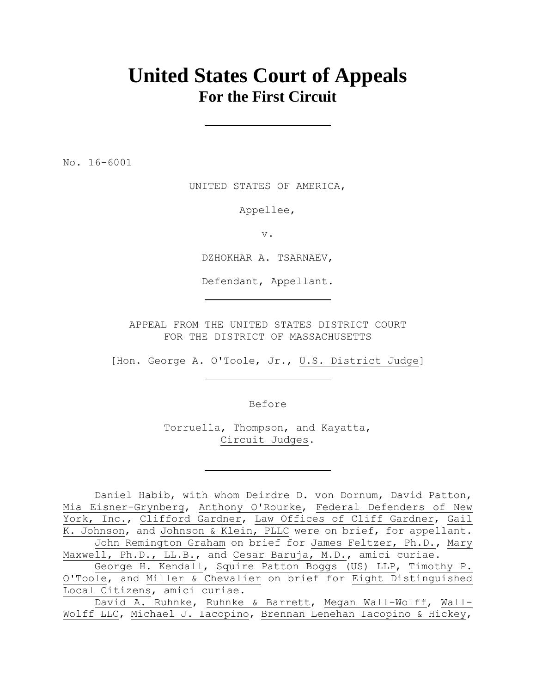# **United States Court of Appeals For the First Circuit**

No. 16-6001

UNITED STATES OF AMERICA,

Appellee,

v.

DZHOKHAR A. TSARNAEV,

Defendant, Appellant.

APPEAL FROM THE UNITED STATES DISTRICT COURT FOR THE DISTRICT OF MASSACHUSETTS

[Hon. George A. O'Toole, Jr., U.S. District Judge]

Before

Torruella, Thompson, and Kayatta, Circuit Judges.

Daniel Habib, with whom Deirdre D. von Dornum, David Patton, Mia Eisner-Grynberg, Anthony O'Rourke, Federal Defenders of New York, Inc., Clifford Gardner, Law Offices of Cliff Gardner, Gail K. Johnson, and Johnson & Klein, PLLC were on brief, for appellant. John Remington Graham on brief for James Feltzer, Ph.D., Mary Maxwell, Ph.D., LL.B., and Cesar Baruja, M.D., amici curiae.

George H. Kendall, Squire Patton Boggs (US) LLP, Timothy P. O'Toole, and Miller & Chevalier on brief for Eight Distinguished Local Citizens, amici curiae.

David A. Ruhnke, Ruhnke & Barrett, Megan Wall-Wolff, Wall-Wolff LLC, Michael J. Iacopino, Brennan Lenehan Iacopino & Hickey,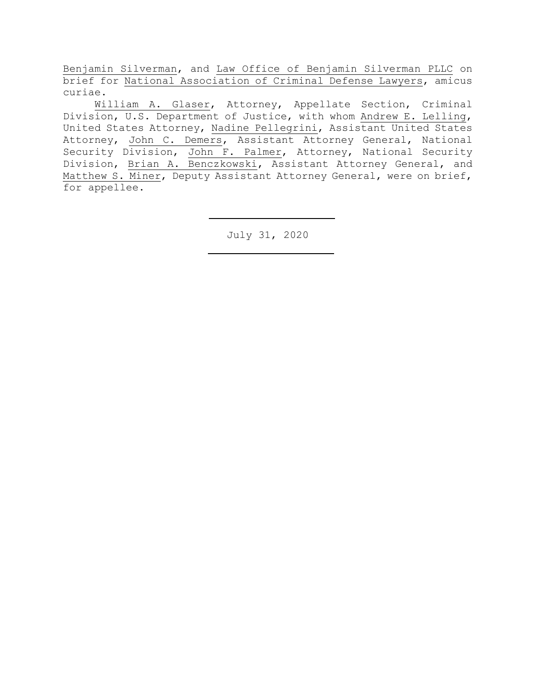Benjamin Silverman, and Law Office of Benjamin Silverman PLLC on brief for National Association of Criminal Defense Lawyers, amicus curiae.

William A. Glaser, Attorney, Appellate Section, Criminal Division, U.S. Department of Justice, with whom Andrew E. Lelling, United States Attorney, Nadine Pellegrini, Assistant United States Attorney, John C. Demers, Assistant Attorney General, National Security Division, John F. Palmer, Attorney, National Security Division, Brian A. Benczkowski, Assistant Attorney General, and Matthew S. Miner, Deputy Assistant Attorney General, were on brief, for appellee.

July 31, 2020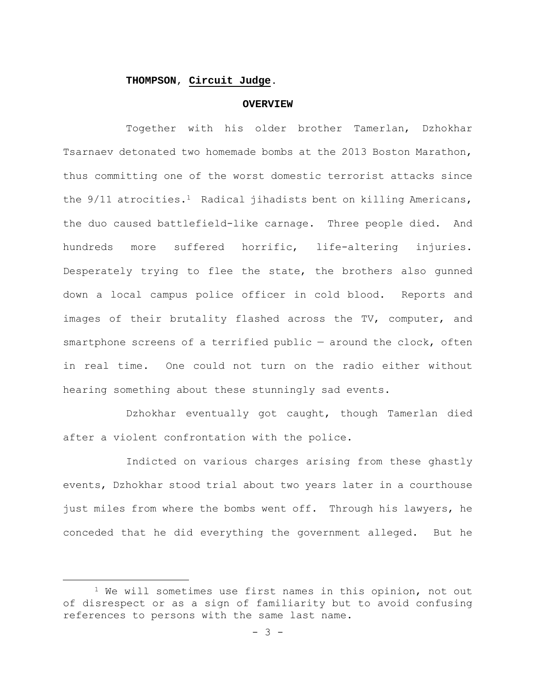### **THOMPSON**, **Circuit Judge**.

#### **OVERVIEW**

Together with his older brother Tamerlan, Dzhokhar Tsarnaev detonated two homemade bombs at the 2013 Boston Marathon, thus committing one of the worst domestic terrorist attacks since the 9/11 atrocities.<sup>1</sup> Radical jihadists bent on killing Americans, the duo caused battlefield-like carnage. Three people died. And hundreds more suffered horrific, life-altering injuries. Desperately trying to flee the state, the brothers also gunned down a local campus police officer in cold blood. Reports and images of their brutality flashed across the TV, computer, and smartphone screens of a terrified public — around the clock, often in real time. One could not turn on the radio either without hearing something about these stunningly sad events.

Dzhokhar eventually got caught, though Tamerlan died after a violent confrontation with the police.

Indicted on various charges arising from these ghastly events, Dzhokhar stood trial about two years later in a courthouse just miles from where the bombs went off. Through his lawyers, he conceded that he did everything the government alleged. But he

<sup>&</sup>lt;sup>1</sup> We will sometimes use first names in this opinion, not out of disrespect or as a sign of familiarity but to avoid confusing references to persons with the same last name.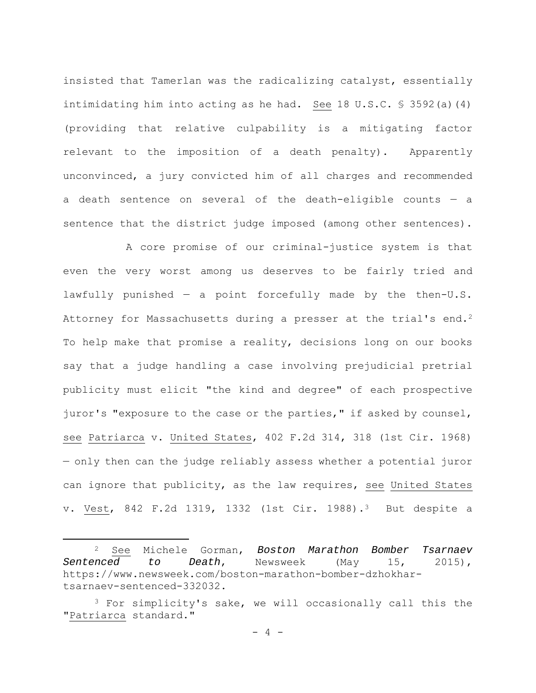insisted that Tamerlan was the radicalizing catalyst, essentially intimidating him into acting as he had. See 18 U.S.C.  $\frac{1}{5}$  3592(a)(4) (providing that relative culpability is a mitigating factor relevant to the imposition of a death penalty). Apparently unconvinced, a jury convicted him of all charges and recommended a death sentence on several of the death-eligible counts — a sentence that the district judge imposed (among other sentences).

A core promise of our criminal-justice system is that even the very worst among us deserves to be fairly tried and lawfully punished  $-$  a point forcefully made by the then-U.S. Attorney for Massachusetts during a presser at the trial's end.<sup>2</sup> To help make that promise a reality, decisions long on our books say that a judge handling a case involving prejudicial pretrial publicity must elicit "the kind and degree" of each prospective juror's "exposure to the case or the parties," if asked by counsel, see Patriarca v. United States, 402 F.2d 314, 318 (1st Cir. 1968) — only then can the judge reliably assess whether a potential juror can ignore that publicity, as the law requires, see United States v. Vest, 842 F.2d 1319, 1332 (1st Cir. 1988).3 But despite a

<sup>2</sup> See Michele Gorman, *Boston Marathon Bomber Tsarnaev Sentenced to Death*, Newsweek (May 15, 2015), https://www.newsweek.com/boston-marathon-bomber-dzhokhartsarnaev-sentenced-332032.

<sup>&</sup>lt;sup>3</sup> For simplicity's sake, we will occasionally call this the "Patriarca standard."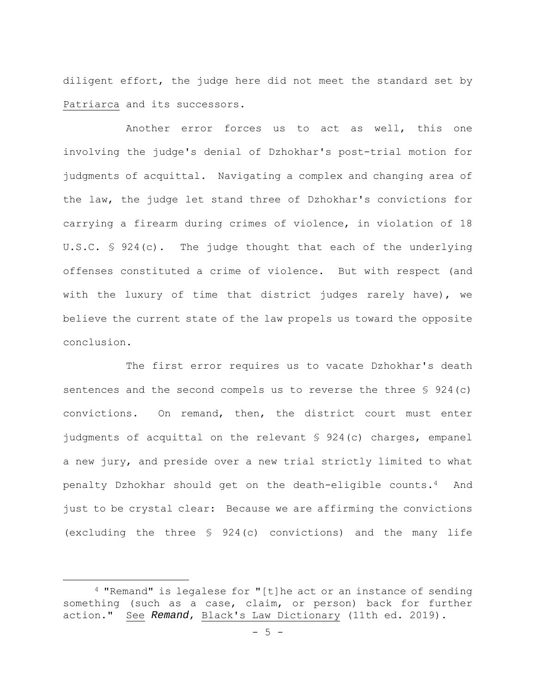diligent effort, the judge here did not meet the standard set by Patriarca and its successors.

Another error forces us to act as well, this one involving the judge's denial of Dzhokhar's post-trial motion for judgments of acquittal. Navigating a complex and changing area of the law, the judge let stand three of Dzhokhar's convictions for carrying a firearm during crimes of violence, in violation of 18 U.S.C. § 924(c). The judge thought that each of the underlying offenses constituted a crime of violence. But with respect (and with the luxury of time that district judges rarely have), we believe the current state of the law propels us toward the opposite conclusion.

The first error requires us to vacate Dzhokhar's death sentences and the second compels us to reverse the three § 924(c) convictions. On remand, then, the district court must enter judgments of acquittal on the relevant § 924(c) charges, empanel a new jury, and preside over a new trial strictly limited to what penalty Dzhokhar should get on the death-eligible counts.4 And just to be crystal clear: Because we are affirming the convictions (excluding the three § 924(c) convictions) and the many life

<sup>4 &</sup>quot;Remand" is legalese for "[t]he act or an instance of sending something (such as a case, claim, or person) back for further action." See *Remand*, Black's Law Dictionary (11th ed. 2019).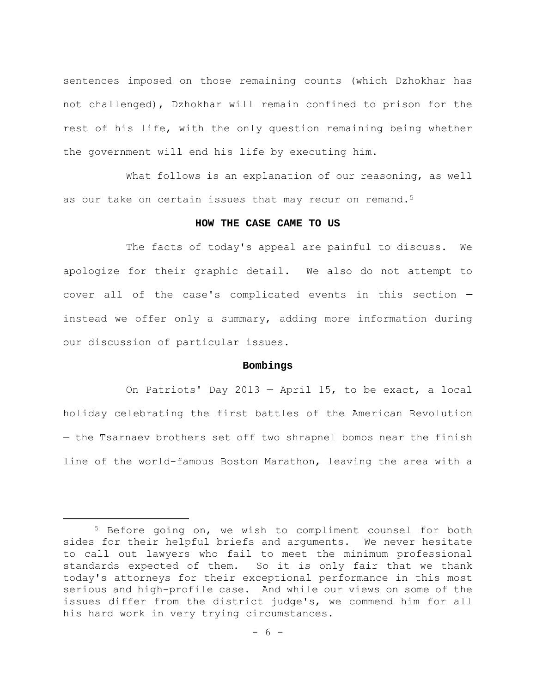sentences imposed on those remaining counts (which Dzhokhar has not challenged), Dzhokhar will remain confined to prison for the rest of his life, with the only question remaining being whether the government will end his life by executing him.

What follows is an explanation of our reasoning, as well as our take on certain issues that may recur on remand.<sup>5</sup>

## **HOW THE CASE CAME TO US**

The facts of today's appeal are painful to discuss. We apologize for their graphic detail. We also do not attempt to cover all of the case's complicated events in this section instead we offer only a summary, adding more information during our discussion of particular issues.

## **Bombings**

On Patriots' Day 2013 — April 15, to be exact, a local holiday celebrating the first battles of the American Revolution — the Tsarnaev brothers set off two shrapnel bombs near the finish line of the world-famous Boston Marathon, leaving the area with a

<sup>5</sup> Before going on, we wish to compliment counsel for both sides for their helpful briefs and arguments. We never hesitate to call out lawyers who fail to meet the minimum professional standards expected of them. So it is only fair that we thank today's attorneys for their exceptional performance in this most serious and high-profile case. And while our views on some of the issues differ from the district judge's, we commend him for all his hard work in very trying circumstances.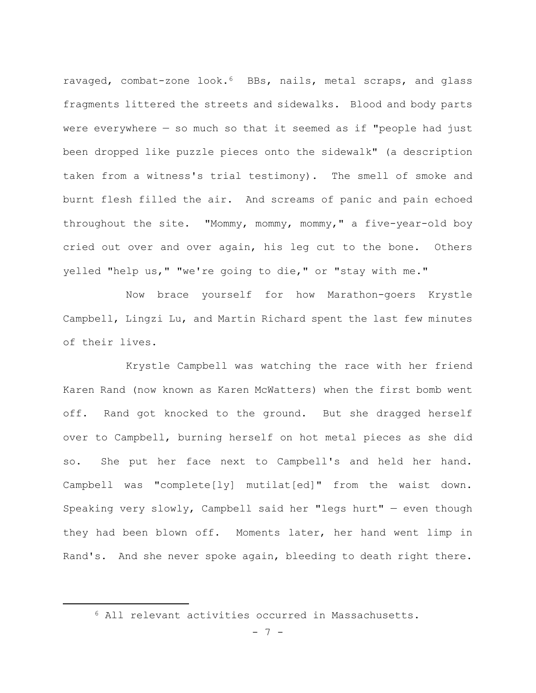ravaged, combat-zone look.6 BBs, nails, metal scraps, and glass fragments littered the streets and sidewalks. Blood and body parts were everywhere  $-$  so much so that it seemed as if "people had just been dropped like puzzle pieces onto the sidewalk" (a description taken from a witness's trial testimony). The smell of smoke and burnt flesh filled the air. And screams of panic and pain echoed throughout the site. "Mommy, mommy, mommy," a five-year-old boy cried out over and over again, his leg cut to the bone. Others yelled "help us," "we're going to die," or "stay with me."

Now brace yourself for how Marathon-goers Krystle Campbell, Lingzi Lu, and Martin Richard spent the last few minutes of their lives.

Krystle Campbell was watching the race with her friend Karen Rand (now known as Karen McWatters) when the first bomb went off. Rand got knocked to the ground. But she dragged herself over to Campbell, burning herself on hot metal pieces as she did so. She put her face next to Campbell's and held her hand. Campbell was "complete[ly] mutilat[ed]" from the waist down. Speaking very slowly, Campbell said her "legs hurt" — even though they had been blown off. Moments later, her hand went limp in Rand's. And she never spoke again, bleeding to death right there.

<sup>6</sup> All relevant activities occurred in Massachusetts.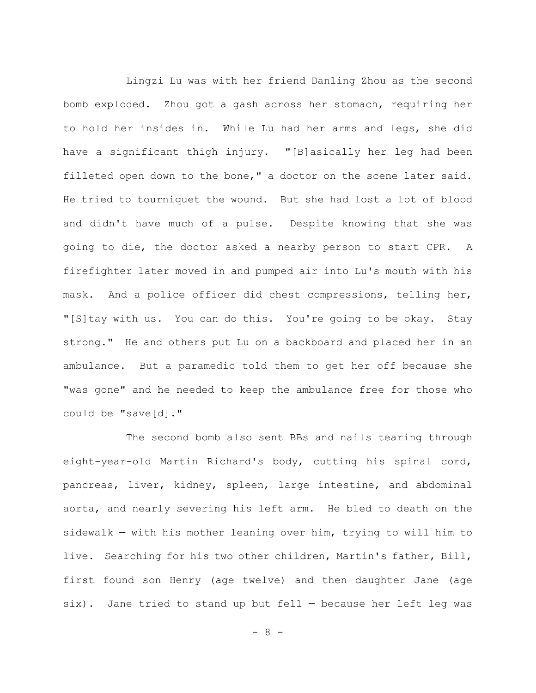Lingzi Lu was with her friend Danling Zhou as the second bomb exploded. Zhou got a gash across her stomach, requiring her to hold her insides in. While Lu had her arms and legs, she did have a significant thigh injury. "[B]asically her leg had been filleted open down to the bone," a doctor on the scene later said. He tried to tourniquet the wound. But she had lost a lot of blood and didn't have much of a pulse. Despite knowing that she was going to die, the doctor asked a nearby person to start CPR. A firefighter later moved in and pumped air into Lu's mouth with his mask. And a police officer did chest compressions, telling her, "[S]tay with us. You can do this. You're going to be okay. Stay strong." He and others put Lu on a backboard and placed her in an ambulance. But a paramedic told them to get her off because she "was gone" and he needed to keep the ambulance free for those who could be "save[d]."

The second bomb also sent BBs and nails tearing through eight-year-old Martin Richard's body, cutting his spinal cord, pancreas, liver, kidney, spleen, large intestine, and abdominal aorta, and nearly severing his left arm. He bled to death on the sidewalk — with his mother leaning over him, trying to will him to live. Searching for his two other children, Martin's father, Bill, first found son Henry (age twelve) and then daughter Jane (age six). Jane tried to stand up but fell — because her left leg was

 $- 8 -$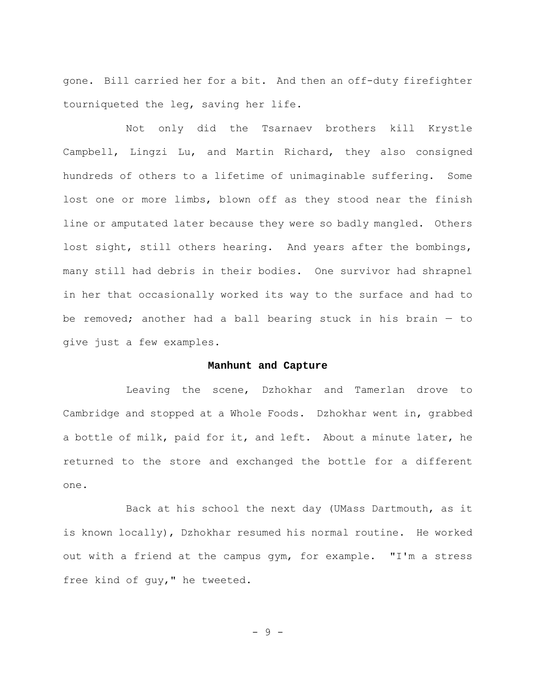gone. Bill carried her for a bit. And then an off-duty firefighter tourniqueted the leg, saving her life.

Not only did the Tsarnaev brothers kill Krystle Campbell, Lingzi Lu, and Martin Richard, they also consigned hundreds of others to a lifetime of unimaginable suffering. Some lost one or more limbs, blown off as they stood near the finish line or amputated later because they were so badly mangled. Others lost sight, still others hearing. And years after the bombings, many still had debris in their bodies. One survivor had shrapnel in her that occasionally worked its way to the surface and had to be removed; another had a ball bearing stuck in his brain — to give just a few examples.

## **Manhunt and Capture**

Leaving the scene, Dzhokhar and Tamerlan drove to Cambridge and stopped at a Whole Foods. Dzhokhar went in, grabbed a bottle of milk, paid for it, and left. About a minute later, he returned to the store and exchanged the bottle for a different one.

Back at his school the next day (UMass Dartmouth, as it is known locally), Dzhokhar resumed his normal routine. He worked out with a friend at the campus gym, for example. "I'm a stress free kind of guy," he tweeted.

- 9 -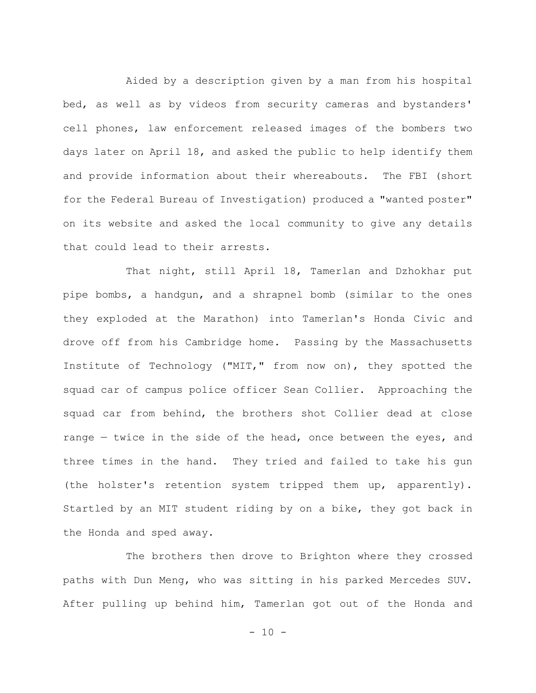Aided by a description given by a man from his hospital bed, as well as by videos from security cameras and bystanders' cell phones, law enforcement released images of the bombers two days later on April 18, and asked the public to help identify them and provide information about their whereabouts. The FBI (short for the Federal Bureau of Investigation) produced a "wanted poster" on its website and asked the local community to give any details that could lead to their arrests.

That night, still April 18, Tamerlan and Dzhokhar put pipe bombs, a handgun, and a shrapnel bomb (similar to the ones they exploded at the Marathon) into Tamerlan's Honda Civic and drove off from his Cambridge home. Passing by the Massachusetts Institute of Technology ("MIT," from now on), they spotted the squad car of campus police officer Sean Collier. Approaching the squad car from behind, the brothers shot Collier dead at close range — twice in the side of the head, once between the eyes, and three times in the hand. They tried and failed to take his gun (the holster's retention system tripped them up, apparently). Startled by an MIT student riding by on a bike, they got back in the Honda and sped away.

The brothers then drove to Brighton where they crossed paths with Dun Meng, who was sitting in his parked Mercedes SUV. After pulling up behind him, Tamerlan got out of the Honda and

 $- 10 -$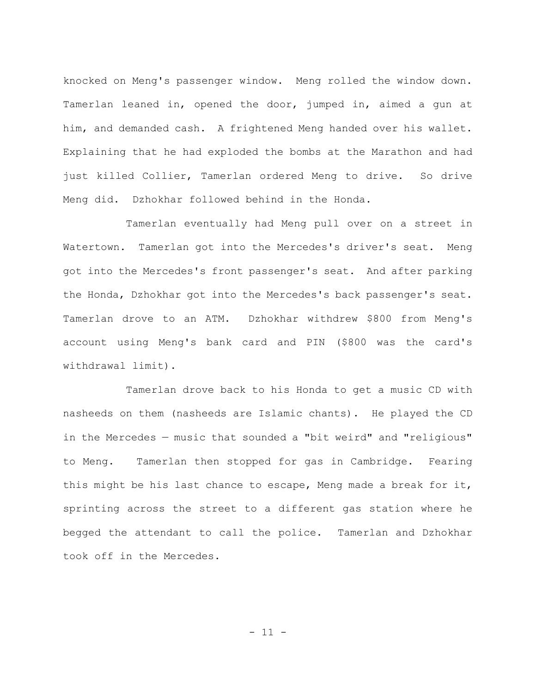knocked on Meng's passenger window. Meng rolled the window down. Tamerlan leaned in, opened the door, jumped in, aimed a gun at him, and demanded cash. A frightened Meng handed over his wallet. Explaining that he had exploded the bombs at the Marathon and had just killed Collier, Tamerlan ordered Meng to drive. So drive Meng did. Dzhokhar followed behind in the Honda.

Tamerlan eventually had Meng pull over on a street in Watertown. Tamerlan got into the Mercedes's driver's seat. Meng got into the Mercedes's front passenger's seat. And after parking the Honda, Dzhokhar got into the Mercedes's back passenger's seat. Tamerlan drove to an ATM. Dzhokhar withdrew \$800 from Meng's account using Meng's bank card and PIN (\$800 was the card's withdrawal limit).

Tamerlan drove back to his Honda to get a music CD with nasheeds on them (nasheeds are Islamic chants). He played the CD in the Mercedes — music that sounded a "bit weird" and "religious" to Meng. Tamerlan then stopped for gas in Cambridge. Fearing this might be his last chance to escape, Meng made a break for it, sprinting across the street to a different gas station where he begged the attendant to call the police. Tamerlan and Dzhokhar took off in the Mercedes.

 $-11 -$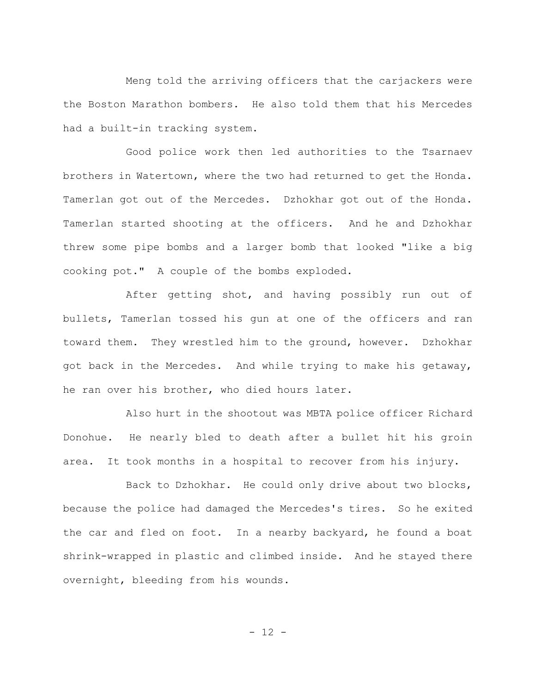Meng told the arriving officers that the carjackers were the Boston Marathon bombers. He also told them that his Mercedes had a built-in tracking system.

Good police work then led authorities to the Tsarnaev brothers in Watertown, where the two had returned to get the Honda. Tamerlan got out of the Mercedes. Dzhokhar got out of the Honda. Tamerlan started shooting at the officers. And he and Dzhokhar threw some pipe bombs and a larger bomb that looked "like a big cooking pot." A couple of the bombs exploded.

After getting shot, and having possibly run out of bullets, Tamerlan tossed his gun at one of the officers and ran toward them. They wrestled him to the ground, however. Dzhokhar got back in the Mercedes. And while trying to make his getaway, he ran over his brother, who died hours later.

Also hurt in the shootout was MBTA police officer Richard Donohue. He nearly bled to death after a bullet hit his groin area. It took months in a hospital to recover from his injury.

Back to Dzhokhar. He could only drive about two blocks, because the police had damaged the Mercedes's tires. So he exited the car and fled on foot. In a nearby backyard, he found a boat shrink-wrapped in plastic and climbed inside. And he stayed there overnight, bleeding from his wounds.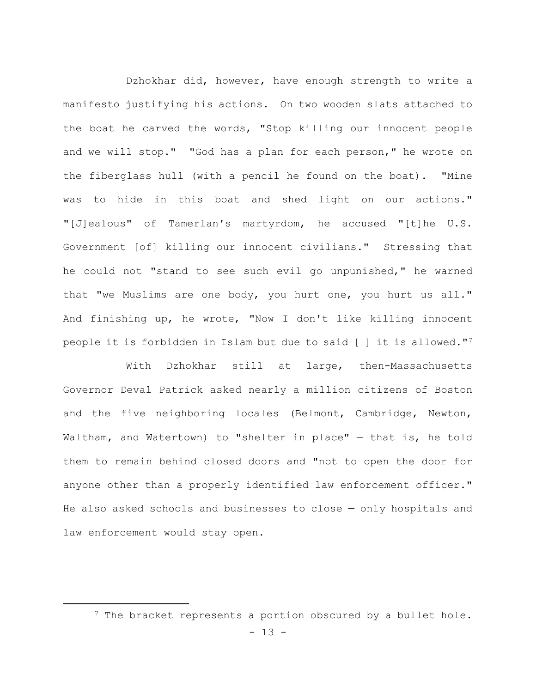Dzhokhar did, however, have enough strength to write a manifesto justifying his actions. On two wooden slats attached to the boat he carved the words, "Stop killing our innocent people and we will stop." "God has a plan for each person," he wrote on the fiberglass hull (with a pencil he found on the boat). "Mine was to hide in this boat and shed light on our actions." "[J]ealous" of Tamerlan's martyrdom, he accused "[t]he U.S. Government [of] killing our innocent civilians." Stressing that he could not "stand to see such evil go unpunished," he warned that "we Muslims are one body, you hurt one, you hurt us all." And finishing up, he wrote, "Now I don't like killing innocent people it is forbidden in Islam but due to said [ ] it is allowed."7

With Dzhokhar still at large, then-Massachusetts Governor Deval Patrick asked nearly a million citizens of Boston and the five neighboring locales (Belmont, Cambridge, Newton, Waltham, and Watertown) to "shelter in place" — that is, he told them to remain behind closed doors and "not to open the door for anyone other than a properly identified law enforcement officer." He also asked schools and businesses to close — only hospitals and law enforcement would stay open.

<sup>&</sup>lt;sup>7</sup> The bracket represents a portion obscured by a bullet hole.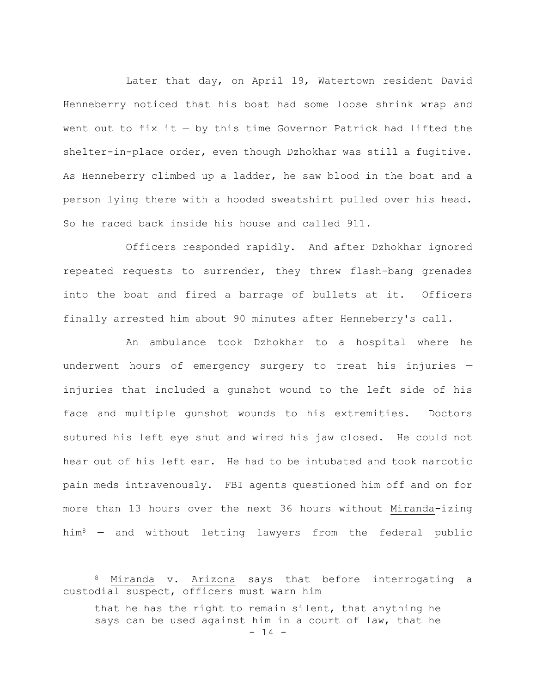Later that day, on April 19, Watertown resident David Henneberry noticed that his boat had some loose shrink wrap and went out to fix it  $-$  by this time Governor Patrick had lifted the shelter-in-place order, even though Dzhokhar was still a fugitive. As Henneberry climbed up a ladder, he saw blood in the boat and a person lying there with a hooded sweatshirt pulled over his head. So he raced back inside his house and called 911.

Officers responded rapidly. And after Dzhokhar ignored repeated requests to surrender, they threw flash-bang grenades into the boat and fired a barrage of bullets at it. Officers finally arrested him about 90 minutes after Henneberry's call.

An ambulance took Dzhokhar to a hospital where he underwent hours of emergency surgery to treat his injuries injuries that included a gunshot wound to the left side of his face and multiple gunshot wounds to his extremities. Doctors sutured his left eye shut and wired his jaw closed. He could not hear out of his left ear. He had to be intubated and took narcotic pain meds intravenously. FBI agents questioned him off and on for more than 13 hours over the next 36 hours without Miranda-izing him8 — and without letting lawyers from the federal public

<sup>8</sup> Miranda v. Arizona says that before interrogating a custodial suspect, officers must warn him

 $- 14$ that he has the right to remain silent, that anything he says can be used against him in a court of law, that he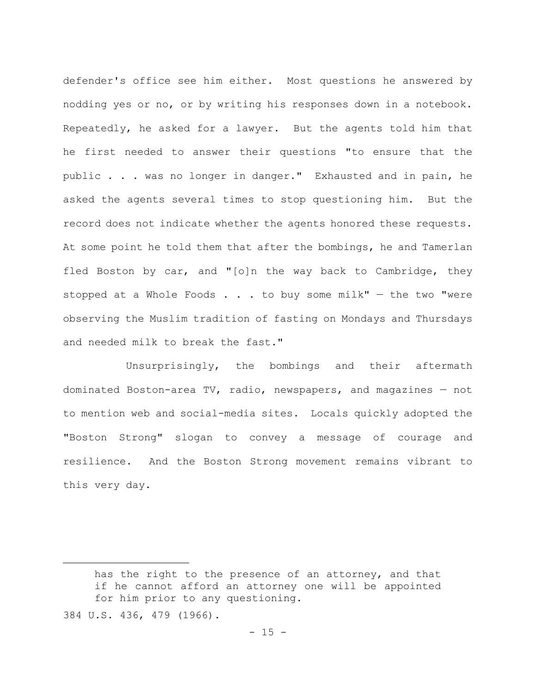defender's office see him either. Most questions he answered by nodding yes or no, or by writing his responses down in a notebook. Repeatedly, he asked for a lawyer. But the agents told him that he first needed to answer their questions "to ensure that the public . . . was no longer in danger." Exhausted and in pain, he asked the agents several times to stop questioning him. But the record does not indicate whether the agents honored these requests. At some point he told them that after the bombings, he and Tamerlan fled Boston by car, and "[o]n the way back to Cambridge, they stopped at a Whole Foods  $\ldots$  . to buy some milk" - the two "were observing the Muslim tradition of fasting on Mondays and Thursdays and needed milk to break the fast."

Unsurprisingly, the bombings and their aftermath dominated Boston-area TV, radio, newspapers, and magazines — not to mention web and social-media sites. Locals quickly adopted the "Boston Strong" slogan to convey a message of courage and resilience. And the Boston Strong movement remains vibrant to this very day.

has the right to the presence of an attorney, and that if he cannot afford an attorney one will be appointed for him prior to any questioning.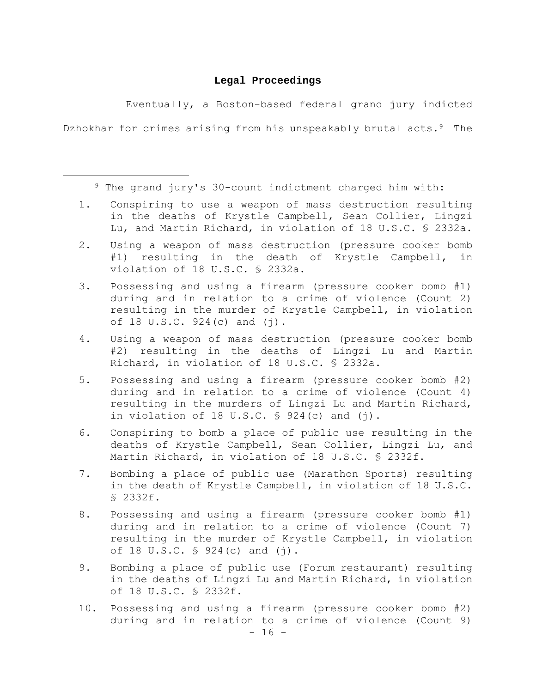# **Legal Proceedings**

Eventually, a Boston-based federal grand jury indicted Dzhokhar for crimes arising from his unspeakably brutal acts.<sup>9</sup> The

9 The grand jury's 30-count indictment charged him with:

- 1. Conspiring to use a weapon of mass destruction resulting in the deaths of Krystle Campbell, Sean Collier, Lingzi Lu, and Martin Richard, in violation of 18 U.S.C. § 2332a.
- 2. Using a weapon of mass destruction (pressure cooker bomb #1) resulting in the death of Krystle Campbell, in violation of 18 U.S.C. § 2332a.
- 3. Possessing and using a firearm (pressure cooker bomb #1) during and in relation to a crime of violence (Count 2) resulting in the murder of Krystle Campbell, in violation of 18 U.S.C. 924(c) and (j).
- 4. Using a weapon of mass destruction (pressure cooker bomb #2) resulting in the deaths of Lingzi Lu and Martin Richard, in violation of 18 U.S.C. § 2332a.
- 5. Possessing and using a firearm (pressure cooker bomb #2) during and in relation to a crime of violence (Count 4) resulting in the murders of Lingzi Lu and Martin Richard, in violation of 18 U.S.C.  $\frac{1}{2}$  924(c) and (j).
- 6. Conspiring to bomb a place of public use resulting in the deaths of Krystle Campbell, Sean Collier, Lingzi Lu, and Martin Richard, in violation of 18 U.S.C. § 2332f.
- 7. Bombing a place of public use (Marathon Sports) resulting in the death of Krystle Campbell, in violation of 18 U.S.C. § 2332f.
- 8. Possessing and using a firearm (pressure cooker bomb #1) during and in relation to a crime of violence (Count 7) resulting in the murder of Krystle Campbell, in violation of 18 U.S.C.  $\frac{1}{5}$  924(c) and (j).
- 9. Bombing a place of public use (Forum restaurant) resulting in the deaths of Lingzi Lu and Martin Richard, in violation of 18 U.S.C. § 2332f.
- $16 -$ 10. Possessing and using a firearm (pressure cooker bomb #2) during and in relation to a crime of violence (Count 9)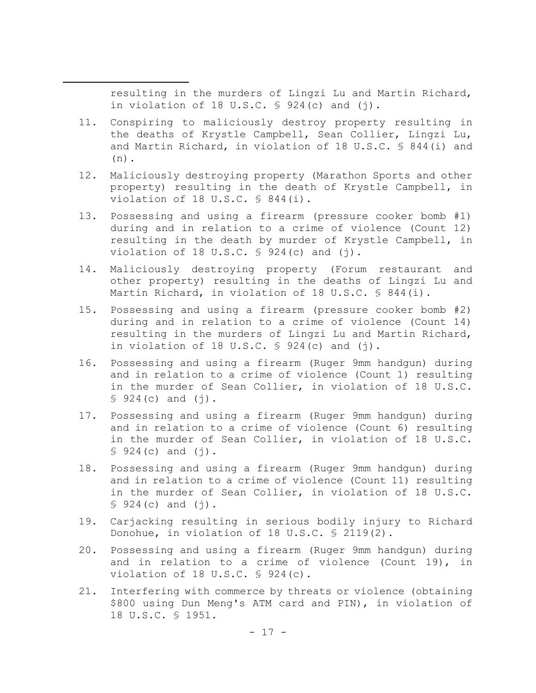resulting in the murders of Lingzi Lu and Martin Richard, in violation of 18 U.S.C.  $\frac{1}{2}$  924(c) and (j).

- 11. Conspiring to maliciously destroy property resulting in the deaths of Krystle Campbell, Sean Collier, Lingzi Lu, and Martin Richard, in violation of 18 U.S.C. § 844(i) and (n).
- 12. Maliciously destroying property (Marathon Sports and other property) resulting in the death of Krystle Campbell, in violation of 18 U.S.C. § 844(i).
- 13. Possessing and using a firearm (pressure cooker bomb #1) during and in relation to a crime of violence (Count 12) resulting in the death by murder of Krystle Campbell, in violation of 18 U.S.C.  $\frac{1}{5}$  924(c) and (j).
- 14. Maliciously destroying property (Forum restaurant and other property) resulting in the deaths of Lingzi Lu and Martin Richard, in violation of 18 U.S.C. § 844(i).
- 15. Possessing and using a firearm (pressure cooker bomb #2) during and in relation to a crime of violence (Count 14) resulting in the murders of Lingzi Lu and Martin Richard, in violation of 18 U.S.C.  $\frac{1}{5}$  924(c) and (j).
- 16. Possessing and using a firearm (Ruger 9mm handgun) during and in relation to a crime of violence (Count 1) resulting in the murder of Sean Collier, in violation of 18 U.S.C.  $$924(c)$  and  $(j)$ .
- 17. Possessing and using a firearm (Ruger 9mm handgun) during and in relation to a crime of violence (Count 6) resulting in the murder of Sean Collier, in violation of 18 U.S.C.  $$924(c)$  and  $(j)$ .
- 18. Possessing and using a firearm (Ruger 9mm handgun) during and in relation to a crime of violence (Count 11) resulting in the murder of Sean Collier, in violation of 18 U.S.C.  $$924(c)$  and  $(j)$ .
- 19. Carjacking resulting in serious bodily injury to Richard Donohue, in violation of 18 U.S.C. § 2119(2).
- 20. Possessing and using a firearm (Ruger 9mm handgun) during and in relation to a crime of violence (Count 19), in violation of 18 U.S.C. § 924(c).
- 21. Interfering with commerce by threats or violence (obtaining \$800 using Dun Meng's ATM card and PIN), in violation of 18 U.S.C. § 1951.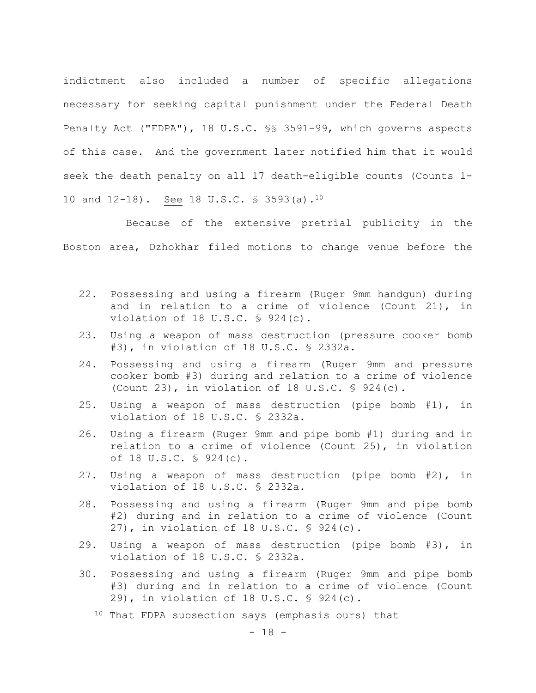indictment also included a number of specific allegations necessary for seeking capital punishment under the Federal Death Penalty Act ("FDPA"), 18 U.S.C. §§ 3591-99, which governs aspects of this case. And the government later notified him that it would seek the death penalty on all 17 death-eligible counts (Counts 1- 10 and 12-18). See 18 U.S.C. § 3593(a).10

Because of the extensive pretrial publicity in the Boston area, Dzhokhar filed motions to change venue before the

- 22. Possessing and using a firearm (Ruger 9mm handgun) during and in relation to a crime of violence (Count 21), in violation of 18 U.S.C. § 924(c).
- 23. Using a weapon of mass destruction (pressure cooker bomb #3), in violation of 18 U.S.C. § 2332a.
- 24. Possessing and using a firearm (Ruger 9mm and pressure cooker bomb #3) during and relation to a crime of violence (Count 23), in violation of 18 U.S.C. § 924(c).
- 25. Using a weapon of mass destruction (pipe bomb #1), in violation of 18 U.S.C. § 2332a.
- 26. Using a firearm (Ruger 9mm and pipe bomb #1) during and in relation to a crime of violence (Count 25), in violation of 18 U.S.C. § 924(c).
- 27. Using a weapon of mass destruction (pipe bomb #2), in violation of 18 U.S.C. § 2332a.
- 28. Possessing and using a firearm (Ruger 9mm and pipe bomb #2) during and in relation to a crime of violence (Count 27), in violation of 18 U.S.C. § 924(c).
- 29. Using a weapon of mass destruction (pipe bomb #3), in violation of 18 U.S.C. § 2332a.
- 30. Possessing and using a firearm (Ruger 9mm and pipe bomb #3) during and in relation to a crime of violence (Count 29), in violation of 18 U.S.C. § 924(c).
	- <sup>10</sup> That FDPA subsection says (emphasis ours) that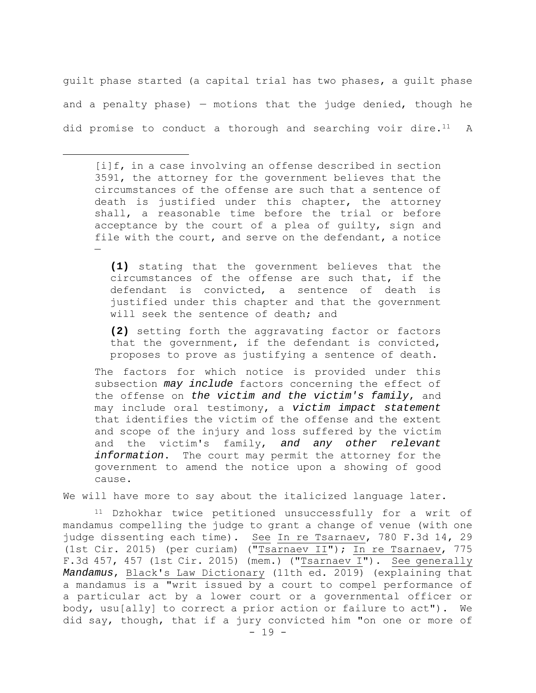guilt phase started (a capital trial has two phases, a guilt phase and a penalty phase)  $-$  motions that the judge denied, though he did promise to conduct a thorough and searching voir dire.<sup>11</sup> A

[i]f, in a case involving an offense described in section 3591, the attorney for the government believes that the circumstances of the offense are such that a sentence of death is justified under this chapter, the attorney shall, a reasonable time before the trial or before acceptance by the court of a plea of guilty, sign and file with the court, and serve on the defendant, a notice —

**(1)** stating that the government believes that the circumstances of the offense are such that, if the defendant is convicted, a sentence of death is justified under this chapter and that the government will seek the sentence of death; and

**(2)** setting forth the aggravating factor or factors that the government, if the defendant is convicted, proposes to prove as justifying a sentence of death.

The factors for which notice is provided under this subsection *may include* factors concerning the effect of the offense on *the victim and the victim's family*, and may include oral testimony, a *victim impact statement* that identifies the victim of the offense and the extent and scope of the injury and loss suffered by the victim and the victim's family, *and any other relevant information*. The court may permit the attorney for the government to amend the notice upon a showing of good cause.

We will have more to say about the italicized language later.

11 Dzhokhar twice petitioned unsuccessfully for a writ of mandamus compelling the judge to grant a change of venue (with one judge dissenting each time). See In re Tsarnaev, 780 F.3d 14, 29 (1st Cir. 2015) (per curiam) ("Tsarnaev II"); In re Tsarnaev, 775 F.3d 457, 457 (1st Cir. 2015) (mem.) ("Tsarnaev I"). See generally *Mandamus*, Black's Law Dictionary (11th ed. 2019) (explaining that a mandamus is a "writ issued by a court to compel performance of a particular act by a lower court or a governmental officer or body, usu[ally] to correct a prior action or failure to act"). We did say, though, that if a jury convicted him "on one or more of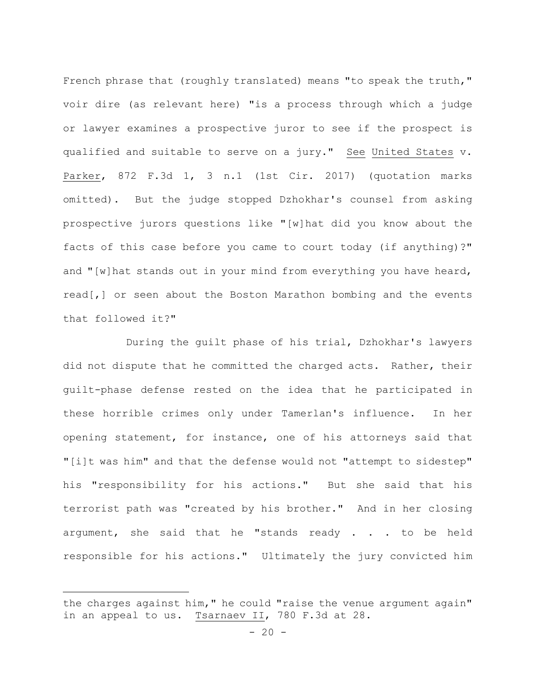French phrase that (roughly translated) means "to speak the truth," voir dire (as relevant here) "is a process through which a judge or lawyer examines a prospective juror to see if the prospect is qualified and suitable to serve on a jury." See United States v. Parker, 872 F.3d 1, 3 n.1 (1st Cir. 2017) (quotation marks omitted). But the judge stopped Dzhokhar's counsel from asking prospective jurors questions like "[w]hat did you know about the facts of this case before you came to court today (if anything)?" and "[w]hat stands out in your mind from everything you have heard, read[,] or seen about the Boston Marathon bombing and the events that followed it?"

During the guilt phase of his trial, Dzhokhar's lawyers did not dispute that he committed the charged acts. Rather, their guilt-phase defense rested on the idea that he participated in these horrible crimes only under Tamerlan's influence. In her opening statement, for instance, one of his attorneys said that "[i]t was him" and that the defense would not "attempt to sidestep" his "responsibility for his actions." But she said that his terrorist path was "created by his brother." And in her closing argument, she said that he "stands ready . . . to be held responsible for his actions." Ultimately the jury convicted him

the charges against him," he could "raise the venue argument again" in an appeal to us. Tsarnaev II, 780 F.3d at 28.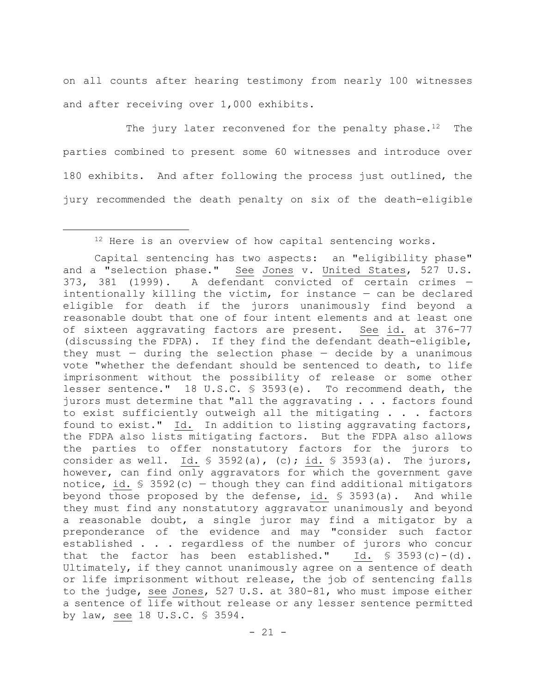on all counts after hearing testimony from nearly 100 witnesses and after receiving over 1,000 exhibits.

The jury later reconvened for the penalty phase.<sup>12</sup> The parties combined to present some 60 witnesses and introduce over 180 exhibits. And after following the process just outlined, the jury recommended the death penalty on six of the death-eligible

<sup>&</sup>lt;sup>12</sup> Here is an overview of how capital sentencing works.

Capital sentencing has two aspects: an "eligibility phase" and a "selection phase." See Jones v. United States, 527 U.S. 373, 381 (1999). A defendant convicted of certain crimes intentionally killing the victim, for instance — can be declared eligible for death if the jurors unanimously find beyond a reasonable doubt that one of four intent elements and at least one of sixteen aggravating factors are present. See id. at 376-77 (discussing the FDPA). If they find the defendant death-eligible, they must  $-$  during the selection phase  $-$  decide by a unanimous vote "whether the defendant should be sentenced to death, to life imprisonment without the possibility of release or some other lesser sentence." 18 U.S.C. § 3593(e). To recommend death, the jurors must determine that "all the aggravating . . . factors found to exist sufficiently outweigh all the mitigating . . . factors found to exist." Id. In addition to listing aggravating factors, the FDPA also lists mitigating factors. But the FDPA also allows the parties to offer nonstatutory factors for the jurors to consider as well. Id.  $\frac{1}{5}$  3592(a), (c); id.  $\frac{1}{5}$  3593(a). The jurors, however, can find only aggravators for which the government gave notice, id.  $\frac{1}{5}$  3592(c) – though they can find additional mitigators beyond those proposed by the defense, id. § 3593(a). And while they must find any nonstatutory aggravator unanimously and beyond a reasonable doubt, a single juror may find a mitigator by a preponderance of the evidence and may "consider such factor established . . . regardless of the number of jurors who concur that the factor has been established." Id.  $\frac{1}{5}$  3593(c)-(d). Ultimately, if they cannot unanimously agree on a sentence of death or life imprisonment without release, the job of sentencing falls to the judge, see Jones, 527 U.S. at 380-81, who must impose either a sentence of life without release or any lesser sentence permitted by law, see 18 U.S.C. § 3594.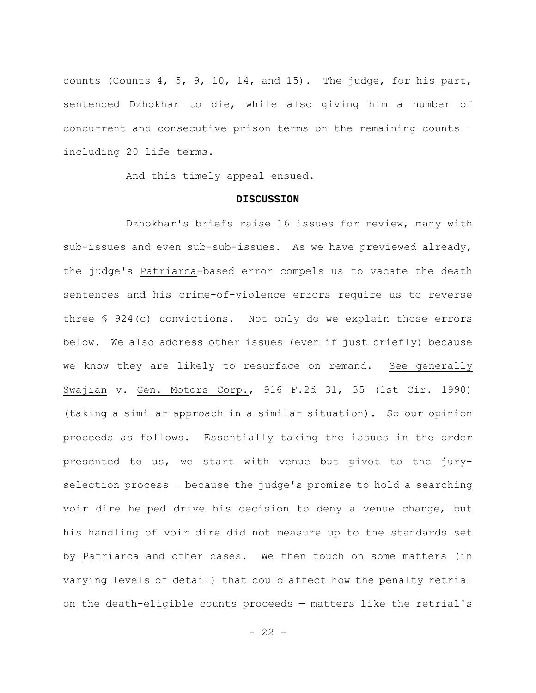counts (Counts 4, 5, 9, 10, 14, and 15). The judge, for his part, sentenced Dzhokhar to die, while also giving him a number of concurrent and consecutive prison terms on the remaining counts including 20 life terms.

And this timely appeal ensued.

#### **DISCUSSION**

Dzhokhar's briefs raise 16 issues for review, many with sub-issues and even sub-sub-issues. As we have previewed already, the judge's Patriarca-based error compels us to vacate the death sentences and his crime-of-violence errors require us to reverse three § 924(c) convictions. Not only do we explain those errors below. We also address other issues (even if just briefly) because we know they are likely to resurface on remand. See generally Swajian v. Gen. Motors Corp., 916 F.2d 31, 35 (1st Cir. 1990) (taking a similar approach in a similar situation). So our opinion proceeds as follows. Essentially taking the issues in the order presented to us, we start with venue but pivot to the juryselection process — because the judge's promise to hold a searching voir dire helped drive his decision to deny a venue change, but his handling of voir dire did not measure up to the standards set by Patriarca and other cases. We then touch on some matters (in varying levels of detail) that could affect how the penalty retrial on the death-eligible counts proceeds — matters like the retrial's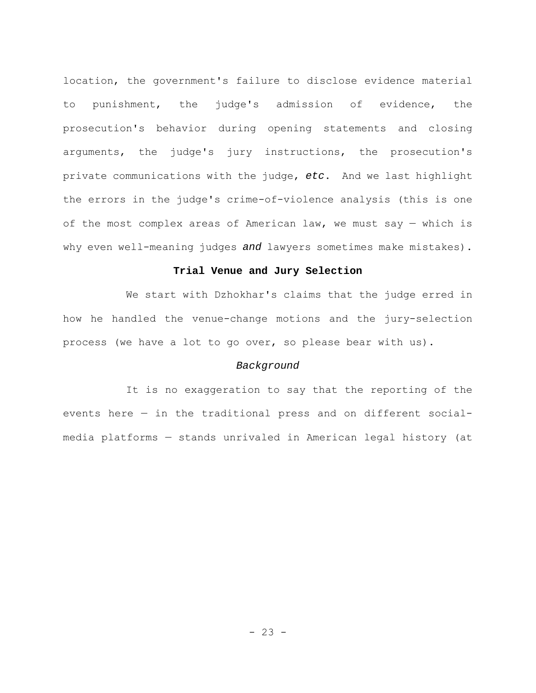location, the government's failure to disclose evidence material to punishment, the judge's admission of evidence, the prosecution's behavior during opening statements and closing arguments, the judge's jury instructions, the prosecution's private communications with the judge, *etc*. And we last highlight the errors in the judge's crime-of-violence analysis (this is one of the most complex areas of American law, we must say — which is why even well-meaning judges *and* lawyers sometimes make mistakes).

## **Trial Venue and Jury Selection**

We start with Dzhokhar's claims that the judge erred in how he handled the venue-change motions and the jury-selection process (we have a lot to go over, so please bear with us).

# *Background*

It is no exaggeration to say that the reporting of the events here — in the traditional press and on different socialmedia platforms — stands unrivaled in American legal history (at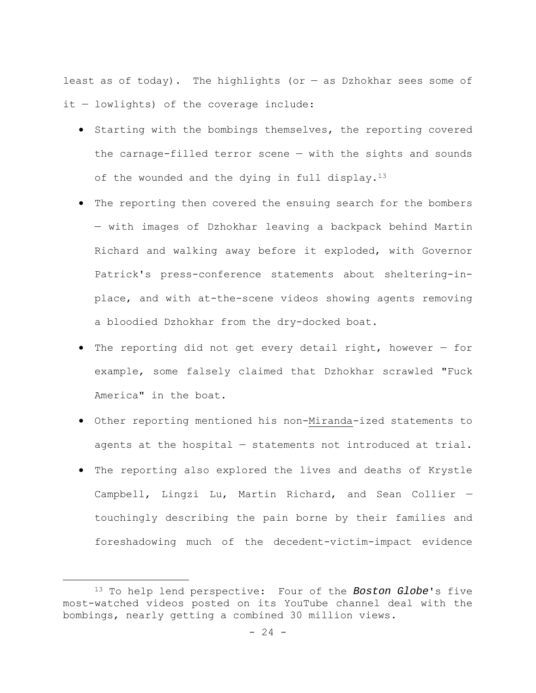least as of today). The highlights (or  $-$  as Dzhokhar sees some of it — lowlights) of the coverage include:

- **•** Starting with the bombings themselves, the reporting covered the carnage-filled terror scene — with the sights and sounds of the wounded and the dying in full display. $13$
- The reporting then covered the ensuing search for the bombers — with images of Dzhokhar leaving a backpack behind Martin Richard and walking away before it exploded, with Governor Patrick's press-conference statements about sheltering-inplace, and with at-the-scene videos showing agents removing a bloodied Dzhokhar from the dry-docked boat.
- The reporting did not get every detail right, however for example, some falsely claimed that Dzhokhar scrawled "Fuck America" in the boat.
- Other reporting mentioned his non-Miranda-ized statements to agents at the hospital — statements not introduced at trial.
- The reporting also explored the lives and deaths of Krystle Campbell, Lingzi Lu, Martin Richard, and Sean Collier touchingly describing the pain borne by their families and foreshadowing much of the decedent-victim-impact evidence

<sup>13</sup> To help lend perspective: Four of the *Boston Globe*'s five most-watched videos posted on its YouTube channel deal with the bombings, nearly getting a combined 30 million views.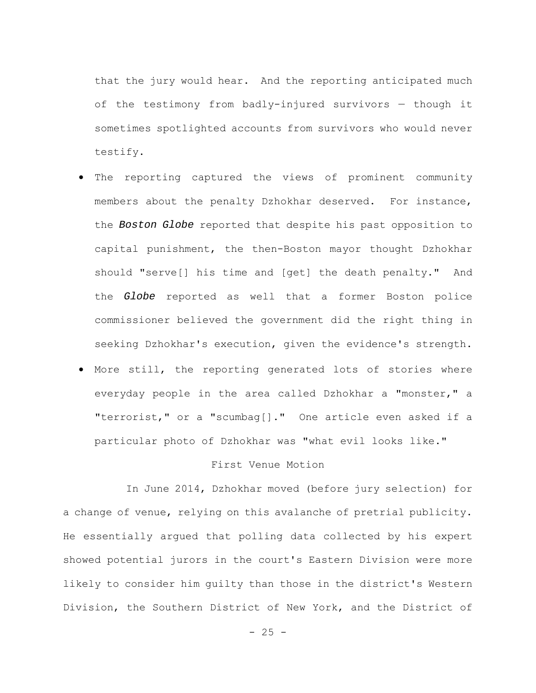that the jury would hear. And the reporting anticipated much of the testimony from badly-injured survivors — though it sometimes spotlighted accounts from survivors who would never testify.

- The reporting captured the views of prominent community members about the penalty Dzhokhar deserved. For instance, the *Boston Globe* reported that despite his past opposition to capital punishment, the then-Boston mayor thought Dzhokhar should "serve[] his time and [get] the death penalty." And the *Globe* reported as well that a former Boston police commissioner believed the government did the right thing in seeking Dzhokhar's execution, given the evidence's strength.
- More still, the reporting generated lots of stories where everyday people in the area called Dzhokhar a "monster," a "terrorist," or a "scumbag[]." One article even asked if a particular photo of Dzhokhar was "what evil looks like."

# First Venue Motion

In June 2014, Dzhokhar moved (before jury selection) for a change of venue, relying on this avalanche of pretrial publicity. He essentially argued that polling data collected by his expert showed potential jurors in the court's Eastern Division were more likely to consider him guilty than those in the district's Western Division, the Southern District of New York, and the District of

 $- 25 -$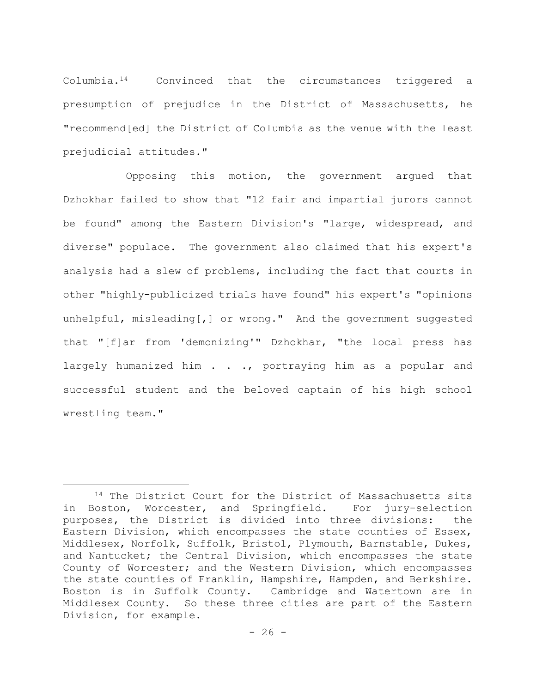Columbia.14 Convinced that the circumstances triggered a presumption of prejudice in the District of Massachusetts, he "recommend[ed] the District of Columbia as the venue with the least prejudicial attitudes."

Opposing this motion, the government argued that Dzhokhar failed to show that "12 fair and impartial jurors cannot be found" among the Eastern Division's "large, widespread, and diverse" populace. The government also claimed that his expert's analysis had a slew of problems, including the fact that courts in other "highly-publicized trials have found" his expert's "opinions unhelpful, misleading[,] or wrong." And the government suggested that "[f]ar from 'demonizing'" Dzhokhar, "the local press has largely humanized him . . ., portraying him as a popular and successful student and the beloved captain of his high school wrestling team."

<sup>&</sup>lt;sup>14</sup> The District Court for the District of Massachusetts sits in Boston, Worcester, and Springfield. For jury-selection purposes, the District is divided into three divisions: the Eastern Division, which encompasses the state counties of Essex, Middlesex, Norfolk, Suffolk, Bristol, Plymouth, Barnstable, Dukes, and Nantucket; the Central Division, which encompasses the state County of Worcester; and the Western Division, which encompasses the state counties of Franklin, Hampshire, Hampden, and Berkshire. Boston is in Suffolk County. Cambridge and Watertown are in Middlesex County. So these three cities are part of the Eastern Division, for example.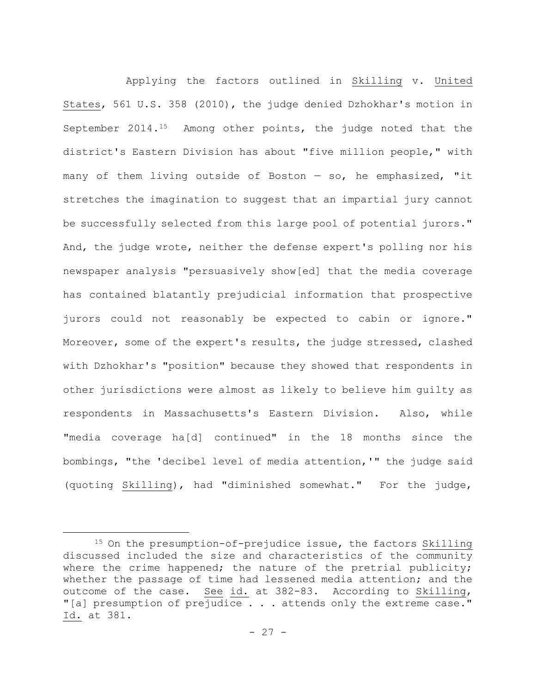Applying the factors outlined in Skilling v. United States, 561 U.S. 358 (2010), the judge denied Dzhokhar's motion in September 2014.15 Among other points, the judge noted that the district's Eastern Division has about "five million people," with many of them living outside of Boston — so, he emphasized, "it stretches the imagination to suggest that an impartial jury cannot be successfully selected from this large pool of potential jurors." And, the judge wrote, neither the defense expert's polling nor his newspaper analysis "persuasively show[ed] that the media coverage has contained blatantly prejudicial information that prospective jurors could not reasonably be expected to cabin or ignore." Moreover, some of the expert's results, the judge stressed, clashed with Dzhokhar's "position" because they showed that respondents in other jurisdictions were almost as likely to believe him guilty as respondents in Massachusetts's Eastern Division. Also, while "media coverage ha[d] continued" in the 18 months since the bombings, "the 'decibel level of media attention,'" the judge said (quoting Skilling), had "diminished somewhat." For the judge,

<sup>15</sup> On the presumption-of-prejudice issue, the factors Skilling discussed included the size and characteristics of the community where the crime happened; the nature of the pretrial publicity; whether the passage of time had lessened media attention; and the outcome of the case. See id. at 382-83. According to Skilling, "[a] presumption of prejudice . . . attends only the extreme case." Id. at 381.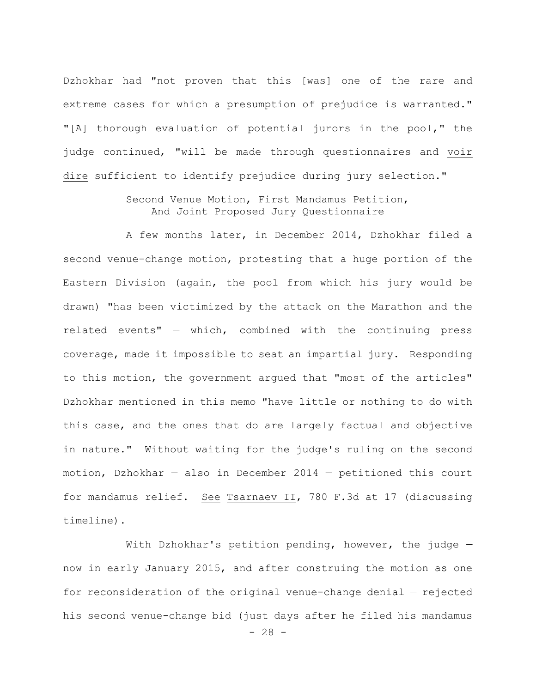Dzhokhar had "not proven that this [was] one of the rare and extreme cases for which a presumption of prejudice is warranted." "[A] thorough evaluation of potential jurors in the pool," the judge continued, "will be made through questionnaires and voir dire sufficient to identify prejudice during jury selection."

# Second Venue Motion, First Mandamus Petition, And Joint Proposed Jury Questionnaire

A few months later, in December 2014, Dzhokhar filed a second venue-change motion, protesting that a huge portion of the Eastern Division (again, the pool from which his jury would be drawn) "has been victimized by the attack on the Marathon and the related events" — which, combined with the continuing press coverage, made it impossible to seat an impartial jury. Responding to this motion, the government argued that "most of the articles" Dzhokhar mentioned in this memo "have little or nothing to do with this case, and the ones that do are largely factual and objective in nature." Without waiting for the judge's ruling on the second motion, Dzhokhar — also in December 2014 — petitioned this court for mandamus relief. See Tsarnaev II, 780 F.3d at 17 (discussing timeline).

With Dzhokhar's petition pending, however, the judge  $$ now in early January 2015, and after construing the motion as one for reconsideration of the original venue-change denial — rejected his second venue-change bid (just days after he filed his mandamus

 $- 28 -$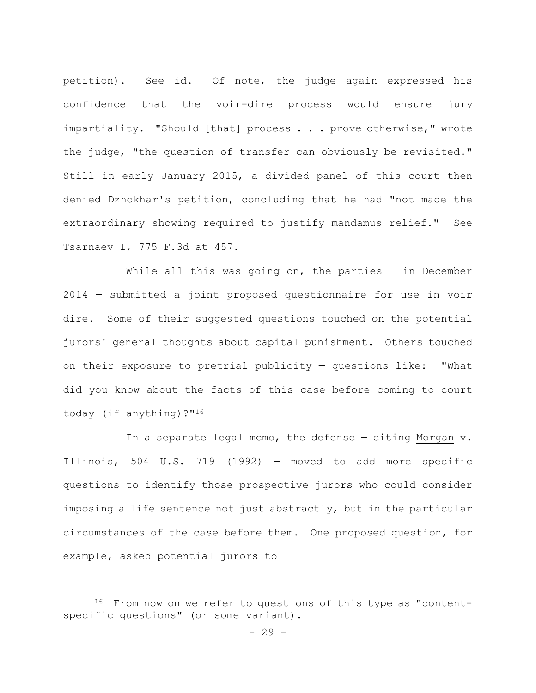petition). See id. Of note, the judge again expressed his confidence that the voir-dire process would ensure jury impartiality. "Should [that] process . . . prove otherwise," wrote the judge, "the question of transfer can obviously be revisited." Still in early January 2015, a divided panel of this court then denied Dzhokhar's petition, concluding that he had "not made the extraordinary showing required to justify mandamus relief." See Tsarnaev I, 775 F.3d at 457.

While all this was going on, the parties  $-$  in December 2014 — submitted a joint proposed questionnaire for use in voir dire. Some of their suggested questions touched on the potential jurors' general thoughts about capital punishment. Others touched on their exposure to pretrial publicity — questions like: "What did you know about the facts of this case before coming to court today (if anything)?"16

In a separate legal memo, the defense — citing Morgan v. Illinois, 504 U.S. 719 (1992) — moved to add more specific questions to identify those prospective jurors who could consider imposing a life sentence not just abstractly, but in the particular circumstances of the case before them. One proposed question, for example, asked potential jurors to

<sup>&</sup>lt;sup>16</sup> From now on we refer to questions of this type as "contentspecific questions" (or some variant).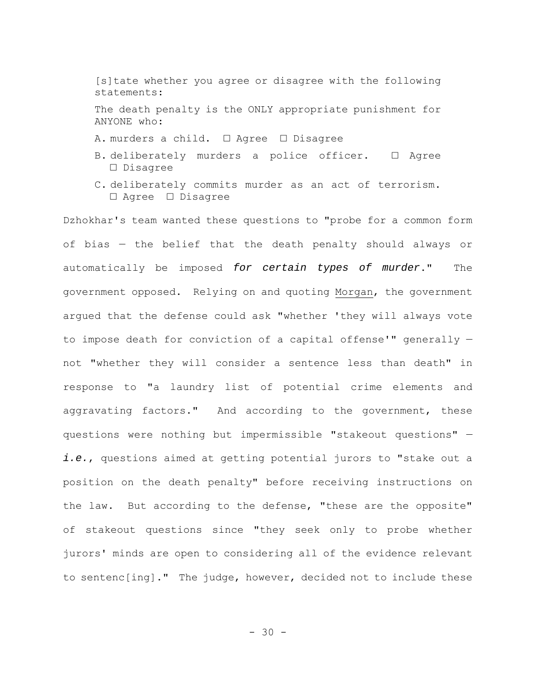[s]tate whether you agree or disagree with the following statements: The death penalty is the ONLY appropriate punishment for ANYONE who: A. murders a child. □ Agree □ Disagree B. deliberately murders a police officer. □ Agree □ Disagree

C. deliberately commits murder as an act of terrorism. □ Agree □ Disagree

Dzhokhar's team wanted these questions to "probe for a common form of bias — the belief that the death penalty should always or automatically be imposed *for certain types of murder*." The government opposed. Relying on and quoting Morgan, the government argued that the defense could ask "whether 'they will always vote to impose death for conviction of a capital offense'" generally not "whether they will consider a sentence less than death" in response to "a laundry list of potential crime elements and aggravating factors." And according to the government, these questions were nothing but impermissible "stakeout questions" *i.e.*, questions aimed at getting potential jurors to "stake out a position on the death penalty" before receiving instructions on the law. But according to the defense, "these are the opposite" of stakeout questions since "they seek only to probe whether jurors' minds are open to considering all of the evidence relevant to sentenc[ing]." The judge, however, decided not to include these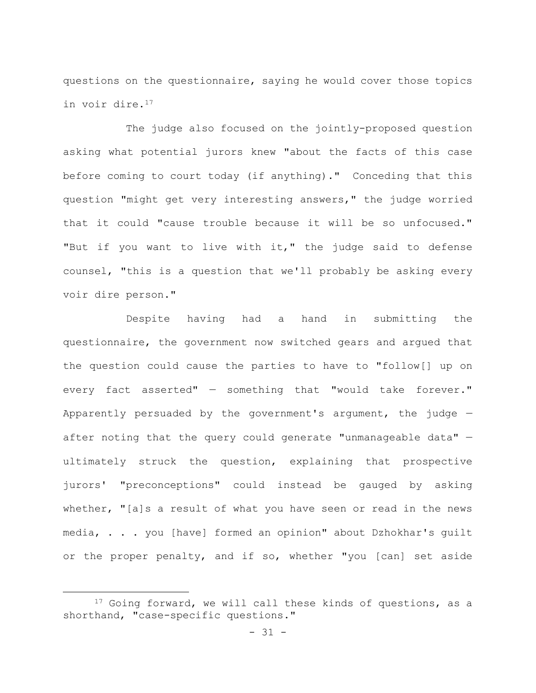questions on the questionnaire, saying he would cover those topics in voir dire.17

The judge also focused on the jointly-proposed question asking what potential jurors knew "about the facts of this case before coming to court today (if anything)." Conceding that this question "might get very interesting answers," the judge worried that it could "cause trouble because it will be so unfocused." "But if you want to live with it," the judge said to defense counsel, "this is a question that we'll probably be asking every voir dire person."

Despite having had a hand in submitting the questionnaire, the government now switched gears and argued that the question could cause the parties to have to "follow[] up on every fact asserted" — something that "would take forever." Apparently persuaded by the government's argument, the judge after noting that the query could generate "unmanageable data" ultimately struck the question, explaining that prospective jurors' "preconceptions" could instead be gauged by asking whether, "[a]s a result of what you have seen or read in the news media, . . . you [have] formed an opinion" about Dzhokhar's guilt or the proper penalty, and if so, whether "you [can] set aside

<sup>&</sup>lt;sup>17</sup> Going forward, we will call these kinds of questions, as a shorthand, "case-specific questions."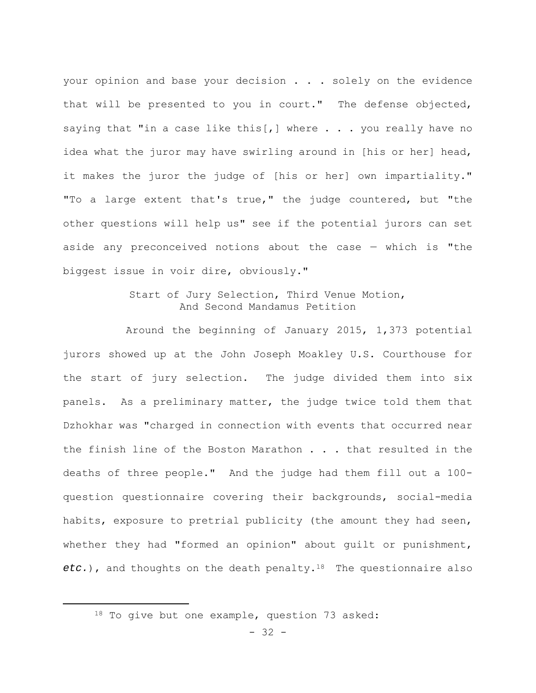your opinion and base your decision . . . solely on the evidence that will be presented to you in court." The defense objected, saying that "in a case like this[,] where  $\ldots$  you really have no idea what the juror may have swirling around in [his or her] head, it makes the juror the judge of [his or her] own impartiality." "To a large extent that's true," the judge countered, but "the other questions will help us" see if the potential jurors can set aside any preconceived notions about the case — which is "the biggest issue in voir dire, obviously."

# Start of Jury Selection, Third Venue Motion, And Second Mandamus Petition

Around the beginning of January 2015, 1,373 potential jurors showed up at the John Joseph Moakley U.S. Courthouse for the start of jury selection. The judge divided them into six panels. As a preliminary matter, the judge twice told them that Dzhokhar was "charged in connection with events that occurred near the finish line of the Boston Marathon . . . that resulted in the deaths of three people." And the judge had them fill out a 100 question questionnaire covering their backgrounds, social-media habits, exposure to pretrial publicity (the amount they had seen, whether they had "formed an opinion" about guilt or punishment, *etc.*), and thoughts on the death penalty.18 The questionnaire also

<sup>18</sup> To give but one example, question 73 asked: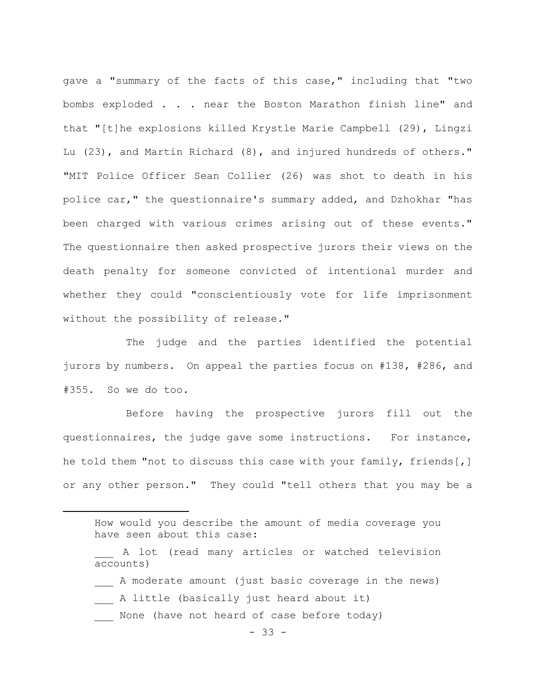gave a "summary of the facts of this case," including that "two bombs exploded . . . near the Boston Marathon finish line" and that "[t]he explosions killed Krystle Marie Campbell (29), Lingzi Lu (23), and Martin Richard (8), and injured hundreds of others." "MIT Police Officer Sean Collier (26) was shot to death in his police car," the questionnaire's summary added, and Dzhokhar "has been charged with various crimes arising out of these events." The questionnaire then asked prospective jurors their views on the death penalty for someone convicted of intentional murder and whether they could "conscientiously vote for life imprisonment without the possibility of release."

The judge and the parties identified the potential jurors by numbers. On appeal the parties focus on #138, #286, and #355. So we do too.

Before having the prospective jurors fill out the questionnaires, the judge gave some instructions. For instance, he told them "not to discuss this case with your family, friends[,] or any other person." They could "tell others that you may be a

- \_\_\_ A moderate amount (just basic coverage in the news)
- A little (basically just heard about it)
- None (have not heard of case before today)

How would you describe the amount of media coverage you have seen about this case:

\_\_\_ A lot (read many articles or watched television accounts)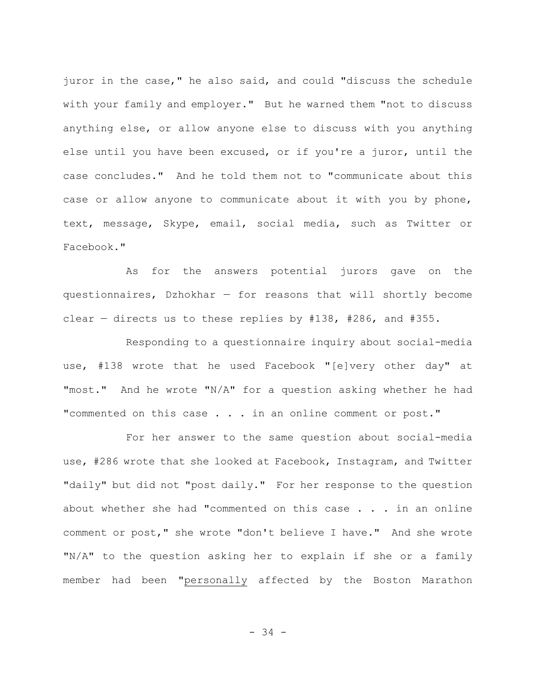juror in the case," he also said, and could "discuss the schedule with your family and employer." But he warned them "not to discuss anything else, or allow anyone else to discuss with you anything else until you have been excused, or if you're a juror, until the case concludes." And he told them not to "communicate about this case or allow anyone to communicate about it with you by phone, text, message, Skype, email, social media, such as Twitter or Facebook."

As for the answers potential jurors gave on the questionnaires, Dzhokhar — for reasons that will shortly become clear – directs us to these replies by  $#138$ ,  $#286$ , and  $#355$ .

Responding to a questionnaire inquiry about social-media use, #138 wrote that he used Facebook "[e]very other day" at "most." And he wrote "N/A" for a question asking whether he had "commented on this case . . . in an online comment or post."

For her answer to the same question about social-media use, #286 wrote that she looked at Facebook, Instagram, and Twitter "daily" but did not "post daily." For her response to the question about whether she had "commented on this case . . . in an online comment or post," she wrote "don't believe I have." And she wrote "N/A" to the question asking her to explain if she or a family member had been "personally affected by the Boston Marathon

- 34 -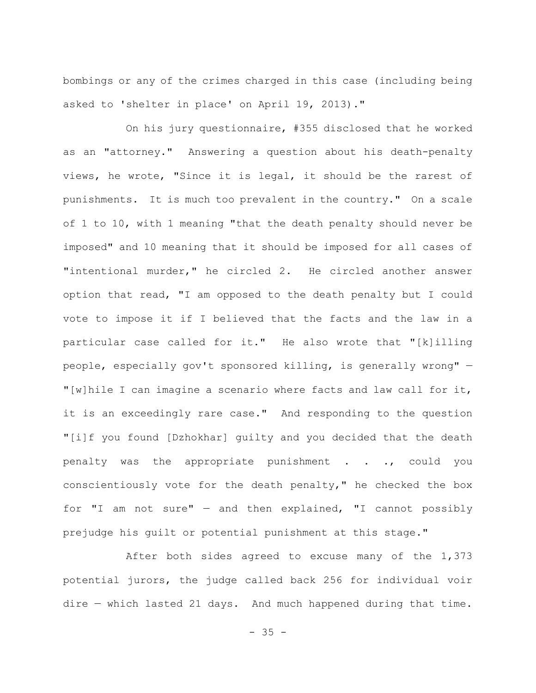bombings or any of the crimes charged in this case (including being asked to 'shelter in place' on April 19, 2013)."

On his jury questionnaire, #355 disclosed that he worked as an "attorney." Answering a question about his death-penalty views, he wrote, "Since it is legal, it should be the rarest of punishments. It is much too prevalent in the country." On a scale of 1 to 10, with 1 meaning "that the death penalty should never be imposed" and 10 meaning that it should be imposed for all cases of "intentional murder," he circled 2. He circled another answer option that read, "I am opposed to the death penalty but I could vote to impose it if I believed that the facts and the law in a particular case called for it." He also wrote that "[k]illing people, especially gov't sponsored killing, is generally wrong" — "[w]hile I can imagine a scenario where facts and law call for it, it is an exceedingly rare case." And responding to the question "[i]f you found [Dzhokhar] guilty and you decided that the death penalty was the appropriate punishment . . ., could you conscientiously vote for the death penalty," he checked the box for "I am not sure" — and then explained, "I cannot possibly prejudge his guilt or potential punishment at this stage."

After both sides agreed to excuse many of the 1,373 potential jurors, the judge called back 256 for individual voir dire — which lasted 21 days. And much happened during that time.

 $- 35 -$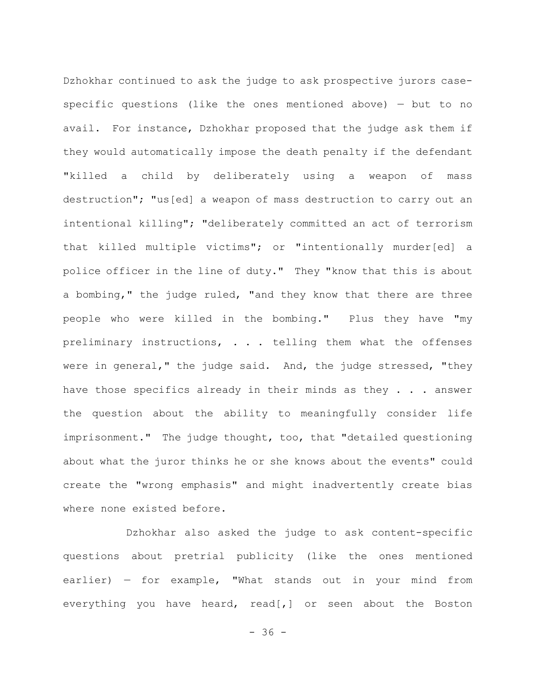Dzhokhar continued to ask the judge to ask prospective jurors casespecific questions (like the ones mentioned above) — but to no avail. For instance, Dzhokhar proposed that the judge ask them if they would automatically impose the death penalty if the defendant "killed a child by deliberately using a weapon of mass destruction"; "us[ed] a weapon of mass destruction to carry out an intentional killing"; "deliberately committed an act of terrorism that killed multiple victims"; or "intentionally murder[ed] a police officer in the line of duty." They "know that this is about a bombing," the judge ruled, "and they know that there are three people who were killed in the bombing." Plus they have "my preliminary instructions, . . . telling them what the offenses were in general," the judge said. And, the judge stressed, "they have those specifics already in their minds as they . . . answer the question about the ability to meaningfully consider life imprisonment." The judge thought, too, that "detailed questioning about what the juror thinks he or she knows about the events" could create the "wrong emphasis" and might inadvertently create bias where none existed before.

Dzhokhar also asked the judge to ask content-specific questions about pretrial publicity (like the ones mentioned earlier) — for example, "What stands out in your mind from everything you have heard, read[,] or seen about the Boston

 $- 36 -$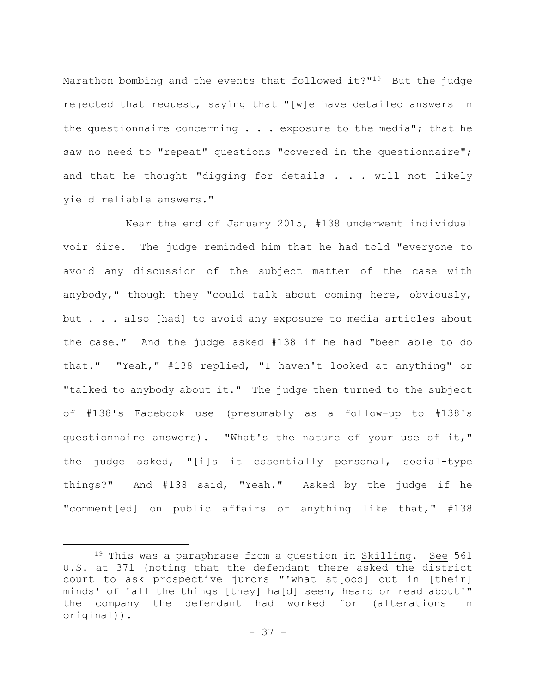Marathon bombing and the events that followed it?"19 But the judge rejected that request, saying that "[w]e have detailed answers in the questionnaire concerning  $\ldots$  exposure to the media"; that he saw no need to "repeat" questions "covered in the questionnaire"; and that he thought "digging for details  $\ldots$  will not likely yield reliable answers."

Near the end of January 2015, #138 underwent individual voir dire. The judge reminded him that he had told "everyone to avoid any discussion of the subject matter of the case with anybody," though they "could talk about coming here, obviously, but . . . also [had] to avoid any exposure to media articles about the case." And the judge asked #138 if he had "been able to do that." "Yeah," #138 replied, "I haven't looked at anything" or "talked to anybody about it." The judge then turned to the subject of #138's Facebook use (presumably as a follow-up to #138's questionnaire answers). "What's the nature of your use of it," the judge asked, "[i]s it essentially personal, social-type things?" And #138 said, "Yeah." Asked by the judge if he "comment[ed] on public affairs or anything like that," #138

<sup>&</sup>lt;sup>19</sup> This was a paraphrase from a question in Skilling. See 561 U.S. at 371 (noting that the defendant there asked the district court to ask prospective jurors "'what st[ood] out in [their] minds' of 'all the things [they] ha[d] seen, heard or read about'" the company the defendant had worked for (alterations in original)).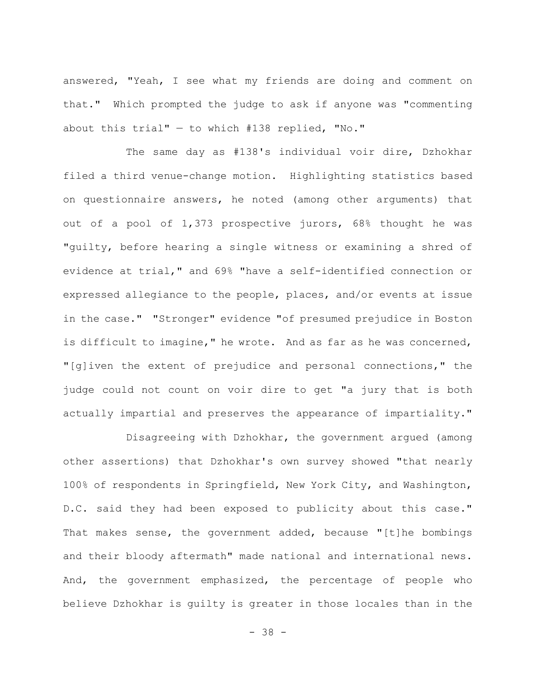answered, "Yeah, I see what my friends are doing and comment on that." Which prompted the judge to ask if anyone was "commenting about this trial"  $-$  to which #138 replied, "No."

The same day as #138's individual voir dire, Dzhokhar filed a third venue-change motion. Highlighting statistics based on questionnaire answers, he noted (among other arguments) that out of a pool of 1,373 prospective jurors, 68% thought he was "guilty, before hearing a single witness or examining a shred of evidence at trial," and 69% "have a self-identified connection or expressed allegiance to the people, places, and/or events at issue in the case." "Stronger" evidence "of presumed prejudice in Boston is difficult to imagine," he wrote. And as far as he was concerned, "[g]iven the extent of prejudice and personal connections," the judge could not count on voir dire to get "a jury that is both actually impartial and preserves the appearance of impartiality."

Disagreeing with Dzhokhar, the government argued (among other assertions) that Dzhokhar's own survey showed "that nearly 100% of respondents in Springfield, New York City, and Washington, D.C. said they had been exposed to publicity about this case." That makes sense, the government added, because "[t]he bombings and their bloody aftermath" made national and international news. And, the government emphasized, the percentage of people who believe Dzhokhar is guilty is greater in those locales than in the

- 38 -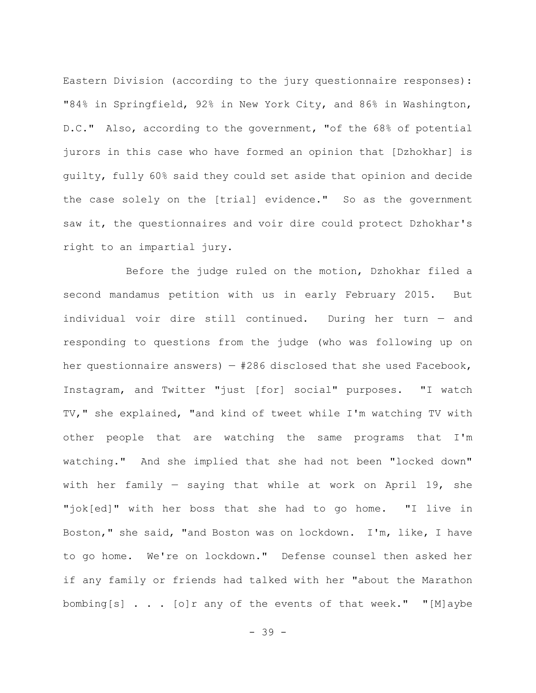Eastern Division (according to the jury questionnaire responses): "84% in Springfield, 92% in New York City, and 86% in Washington, D.C." Also, according to the government, "of the 68% of potential jurors in this case who have formed an opinion that [Dzhokhar] is guilty, fully 60% said they could set aside that opinion and decide the case solely on the [trial] evidence." So as the government saw it, the questionnaires and voir dire could protect Dzhokhar's right to an impartial jury.

Before the judge ruled on the motion, Dzhokhar filed a second mandamus petition with us in early February 2015. But individual voir dire still continued. During her turn — and responding to questions from the judge (who was following up on her questionnaire answers)  $-$  #286 disclosed that she used Facebook, Instagram, and Twitter "just [for] social" purposes. "I watch TV," she explained, "and kind of tweet while I'm watching TV with other people that are watching the same programs that I'm watching." And she implied that she had not been "locked down" with her family — saying that while at work on April 19, she "jok[ed]" with her boss that she had to go home. "I live in Boston," she said, "and Boston was on lockdown. I'm, like, I have to go home. We're on lockdown." Defense counsel then asked her if any family or friends had talked with her "about the Marathon bombing[s] . . . [o]r any of the events of that week." "[M]aybe

- 39 -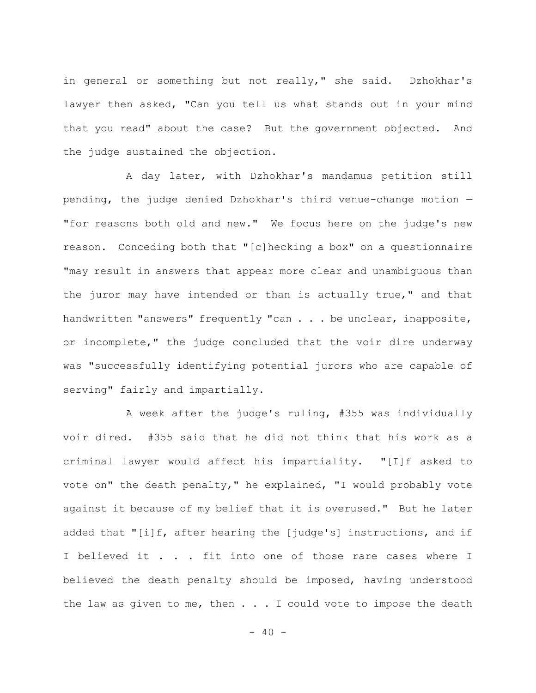in general or something but not really," she said. Dzhokhar's lawyer then asked, "Can you tell us what stands out in your mind that you read" about the case? But the government objected. And the judge sustained the objection.

A day later, with Dzhokhar's mandamus petition still pending, the judge denied Dzhokhar's third venue-change motion — "for reasons both old and new." We focus here on the judge's new reason. Conceding both that "[c]hecking a box" on a questionnaire "may result in answers that appear more clear and unambiguous than the juror may have intended or than is actually true," and that handwritten "answers" frequently "can . . . be unclear, inapposite, or incomplete," the judge concluded that the voir dire underway was "successfully identifying potential jurors who are capable of serving" fairly and impartially.

A week after the judge's ruling, #355 was individually voir dired. #355 said that he did not think that his work as a criminal lawyer would affect his impartiality. "[I]f asked to vote on" the death penalty," he explained, "I would probably vote against it because of my belief that it is overused." But he later added that "[i]f, after hearing the [judge's] instructions, and if I believed it . . . fit into one of those rare cases where I believed the death penalty should be imposed, having understood the law as given to me, then  $\ldots$  . I could vote to impose the death

 $- 40 -$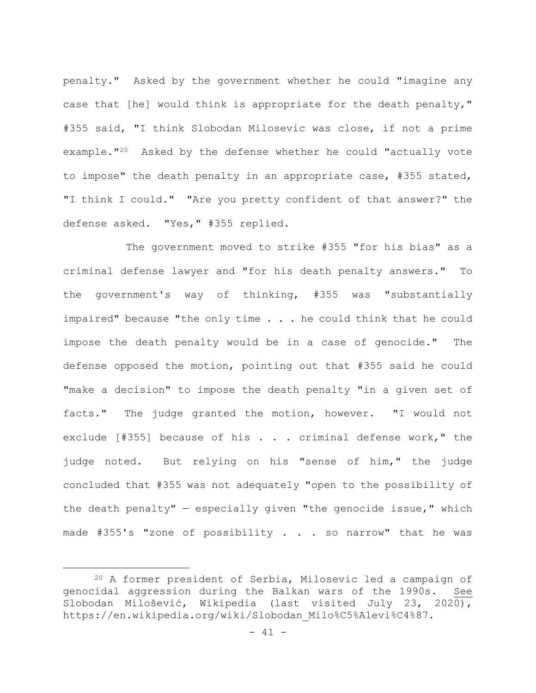penalty." Asked by the government whether he could "imagine any case that [he] would think is appropriate for the death penalty," #355 said, "I think Slobodan Milosevic was close, if not a prime example."20 Asked by the defense whether he could "actually vote to impose" the death penalty in an appropriate case, #355 stated, "I think I could." "Are you pretty confident of that answer?" the defense asked. "Yes," #355 replied.

The government moved to strike #355 "for his bias" as a criminal defense lawyer and "for his death penalty answers." To the government's way of thinking, #355 was "substantially impaired" because "the only time . . . he could think that he could impose the death penalty would be in a case of genocide." The defense opposed the motion, pointing out that #355 said he could "make a decision" to impose the death penalty "in a given set of facts." The judge granted the motion, however. "I would not exclude [#355] because of his . . . criminal defense work," the judge noted. But relying on his "sense of him," the judge concluded that #355 was not adequately "open to the possibility of the death penalty"  $-$  especially given "the genocide issue," which made #355's "zone of possibility . . . so narrow" that he was

<sup>20</sup> A former president of Serbia, Milosevic led a campaign of genocidal aggression during the Balkan wars of the 1990s. See Slobodan Milošević, Wikipedia (last visited July 23, 2020), https://en.wikipedia.org/wiki/Slobodan\_Milo%C5%A1evi%C4%87.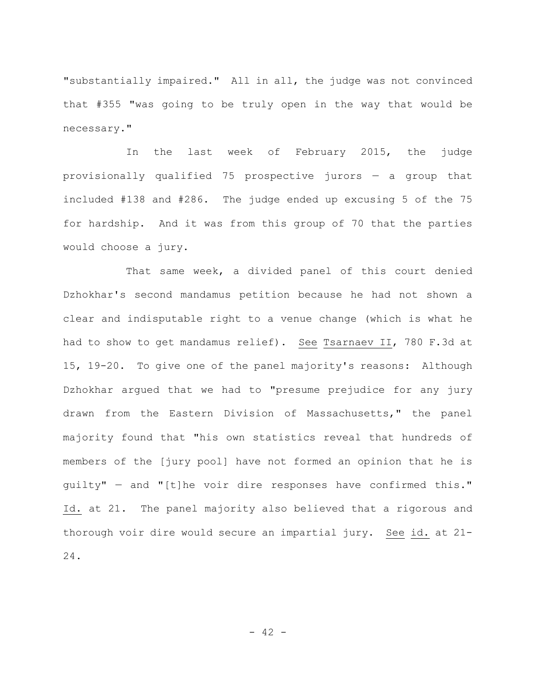"substantially impaired." All in all, the judge was not convinced that #355 "was going to be truly open in the way that would be necessary."

In the last week of February 2015, the judge provisionally qualified 75 prospective jurors — a group that included #138 and #286. The judge ended up excusing 5 of the 75 for hardship. And it was from this group of 70 that the parties would choose a jury.

That same week, a divided panel of this court denied Dzhokhar's second mandamus petition because he had not shown a clear and indisputable right to a venue change (which is what he had to show to get mandamus relief). See Tsarnaev II, 780 F.3d at 15, 19-20. To give one of the panel majority's reasons: Although Dzhokhar argued that we had to "presume prejudice for any jury drawn from the Eastern Division of Massachusetts," the panel majority found that "his own statistics reveal that hundreds of members of the [jury pool] have not formed an opinion that he is guilty" — and "[t]he voir dire responses have confirmed this." Id. at 21. The panel majority also believed that a rigorous and thorough voir dire would secure an impartial jury. See id. at 21- 24.

 $- 42 -$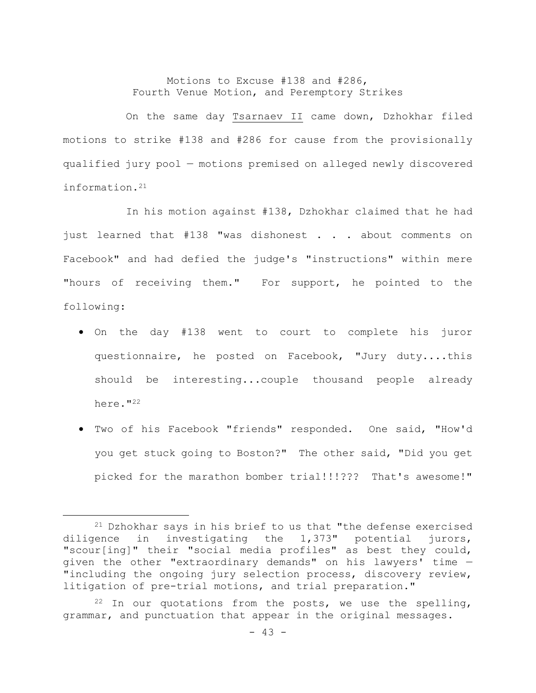## Motions to Excuse #138 and #286, Fourth Venue Motion, and Peremptory Strikes

On the same day Tsarnaev II came down, Dzhokhar filed motions to strike #138 and #286 for cause from the provisionally qualified jury pool — motions premised on alleged newly discovered information.21

In his motion against #138, Dzhokhar claimed that he had just learned that #138 "was dishonest . . . about comments on Facebook" and had defied the judge's "instructions" within mere "hours of receiving them." For support, he pointed to the following:

- On the day #138 went to court to complete his juror questionnaire, he posted on Facebook, "Jury duty....this should be interesting...couple thousand people already here."<sup>22</sup>
- Two of his Facebook "friends" responded. One said, "How'd you get stuck going to Boston?" The other said, "Did you get picked for the marathon bomber trial!!!??? That's awesome!"

<sup>21</sup> Dzhokhar says in his brief to us that "the defense exercised diligence in investigating the 1,373" potential jurors, "scour[ing]" their "social media profiles" as best they could, given the other "extraordinary demands" on his lawyers' time — "including the ongoing jury selection process, discovery review, litigation of pre-trial motions, and trial preparation."

 $22$  In our quotations from the posts, we use the spelling, grammar, and punctuation that appear in the original messages.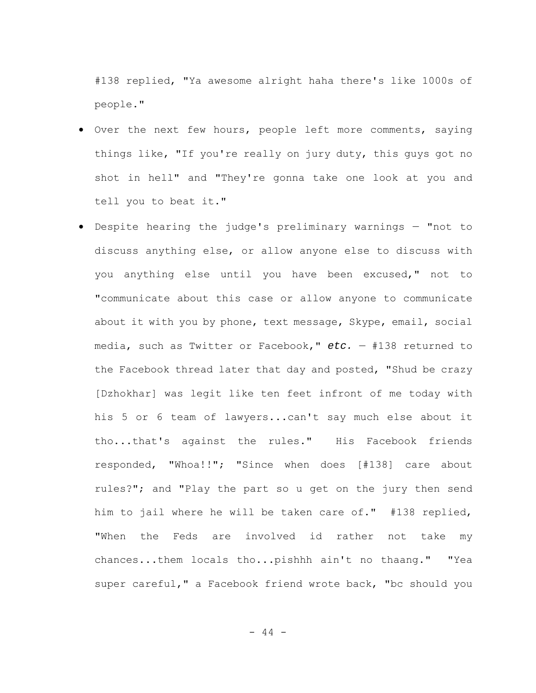#138 replied, "Ya awesome alright haha there's like 1000s of people."

- Over the next few hours, people left more comments, saying things like, "If you're really on jury duty, this guys got no shot in hell" and "They're gonna take one look at you and tell you to beat it."
- Despite hearing the judge's preliminary warnings "not to discuss anything else, or allow anyone else to discuss with you anything else until you have been excused," not to "communicate about this case or allow anyone to communicate about it with you by phone, text message, Skype, email, social media, such as Twitter or Facebook," *etc.* — #138 returned to the Facebook thread later that day and posted, "Shud be crazy [Dzhokhar] was legit like ten feet infront of me today with his 5 or 6 team of lawyers...can't say much else about it tho...that's against the rules." His Facebook friends responded, "Whoa!!"; "Since when does [#138] care about rules?"; and "Play the part so u get on the jury then send him to jail where he will be taken care of." #138 replied, "When the Feds are involved id rather not take my chances...them locals tho...pishhh ain't no thaang." "Yea super careful," a Facebook friend wrote back, "bc should you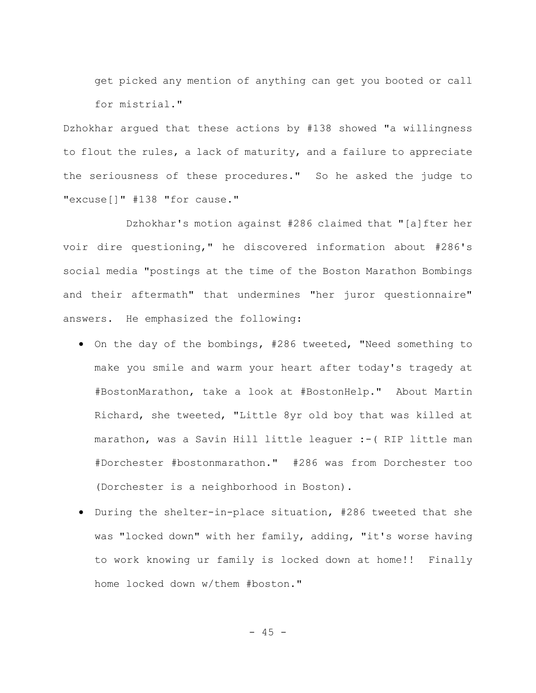get picked any mention of anything can get you booted or call for mistrial."

Dzhokhar argued that these actions by #138 showed "a willingness to flout the rules, a lack of maturity, and a failure to appreciate the seriousness of these procedures." So he asked the judge to "excuse[]" #138 "for cause."

Dzhokhar's motion against #286 claimed that "[a]fter her voir dire questioning," he discovered information about #286's social media "postings at the time of the Boston Marathon Bombings and their aftermath" that undermines "her juror questionnaire" answers. He emphasized the following:

- On the day of the bombings, #286 tweeted, "Need something to make you smile and warm your heart after today's tragedy at #BostonMarathon, take a look at #BostonHelp." About Martin Richard, she tweeted, "Little 8yr old boy that was killed at marathon, was a Savin Hill little leaguer :-( RIP little man #Dorchester #bostonmarathon." #286 was from Dorchester too (Dorchester is a neighborhood in Boston).
- During the shelter-in-place situation, #286 tweeted that she was "locked down" with her family, adding, "it's worse having to work knowing ur family is locked down at home!! Finally home locked down w/them #boston."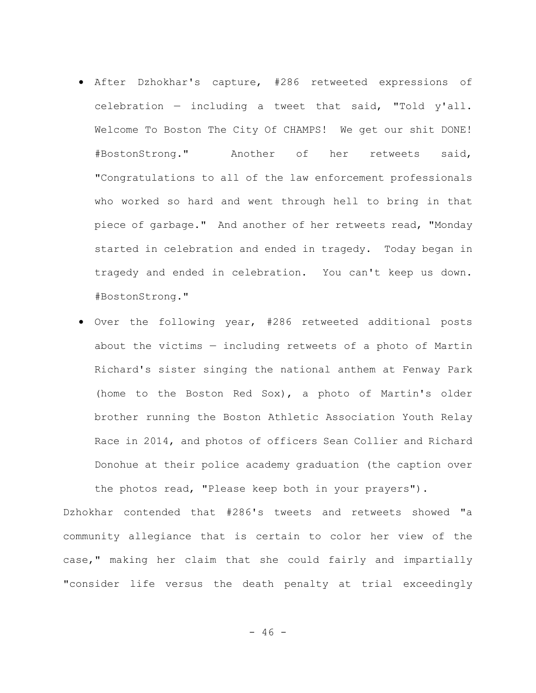- After Dzhokhar's capture, #286 retweeted expressions of celebration — including a tweet that said, "Told y'all. Welcome To Boston The City Of CHAMPS! We get our shit DONE! #BostonStrong." Another of her retweets said, "Congratulations to all of the law enforcement professionals who worked so hard and went through hell to bring in that piece of garbage." And another of her retweets read, "Monday started in celebration and ended in tragedy. Today began in tragedy and ended in celebration. You can't keep us down. #BostonStrong."
- Over the following year, #286 retweeted additional posts about the victims — including retweets of a photo of Martin Richard's sister singing the national anthem at Fenway Park (home to the Boston Red Sox), a photo of Martin's older brother running the Boston Athletic Association Youth Relay Race in 2014, and photos of officers Sean Collier and Richard Donohue at their police academy graduation (the caption over the photos read, "Please keep both in your prayers").

Dzhokhar contended that #286's tweets and retweets showed "a community allegiance that is certain to color her view of the case," making her claim that she could fairly and impartially "consider life versus the death penalty at trial exceedingly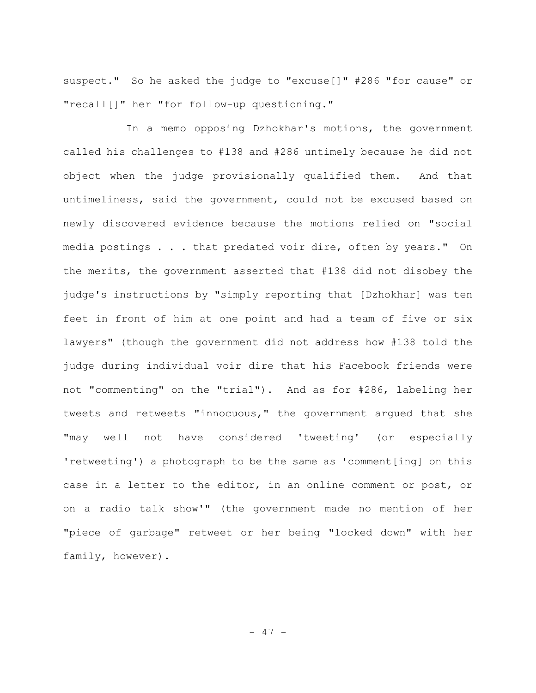suspect." So he asked the judge to "excuse[]" #286 "for cause" or "recall[]" her "for follow-up questioning."

In a memo opposing Dzhokhar's motions, the government called his challenges to #138 and #286 untimely because he did not object when the judge provisionally qualified them. And that untimeliness, said the government, could not be excused based on newly discovered evidence because the motions relied on "social media postings . . . that predated voir dire, often by years." On the merits, the government asserted that #138 did not disobey the judge's instructions by "simply reporting that [Dzhokhar] was ten feet in front of him at one point and had a team of five or six lawyers" (though the government did not address how #138 told the judge during individual voir dire that his Facebook friends were not "commenting" on the "trial"). And as for #286, labeling her tweets and retweets "innocuous," the government argued that she "may well not have considered 'tweeting' (or especially 'retweeting') a photograph to be the same as 'comment[ing] on this case in a letter to the editor, in an online comment or post, or on a radio talk show'" (the government made no mention of her "piece of garbage" retweet or her being "locked down" with her family, however).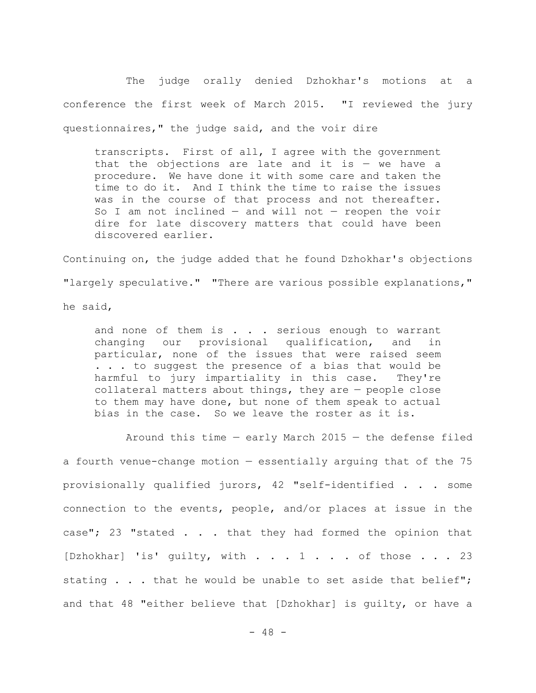The judge orally denied Dzhokhar's motions at a conference the first week of March 2015. "I reviewed the jury questionnaires," the judge said, and the voir dire

transcripts. First of all, I agree with the government that the objections are late and it is  $-$  we have a procedure. We have done it with some care and taken the time to do it. And I think the time to raise the issues was in the course of that process and not thereafter. So I am not inclined  $-$  and will not  $-$  reopen the voir dire for late discovery matters that could have been discovered earlier.

Continuing on, the judge added that he found Dzhokhar's objections "largely speculative." "There are various possible explanations," he said,

and none of them is . . . serious enough to warrant changing our provisional qualification, and in particular, none of the issues that were raised seem . . . to suggest the presence of a bias that would be harmful to jury impartiality in this case. They're collateral matters about things, they are — people close to them may have done, but none of them speak to actual bias in the case. So we leave the roster as it is.

Around this time — early March 2015 — the defense filed a fourth venue-change motion — essentially arguing that of the 75 provisionally qualified jurors, 42 "self-identified . . . some connection to the events, people, and/or places at issue in the case"; 23 "stated . . . that they had formed the opinion that [Dzhokhar] 'is' guilty, with . . . 1 . . . of those . . . 23 stating . . . that he would be unable to set aside that belief"; and that 48 "either believe that [Dzhokhar] is guilty, or have a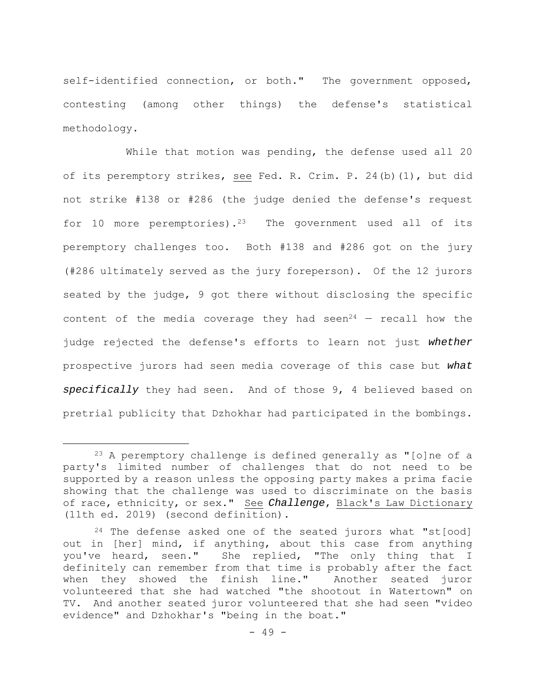self-identified connection, or both." The government opposed, contesting (among other things) the defense's statistical methodology.

While that motion was pending, the defense used all 20 of its peremptory strikes, see Fed. R. Crim. P. 24(b)(1), but did not strike #138 or #286 (the judge denied the defense's request for 10 more peremptories).<sup>23</sup> The government used all of its peremptory challenges too. Both #138 and #286 got on the jury (#286 ultimately served as the jury foreperson). Of the 12 jurors seated by the judge, 9 got there without disclosing the specific content of the media coverage they had seen<sup>24</sup>  $-$  recall how the judge rejected the defense's efforts to learn not just *whether* prospective jurors had seen media coverage of this case but *what specifically* they had seen. And of those 9, 4 believed based on pretrial publicity that Dzhokhar had participated in the bombings.

 $23$  A peremptory challenge is defined generally as "[o]ne of a party's limited number of challenges that do not need to be supported by a reason unless the opposing party makes a prima facie showing that the challenge was used to discriminate on the basis of race, ethnicity, or sex." See *Challenge*, Black's Law Dictionary (11th ed. 2019) (second definition).

 $24$  The defense asked one of the seated jurors what "st[ood] out in [her] mind, if anything, about this case from anything you've heard, seen." She replied, "The only thing that I definitely can remember from that time is probably after the fact when they showed the finish line." Another seated juror volunteered that she had watched "the shootout in Watertown" on TV. And another seated juror volunteered that she had seen "video evidence" and Dzhokhar's "being in the boat."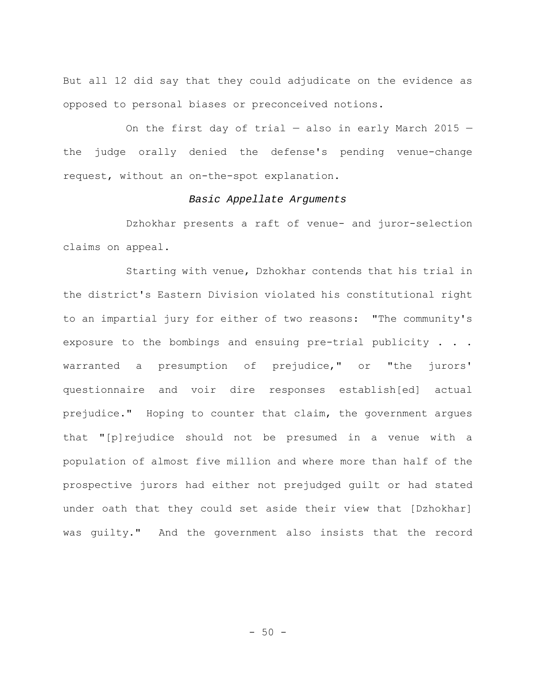But all 12 did say that they could adjudicate on the evidence as opposed to personal biases or preconceived notions.

On the first day of trial  $-$  also in early March 2015  $$ the judge orally denied the defense's pending venue-change request, without an on-the-spot explanation.

## *Basic Appellate Arguments*

Dzhokhar presents a raft of venue- and juror-selection claims on appeal.

Starting with venue, Dzhokhar contends that his trial in the district's Eastern Division violated his constitutional right to an impartial jury for either of two reasons: "The community's exposure to the bombings and ensuing pre-trial publicity . . . warranted a presumption of prejudice," or "the jurors' questionnaire and voir dire responses establish[ed] actual prejudice." Hoping to counter that claim, the government argues that "[p]rejudice should not be presumed in a venue with a population of almost five million and where more than half of the prospective jurors had either not prejudged guilt or had stated under oath that they could set aside their view that [Dzhokhar] was guilty." And the government also insists that the record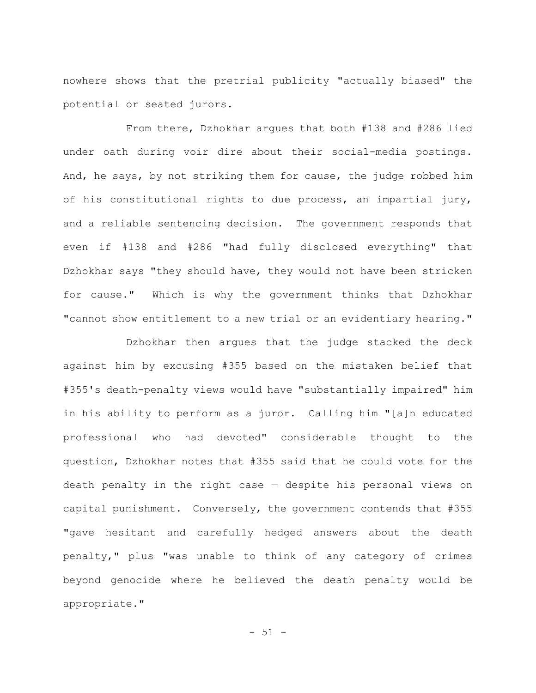nowhere shows that the pretrial publicity "actually biased" the potential or seated jurors.

From there, Dzhokhar argues that both #138 and #286 lied under oath during voir dire about their social-media postings. And, he says, by not striking them for cause, the judge robbed him of his constitutional rights to due process, an impartial jury, and a reliable sentencing decision. The government responds that even if #138 and #286 "had fully disclosed everything" that Dzhokhar says "they should have, they would not have been stricken for cause." Which is why the government thinks that Dzhokhar "cannot show entitlement to a new trial or an evidentiary hearing."

Dzhokhar then argues that the judge stacked the deck against him by excusing #355 based on the mistaken belief that #355's death-penalty views would have "substantially impaired" him in his ability to perform as a juror. Calling him "[a]n educated professional who had devoted" considerable thought to the question, Dzhokhar notes that #355 said that he could vote for the death penalty in the right case — despite his personal views on capital punishment. Conversely, the government contends that #355 "gave hesitant and carefully hedged answers about the death penalty," plus "was unable to think of any category of crimes beyond genocide where he believed the death penalty would be appropriate."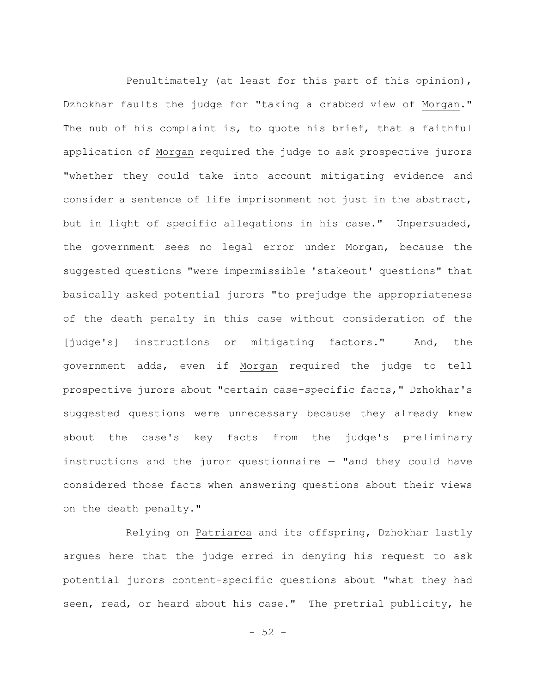Penultimately (at least for this part of this opinion), Dzhokhar faults the judge for "taking a crabbed view of Morgan." The nub of his complaint is, to quote his brief, that a faithful application of Morgan required the judge to ask prospective jurors "whether they could take into account mitigating evidence and consider a sentence of life imprisonment not just in the abstract, but in light of specific allegations in his case." Unpersuaded, the government sees no legal error under Morgan, because the suggested questions "were impermissible 'stakeout' questions" that basically asked potential jurors "to prejudge the appropriateness of the death penalty in this case without consideration of the [judge's] instructions or mitigating factors." And, the government adds, even if Morgan required the judge to tell prospective jurors about "certain case-specific facts," Dzhokhar's suggested questions were unnecessary because they already knew about the case's key facts from the judge's preliminary instructions and the juror questionnaire  $-$  "and they could have considered those facts when answering questions about their views on the death penalty."

Relying on Patriarca and its offspring, Dzhokhar lastly argues here that the judge erred in denying his request to ask potential jurors content-specific questions about "what they had seen, read, or heard about his case." The pretrial publicity, he

 $-52 -$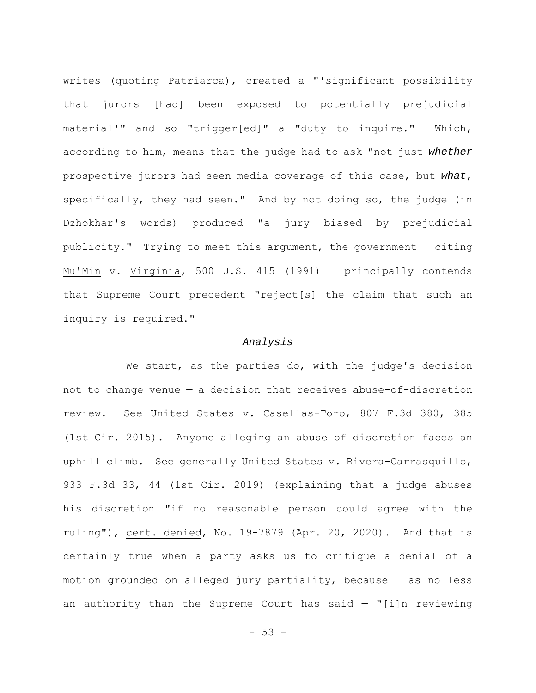writes (quoting Patriarca), created a "'significant possibility that jurors [had] been exposed to potentially prejudicial material'" and so "trigger[ed]" a "duty to inquire." Which, according to him, means that the judge had to ask "not just *whether* prospective jurors had seen media coverage of this case, but *what*, specifically, they had seen." And by not doing so, the judge (in Dzhokhar's words) produced "a jury biased by prejudicial publicity." Trying to meet this argument, the government — citing Mu'Min v. Virginia, 500 U.S. 415 (1991) — principally contends that Supreme Court precedent "reject[s] the claim that such an inquiry is required."

## *Analysis*

We start, as the parties do, with the judge's decision not to change venue — a decision that receives abuse-of-discretion review. See United States v. Casellas-Toro, 807 F.3d 380, 385 (1st Cir. 2015). Anyone alleging an abuse of discretion faces an uphill climb. See generally United States v. Rivera-Carrasquillo, 933 F.3d 33, 44 (1st Cir. 2019) (explaining that a judge abuses his discretion "if no reasonable person could agree with the ruling"), cert. denied, No. 19-7879 (Apr. 20, 2020). And that is certainly true when a party asks us to critique a denial of a motion grounded on alleged jury partiality, because — as no less an authority than the Supreme Court has said  $-$  "[i]n reviewing

 $- 53 -$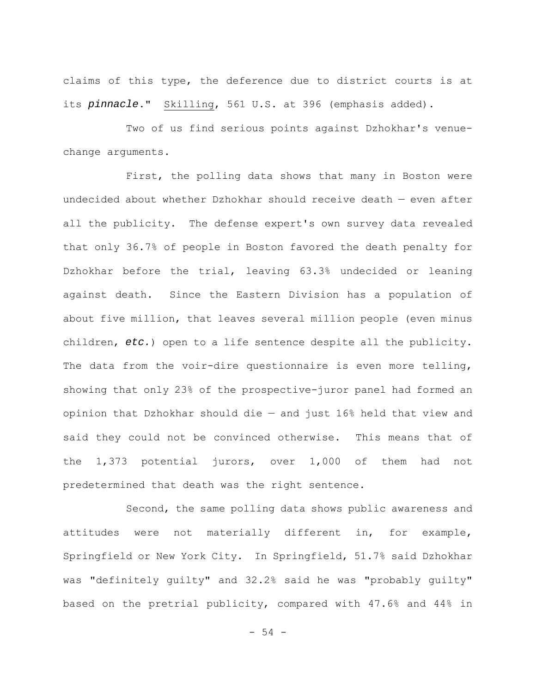claims of this type, the deference due to district courts is at its *pinnacle*." Skilling, 561 U.S. at 396 (emphasis added).

Two of us find serious points against Dzhokhar's venuechange arguments.

First, the polling data shows that many in Boston were undecided about whether Dzhokhar should receive death — even after all the publicity. The defense expert's own survey data revealed that only 36.7% of people in Boston favored the death penalty for Dzhokhar before the trial, leaving 63.3% undecided or leaning against death. Since the Eastern Division has a population of about five million, that leaves several million people (even minus children, *etc.*) open to a life sentence despite all the publicity. The data from the voir-dire questionnaire is even more telling, showing that only 23% of the prospective-juror panel had formed an opinion that Dzhokhar should die — and just 16% held that view and said they could not be convinced otherwise. This means that of the 1,373 potential jurors, over 1,000 of them had not predetermined that death was the right sentence.

Second, the same polling data shows public awareness and attitudes were not materially different in, for example, Springfield or New York City. In Springfield, 51.7% said Dzhokhar was "definitely guilty" and 32.2% said he was "probably guilty" based on the pretrial publicity, compared with 47.6% and 44% in

- 54 -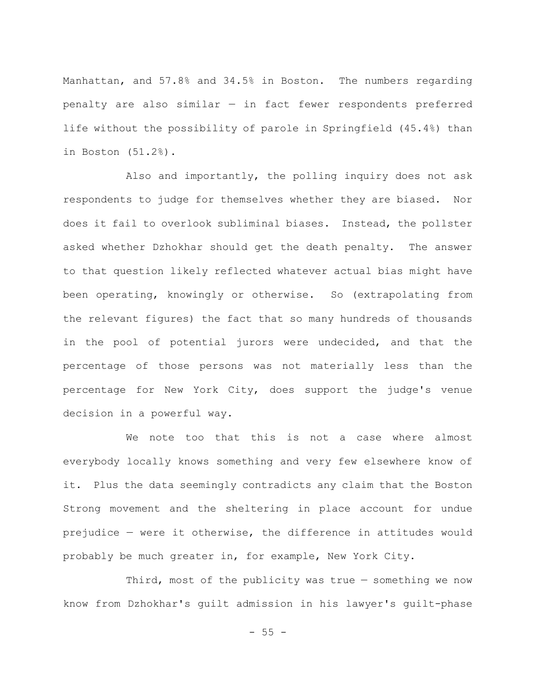Manhattan, and 57.8% and 34.5% in Boston. The numbers regarding penalty are also similar — in fact fewer respondents preferred life without the possibility of parole in Springfield (45.4%) than in Boston (51.2%).

Also and importantly, the polling inquiry does not ask respondents to judge for themselves whether they are biased. Nor does it fail to overlook subliminal biases. Instead, the pollster asked whether Dzhokhar should get the death penalty. The answer to that question likely reflected whatever actual bias might have been operating, knowingly or otherwise. So (extrapolating from the relevant figures) the fact that so many hundreds of thousands in the pool of potential jurors were undecided, and that the percentage of those persons was not materially less than the percentage for New York City, does support the judge's venue decision in a powerful way.

We note too that this is not a case where almost everybody locally knows something and very few elsewhere know of it. Plus the data seemingly contradicts any claim that the Boston Strong movement and the sheltering in place account for undue prejudice — were it otherwise, the difference in attitudes would probably be much greater in, for example, New York City.

Third, most of the publicity was true — something we now know from Dzhokhar's guilt admission in his lawyer's guilt-phase

 $- 55 -$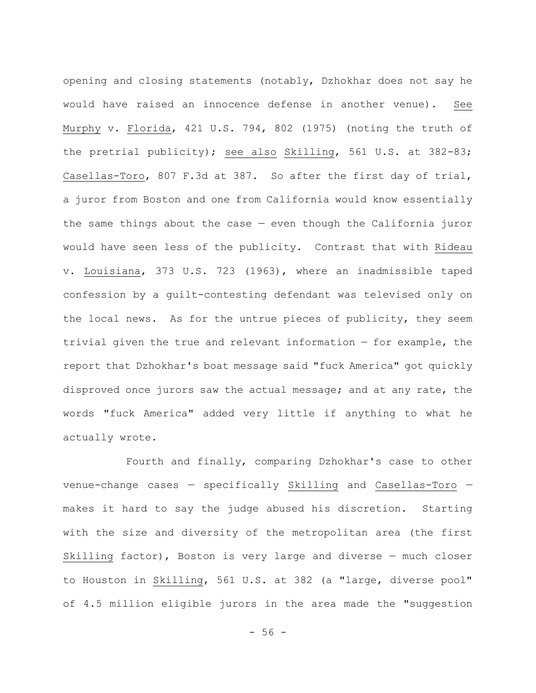opening and closing statements (notably, Dzhokhar does not say he would have raised an innocence defense in another venue). See Murphy v. Florida, 421 U.S. 794, 802 (1975) (noting the truth of the pretrial publicity); see also Skilling, 561 U.S. at 382-83; Casellas-Toro, 807 F.3d at 387. So after the first day of trial, a juror from Boston and one from California would know essentially the same things about the case  $-$  even though the California juror would have seen less of the publicity. Contrast that with Rideau v. Louisiana, 373 U.S. 723 (1963), where an inadmissible taped confession by a guilt-contesting defendant was televised only on the local news. As for the untrue pieces of publicity, they seem trivial given the true and relevant information — for example, the report that Dzhokhar's boat message said "fuck America" got quickly disproved once jurors saw the actual message; and at any rate, the words "fuck America" added very little if anything to what he actually wrote.

Fourth and finally, comparing Dzhokhar's case to other venue-change cases — specifically Skilling and Casellas-Toro makes it hard to say the judge abused his discretion. Starting with the size and diversity of the metropolitan area (the first Skilling factor), Boston is very large and diverse — much closer to Houston in Skilling, 561 U.S. at 382 (a "large, diverse pool" of 4.5 million eligible jurors in the area made the "suggestion

 $- 56 -$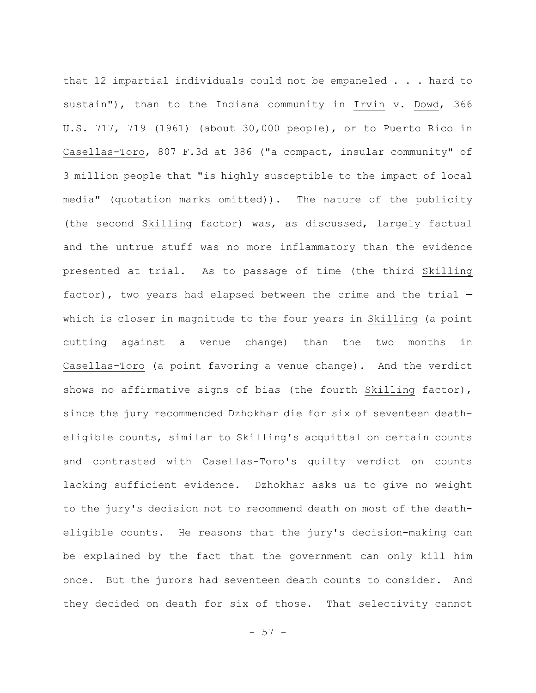that 12 impartial individuals could not be empaneled . . . hard to sustain"), than to the Indiana community in Irvin v. Dowd, 366 U.S. 717, 719 (1961) (about 30,000 people), or to Puerto Rico in Casellas-Toro, 807 F.3d at 386 ("a compact, insular community" of 3 million people that "is highly susceptible to the impact of local media" (quotation marks omitted)). The nature of the publicity (the second Skilling factor) was, as discussed, largely factual and the untrue stuff was no more inflammatory than the evidence presented at trial. As to passage of time (the third Skilling factor), two years had elapsed between the crime and the trial which is closer in magnitude to the four years in Skilling (a point cutting against a venue change) than the two months in Casellas-Toro (a point favoring a venue change). And the verdict shows no affirmative signs of bias (the fourth Skilling factor), since the jury recommended Dzhokhar die for six of seventeen deatheligible counts, similar to Skilling's acquittal on certain counts and contrasted with Casellas-Toro's guilty verdict on counts lacking sufficient evidence. Dzhokhar asks us to give no weight to the jury's decision not to recommend death on most of the deatheligible counts. He reasons that the jury's decision-making can be explained by the fact that the government can only kill him once. But the jurors had seventeen death counts to consider. And they decided on death for six of those. That selectivity cannot

 $-57 -$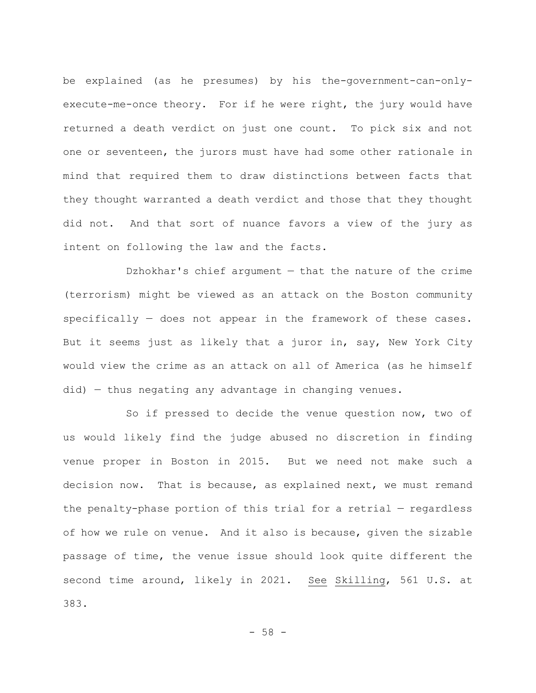be explained (as he presumes) by his the-government-can-onlyexecute-me-once theory. For if he were right, the jury would have returned a death verdict on just one count. To pick six and not one or seventeen, the jurors must have had some other rationale in mind that required them to draw distinctions between facts that they thought warranted a death verdict and those that they thought did not. And that sort of nuance favors a view of the jury as intent on following the law and the facts.

Dzhokhar's chief argument — that the nature of the crime (terrorism) might be viewed as an attack on the Boston community specifically — does not appear in the framework of these cases. But it seems just as likely that a juror in, say, New York City would view the crime as an attack on all of America (as he himself did) — thus negating any advantage in changing venues.

So if pressed to decide the venue question now, two of us would likely find the judge abused no discretion in finding venue proper in Boston in 2015. But we need not make such a decision now. That is because, as explained next, we must remand the penalty-phase portion of this trial for a retrial — regardless of how we rule on venue. And it also is because, given the sizable passage of time, the venue issue should look quite different the second time around, likely in 2021. See Skilling, 561 U.S. at 383.

- 58 -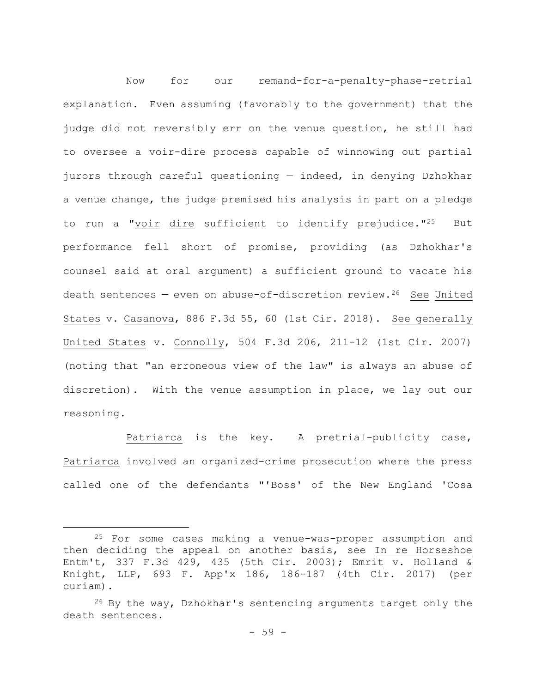Now for our remand-for-a-penalty-phase-retrial explanation. Even assuming (favorably to the government) that the judge did not reversibly err on the venue question, he still had to oversee a voir-dire process capable of winnowing out partial jurors through careful questioning — indeed, in denying Dzhokhar a venue change, the judge premised his analysis in part on a pledge to run a "voir dire sufficient to identify prejudice."25 But performance fell short of promise, providing (as Dzhokhar's counsel said at oral argument) a sufficient ground to vacate his death sentences - even on abuse-of-discretion review.<sup>26</sup> See United States v. Casanova, 886 F.3d 55, 60 (1st Cir. 2018). See generally United States v. Connolly, 504 F.3d 206, 211-12 (1st Cir. 2007) (noting that "an erroneous view of the law" is always an abuse of discretion). With the venue assumption in place, we lay out our reasoning.

Patriarca is the key. A pretrial-publicity case, Patriarca involved an organized-crime prosecution where the press called one of the defendants "'Boss' of the New England 'Cosa

<sup>25</sup> For some cases making a venue-was-proper assumption and then deciding the appeal on another basis, see In re Horseshoe Entm't, 337 F.3d 429, 435 (5th Cir. 2003); Emrit v. Holland & Knight, LLP, 693 F. App'x 186, 186-187 (4th Cir. 2017) (per curiam).

 $26$  By the way, Dzhokhar's sentencing arguments target only the death sentences.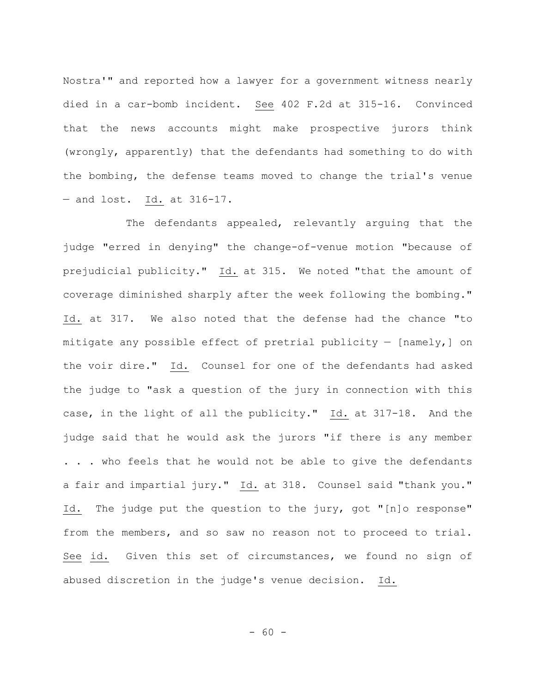Nostra'" and reported how a lawyer for a government witness nearly died in a car-bomb incident. See 402 F.2d at 315-16. Convinced that the news accounts might make prospective jurors think (wrongly, apparently) that the defendants had something to do with the bombing, the defense teams moved to change the trial's venue — and lost. Id. at 316-17.

The defendants appealed, relevantly arguing that the judge "erred in denying" the change-of-venue motion "because of prejudicial publicity." Id. at 315. We noted "that the amount of coverage diminished sharply after the week following the bombing." Id. at 317. We also noted that the defense had the chance "to mitigate any possible effect of pretrial publicity — [namely,] on the voir dire." Id. Counsel for one of the defendants had asked the judge to "ask a question of the jury in connection with this case, in the light of all the publicity." Id. at 317-18. And the judge said that he would ask the jurors "if there is any member . . . who feels that he would not be able to give the defendants a fair and impartial jury." Id. at 318. Counsel said "thank you." Id. The judge put the question to the jury, got "[n]o response" from the members, and so saw no reason not to proceed to trial. See id. Given this set of circumstances, we found no sign of abused discretion in the judge's venue decision. Id.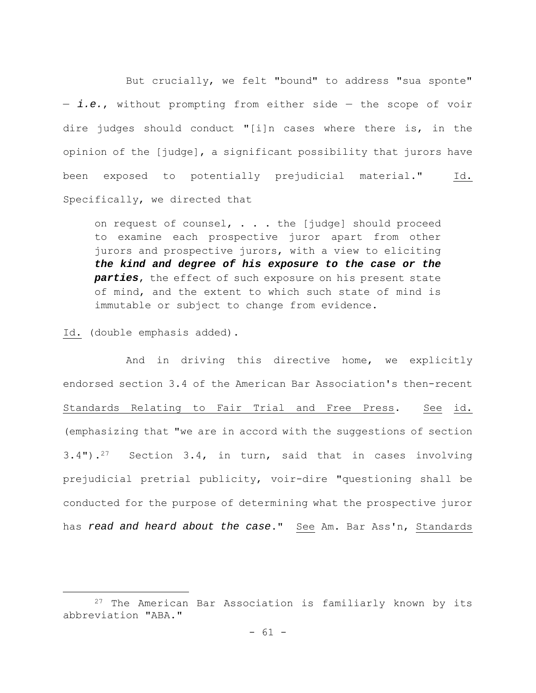But crucially, we felt "bound" to address "sua sponte" — *i.e.*, without prompting from either side — the scope of voir dire judges should conduct "[i]n cases where there is, in the opinion of the [judge], a significant possibility that jurors have been exposed to potentially prejudicial material." Id. Specifically, we directed that

on request of counsel, . . . the [judge] should proceed to examine each prospective juror apart from other jurors and prospective jurors, with a view to eliciting *the kind and degree of his exposure to the case or the parties*, the effect of such exposure on his present state of mind, and the extent to which such state of mind is immutable or subject to change from evidence.

Id. (double emphasis added).

And in driving this directive home, we explicitly endorsed section 3.4 of the American Bar Association's then-recent Standards Relating to Fair Trial and Free Press. See id. (emphasizing that "we are in accord with the suggestions of section 3.4").27 Section 3.4, in turn, said that in cases involving prejudicial pretrial publicity, voir-dire "questioning shall be conducted for the purpose of determining what the prospective juror has *read and heard about the case*." See Am. Bar Ass'n, Standards

<sup>27</sup> The American Bar Association is familiarly known by its abbreviation "ABA."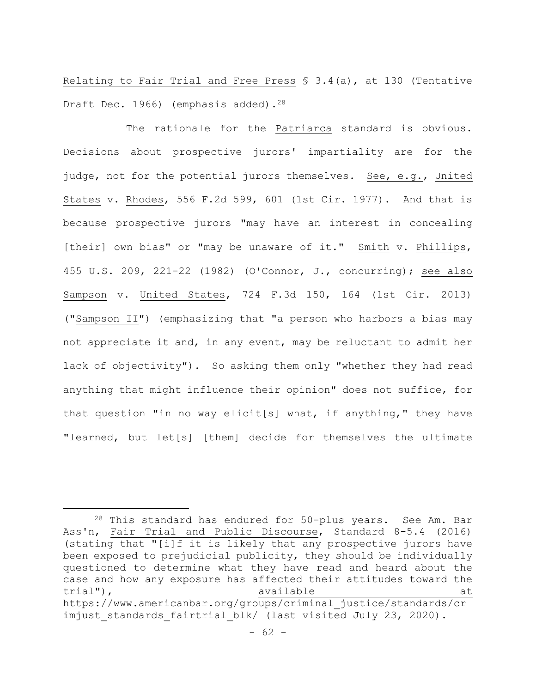Relating to Fair Trial and Free Press § 3.4(a), at 130 (Tentative Draft Dec. 1966) (emphasis added).<sup>28</sup>

The rationale for the Patriarca standard is obvious. Decisions about prospective jurors' impartiality are for the judge, not for the potential jurors themselves. See, e.g., United States v. Rhodes, 556 F.2d 599, 601 (1st Cir. 1977). And that is because prospective jurors "may have an interest in concealing [their] own bias" or "may be unaware of it." Smith v. Phillips, 455 U.S. 209, 221-22 (1982) (O'Connor, J., concurring); see also Sampson v. United States, 724 F.3d 150, 164 (1st Cir. 2013) ("Sampson II") (emphasizing that "a person who harbors a bias may not appreciate it and, in any event, may be reluctant to admit her lack of objectivity"). So asking them only "whether they had read anything that might influence their opinion" does not suffice, for that question "in no way elicit[s] what, if anything," they have "learned, but let[s] [them] decide for themselves the ultimate

<sup>28</sup> This standard has endured for 50-plus years. See Am. Bar Ass'n, Fair Trial and Public Discourse, Standard 8-5.4 (2016) (stating that "[i]f it is likely that any prospective jurors have been exposed to prejudicial publicity, they should be individually questioned to determine what they have read and heard about the case and how any exposure has affected their attitudes toward the trial"), trial( $\sim$  available at  $\sim$  available at https://www.americanbar.org/groups/criminal\_justice/standards/cr imjust standards fairtrial blk/ (last visited July 23, 2020).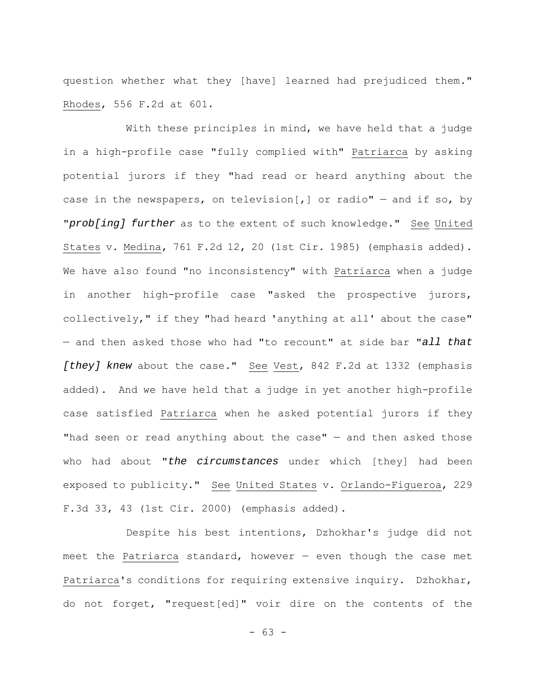question whether what they [have] learned had prejudiced them." Rhodes, 556 F.2d at 601*.*

With these principles in mind, we have held that a judge in a high-profile case "fully complied with" Patriarca by asking potential jurors if they "had read or heard anything about the case in the newspapers, on television[,] or radio"  $-$  and if so, by "*prob[ing] further* as to the extent of such knowledge." See United States v. Medina, 761 F.2d 12, 20 (1st Cir. 1985) (emphasis added). We have also found "no inconsistency" with Patriarca when a judge in another high-profile case "asked the prospective jurors, collectively," if they "had heard 'anything at all' about the case" — and then asked those who had "to recount" at side bar "*all that [they] knew* about the case." See Vest, 842 F.2d at 1332 (emphasis added). And we have held that a judge in yet another high-profile case satisfied Patriarca when he asked potential jurors if they "had seen or read anything about the case"  $-$  and then asked those who had about "*the circumstances* under which [they] had been exposed to publicity." See United States v. Orlando-Figueroa, 229 F.3d 33, 43 (1st Cir. 2000) (emphasis added).

Despite his best intentions, Dzhokhar's judge did not meet the Patriarca standard, however — even though the case met Patriarca's conditions for requiring extensive inquiry. Dzhokhar, do not forget, "request[ed]" voir dire on the contents of the

- 63 -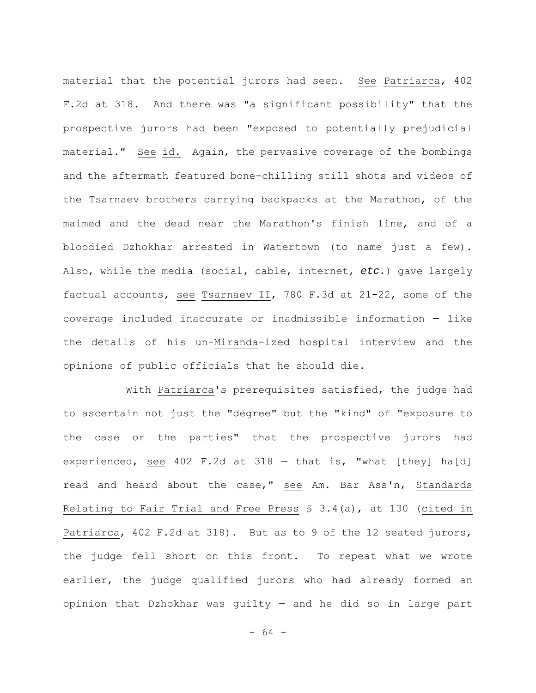material that the potential jurors had seen. See Patriarca, 402 F.2d at 318. And there was "a significant possibility" that the prospective jurors had been "exposed to potentially prejudicial material." See id. Again, the pervasive coverage of the bombings and the aftermath featured bone-chilling still shots and videos of the Tsarnaev brothers carrying backpacks at the Marathon, of the maimed and the dead near the Marathon's finish line, and of a bloodied Dzhokhar arrested in Watertown (to name just a few). Also, while the media (social, cable, internet, *etc.*) gave largely factual accounts, see Tsarnaev II, 780 F.3d at 21-22, some of the coverage included inaccurate or inadmissible information — like the details of his un-Miranda-ized hospital interview and the opinions of public officials that he should die.

With Patriarca's prerequisites satisfied, the judge had to ascertain not just the "degree" but the "kind" of "exposure to the case or the parties" that the prospective jurors had experienced, see 402 F.2d at 318 — that is, "what [they] ha[d] read and heard about the case," see Am. Bar Ass'n, Standards Relating to Fair Trial and Free Press § 3.4(a), at 130 (cited in Patriarca, 402 F.2d at 318). But as to 9 of the 12 seated jurors, the judge fell short on this front. To repeat what we wrote earlier, the judge qualified jurors who had already formed an opinion that Dzhokhar was guilty — and he did so in large part

- 64 -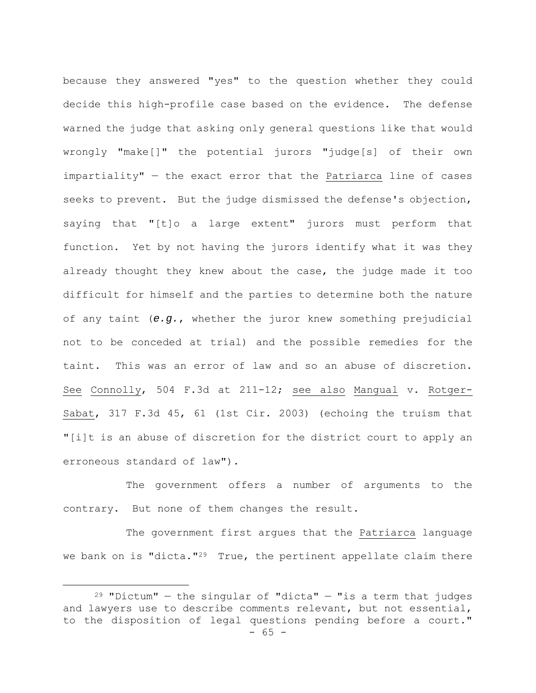because they answered "yes" to the question whether they could decide this high-profile case based on the evidence. The defense warned the judge that asking only general questions like that would wrongly "make[]" the potential jurors "judge[s] of their own impartiality" — the exact error that the Patriarca line of cases seeks to prevent. But the judge dismissed the defense's objection, saying that "[t]o a large extent" jurors must perform that function. Yet by not having the jurors identify what it was they already thought they knew about the case, the judge made it too difficult for himself and the parties to determine both the nature of any taint (*e.g.*, whether the juror knew something prejudicial not to be conceded at trial) and the possible remedies for the taint. This was an error of law and so an abuse of discretion. See Connolly, 504 F.3d at 211-12; see also Mangual v. Rotger-Sabat, 317 F.3d 45, 61 (1st Cir. 2003) (echoing the truism that "[i]t is an abuse of discretion for the district court to apply an erroneous standard of law").

The government offers a number of arguments to the contrary. But none of them changes the result.

The government first argues that the Patriarca language we bank on is "dicta."<sup>29</sup> True, the pertinent appellate claim there

 $- 65 29$  "Dictum" – the singular of "dicta" – "is a term that judges and lawyers use to describe comments relevant, but not essential, to the disposition of legal questions pending before a court."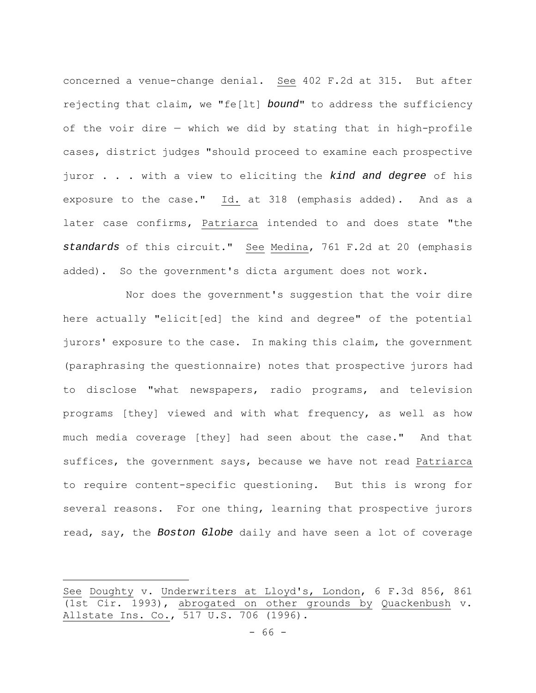concerned a venue-change denial. See 402 F.2d at 315. But after rejecting that claim, we "fe[lt] *bound*" to address the sufficiency of the voir dire — which we did by stating that in high-profile cases, district judges "should proceed to examine each prospective juror . . . with a view to eliciting the *kind and degree* of his exposure to the case." Id. at 318 (emphasis added). And as a later case confirms, Patriarca intended to and does state "the *standards* of this circuit." See Medina, 761 F.2d at 20 (emphasis added). So the government's dicta argument does not work.

Nor does the government's suggestion that the voir dire here actually "elicit[ed] the kind and degree" of the potential jurors' exposure to the case. In making this claim, the government (paraphrasing the questionnaire) notes that prospective jurors had to disclose "what newspapers, radio programs, and television programs [they] viewed and with what frequency, as well as how much media coverage [they] had seen about the case." And that suffices, the government says, because we have not read Patriarca to require content-specific questioning. But this is wrong for several reasons. For one thing, learning that prospective jurors read, say, the *Boston Globe* daily and have seen a lot of coverage

See Doughty v. Underwriters at Lloyd's, London, 6 F.3d 856, 861 (1st Cir. 1993), abrogated on other grounds by Quackenbush v. Allstate Ins. Co., 517 U.S. 706 (1996).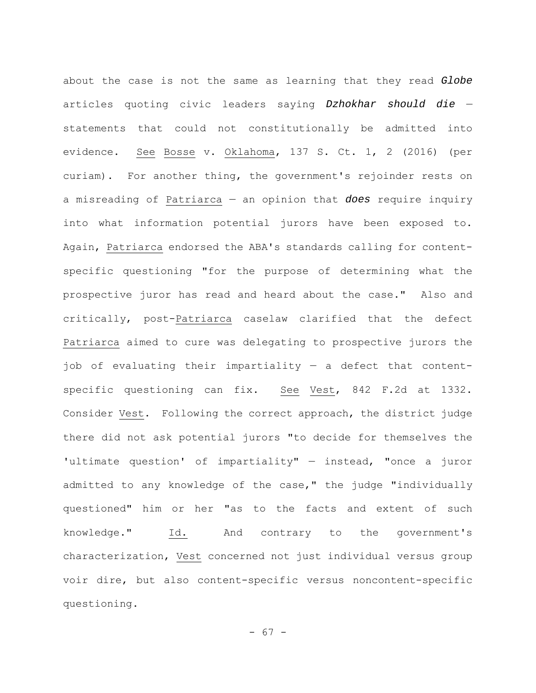about the case is not the same as learning that they read *Globe* articles quoting civic leaders saying *Dzhokhar should die* statements that could not constitutionally be admitted into evidence. See Bosse v. Oklahoma, 137 S. Ct. 1, 2 (2016) (per curiam). For another thing, the government's rejoinder rests on a misreading of Patriarca — an opinion that *does* require inquiry into what information potential jurors have been exposed to. Again, Patriarca endorsed the ABA's standards calling for contentspecific questioning "for the purpose of determining what the prospective juror has read and heard about the case." Also and critically, post-Patriarca caselaw clarified that the defect Patriarca aimed to cure was delegating to prospective jurors the job of evaluating their impartiality — a defect that contentspecific questioning can fix. See Vest, 842 F.2d at 1332. Consider Vest. Following the correct approach, the district judge there did not ask potential jurors "to decide for themselves the 'ultimate question' of impartiality" — instead, "once a juror admitted to any knowledge of the case," the judge "individually questioned" him or her "as to the facts and extent of such knowledge." Id. And contrary to the government's characterization, Vest concerned not just individual versus group voir dire, but also content-specific versus noncontent-specific questioning.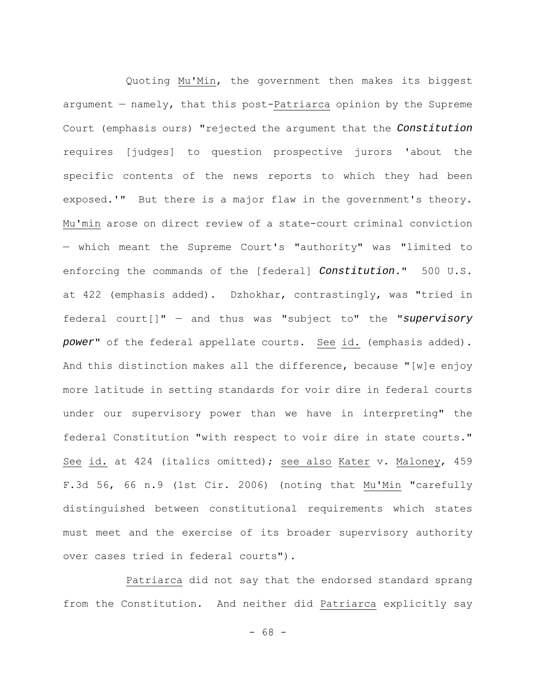Quoting Mu'Min, the government then makes its biggest argument — namely, that this post-Patriarca opinion by the Supreme Court (emphasis ours) "rejected the argument that the *Constitution* requires [judges] to question prospective jurors 'about the specific contents of the news reports to which they had been exposed.'" But there is a major flaw in the government's theory. Mu'min arose on direct review of a state-court criminal conviction — which meant the Supreme Court's "authority" was "limited to enforcing the commands of the [federal] *Constitution*." 500 U.S. at 422 (emphasis added). Dzhokhar, contrastingly, was "tried in federal court[]" — and thus was "subject to" the "*supervisory power*" of the federal appellate courts. See id. (emphasis added). And this distinction makes all the difference, because "[w]e enjoy more latitude in setting standards for voir dire in federal courts under our supervisory power than we have in interpreting" the federal Constitution "with respect to voir dire in state courts." See id. at 424 (italics omitted); see also Kater v. Maloney, 459 F.3d 56, 66 n.9 (1st Cir. 2006) (noting that Mu'Min "carefully distinguished between constitutional requirements which states must meet and the exercise of its broader supervisory authority over cases tried in federal courts").

Patriarca did not say that the endorsed standard sprang from the Constitution. And neither did Patriarca explicitly say

- 68 -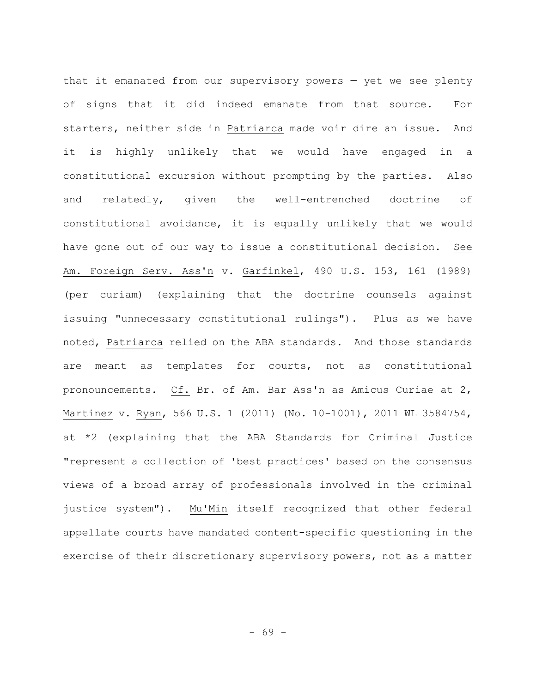that it emanated from our supervisory powers — yet we see plenty of signs that it did indeed emanate from that source. For starters, neither side in Patriarca made voir dire an issue. And it is highly unlikely that we would have engaged in a constitutional excursion without prompting by the parties. Also and relatedly, given the well-entrenched doctrine of constitutional avoidance, it is equally unlikely that we would have gone out of our way to issue a constitutional decision. See Am. Foreign Serv. Ass'n v. Garfinkel, 490 U.S. 153, 161 (1989) (per curiam) (explaining that the doctrine counsels against issuing "unnecessary constitutional rulings"). Plus as we have noted, Patriarca relied on the ABA standards. And those standards are meant as templates for courts, not as constitutional pronouncements. Cf. Br. of Am. Bar Ass'n as Amicus Curiae at 2, Martinez v. Ryan, 566 U.S. 1 (2011) (No. 10-1001), 2011 WL 3584754, at \*2 (explaining that the ABA Standards for Criminal Justice "represent a collection of 'best practices' based on the consensus views of a broad array of professionals involved in the criminal justice system"). Mu'Min itself recognized that other federal appellate courts have mandated content-specific questioning in the exercise of their discretionary supervisory powers, not as a matter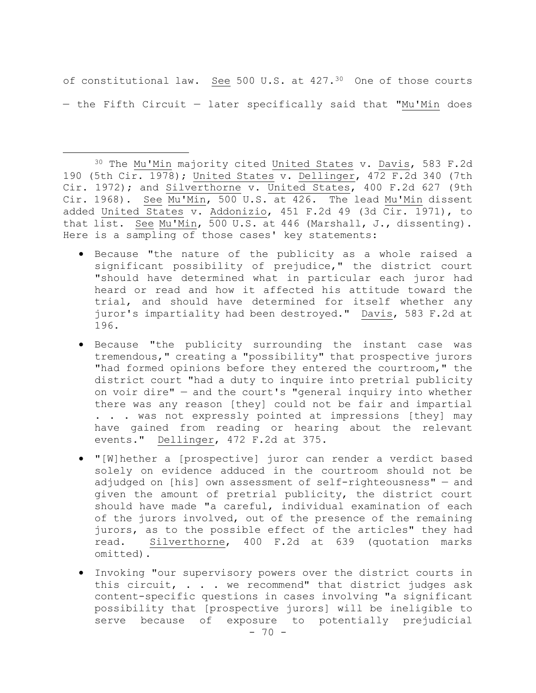of constitutional law. See 500 U.S. at 427.30 One of those courts — the Fifth Circuit — later specifically said that "Mu'Min does

30 The Mu'Min majority cited United States v. Davis, 583 F.2d 190 (5th Cir. 1978); United States v. Dellinger, 472 F.2d 340 (7th Cir. 1972); and Silverthorne v. United States, 400 F.2d 627 (9th Cir. 1968). See Mu'Min, 500 U.S. at 426. The lead Mu'Min dissent added United States v. Addonizio, 451 F.2d 49 (3d Cir. 1971), to that list. See Mu'Min, 500 U.S. at 446 (Marshall, J., dissenting). Here is a sampling of those cases' key statements:

- Because "the nature of the publicity as a whole raised a significant possibility of prejudice," the district court "should have determined what in particular each juror had heard or read and how it affected his attitude toward the trial, and should have determined for itself whether any juror's impartiality had been destroyed." Davis, 583 F.2d at 196.
- Because "the publicity surrounding the instant case was tremendous," creating a "possibility" that prospective jurors "had formed opinions before they entered the courtroom," the district court "had a duty to inquire into pretrial publicity on voir dire" — and the court's "general inquiry into whether there was any reason [they] could not be fair and impartial . . . was not expressly pointed at impressions [they] may have gained from reading or hearing about the relevant events." Dellinger, 472 F.2d at 375.
- "[W]hether a [prospective] juror can render a verdict based solely on evidence adduced in the courtroom should not be adjudged on [his] own assessment of self-righteousness" — and given the amount of pretrial publicity, the district court should have made "a careful, individual examination of each of the jurors involved, out of the presence of the remaining jurors, as to the possible effect of the articles" they had read. Silverthorne, 400 F.2d at 639 (quotation marks omitted).
- Invoking "our supervisory powers over the district courts in this circuit, . . . we recommend" that district judges ask content-specific questions in cases involving "a significant possibility that [prospective jurors] will be ineligible to serve because of exposure to potentially prejudicial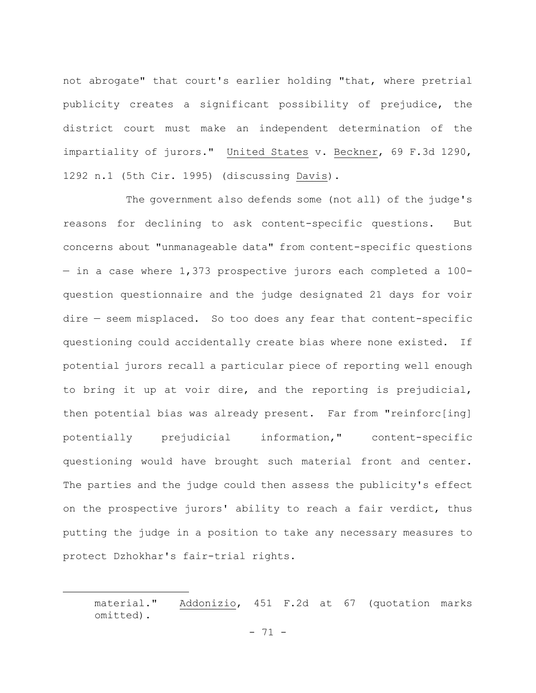not abrogate" that court's earlier holding "that, where pretrial publicity creates a significant possibility of prejudice, the district court must make an independent determination of the impartiality of jurors." United States v. Beckner, 69 F.3d 1290, 1292 n.1 (5th Cir. 1995) (discussing Davis).

The government also defends some (not all) of the judge's reasons for declining to ask content-specific questions. But concerns about "unmanageable data" from content-specific questions — in a case where 1,373 prospective jurors each completed a 100 question questionnaire and the judge designated 21 days for voir dire — seem misplaced. So too does any fear that content-specific questioning could accidentally create bias where none existed. If potential jurors recall a particular piece of reporting well enough to bring it up at voir dire, and the reporting is prejudicial, then potential bias was already present. Far from "reinforc[ing] potentially prejudicial information," content-specific questioning would have brought such material front and center. The parties and the judge could then assess the publicity's effect on the prospective jurors' ability to reach a fair verdict, thus putting the judge in a position to take any necessary measures to protect Dzhokhar's fair-trial rights.

material." Addonizio, 451 F.2d at 67 (quotation marks omitted).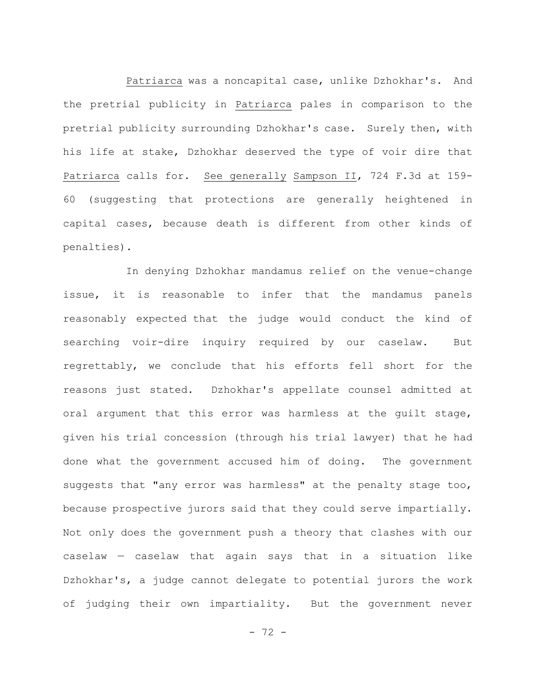Patriarca was a noncapital case, unlike Dzhokhar's. And the pretrial publicity in Patriarca pales in comparison to the pretrial publicity surrounding Dzhokhar's case. Surely then, with his life at stake, Dzhokhar deserved the type of voir dire that Patriarca calls for. See generally Sampson II, 724 F.3d at 159- 60 (suggesting that protections are generally heightened in capital cases, because death is different from other kinds of penalties).

In denying Dzhokhar mandamus relief on the venue-change issue, it is reasonable to infer that the mandamus panels reasonably expected that the judge would conduct the kind of searching voir-dire inquiry required by our caselaw. But regrettably, we conclude that his efforts fell short for the reasons just stated. Dzhokhar's appellate counsel admitted at oral argument that this error was harmless at the guilt stage, given his trial concession (through his trial lawyer) that he had done what the government accused him of doing. The government suggests that "any error was harmless" at the penalty stage too, because prospective jurors said that they could serve impartially. Not only does the government push a theory that clashes with our caselaw — caselaw that again says that in a situation like Dzhokhar's, a judge cannot delegate to potential jurors the work of judging their own impartiality. But the government never

- 72 -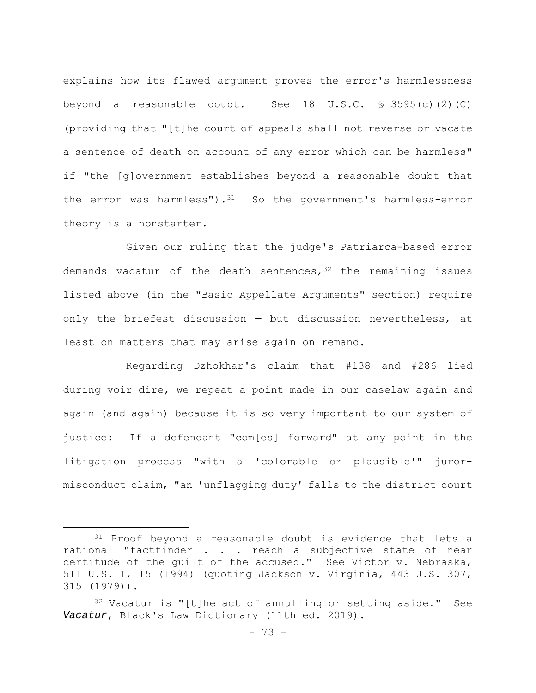explains how its flawed argument proves the error's harmlessness beyond a reasonable doubt. See 18 U.S.C.  $\frac{1}{5}$  3595(c)(2)(C) (providing that "[t]he court of appeals shall not reverse or vacate a sentence of death on account of any error which can be harmless" if "the [g]overnment establishes beyond a reasonable doubt that the error was harmless").<sup>31</sup> So the government's harmless-error theory is a nonstarter.

Given our ruling that the judge's Patriarca-based error demands vacatur of the death sentences,  $32$  the remaining issues listed above (in the "Basic Appellate Arguments" section) require only the briefest discussion — but discussion nevertheless, at least on matters that may arise again on remand.

Regarding Dzhokhar's claim that #138 and #286 lied during voir dire, we repeat a point made in our caselaw again and again (and again) because it is so very important to our system of justice: If a defendant "com[es] forward" at any point in the litigation process "with a 'colorable or plausible'" jurormisconduct claim, "an 'unflagging duty' falls to the district court

<sup>&</sup>lt;sup>31</sup> Proof beyond a reasonable doubt is evidence that lets a rational "factfinder . . . reach a subjective state of near certitude of the guilt of the accused." See Victor v. Nebraska, 511 U.S. 1, 15 (1994) (quoting Jackson v. Virginia, 443 U.S. 307, 315 (1979)).

 $32$  Vacatur is "[t]he act of annulling or setting aside." See *Vacatur*, Black's Law Dictionary (11th ed. 2019).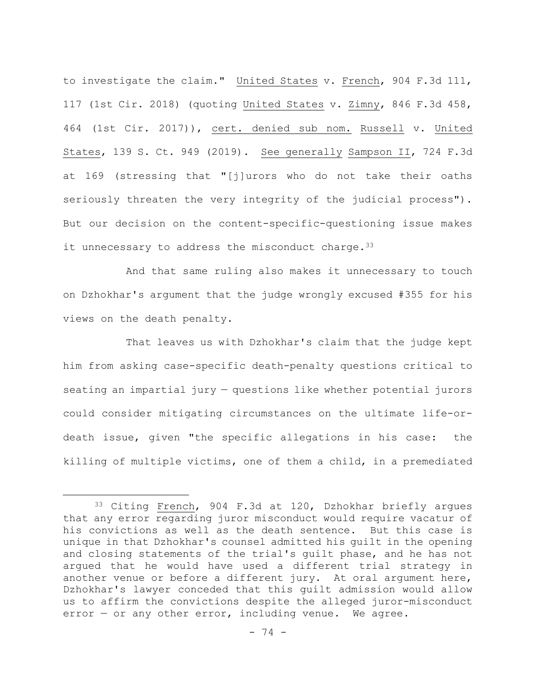to investigate the claim." United States v. French, 904 F.3d 111, 117 (1st Cir. 2018) (quoting United States v. Zimny, 846 F.3d 458, 464 (1st Cir. 2017)), cert. denied sub nom. Russell v. United States, 139 S. Ct. 949 (2019). See generally Sampson II, 724 F.3d at 169 (stressing that "[j]urors who do not take their oaths seriously threaten the very integrity of the judicial process"). But our decision on the content-specific-questioning issue makes it unnecessary to address the misconduct charge.  $33$ 

And that same ruling also makes it unnecessary to touch on Dzhokhar's argument that the judge wrongly excused #355 for his views on the death penalty.

That leaves us with Dzhokhar's claim that the judge kept him from asking case-specific death-penalty questions critical to seating an impartial jury — questions like whether potential jurors could consider mitigating circumstances on the ultimate life-ordeath issue, given "the specific allegations in his case: the killing of multiple victims, one of them a child, in a premediated

<sup>33</sup> Citing French, 904 F.3d at 120, Dzhokhar briefly argues that any error regarding juror misconduct would require vacatur of his convictions as well as the death sentence. But this case is unique in that Dzhokhar's counsel admitted his guilt in the opening and closing statements of the trial's guilt phase, and he has not argued that he would have used a different trial strategy in another venue or before a different jury. At oral argument here, Dzhokhar's lawyer conceded that this guilt admission would allow us to affirm the convictions despite the alleged juror-misconduct error — or any other error, including venue. We agree.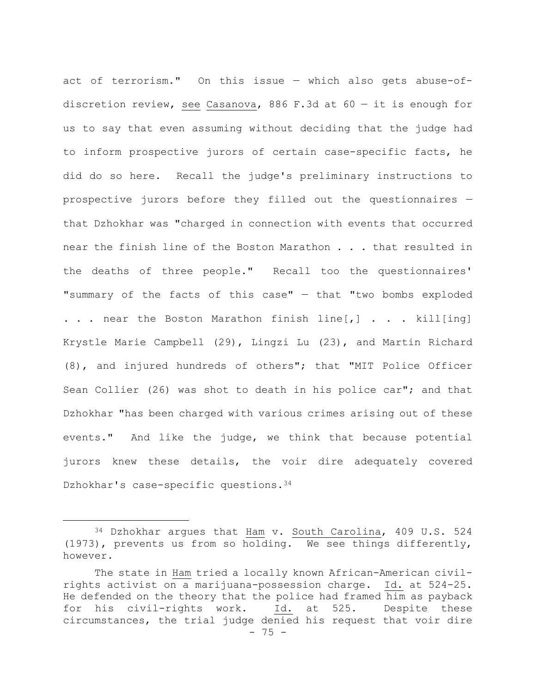act of terrorism." On this issue — which also gets abuse-ofdiscretion review, see Casanova, 886 F.3d at  $60 - it$  it is enough for us to say that even assuming without deciding that the judge had to inform prospective jurors of certain case-specific facts, he did do so here. Recall the judge's preliminary instructions to prospective jurors before they filled out the questionnaires that Dzhokhar was "charged in connection with events that occurred near the finish line of the Boston Marathon . . . that resulted in the deaths of three people." Recall too the questionnaires' "summary of the facts of this case" — that "two bombs exploded . . . near the Boston Marathon finish line $\lceil, \rceil$  . . . kill [ing] Krystle Marie Campbell (29), Lingzi Lu (23), and Martin Richard (8), and injured hundreds of others"; that "MIT Police Officer Sean Collier (26) was shot to death in his police car"; and that Dzhokhar "has been charged with various crimes arising out of these events." And like the judge, we think that because potential jurors knew these details, the voir dire adequately covered Dzhokhar's case-specific questions. 34

<sup>34</sup> Dzhokhar argues that Ham v. South Carolina, 409 U.S. 524 (1973), prevents us from so holding. We see things differently, however.

<sup>- 75 -</sup> The state in Ham tried a locally known African-American civilrights activist on a marijuana-possession charge. Id. at 524-25. He defended on the theory that the police had framed him as payback for his civil-rights work. Id. at 525. Despite these circumstances, the trial judge denied his request that voir dire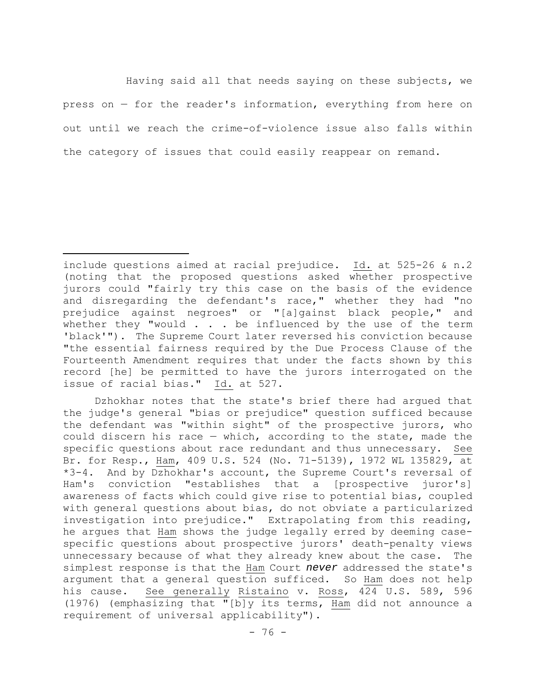Having said all that needs saying on these subjects, we press on — for the reader's information, everything from here on out until we reach the crime-of-violence issue also falls within the category of issues that could easily reappear on remand.

include questions aimed at racial prejudice. Id. at 525-26 & n.2 (noting that the proposed questions asked whether prospective jurors could "fairly try this case on the basis of the evidence and disregarding the defendant's race," whether they had "no prejudice against negroes" or "[a]gainst black people," and whether they "would  $\ldots$  be influenced by the use of the term 'black'"). The Supreme Court later reversed his conviction because "the essential fairness required by the Due Process Clause of the Fourteenth Amendment requires that under the facts shown by this record [he] be permitted to have the jurors interrogated on the issue of racial bias." Id. at 527.

Dzhokhar notes that the state's brief there had argued that the judge's general "bias or prejudice" question sufficed because the defendant was "within sight" of the prospective jurors, who could discern his race — which, according to the state, made the specific questions about race redundant and thus unnecessary. See Br. for Resp., Ham, 409 U.S. 524 (No. 71-5139), 1972 WL 135829, at \*3-4. And by Dzhokhar's account, the Supreme Court's reversal of Ham's conviction "establishes that a [prospective juror's] awareness of facts which could give rise to potential bias, coupled with general questions about bias, do not obviate a particularized investigation into prejudice." Extrapolating from this reading, he argues that Ham shows the judge legally erred by deeming casespecific questions about prospective jurors' death-penalty views unnecessary because of what they already knew about the case. The simplest response is that the Ham Court *never* addressed the state's argument that a general question sufficed. So Ham does not help his cause. See generally Ristaino v. Ross, 424 U.S. 589, 596 (1976) (emphasizing that "[b]y its terms, Ham did not announce a requirement of universal applicability").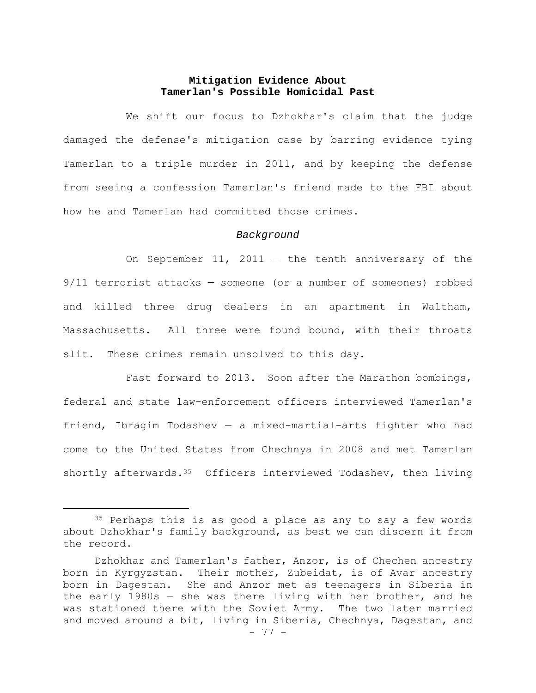# **Mitigation Evidence About Tamerlan's Possible Homicidal Past**

We shift our focus to Dzhokhar's claim that the judge damaged the defense's mitigation case by barring evidence tying Tamerlan to a triple murder in 2011, and by keeping the defense from seeing a confession Tamerlan's friend made to the FBI about how he and Tamerlan had committed those crimes.

### *Background*

On September 11, 2011  $-$  the tenth anniversary of the 9/11 terrorist attacks — someone (or a number of someones) robbed and killed three drug dealers in an apartment in Waltham, Massachusetts. All three were found bound, with their throats slit. These crimes remain unsolved to this day.

Fast forward to 2013. Soon after the Marathon bombings, federal and state law-enforcement officers interviewed Tamerlan's friend, Ibragim Todashev — a mixed-martial-arts fighter who had come to the United States from Chechnya in 2008 and met Tamerlan shortly afterwards. $35$  Officers interviewed Todashev, then living

<sup>&</sup>lt;sup>35</sup> Perhaps this is as good a place as any to say a few words about Dzhokhar's family background, as best we can discern it from the record.

Dzhokhar and Tamerlan's father, Anzor, is of Chechen ancestry born in Kyrgyzstan. Their mother, Zubeidat, is of Avar ancestry born in Dagestan. She and Anzor met as teenagers in Siberia in the early 1980s — she was there living with her brother, and he was stationed there with the Soviet Army. The two later married and moved around a bit, living in Siberia, Chechnya, Dagestan, and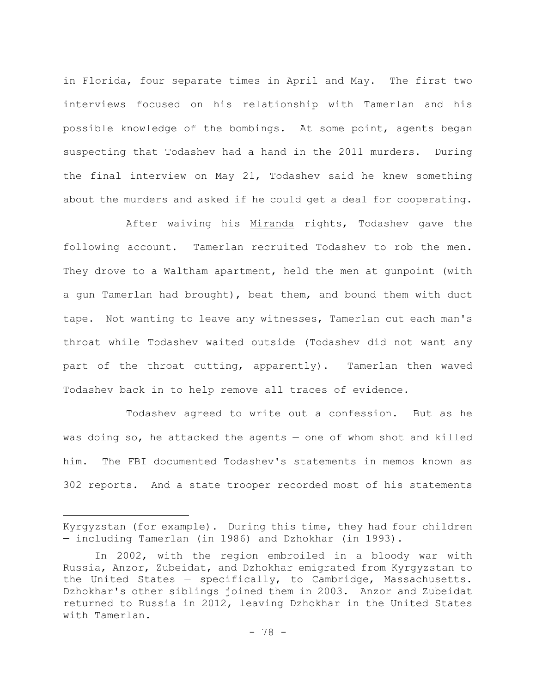in Florida, four separate times in April and May. The first two interviews focused on his relationship with Tamerlan and his possible knowledge of the bombings. At some point, agents began suspecting that Todashev had a hand in the 2011 murders. During the final interview on May 21, Todashev said he knew something about the murders and asked if he could get a deal for cooperating.

After waiving his Miranda rights, Todashev gave the following account. Tamerlan recruited Todashev to rob the men. They drove to a Waltham apartment, held the men at gunpoint (with a gun Tamerlan had brought), beat them, and bound them with duct tape. Not wanting to leave any witnesses, Tamerlan cut each man's throat while Todashev waited outside (Todashev did not want any part of the throat cutting, apparently). Tamerlan then waved Todashev back in to help remove all traces of evidence.

Todashev agreed to write out a confession. But as he was doing so, he attacked the agents — one of whom shot and killed him. The FBI documented Todashev's statements in memos known as 302 reports. And a state trooper recorded most of his statements

Kyrgyzstan (for example). During this time, they had four children — including Tamerlan (in 1986) and Dzhokhar (in 1993).

In 2002, with the region embroiled in a bloody war with Russia, Anzor, Zubeidat, and Dzhokhar emigrated from Kyrgyzstan to the United States — specifically, to Cambridge, Massachusetts. Dzhokhar's other siblings joined them in 2003. Anzor and Zubeidat returned to Russia in 2012, leaving Dzhokhar in the United States with Tamerlan.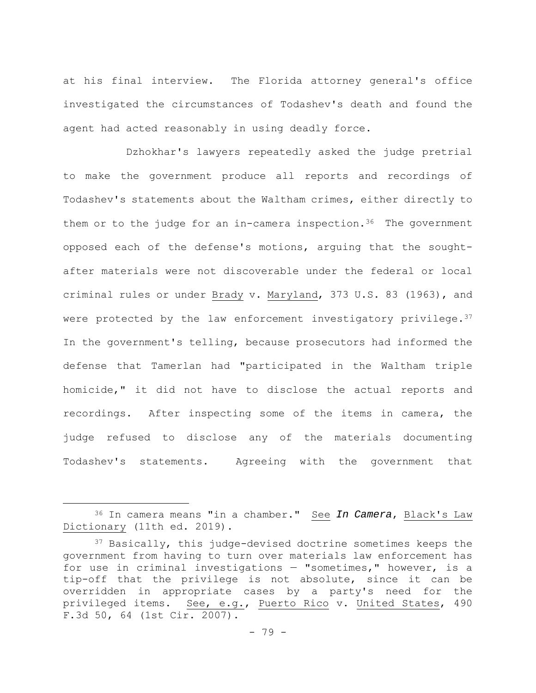at his final interview. The Florida attorney general's office investigated the circumstances of Todashev's death and found the agent had acted reasonably in using deadly force.

Dzhokhar's lawyers repeatedly asked the judge pretrial to make the government produce all reports and recordings of Todashev's statements about the Waltham crimes, either directly to them or to the judge for an in-camera inspection.<sup>36</sup> The government opposed each of the defense's motions, arguing that the soughtafter materials were not discoverable under the federal or local criminal rules or under Brady v. Maryland, 373 U.S. 83 (1963), and were protected by the law enforcement investigatory privilege.<sup>37</sup> In the government's telling, because prosecutors had informed the defense that Tamerlan had "participated in the Waltham triple homicide," it did not have to disclose the actual reports and recordings. After inspecting some of the items in camera, the judge refused to disclose any of the materials documenting Todashev's statements. Agreeing with the government that

<sup>36</sup> In camera means "in a chamber." See *In Camera*, Black's Law Dictionary (11th ed. 2019).

<sup>&</sup>lt;sup>37</sup> Basically, this judge-devised doctrine sometimes keeps the government from having to turn over materials law enforcement has for use in criminal investigations — "sometimes," however, is a tip-off that the privilege is not absolute, since it can be overridden in appropriate cases by a party's need for the privileged items. See, e.g., Puerto Rico v. United States, 490 F.3d 50, 64 (1st Cir. 2007).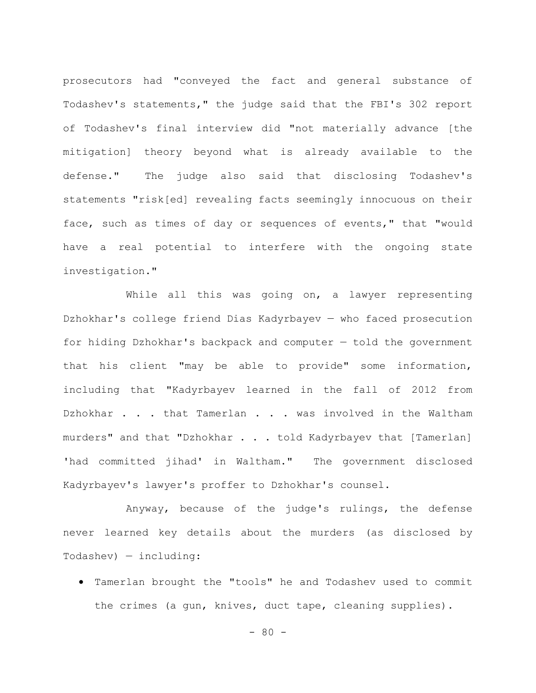prosecutors had "conveyed the fact and general substance of Todashev's statements," the judge said that the FBI's 302 report of Todashev's final interview did "not materially advance [the mitigation] theory beyond what is already available to the defense." The judge also said that disclosing Todashev's statements "risk[ed] revealing facts seemingly innocuous on their face, such as times of day or sequences of events," that "would have a real potential to interfere with the ongoing state investigation."

While all this was going on, a lawyer representing Dzhokhar's college friend Dias Kadyrbayev — who faced prosecution for hiding Dzhokhar's backpack and computer — told the government that his client "may be able to provide" some information, including that "Kadyrbayev learned in the fall of 2012 from Dzhokhar . . . that Tamerlan . . . was involved in the Waltham murders" and that "Dzhokhar . . . told Kadyrbayev that [Tamerlan] 'had committed jihad' in Waltham." The government disclosed Kadyrbayev's lawyer's proffer to Dzhokhar's counsel.

Anyway, because of the judge's rulings, the defense never learned key details about the murders (as disclosed by Todashev) — including:

 Tamerlan brought the "tools" he and Todashev used to commit the crimes (a gun, knives, duct tape, cleaning supplies).

 $- 80 -$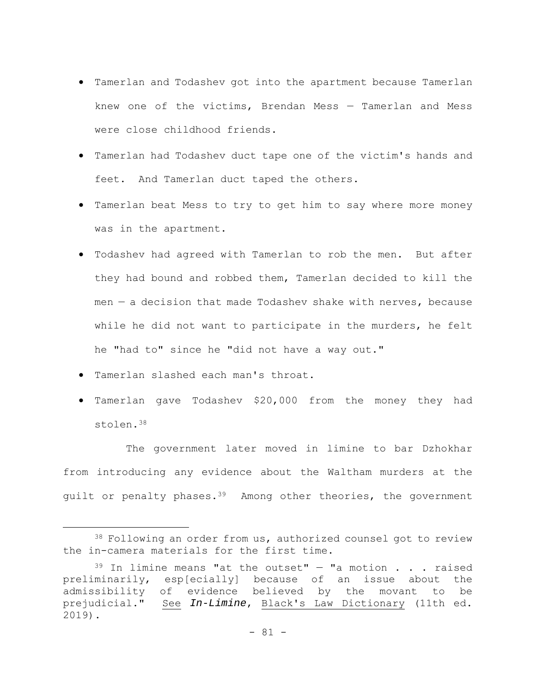- Tamerlan and Todashev got into the apartment because Tamerlan knew one of the victims, Brendan Mess — Tamerlan and Mess were close childhood friends.
- Tamerlan had Todashev duct tape one of the victim's hands and feet. And Tamerlan duct taped the others.
- Tamerlan beat Mess to try to get him to say where more money was in the apartment.
- Todashev had agreed with Tamerlan to rob the men. But after they had bound and robbed them, Tamerlan decided to kill the men  $-$  a decision that made Todashev shake with nerves, because while he did not want to participate in the murders, he felt he "had to" since he "did not have a way out."
- Tamerlan slashed each man's throat.
- Tamerlan gave Todashev \$20,000 from the money they had stolen.38

The government later moved in limine to bar Dzhokhar from introducing any evidence about the Waltham murders at the guilt or penalty phases.<sup>39</sup> Among other theories, the government

<sup>38</sup> Following an order from us, authorized counsel got to review the in-camera materials for the first time.

 $39$  In limine means "at the outset" - "a motion . . . raised preliminarily, esp[ecially] because of an issue about the admissibility of evidence believed by the movant to be prejudicial." See *In-Limine*, Black's Law Dictionary (11th ed. 2019).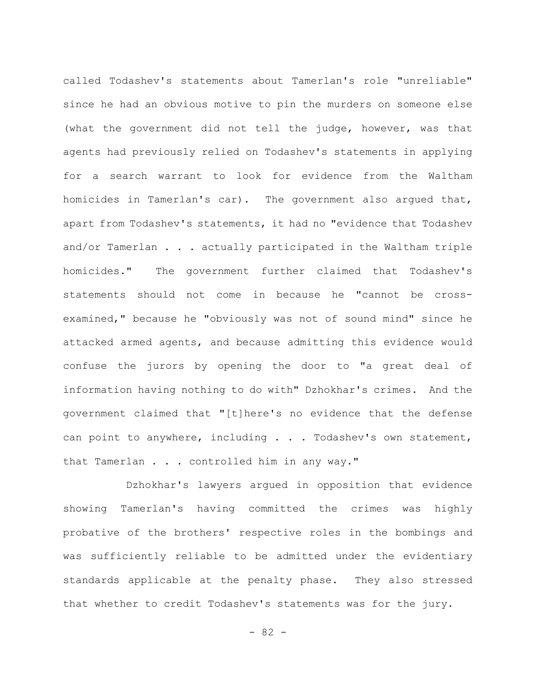called Todashev's statements about Tamerlan's role "unreliable" since he had an obvious motive to pin the murders on someone else (what the government did not tell the judge, however, was that agents had previously relied on Todashev's statements in applying for a search warrant to look for evidence from the Waltham homicides in Tamerlan's car). The government also argued that, apart from Todashev's statements, it had no "evidence that Todashev and/or Tamerlan . . . actually participated in the Waltham triple homicides." The government further claimed that Todashev's statements should not come in because he "cannot be crossexamined," because he "obviously was not of sound mind" since he attacked armed agents, and because admitting this evidence would confuse the jurors by opening the door to "a great deal of information having nothing to do with" Dzhokhar's crimes. And the government claimed that "[t]here's no evidence that the defense can point to anywhere, including . . . Todashev's own statement, that Tamerlan . . . controlled him in any way."

Dzhokhar's lawyers argued in opposition that evidence showing Tamerlan's having committed the crimes was highly probative of the brothers' respective roles in the bombings and was sufficiently reliable to be admitted under the evidentiary standards applicable at the penalty phase. They also stressed that whether to credit Todashev's statements was for the jury.

- 82 -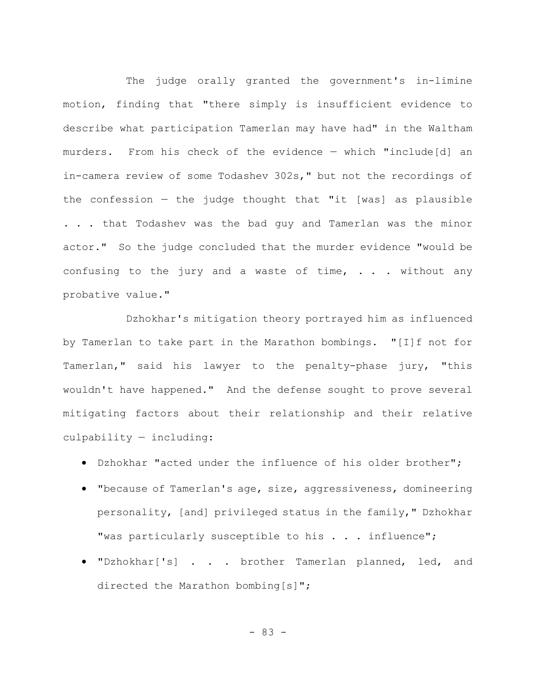The judge orally granted the government's in-limine motion, finding that "there simply is insufficient evidence to describe what participation Tamerlan may have had" in the Waltham murders. From his check of the evidence — which "include[d] an in-camera review of some Todashev 302s," but not the recordings of the confession — the judge thought that "it [was] as plausible . . . that Todashev was the bad guy and Tamerlan was the minor actor." So the judge concluded that the murder evidence "would be confusing to the jury and a waste of time,  $\ldots$  without any probative value."

Dzhokhar's mitigation theory portrayed him as influenced by Tamerlan to take part in the Marathon bombings. "[I]f not for Tamerlan," said his lawyer to the penalty-phase jury, "this wouldn't have happened." And the defense sought to prove several mitigating factors about their relationship and their relative culpability — including:

- Dzhokhar "acted under the influence of his older brother";
- "because of Tamerlan's age, size, aggressiveness, domineering personality, [and] privileged status in the family," Dzhokhar "was particularly susceptible to his . . . influence";
- "Dzhokhar['s] . . . brother Tamerlan planned, led, and directed the Marathon bombing[s]";

- 83 -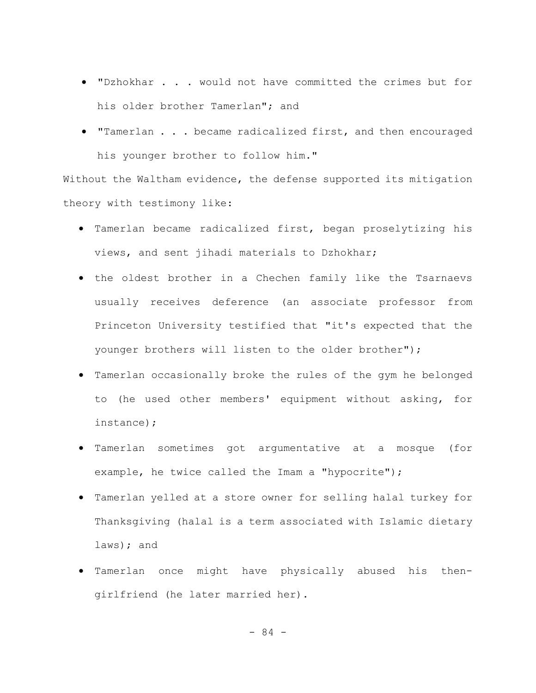- "Dzhokhar . . . would not have committed the crimes but for his older brother Tamerlan"; and
- "Tamerlan . . . became radicalized first, and then encouraged his younger brother to follow him."

Without the Waltham evidence, the defense supported its mitigation theory with testimony like:

- Tamerlan became radicalized first, began proselytizing his views, and sent jihadi materials to Dzhokhar;
- the oldest brother in a Chechen family like the Tsarnaevs usually receives deference (an associate professor from Princeton University testified that "it's expected that the younger brothers will listen to the older brother");
- Tamerlan occasionally broke the rules of the gym he belonged to (he used other members' equipment without asking, for instance);
- Tamerlan sometimes got argumentative at a mosque (for example, he twice called the Imam a "hypocrite");
- Tamerlan yelled at a store owner for selling halal turkey for Thanksgiving (halal is a term associated with Islamic dietary laws); and
- Tamerlan once might have physically abused his thengirlfriend (he later married her).

- 84 -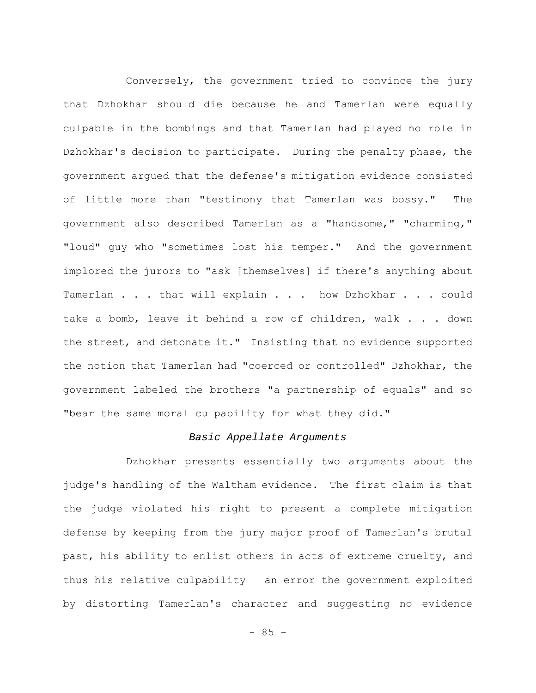Conversely, the government tried to convince the jury that Dzhokhar should die because he and Tamerlan were equally culpable in the bombings and that Tamerlan had played no role in Dzhokhar's decision to participate. During the penalty phase, the government argued that the defense's mitigation evidence consisted of little more than "testimony that Tamerlan was bossy." The government also described Tamerlan as a "handsome," "charming," "loud" guy who "sometimes lost his temper." And the government implored the jurors to "ask [themselves] if there's anything about Tamerlan . . . that will explain . . . how Dzhokhar . . . could take a bomb, leave it behind a row of children, walk . . . down the street, and detonate it." Insisting that no evidence supported the notion that Tamerlan had "coerced or controlled" Dzhokhar, the government labeled the brothers "a partnership of equals" and so "bear the same moral culpability for what they did."

### *Basic Appellate Arguments*

Dzhokhar presents essentially two arguments about the judge's handling of the Waltham evidence. The first claim is that the judge violated his right to present a complete mitigation defense by keeping from the jury major proof of Tamerlan's brutal past, his ability to enlist others in acts of extreme cruelty, and thus his relative culpability  $-$  an error the government exploited by distorting Tamerlan's character and suggesting no evidence

 $- 85 -$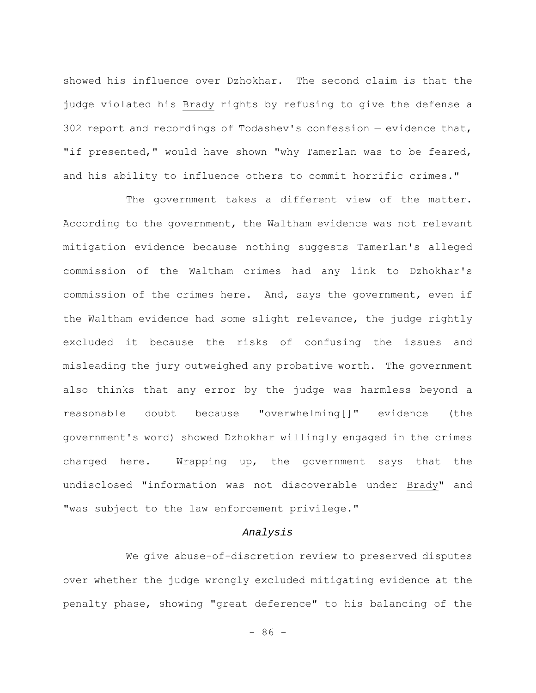showed his influence over Dzhokhar. The second claim is that the judge violated his Brady rights by refusing to give the defense a 302 report and recordings of Todashev's confession — evidence that, "if presented," would have shown "why Tamerlan was to be feared, and his ability to influence others to commit horrific crimes."

The government takes a different view of the matter. According to the government, the Waltham evidence was not relevant mitigation evidence because nothing suggests Tamerlan's alleged commission of the Waltham crimes had any link to Dzhokhar's commission of the crimes here. And, says the government, even if the Waltham evidence had some slight relevance, the judge rightly excluded it because the risks of confusing the issues and misleading the jury outweighed any probative worth. The government also thinks that any error by the judge was harmless beyond a reasonable doubt because "overwhelming[]" evidence (the government's word) showed Dzhokhar willingly engaged in the crimes charged here. Wrapping up, the government says that the undisclosed "information was not discoverable under Brady" and "was subject to the law enforcement privilege."

### *Analysis*

We give abuse-of-discretion review to preserved disputes over whether the judge wrongly excluded mitigating evidence at the penalty phase, showing "great deference" to his balancing of the

 $-86 -$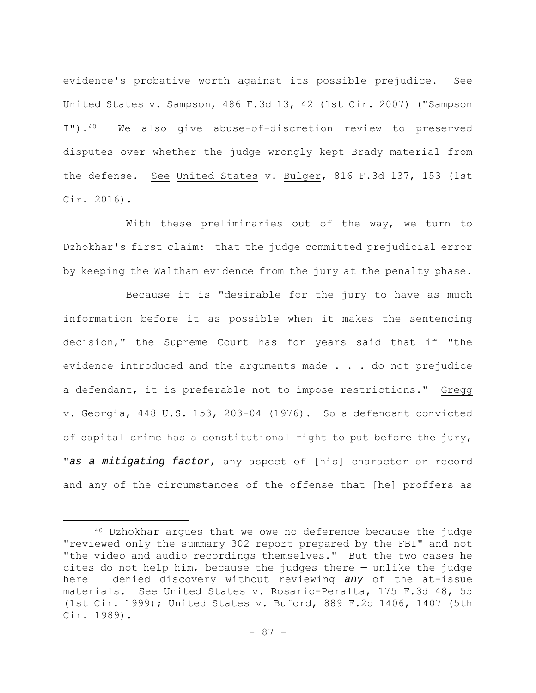evidence's probative worth against its possible prejudice. See United States v. Sampson, 486 F.3d 13, 42 (1st Cir. 2007) ("Sampson I").40 We also give abuse-of-discretion review to preserved disputes over whether the judge wrongly kept Brady material from the defense. See United States v. Bulger, 816 F.3d 137, 153 (1st Cir. 2016).

With these preliminaries out of the way, we turn to Dzhokhar's first claim: that the judge committed prejudicial error by keeping the Waltham evidence from the jury at the penalty phase.

Because it is "desirable for the jury to have as much information before it as possible when it makes the sentencing decision," the Supreme Court has for years said that if "the evidence introduced and the arguments made . . . do not prejudice a defendant, it is preferable not to impose restrictions." Gregg v. Georgia, 448 U.S. 153, 203-04 (1976). So a defendant convicted of capital crime has a constitutional right to put before the jury, "*as a mitigating factor*, any aspect of [his] character or record and any of the circumstances of the offense that [he] proffers as

<sup>40</sup> Dzhokhar argues that we owe no deference because the judge "reviewed only the summary 302 report prepared by the FBI" and not "the video and audio recordings themselves." But the two cases he cites do not help him, because the judges there — unlike the judge here — denied discovery without reviewing *any* of the at-issue materials. See United States v. Rosario-Peralta, 175 F.3d 48, 55 (1st Cir. 1999); United States v. Buford, 889 F.2d 1406, 1407 (5th Cir. 1989).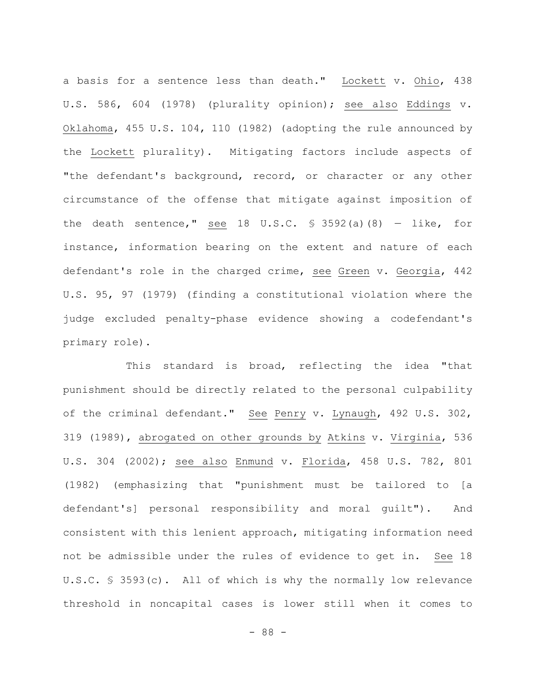a basis for a sentence less than death." Lockett v. Ohio, 438 U.S. 586, 604 (1978) (plurality opinion); see also Eddings v. Oklahoma, 455 U.S. 104, 110 (1982) (adopting the rule announced by the Lockett plurality). Mitigating factors include aspects of "the defendant's background, record, or character or any other circumstance of the offense that mitigate against imposition of the death sentence," see 18 U.S.C.  $\frac{1}{5}$  3592(a)(8) - like, for instance, information bearing on the extent and nature of each defendant's role in the charged crime, see Green v. Georgia, 442 U.S. 95, 97 (1979) (finding a constitutional violation where the judge excluded penalty-phase evidence showing a codefendant's primary role).

This standard is broad, reflecting the idea "that punishment should be directly related to the personal culpability of the criminal defendant." See Penry v. Lynaugh, 492 U.S. 302, 319 (1989), abrogated on other grounds by Atkins v. Virginia, 536 U.S. 304 (2002); see also Enmund v. Florida, 458 U.S. 782, 801 (1982) (emphasizing that "punishment must be tailored to [a defendant's] personal responsibility and moral guilt"). And consistent with this lenient approach, mitigating information need not be admissible under the rules of evidence to get in. See 18 U.S.C. § 3593(c). All of which is why the normally low relevance threshold in noncapital cases is lower still when it comes to

- 88 -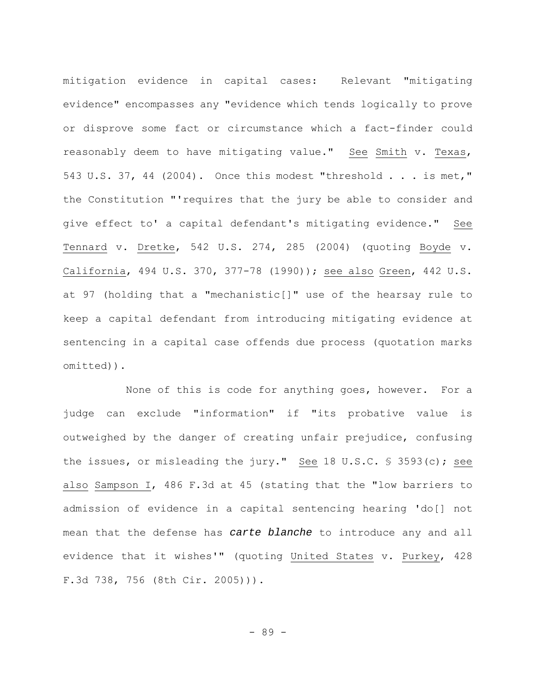mitigation evidence in capital cases: Relevant "mitigating evidence" encompasses any "evidence which tends logically to prove or disprove some fact or circumstance which a fact-finder could reasonably deem to have mitigating value." See Smith v. Texas, 543 U.S. 37, 44 (2004). Once this modest "threshold . . . is met," the Constitution "'requires that the jury be able to consider and give effect to' a capital defendant's mitigating evidence." See Tennard v. Dretke, 542 U.S. 274, 285 (2004) (quoting Boyde v. California, 494 U.S. 370, 377-78 (1990)); see also Green, 442 U.S. at 97 (holding that a "mechanistic[]" use of the hearsay rule to keep a capital defendant from introducing mitigating evidence at sentencing in a capital case offends due process (quotation marks omitted)).

None of this is code for anything goes, however. For a judge can exclude "information" if "its probative value is outweighed by the danger of creating unfair prejudice, confusing the issues, or misleading the jury." See 18 U.S.C. § 3593(c); see also Sampson I, 486 F.3d at 45 (stating that the "low barriers to admission of evidence in a capital sentencing hearing 'do[] not mean that the defense has *carte blanche* to introduce any and all evidence that it wishes'" (quoting United States v. Purkey, 428 F.3d 738, 756 (8th Cir. 2005))).

- 89 -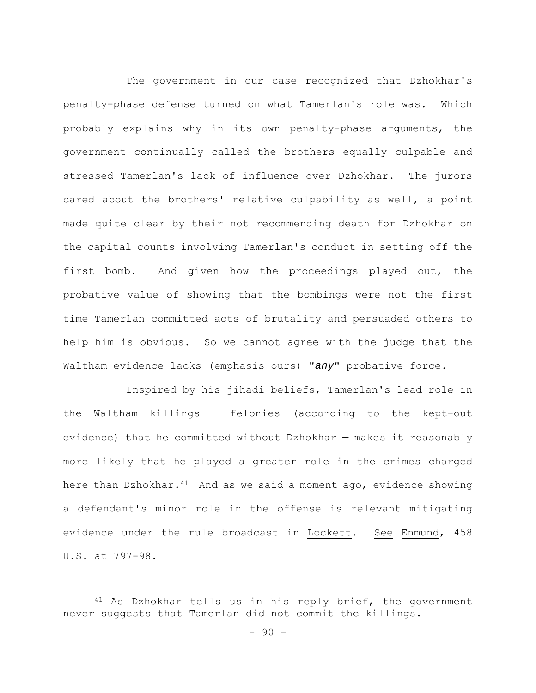The government in our case recognized that Dzhokhar's penalty-phase defense turned on what Tamerlan's role was. Which probably explains why in its own penalty-phase arguments, the government continually called the brothers equally culpable and stressed Tamerlan's lack of influence over Dzhokhar. The jurors cared about the brothers' relative culpability as well, a point made quite clear by their not recommending death for Dzhokhar on the capital counts involving Tamerlan's conduct in setting off the first bomb. And given how the proceedings played out, the probative value of showing that the bombings were not the first time Tamerlan committed acts of brutality and persuaded others to help him is obvious. So we cannot agree with the judge that the Waltham evidence lacks (emphasis ours) "*any*" probative force.

Inspired by his jihadi beliefs, Tamerlan's lead role in the Waltham killings — felonies (according to the kept-out evidence) that he committed without Dzhokhar — makes it reasonably more likely that he played a greater role in the crimes charged here than Dzhokhar. $41$  And as we said a moment ago, evidence showing a defendant's minor role in the offense is relevant mitigating evidence under the rule broadcast in Lockett. See Enmund, 458 U.S. at 797-98.

<sup>41</sup> As Dzhokhar tells us in his reply brief, the government never suggests that Tamerlan did not commit the killings.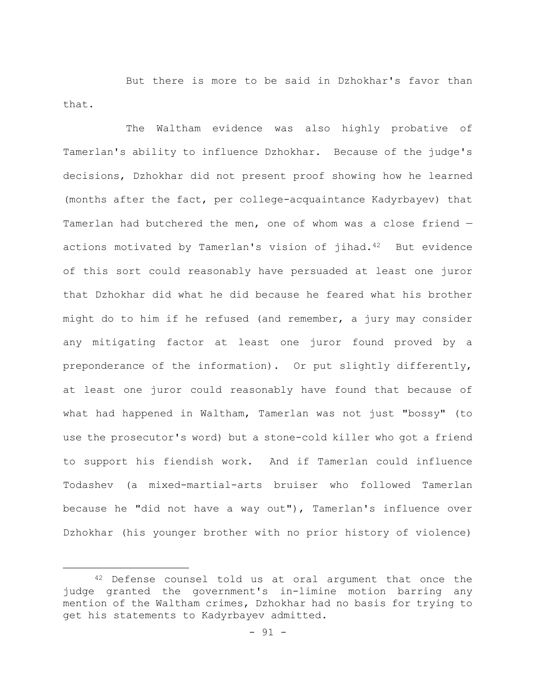But there is more to be said in Dzhokhar's favor than that.

The Waltham evidence was also highly probative of Tamerlan's ability to influence Dzhokhar. Because of the judge's decisions, Dzhokhar did not present proof showing how he learned (months after the fact, per college-acquaintance Kadyrbayev) that Tamerlan had butchered the men, one of whom was a close friend actions motivated by Tamerlan's vision of jihad.<sup>42</sup> But evidence of this sort could reasonably have persuaded at least one juror that Dzhokhar did what he did because he feared what his brother might do to him if he refused (and remember, a jury may consider any mitigating factor at least one juror found proved by a preponderance of the information). Or put slightly differently, at least one juror could reasonably have found that because of what had happened in Waltham, Tamerlan was not just "bossy" (to use the prosecutor's word) but a stone-cold killer who got a friend to support his fiendish work. And if Tamerlan could influence Todashev (a mixed-martial-arts bruiser who followed Tamerlan because he "did not have a way out"), Tamerlan's influence over Dzhokhar (his younger brother with no prior history of violence)

<sup>42</sup> Defense counsel told us at oral argument that once the judge granted the government's in-limine motion barring any mention of the Waltham crimes, Dzhokhar had no basis for trying to get his statements to Kadyrbayev admitted.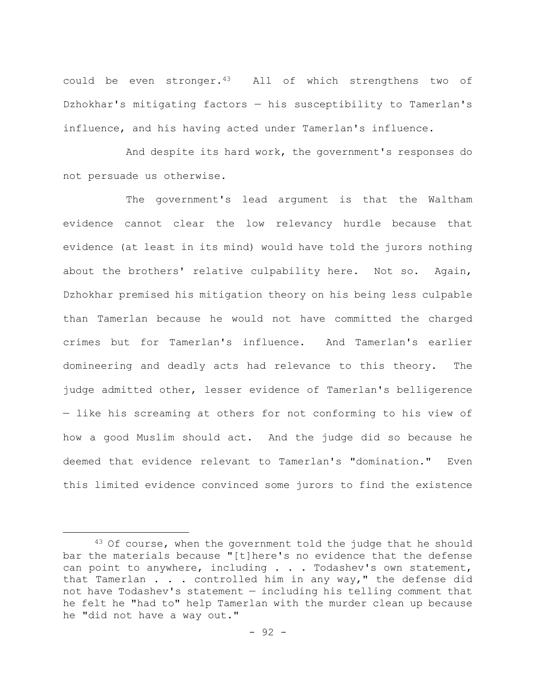could be even stronger.43 All of which strengthens two of Dzhokhar's mitigating factors — his susceptibility to Tamerlan's influence, and his having acted under Tamerlan's influence.

And despite its hard work, the government's responses do not persuade us otherwise.

The government's lead argument is that the Waltham evidence cannot clear the low relevancy hurdle because that evidence (at least in its mind) would have told the jurors nothing about the brothers' relative culpability here. Not so. Again, Dzhokhar premised his mitigation theory on his being less culpable than Tamerlan because he would not have committed the charged crimes but for Tamerlan's influence. And Tamerlan's earlier domineering and deadly acts had relevance to this theory. The judge admitted other, lesser evidence of Tamerlan's belligerence — like his screaming at others for not conforming to his view of how a good Muslim should act. And the judge did so because he deemed that evidence relevant to Tamerlan's "domination." Even this limited evidence convinced some jurors to find the existence

<sup>&</sup>lt;sup>43</sup> Of course, when the government told the judge that he should bar the materials because "[t]here's no evidence that the defense can point to anywhere, including . . . Todashev's own statement, that Tamerlan . . . controlled him in any way," the defense did not have Todashev's statement — including his telling comment that he felt he "had to" help Tamerlan with the murder clean up because he "did not have a way out."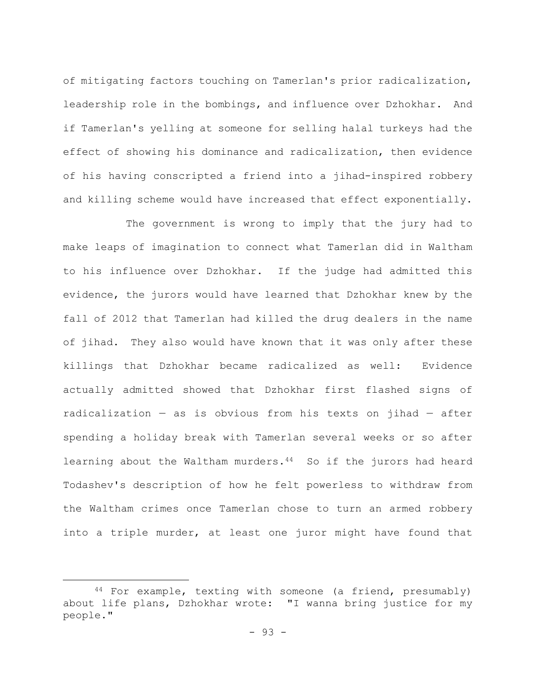of mitigating factors touching on Tamerlan's prior radicalization, leadership role in the bombings, and influence over Dzhokhar. And if Tamerlan's yelling at someone for selling halal turkeys had the effect of showing his dominance and radicalization, then evidence of his having conscripted a friend into a jihad-inspired robbery and killing scheme would have increased that effect exponentially.

The government is wrong to imply that the jury had to make leaps of imagination to connect what Tamerlan did in Waltham to his influence over Dzhokhar. If the judge had admitted this evidence, the jurors would have learned that Dzhokhar knew by the fall of 2012 that Tamerlan had killed the drug dealers in the name of jihad. They also would have known that it was only after these killings that Dzhokhar became radicalized as well: Evidence actually admitted showed that Dzhokhar first flashed signs of radicalization — as is obvious from his texts on jihad — after spending a holiday break with Tamerlan several weeks or so after learning about the Waltham murders.<sup>44</sup> So if the jurors had heard Todashev's description of how he felt powerless to withdraw from the Waltham crimes once Tamerlan chose to turn an armed robbery into a triple murder, at least one juror might have found that

<sup>44</sup> For example, texting with someone (a friend, presumably) about life plans, Dzhokhar wrote: "I wanna bring justice for my people."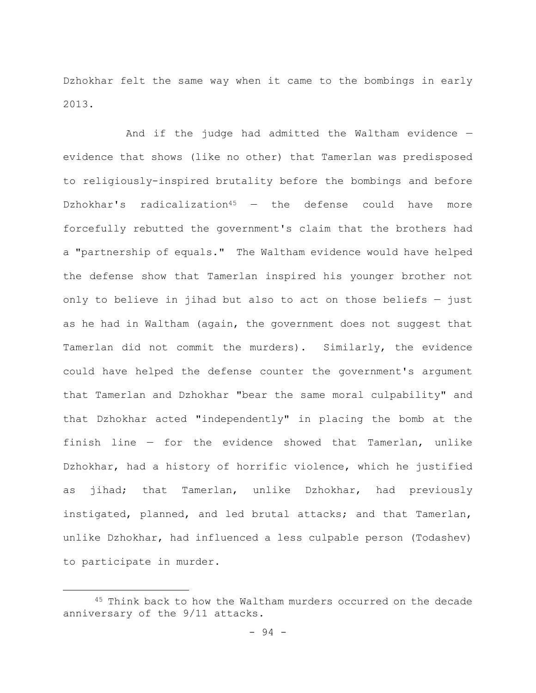Dzhokhar felt the same way when it came to the bombings in early 2013.

And if the judge had admitted the Waltham evidence evidence that shows (like no other) that Tamerlan was predisposed to religiously-inspired brutality before the bombings and before Dzhokhar's radicalization<sup>45</sup>  $-$  the defense could have more forcefully rebutted the government's claim that the brothers had a "partnership of equals." The Waltham evidence would have helped the defense show that Tamerlan inspired his younger brother not only to believe in jihad but also to act on those beliefs — just as he had in Waltham (again, the government does not suggest that Tamerlan did not commit the murders). Similarly, the evidence could have helped the defense counter the government's argument that Tamerlan and Dzhokhar "bear the same moral culpability" and that Dzhokhar acted "independently" in placing the bomb at the finish line — for the evidence showed that Tamerlan, unlike Dzhokhar, had a history of horrific violence, which he justified as jihad; that Tamerlan, unlike Dzhokhar, had previously instigated, planned, and led brutal attacks; and that Tamerlan, unlike Dzhokhar, had influenced a less culpable person (Todashev) to participate in murder.

<sup>45</sup> Think back to how the Waltham murders occurred on the decade anniversary of the 9/11 attacks.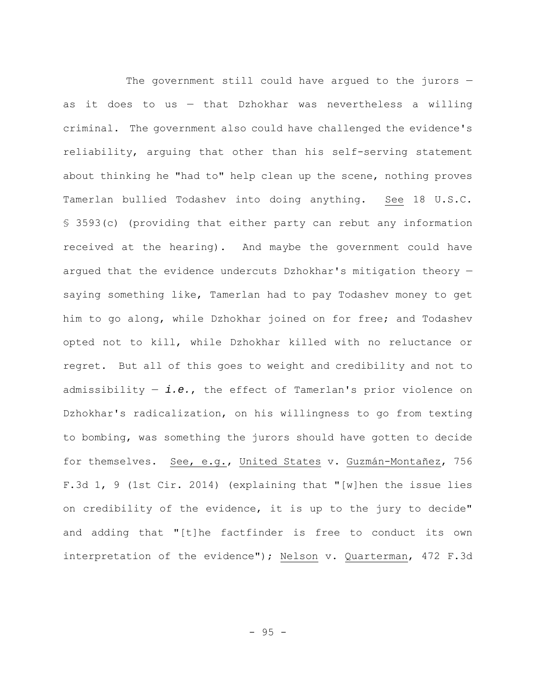The government still could have argued to the jurors  $$ as it does to us — that Dzhokhar was nevertheless a willing criminal. The government also could have challenged the evidence's reliability, arguing that other than his self-serving statement about thinking he "had to" help clean up the scene, nothing proves Tamerlan bullied Todashev into doing anything. See 18 U.S.C. § 3593(c) (providing that either party can rebut any information received at the hearing). And maybe the government could have argued that the evidence undercuts Dzhokhar's mitigation theory saying something like, Tamerlan had to pay Todashev money to get him to go along, while Dzhokhar joined on for free; and Todashev opted not to kill, while Dzhokhar killed with no reluctance or regret. But all of this goes to weight and credibility and not to admissibility — *i.e.*, the effect of Tamerlan's prior violence on Dzhokhar's radicalization, on his willingness to go from texting to bombing, was something the jurors should have gotten to decide for themselves. See, e.g., United States v. Guzmán-Montañez, 756 F.3d 1, 9 (1st Cir. 2014) (explaining that "[w]hen the issue lies on credibility of the evidence, it is up to the jury to decide" and adding that "[t]he factfinder is free to conduct its own interpretation of the evidence"); Nelson v. Quarterman, 472 F.3d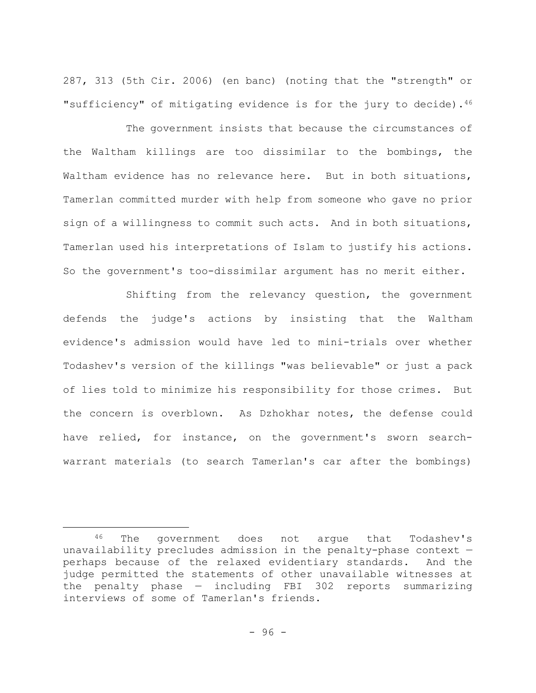287, 313 (5th Cir. 2006) (en banc) (noting that the "strength" or "sufficiency" of mitigating evidence is for the jury to decide).46

The government insists that because the circumstances of the Waltham killings are too dissimilar to the bombings, the Waltham evidence has no relevance here. But in both situations, Tamerlan committed murder with help from someone who gave no prior sign of a willingness to commit such acts. And in both situations, Tamerlan used his interpretations of Islam to justify his actions. So the government's too-dissimilar argument has no merit either.

Shifting from the relevancy question, the government defends the judge's actions by insisting that the Waltham evidence's admission would have led to mini-trials over whether Todashev's version of the killings "was believable" or just a pack of lies told to minimize his responsibility for those crimes. But the concern is overblown. As Dzhokhar notes, the defense could have relied, for instance, on the government's sworn searchwarrant materials (to search Tamerlan's car after the bombings)

<sup>46</sup> The government does not argue that Todashev's unavailability precludes admission in the penalty-phase context perhaps because of the relaxed evidentiary standards. And the judge permitted the statements of other unavailable witnesses at the penalty phase — including FBI 302 reports summarizing interviews of some of Tamerlan's friends.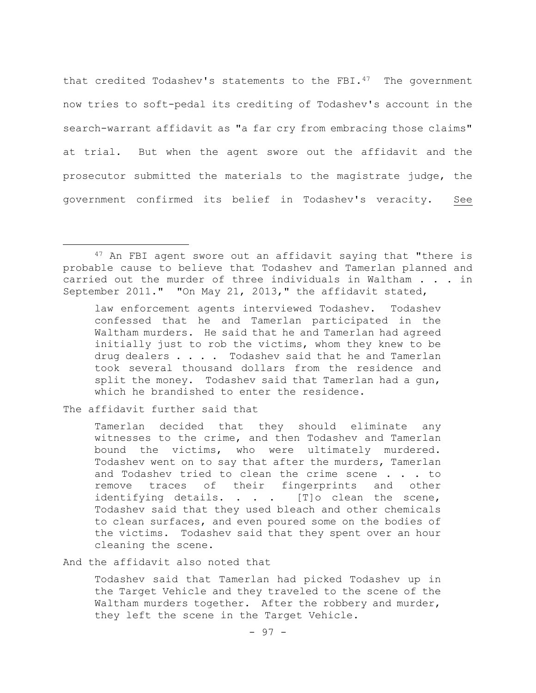that credited Todashev's statements to the FBI.<sup>47</sup> The government now tries to soft-pedal its crediting of Todashev's account in the search-warrant affidavit as "a far cry from embracing those claims" at trial. But when the agent swore out the affidavit and the prosecutor submitted the materials to the magistrate judge, the government confirmed its belief in Todashev's veracity. See

law enforcement agents interviewed Todashev. Todashev confessed that he and Tamerlan participated in the Waltham murders. He said that he and Tamerlan had agreed initially just to rob the victims, whom they knew to be drug dealers . . . . Todashev said that he and Tamerlan took several thousand dollars from the residence and split the money. Todashev said that Tamerlan had a gun, which he brandished to enter the residence.

The affidavit further said that

Tamerlan decided that they should eliminate any witnesses to the crime, and then Todashev and Tamerlan bound the victims, who were ultimately murdered. Todashev went on to say that after the murders, Tamerlan and Todashev tried to clean the crime scene . . . to remove traces of their fingerprints and other identifying details. . . . [T]o clean the scene, Todashev said that they used bleach and other chemicals to clean surfaces, and even poured some on the bodies of the victims. Todashev said that they spent over an hour cleaning the scene.

And the affidavit also noted that

Todashev said that Tamerlan had picked Todashev up in the Target Vehicle and they traveled to the scene of the Waltham murders together. After the robbery and murder, they left the scene in the Target Vehicle.

<sup>47</sup> An FBI agent swore out an affidavit saying that "there is probable cause to believe that Todashev and Tamerlan planned and carried out the murder of three individuals in Waltham . . . in September 2011." "On May 21, 2013," the affidavit stated,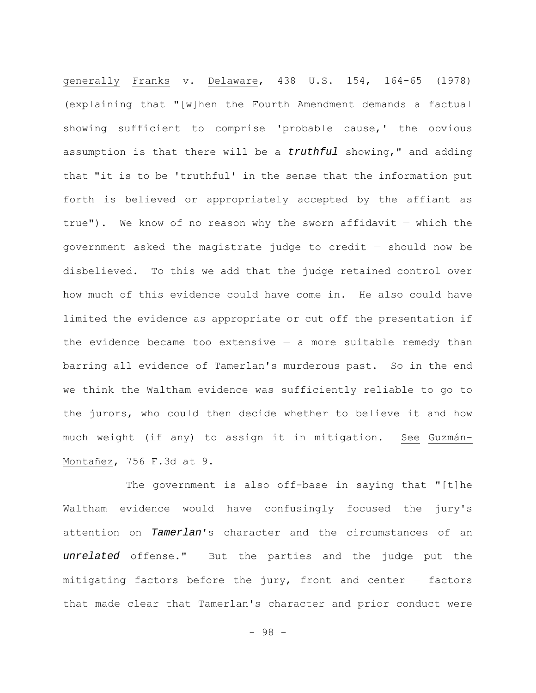generally Franks v. Delaware, 438 U.S. 154, 164-65 (1978) (explaining that "[w]hen the Fourth Amendment demands a factual showing sufficient to comprise 'probable cause,' the obvious assumption is that there will be a *truthful* showing," and adding that "it is to be 'truthful' in the sense that the information put forth is believed or appropriately accepted by the affiant as true"). We know of no reason why the sworn affidavit — which the government asked the magistrate judge to credit — should now be disbelieved. To this we add that the judge retained control over how much of this evidence could have come in. He also could have limited the evidence as appropriate or cut off the presentation if the evidence became too extensive  $-$  a more suitable remedy than barring all evidence of Tamerlan's murderous past. So in the end we think the Waltham evidence was sufficiently reliable to go to the jurors, who could then decide whether to believe it and how much weight (if any) to assign it in mitigation. See Guzmán-Montañez, 756 F.3d at 9.

The government is also off-base in saying that "[t]he Waltham evidence would have confusingly focused the jury's attention on *Tamerlan*'s character and the circumstances of an *unrelated* offense." But the parties and the judge put the mitigating factors before the jury, front and center — factors that made clear that Tamerlan's character and prior conduct were

- 98 -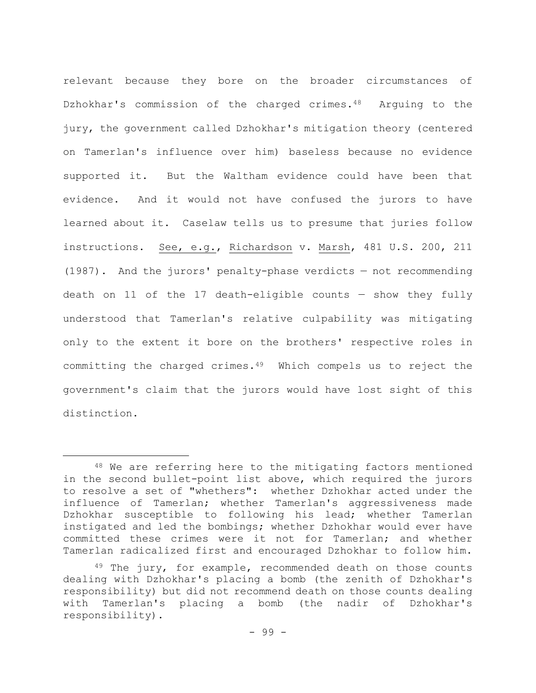relevant because they bore on the broader circumstances of Dzhokhar's commission of the charged crimes.<sup>48</sup> Arguing to the jury, the government called Dzhokhar's mitigation theory (centered on Tamerlan's influence over him) baseless because no evidence supported it. But the Waltham evidence could have been that evidence. And it would not have confused the jurors to have learned about it. Caselaw tells us to presume that juries follow instructions. See, e.g., Richardson v. Marsh, 481 U.S. 200, 211 (1987). And the jurors' penalty-phase verdicts — not recommending death on 11 of the 17 death-eligible counts  $-$  show they fully understood that Tamerlan's relative culpability was mitigating only to the extent it bore on the brothers' respective roles in committing the charged crimes.49 Which compels us to reject the government's claim that the jurors would have lost sight of this distinction.

<sup>48</sup> We are referring here to the mitigating factors mentioned in the second bullet-point list above, which required the jurors to resolve a set of "whethers": whether Dzhokhar acted under the influence of Tamerlan; whether Tamerlan's aggressiveness made Dzhokhar susceptible to following his lead; whether Tamerlan instigated and led the bombings; whether Dzhokhar would ever have committed these crimes were it not for Tamerlan; and whether Tamerlan radicalized first and encouraged Dzhokhar to follow him.

 $49$  The jury, for example, recommended death on those counts dealing with Dzhokhar's placing a bomb (the zenith of Dzhokhar's responsibility) but did not recommend death on those counts dealing with Tamerlan's placing a bomb (the nadir of Dzhokhar's responsibility).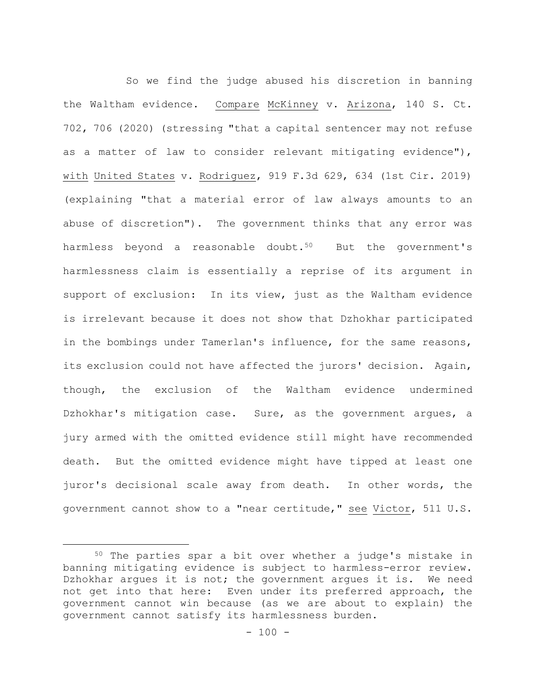So we find the judge abused his discretion in banning the Waltham evidence. Compare McKinney v. Arizona, 140 S. Ct. 702, 706 (2020) (stressing "that a capital sentencer may not refuse as a matter of law to consider relevant mitigating evidence"), with United States v. Rodriguez, 919 F.3d 629, 634 (1st Cir. 2019) (explaining "that a material error of law always amounts to an abuse of discretion"). The government thinks that any error was harmless beyond a reasonable doubt. $50$  But the government's harmlessness claim is essentially a reprise of its argument in support of exclusion: In its view, just as the Waltham evidence is irrelevant because it does not show that Dzhokhar participated in the bombings under Tamerlan's influence, for the same reasons, its exclusion could not have affected the jurors' decision. Again, though, the exclusion of the Waltham evidence undermined Dzhokhar's mitigation case. Sure, as the government argues, a jury armed with the omitted evidence still might have recommended death. But the omitted evidence might have tipped at least one juror's decisional scale away from death. In other words, the government cannot show to a "near certitude," see Victor, 511 U.S.

<sup>50</sup> The parties spar a bit over whether a judge's mistake in banning mitigating evidence is subject to harmless-error review. Dzhokhar argues it is not; the government argues it is. We need not get into that here: Even under its preferred approach, the government cannot win because (as we are about to explain) the government cannot satisfy its harmlessness burden.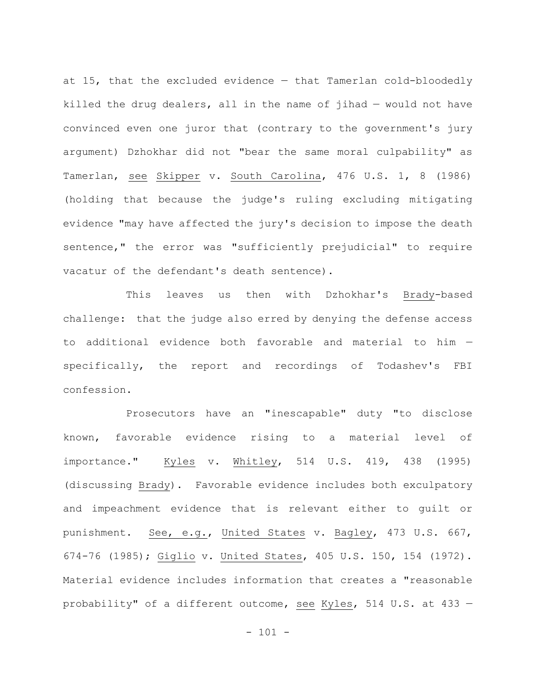at 15, that the excluded evidence — that Tamerlan cold-bloodedly killed the drug dealers, all in the name of jihad — would not have convinced even one juror that (contrary to the government's jury argument) Dzhokhar did not "bear the same moral culpability" as Tamerlan, see Skipper v. South Carolina, 476 U.S. 1, 8 (1986) (holding that because the judge's ruling excluding mitigating evidence "may have affected the jury's decision to impose the death sentence," the error was "sufficiently prejudicial" to require vacatur of the defendant's death sentence).

This leaves us then with Dzhokhar's Brady-based challenge: that the judge also erred by denying the defense access to additional evidence both favorable and material to him specifically, the report and recordings of Todashev's FBI confession.

Prosecutors have an "inescapable" duty "to disclose known, favorable evidence rising to a material level of importance." Kyles v. Whitley, 514 U.S. 419, 438 (1995) (discussing Brady). Favorable evidence includes both exculpatory and impeachment evidence that is relevant either to guilt or punishment. See, e.g., United States v. Bagley, 473 U.S. 667, 674-76 (1985); Giglio v. United States, 405 U.S. 150, 154 (1972). Material evidence includes information that creates a "reasonable probability" of a different outcome, see Kyles, 514 U.S. at 433 —

 $- 101 -$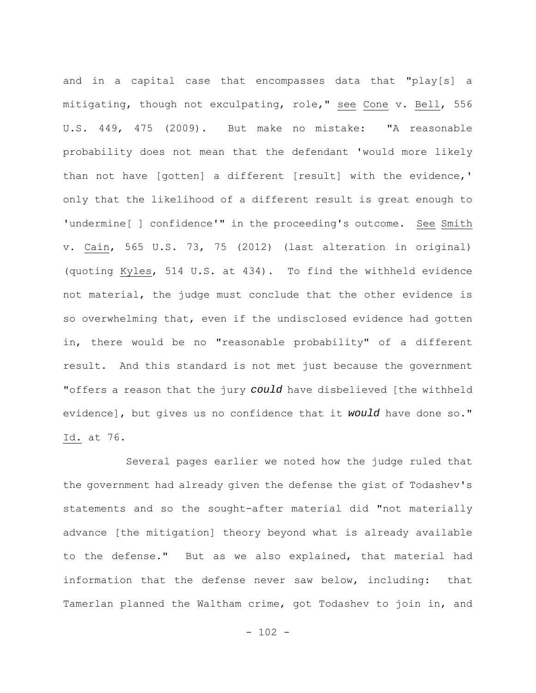and in a capital case that encompasses data that "play[s] a mitigating, though not exculpating, role," see Cone v. Bell, 556 U.S. 449, 475 (2009). But make no mistake: "A reasonable probability does not mean that the defendant 'would more likely than not have [gotten] a different [result] with the evidence,' only that the likelihood of a different result is great enough to 'undermine[ ] confidence'" in the proceeding's outcome. See Smith v. Cain, 565 U.S. 73, 75 (2012) (last alteration in original) (quoting Kyles, 514 U.S. at 434). To find the withheld evidence not material, the judge must conclude that the other evidence is so overwhelming that, even if the undisclosed evidence had gotten in, there would be no "reasonable probability" of a different result. And this standard is not met just because the government "offers a reason that the jury *could* have disbelieved [the withheld evidence], but gives us no confidence that it *would* have done so." Id. at 76.

Several pages earlier we noted how the judge ruled that the government had already given the defense the gist of Todashev's statements and so the sought-after material did "not materially advance [the mitigation] theory beyond what is already available to the defense." But as we also explained, that material had information that the defense never saw below, including: that Tamerlan planned the Waltham crime, got Todashev to join in, and

 $- 102 -$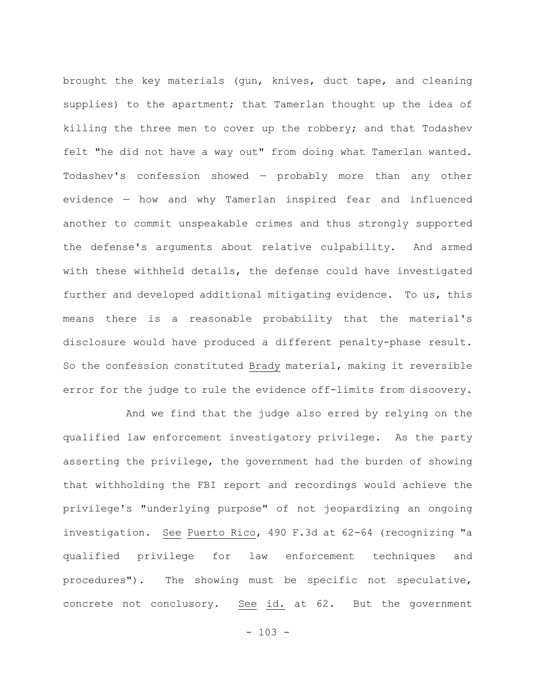brought the key materials (gun, knives, duct tape, and cleaning supplies) to the apartment; that Tamerlan thought up the idea of killing the three men to cover up the robbery; and that Todashev felt "he did not have a way out" from doing what Tamerlan wanted. Todashev's confession showed — probably more than any other evidence — how and why Tamerlan inspired fear and influenced another to commit unspeakable crimes and thus strongly supported the defense's arguments about relative culpability. And armed with these withheld details, the defense could have investigated further and developed additional mitigating evidence. To us, this means there is a reasonable probability that the material's disclosure would have produced a different penalty-phase result. So the confession constituted Brady material, making it reversible error for the judge to rule the evidence off-limits from discovery.

And we find that the judge also erred by relying on the qualified law enforcement investigatory privilege. As the party asserting the privilege, the government had the burden of showing that withholding the FBI report and recordings would achieve the privilege's "underlying purpose" of not jeopardizing an ongoing investigation. See Puerto Rico, 490 F.3d at 62-64 (recognizing "a qualified privilege for law enforcement techniques and procedures"). The showing must be specific not speculative, concrete not conclusory. See id. at 62. But the government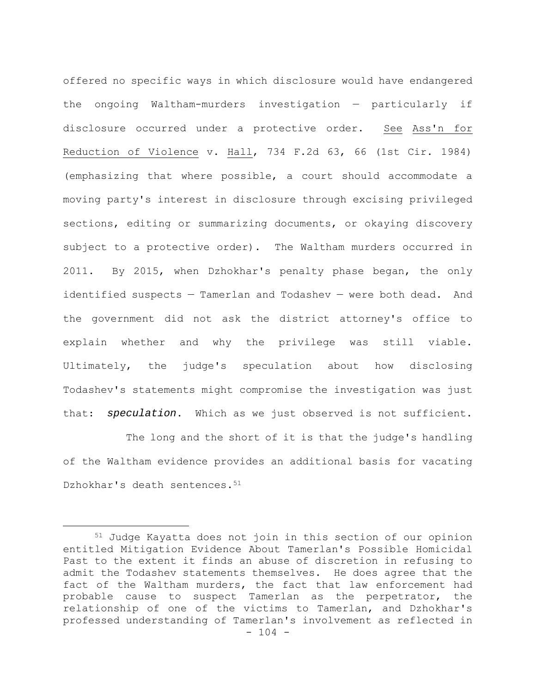offered no specific ways in which disclosure would have endangered the ongoing Waltham-murders investigation — particularly if disclosure occurred under a protective order. See Ass'n for Reduction of Violence v. Hall, 734 F.2d 63, 66 (1st Cir. 1984) (emphasizing that where possible, a court should accommodate a moving party's interest in disclosure through excising privileged sections, editing or summarizing documents, or okaying discovery subject to a protective order). The Waltham murders occurred in 2011. By 2015, when Dzhokhar's penalty phase began, the only identified suspects — Tamerlan and Todashev — were both dead. And the government did not ask the district attorney's office to explain whether and why the privilege was still viable. Ultimately, the judge's speculation about how disclosing Todashev's statements might compromise the investigation was just that: *speculation*. Which as we just observed is not sufficient.

The long and the short of it is that the judge's handling of the Waltham evidence provides an additional basis for vacating Dzhokhar's death sentences.<sup>51</sup>

 $- 104 -$ 51 Judge Kayatta does not join in this section of our opinion entitled Mitigation Evidence About Tamerlan's Possible Homicidal Past to the extent it finds an abuse of discretion in refusing to admit the Todashev statements themselves. He does agree that the fact of the Waltham murders, the fact that law enforcement had probable cause to suspect Tamerlan as the perpetrator, the relationship of one of the victims to Tamerlan, and Dzhokhar's professed understanding of Tamerlan's involvement as reflected in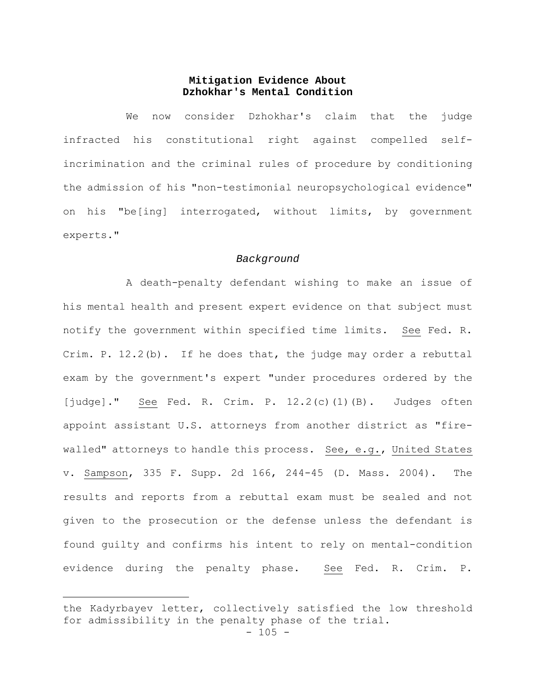# **Mitigation Evidence About Dzhokhar's Mental Condition**

We now consider Dzhokhar's claim that the judge infracted his constitutional right against compelled selfincrimination and the criminal rules of procedure by conditioning the admission of his "non-testimonial neuropsychological evidence" on his "be[ing] interrogated, without limits, by government experts."

#### *Background*

A death-penalty defendant wishing to make an issue of his mental health and present expert evidence on that subject must notify the government within specified time limits. See Fed. R. Crim. P. 12.2(b). If he does that, the judge may order a rebuttal exam by the government's expert "under procedures ordered by the [judge]." See Fed. R. Crim. P. 12.2(c)(1)(B). Judges often appoint assistant U.S. attorneys from another district as "firewalled" attorneys to handle this process. See, e.g., United States v. Sampson, 335 F. Supp. 2d 166, 244-45 (D. Mass. 2004). The results and reports from a rebuttal exam must be sealed and not given to the prosecution or the defense unless the defendant is found guilty and confirms his intent to rely on mental-condition evidence during the penalty phase. See Fed. R. Crim. P.

the Kadyrbayev letter, collectively satisfied the low threshold for admissibility in the penalty phase of the trial.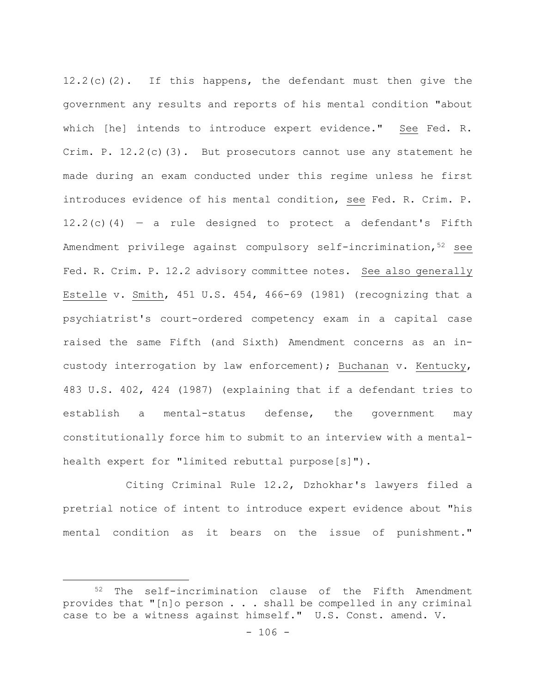12.2(c)(2). If this happens, the defendant must then give the government any results and reports of his mental condition "about which [he] intends to introduce expert evidence." See Fed. R. Crim. P.  $12.2(c)(3)$ . But prosecutors cannot use any statement he made during an exam conducted under this regime unless he first introduces evidence of his mental condition, see Fed. R. Crim. P.  $12.2(c)(4)$  – a rule designed to protect a defendant's Fifth Amendment privilege against compulsory self-incrimination, $5^2$  see Fed. R. Crim. P. 12.2 advisory committee notes. See also generally Estelle v. Smith, 451 U.S. 454, 466-69 (1981) (recognizing that a psychiatrist's court-ordered competency exam in a capital case raised the same Fifth (and Sixth) Amendment concerns as an incustody interrogation by law enforcement); Buchanan v. Kentucky, 483 U.S. 402, 424 (1987) (explaining that if a defendant tries to establish a mental-status defense, the government may constitutionally force him to submit to an interview with a mentalhealth expert for "limited rebuttal purpose[s]").

Citing Criminal Rule 12.2, Dzhokhar's lawyers filed a pretrial notice of intent to introduce expert evidence about "his mental condition as it bears on the issue of punishment."

<sup>52</sup> The self-incrimination clause of the Fifth Amendment provides that "[n]o person . . . shall be compelled in any criminal case to be a witness against himself." U.S. Const. amend. V.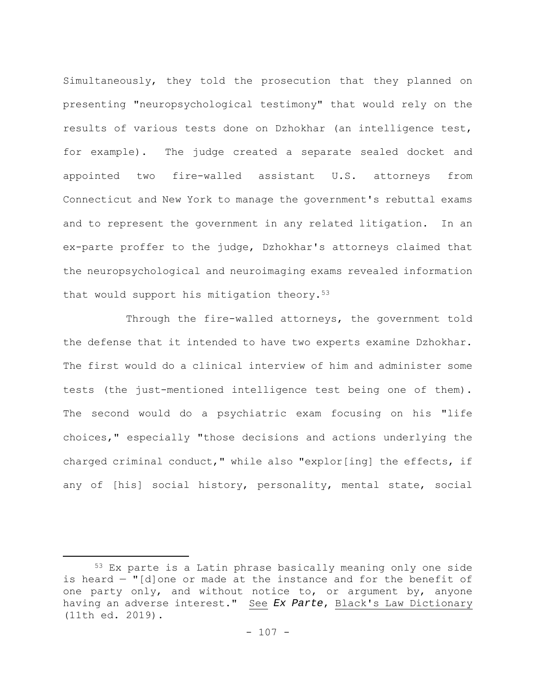Simultaneously, they told the prosecution that they planned on presenting "neuropsychological testimony" that would rely on the results of various tests done on Dzhokhar (an intelligence test, for example). The judge created a separate sealed docket and appointed two fire-walled assistant U.S. attorneys from Connecticut and New York to manage the government's rebuttal exams and to represent the government in any related litigation. In an ex-parte proffer to the judge, Dzhokhar's attorneys claimed that the neuropsychological and neuroimaging exams revealed information that would support his mitigation theory.<sup>53</sup>

Through the fire-walled attorneys, the government told the defense that it intended to have two experts examine Dzhokhar. The first would do a clinical interview of him and administer some tests (the just-mentioned intelligence test being one of them). The second would do a psychiatric exam focusing on his "life choices," especially "those decisions and actions underlying the charged criminal conduct," while also "explor[ing] the effects, if any of [his] social history, personality, mental state, social

<sup>53</sup> Ex parte is a Latin phrase basically meaning only one side is heard — "[d]one or made at the instance and for the benefit of one party only, and without notice to, or argument by, anyone having an adverse interest." See *Ex Parte*, Black's Law Dictionary (11th ed. 2019).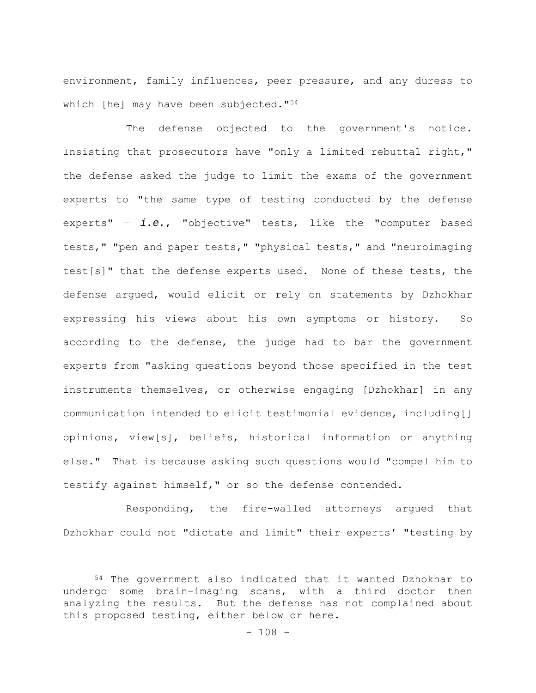environment, family influences, peer pressure, and any duress to which [he] may have been subjected."54

The defense objected to the government's notice. Insisting that prosecutors have "only a limited rebuttal right," the defense asked the judge to limit the exams of the government experts to "the same type of testing conducted by the defense experts" — *i.e.*, "objective" tests, like the "computer based tests," "pen and paper tests," "physical tests," and "neuroimaging test[s]" that the defense experts used. None of these tests, the defense argued, would elicit or rely on statements by Dzhokhar expressing his views about his own symptoms or history. So according to the defense, the judge had to bar the government experts from "asking questions beyond those specified in the test instruments themselves, or otherwise engaging [Dzhokhar] in any communication intended to elicit testimonial evidence, including[] opinions, view[s], beliefs, historical information or anything else." That is because asking such questions would "compel him to testify against himself," or so the defense contended.

Responding, the fire-walled attorneys argued that Dzhokhar could not "dictate and limit" their experts' "testing by

<sup>54</sup> The government also indicated that it wanted Dzhokhar to undergo some brain-imaging scans, with a third doctor then analyzing the results. But the defense has not complained about this proposed testing, either below or here.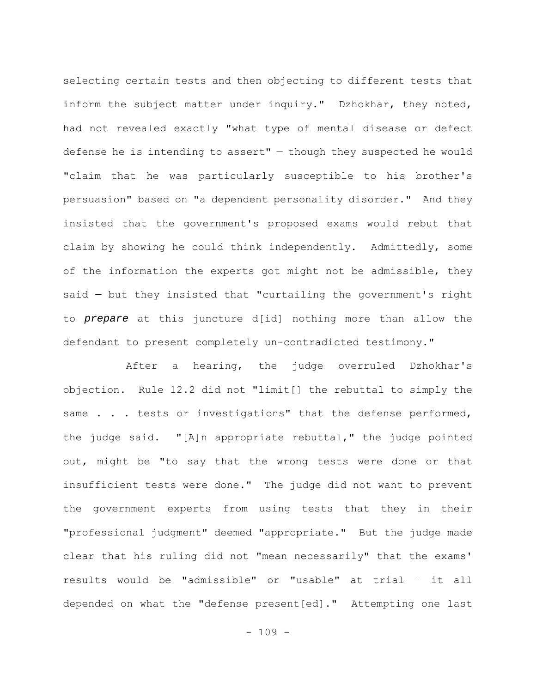selecting certain tests and then objecting to different tests that inform the subject matter under inquiry." Dzhokhar, they noted, had not revealed exactly "what type of mental disease or defect defense he is intending to assert"  $-$  though they suspected he would "claim that he was particularly susceptible to his brother's persuasion" based on "a dependent personality disorder." And they insisted that the government's proposed exams would rebut that claim by showing he could think independently. Admittedly, some of the information the experts got might not be admissible, they said — but they insisted that "curtailing the government's right to *prepare* at this juncture d[id] nothing more than allow the defendant to present completely un-contradicted testimony."

After a hearing, the judge overruled Dzhokhar's objection. Rule 12.2 did not "limit[] the rebuttal to simply the same . . . tests or investigations" that the defense performed, the judge said. "[A]n appropriate rebuttal," the judge pointed out, might be "to say that the wrong tests were done or that insufficient tests were done." The judge did not want to prevent the government experts from using tests that they in their "professional judgment" deemed "appropriate." But the judge made clear that his ruling did not "mean necessarily" that the exams' results would be "admissible" or "usable" at trial — it all depended on what the "defense present[ed]." Attempting one last

 $- 109 -$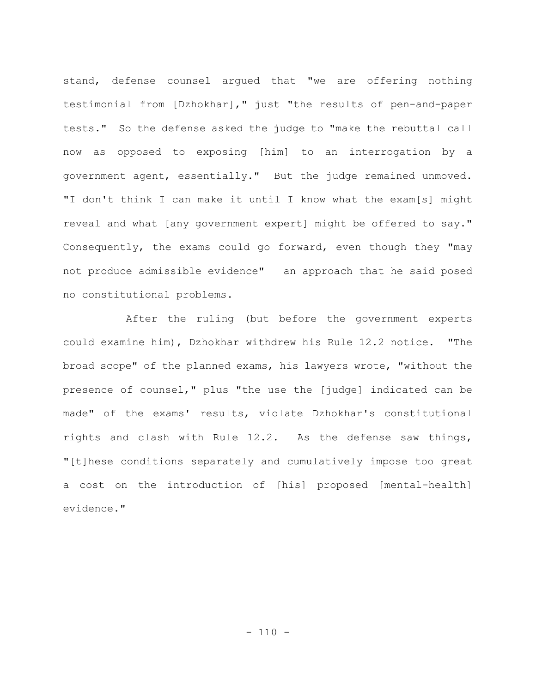stand, defense counsel argued that "we are offering nothing testimonial from [Dzhokhar]," just "the results of pen-and-paper tests." So the defense asked the judge to "make the rebuttal call now as opposed to exposing [him] to an interrogation by a government agent, essentially." But the judge remained unmoved. "I don't think I can make it until I know what the exam[s] might reveal and what [any government expert] might be offered to say." Consequently, the exams could go forward, even though they "may not produce admissible evidence"  $-$  an approach that he said posed no constitutional problems.

After the ruling (but before the government experts could examine him), Dzhokhar withdrew his Rule 12.2 notice. "The broad scope" of the planned exams, his lawyers wrote, "without the presence of counsel," plus "the use the [judge] indicated can be made" of the exams' results, violate Dzhokhar's constitutional rights and clash with Rule 12.2. As the defense saw things, "[t]hese conditions separately and cumulatively impose too great a cost on the introduction of [his] proposed [mental-health] evidence."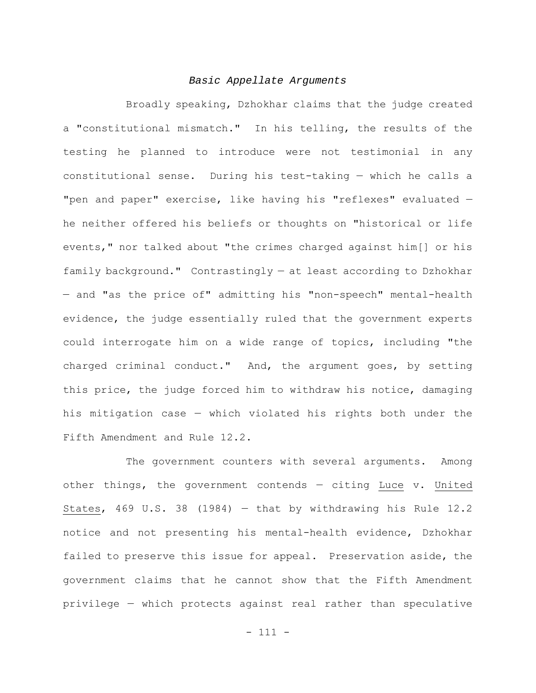#### *Basic Appellate Arguments*

Broadly speaking, Dzhokhar claims that the judge created a "constitutional mismatch." In his telling, the results of the testing he planned to introduce were not testimonial in any constitutional sense. During his test-taking — which he calls a "pen and paper" exercise, like having his "reflexes" evaluated he neither offered his beliefs or thoughts on "historical or life events," nor talked about "the crimes charged against him[] or his family background." Contrastingly — at least according to Dzhokhar — and "as the price of" admitting his "non-speech" mental-health evidence, the judge essentially ruled that the government experts could interrogate him on a wide range of topics, including "the charged criminal conduct." And, the argument goes, by setting this price, the judge forced him to withdraw his notice, damaging his mitigation case — which violated his rights both under the Fifth Amendment and Rule 12.2.

The government counters with several arguments. Among other things, the government contends — citing Luce v. United States, 469 U.S. 38 (1984) — that by withdrawing his Rule 12.2 notice and not presenting his mental-health evidence, Dzhokhar failed to preserve this issue for appeal. Preservation aside, the government claims that he cannot show that the Fifth Amendment privilege — which protects against real rather than speculative

- 111 -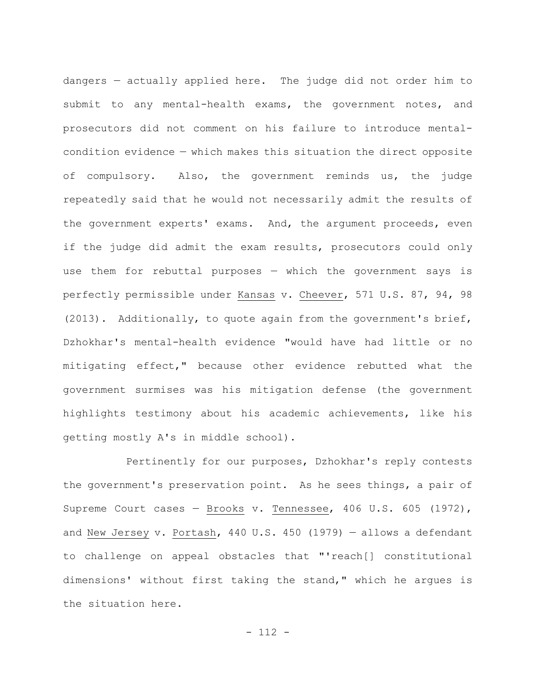dangers — actually applied here. The judge did not order him to submit to any mental-health exams, the government notes, and prosecutors did not comment on his failure to introduce mentalcondition evidence — which makes this situation the direct opposite of compulsory. Also, the government reminds us, the judge repeatedly said that he would not necessarily admit the results of the government experts' exams. And, the argument proceeds, even if the judge did admit the exam results, prosecutors could only use them for rebuttal purposes — which the government says is perfectly permissible under Kansas v. Cheever, 571 U.S. 87, 94, 98 (2013). Additionally, to quote again from the government's brief, Dzhokhar's mental-health evidence "would have had little or no mitigating effect," because other evidence rebutted what the government surmises was his mitigation defense (the government highlights testimony about his academic achievements, like his getting mostly A's in middle school).

Pertinently for our purposes, Dzhokhar's reply contests the government's preservation point. As he sees things, a pair of Supreme Court cases — Brooks v. Tennessee, 406 U.S. 605 (1972), and New Jersey v. Portash, 440 U.S. 450 (1979) — allows a defendant to challenge on appeal obstacles that "'reach[] constitutional dimensions' without first taking the stand," which he argues is the situation here.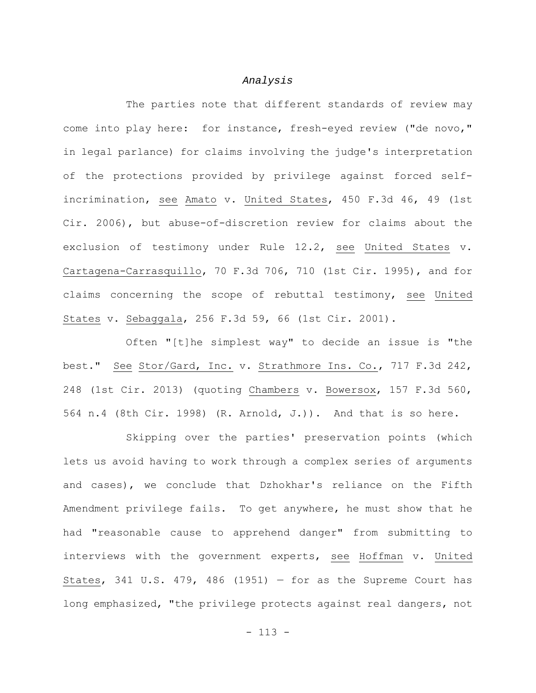#### *Analysis*

The parties note that different standards of review may come into play here: for instance, fresh-eyed review ("de novo," in legal parlance) for claims involving the judge's interpretation of the protections provided by privilege against forced selfincrimination, see Amato v. United States, 450 F.3d 46, 49 (1st Cir. 2006), but abuse-of-discretion review for claims about the exclusion of testimony under Rule 12.2, see United States v. Cartagena-Carrasquillo, 70 F.3d 706, 710 (1st Cir. 1995), and for claims concerning the scope of rebuttal testimony, see United States v. Sebaggala, 256 F.3d 59, 66 (1st Cir. 2001).

Often "[t]he simplest way" to decide an issue is "the best." See Stor/Gard, Inc. v. Strathmore Ins. Co., 717 F.3d 242, 248 (1st Cir. 2013) (quoting Chambers v. Bowersox, 157 F.3d 560, 564 n.4 (8th Cir. 1998) (R. Arnold, J.)). And that is so here.

Skipping over the parties' preservation points (which lets us avoid having to work through a complex series of arguments and cases), we conclude that Dzhokhar's reliance on the Fifth Amendment privilege fails. To get anywhere, he must show that he had "reasonable cause to apprehend danger" from submitting to interviews with the government experts, see Hoffman v. United States, 341 U.S. 479, 486 (1951)  $-$  for as the Supreme Court has long emphasized, "the privilege protects against real dangers, not

- 113 -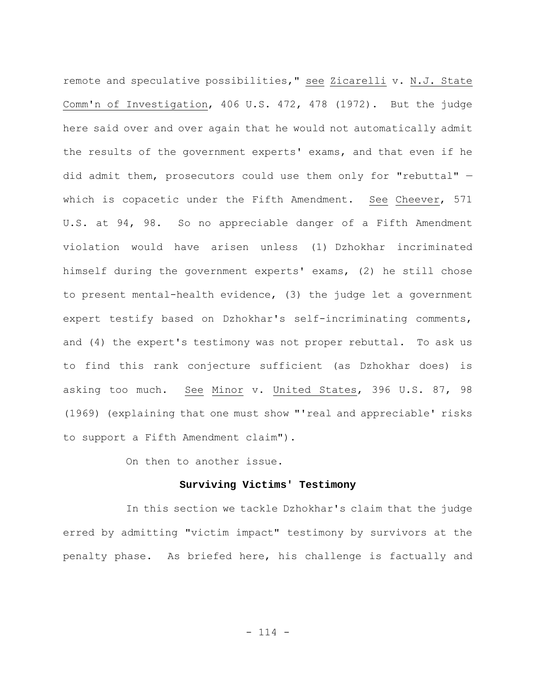remote and speculative possibilities," see Zicarelli v. N.J. State Comm'n of Investigation, 406 U.S. 472, 478 (1972). But the judge here said over and over again that he would not automatically admit the results of the government experts' exams, and that even if he did admit them, prosecutors could use them only for "rebuttal" which is copacetic under the Fifth Amendment. See Cheever, 571 U.S. at 94, 98. So no appreciable danger of a Fifth Amendment violation would have arisen unless (1) Dzhokhar incriminated himself during the government experts' exams, (2) he still chose to present mental-health evidence, (3) the judge let a government expert testify based on Dzhokhar's self-incriminating comments, and (4) the expert's testimony was not proper rebuttal. To ask us to find this rank conjecture sufficient (as Dzhokhar does) is asking too much. See Minor v. United States, 396 U.S. 87, 98 (1969) (explaining that one must show "'real and appreciable' risks to support a Fifth Amendment claim").

On then to another issue.

## **Surviving Victims' Testimony**

In this section we tackle Dzhokhar's claim that the judge erred by admitting "victim impact" testimony by survivors at the penalty phase. As briefed here, his challenge is factually and

- 114 -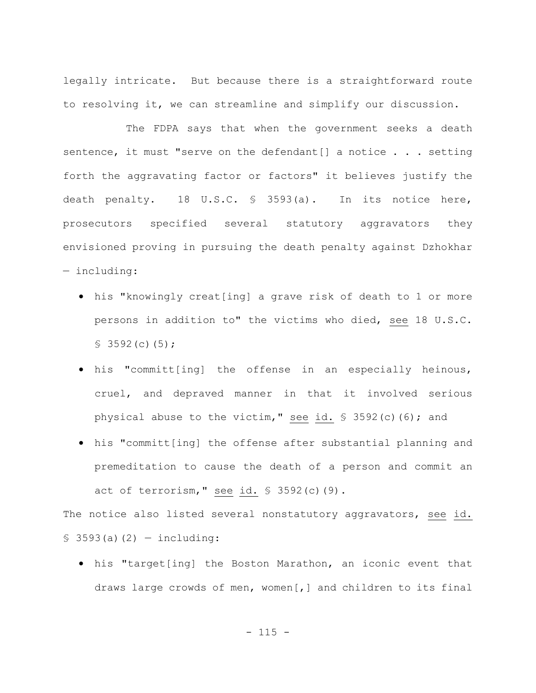legally intricate. But because there is a straightforward route to resolving it, we can streamline and simplify our discussion.

The FDPA says that when the government seeks a death sentence, it must "serve on the defendant[] a notice . . . setting forth the aggravating factor or factors" it believes justify the death penalty. 18 U.S.C. § 3593(a). In its notice here, prosecutors specified several statutory aggravators they envisioned proving in pursuing the death penalty against Dzhokhar — including:

- his "knowingly creat[ing] a grave risk of death to 1 or more persons in addition to" the victims who died, see 18 U.S.C.  $$3592(c)(5);$
- his "committ[ing] the offense in an especially heinous, cruel, and depraved manner in that it involved serious physical abuse to the victim," see id. § 3592(c)(6); and
- his "committ[ing] the offense after substantial planning and premeditation to cause the death of a person and commit an act of terrorism," see id. § 3592(c)(9).

The notice also listed several nonstatutory aggravators, see id.  $$3593(a)(2) - including:$ 

 his "target[ing] the Boston Marathon, an iconic event that draws large crowds of men, women[,] and children to its final

 $- 115 -$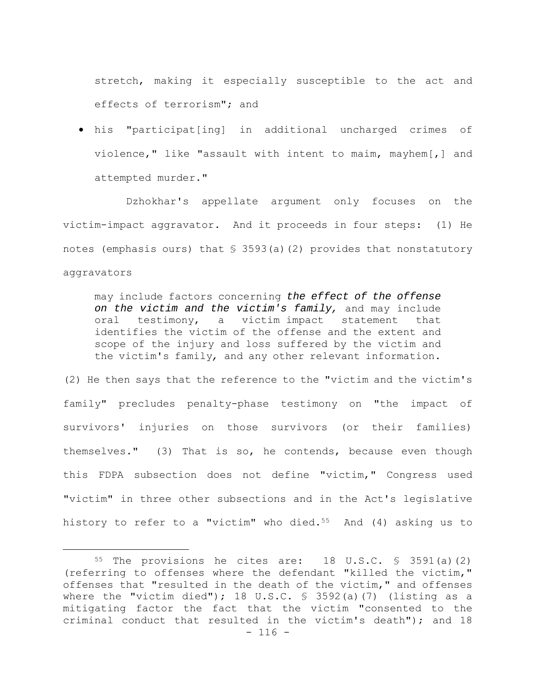stretch, making it especially susceptible to the act and effects of terrorism"; and

 his "participat[ing] in additional uncharged crimes of violence," like "assault with intent to maim, mayhem[,] and attempted murder."

Dzhokhar's appellate argument only focuses on the victim-impact aggravator. And it proceeds in four steps: (1) He notes (emphasis ours) that  $\frac{1}{5}$  3593(a)(2) provides that nonstatutory aggravators

may include factors concerning *the effect of the offense on the victim and the victim's family,* and may include oral testimony, a victim impact statement that identifies the victim of the offense and the extent and scope of the injury and loss suffered by the victim and the victim's family*,* and any other relevant information.

(2) He then says that the reference to the "victim and the victim's family" precludes penalty-phase testimony on "the impact of survivors' injuries on those survivors (or their families) themselves." (3) That is so, he contends, because even though this FDPA subsection does not define "victim," Congress used "victim" in three other subsections and in the Act's legislative history to refer to a "victim" who died.<sup>55</sup> And  $(4)$  asking us to

 $- 116 -$ 55 The provisions he cites are: 18 U.S.C. § 3591(a)(2) (referring to offenses where the defendant "killed the victim," offenses that "resulted in the death of the victim," and offenses where the "victim died"); 18 U.S.C. § 3592(a)(7) (listing as a mitigating factor the fact that the victim "consented to the criminal conduct that resulted in the victim's death"); and 18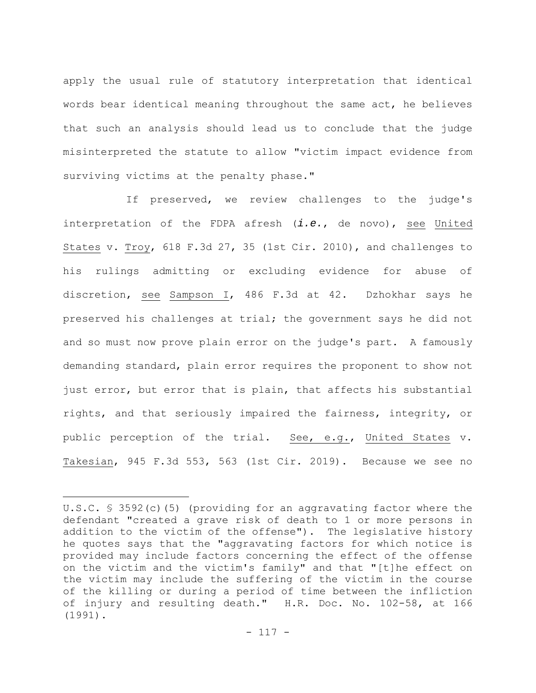apply the usual rule of statutory interpretation that identical words bear identical meaning throughout the same act, he believes that such an analysis should lead us to conclude that the judge misinterpreted the statute to allow "victim impact evidence from surviving victims at the penalty phase."

If preserved, we review challenges to the judge's interpretation of the FDPA afresh (*i.e.*, de novo), see United States v. Troy, 618 F.3d 27, 35 (1st Cir. 2010), and challenges to his rulings admitting or excluding evidence for abuse of discretion, see Sampson I, 486 F.3d at 42. Dzhokhar says he preserved his challenges at trial; the government says he did not and so must now prove plain error on the judge's part. A famously demanding standard, plain error requires the proponent to show not just error, but error that is plain, that affects his substantial rights, and that seriously impaired the fairness, integrity, or public perception of the trial. See, e.g., United States v. Takesian, 945 F.3d 553, 563 (1st Cir. 2019). Because we see no

U.S.C. § 3592(c)(5) (providing for an aggravating factor where the defendant "created a grave risk of death to 1 or more persons in addition to the victim of the offense"). The legislative history he quotes says that the "aggravating factors for which notice is provided may include factors concerning the effect of the offense on the victim and the victim's family" and that "[t]he effect on the victim may include the suffering of the victim in the course of the killing or during a period of time between the infliction of injury and resulting death." H.R. Doc. No. 102-58, at 166 (1991).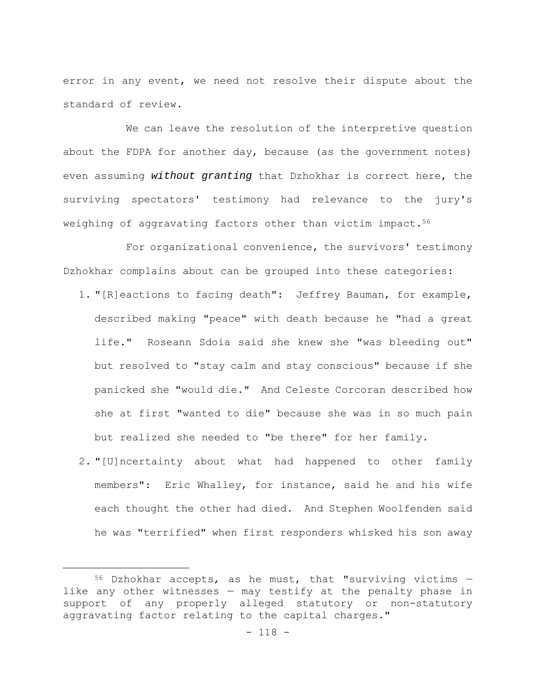error in any event, we need not resolve their dispute about the standard of review.

We can leave the resolution of the interpretive question about the FDPA for another day, because (as the government notes) even assuming *without granting* that Dzhokhar is correct here, the surviving spectators' testimony had relevance to the jury's weighing of aggravating factors other than victim impact.<sup>56</sup>

For organizational convenience, the survivors' testimony Dzhokhar complains about can be grouped into these categories:

- 1. "[R]eactions to facing death": Jeffrey Bauman, for example, described making "peace" with death because he "had a great life." Roseann Sdoia said she knew she "was bleeding out" but resolved to "stay calm and stay conscious" because if she panicked she "would die." And Celeste Corcoran described how she at first "wanted to die" because she was in so much pain but realized she needed to "be there" for her family.
- 2. "[U]ncertainty about what had happened to other family members": Eric Whalley, for instance, said he and his wife each thought the other had died. And Stephen Woolfenden said he was "terrified" when first responders whisked his son away

 $56$  Dzhokhar accepts, as he must, that "surviving victims  $$ like any other witnesses — may testify at the penalty phase in support of any properly alleged statutory or non-statutory aggravating factor relating to the capital charges."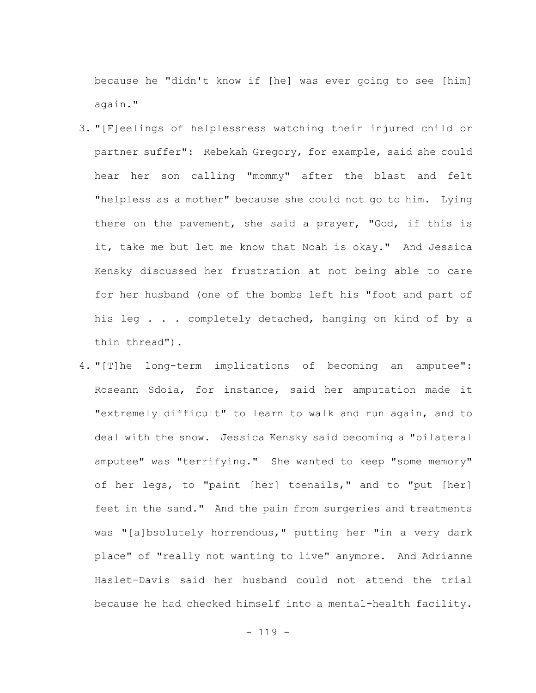because he "didn't know if [he] was ever going to see [him] again."

- 3. "[F]eelings of helplessness watching their injured child or partner suffer": Rebekah Gregory, for example, said she could hear her son calling "mommy" after the blast and felt "helpless as a mother" because she could not go to him. Lying there on the pavement, she said a prayer, "God, if this is it, take me but let me know that Noah is okay." And Jessica Kensky discussed her frustration at not being able to care for her husband (one of the bombs left his "foot and part of his leg . . . completely detached, hanging on kind of by a thin thread").
- 4. "[T]he long-term implications of becoming an amputee": Roseann Sdoia, for instance, said her amputation made it "extremely difficult" to learn to walk and run again, and to deal with the snow. Jessica Kensky said becoming a "bilateral amputee" was "terrifying." She wanted to keep "some memory" of her legs, to "paint [her] toenails," and to "put [her] feet in the sand." And the pain from surgeries and treatments was "[a]bsolutely horrendous," putting her "in a very dark place" of "really not wanting to live" anymore. And Adrianne Haslet-Davis said her husband could not attend the trial because he had checked himself into a mental-health facility.

- 119 -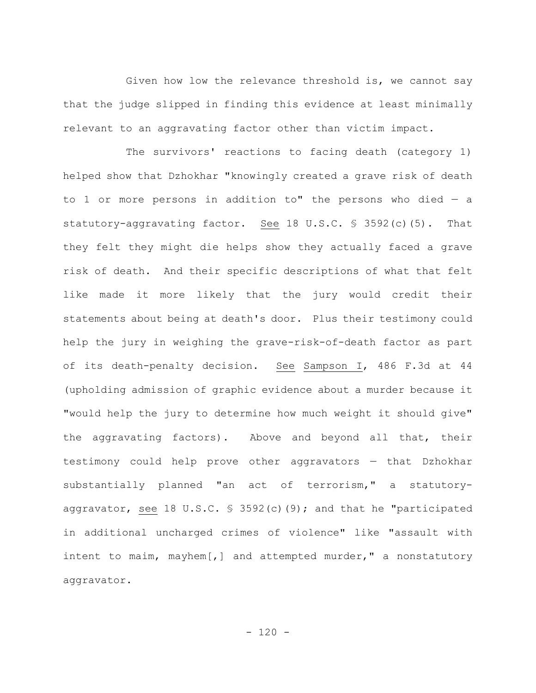Given how low the relevance threshold is, we cannot say that the judge slipped in finding this evidence at least minimally relevant to an aggravating factor other than victim impact.

The survivors' reactions to facing death (category 1) helped show that Dzhokhar "knowingly created a grave risk of death to 1 or more persons in addition to" the persons who died  $-$  a statutory-aggravating factor. See 18 U.S.C. § 3592(c)(5). That they felt they might die helps show they actually faced a grave risk of death. And their specific descriptions of what that felt like made it more likely that the jury would credit their statements about being at death's door. Plus their testimony could help the jury in weighing the grave-risk-of-death factor as part of its death-penalty decision. See Sampson I, 486 F.3d at 44 (upholding admission of graphic evidence about a murder because it "would help the jury to determine how much weight it should give" the aggravating factors). Above and beyond all that, their testimony could help prove other aggravators — that Dzhokhar substantially planned "an act of terrorism," a statutoryaggravator, see 18 U.S.C. § 3592(c)(9); and that he "participated in additional uncharged crimes of violence" like "assault with intent to maim, mayhem[,] and attempted murder," a nonstatutory aggravator.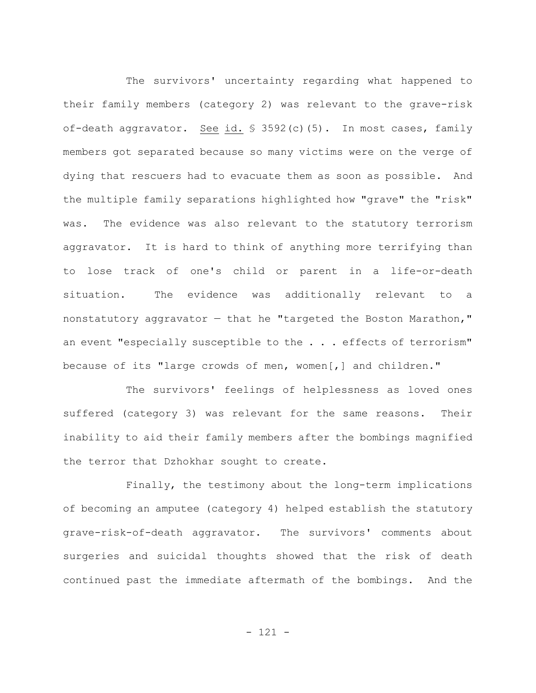The survivors' uncertainty regarding what happened to their family members (category 2) was relevant to the grave-risk of-death aggravator. See id. § 3592(c)(5). In most cases, family members got separated because so many victims were on the verge of dying that rescuers had to evacuate them as soon as possible. And the multiple family separations highlighted how "grave" the "risk" was. The evidence was also relevant to the statutory terrorism aggravator. It is hard to think of anything more terrifying than to lose track of one's child or parent in a life-or-death situation. The evidence was additionally relevant to a nonstatutory aggravator — that he "targeted the Boston Marathon," an event "especially susceptible to the . . . effects of terrorism" because of its "large crowds of men, women[,] and children."

The survivors' feelings of helplessness as loved ones suffered (category 3) was relevant for the same reasons. Their inability to aid their family members after the bombings magnified the terror that Dzhokhar sought to create.

Finally, the testimony about the long-term implications of becoming an amputee (category 4) helped establish the statutory grave-risk-of-death aggravator. The survivors' comments about surgeries and suicidal thoughts showed that the risk of death continued past the immediate aftermath of the bombings. And the

- 121 -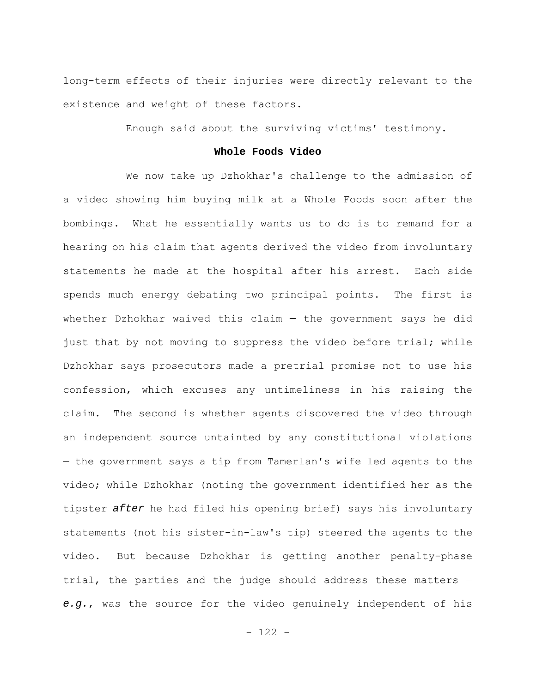long-term effects of their injuries were directly relevant to the existence and weight of these factors.

Enough said about the surviving victims' testimony.

### **Whole Foods Video**

We now take up Dzhokhar's challenge to the admission of a video showing him buying milk at a Whole Foods soon after the bombings. What he essentially wants us to do is to remand for a hearing on his claim that agents derived the video from involuntary statements he made at the hospital after his arrest. Each side spends much energy debating two principal points. The first is whether Dzhokhar waived this claim  $-$  the government says he did just that by not moving to suppress the video before trial; while Dzhokhar says prosecutors made a pretrial promise not to use his confession, which excuses any untimeliness in his raising the claim. The second is whether agents discovered the video through an independent source untainted by any constitutional violations — the government says a tip from Tamerlan's wife led agents to the video; while Dzhokhar (noting the government identified her as the tipster *after* he had filed his opening brief) says his involuntary statements (not his sister-in-law's tip) steered the agents to the video. But because Dzhokhar is getting another penalty-phase trial, the parties and the judge should address these matters *e.g.*, was the source for the video genuinely independent of his

- 122 -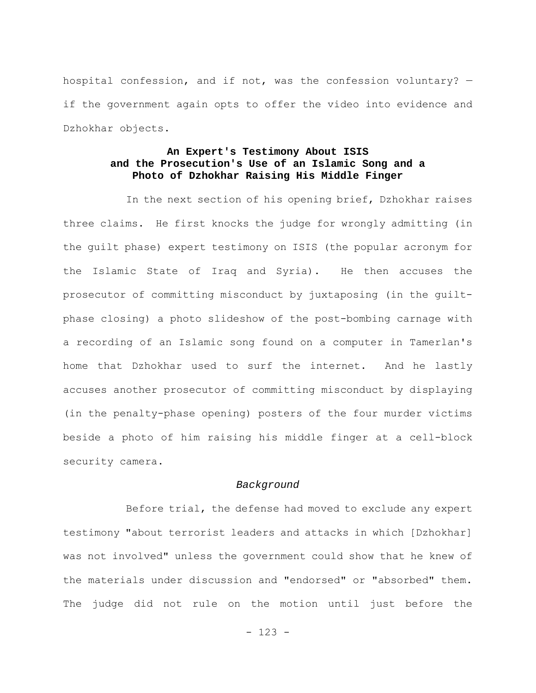hospital confession, and if not, was the confession voluntary? if the government again opts to offer the video into evidence and Dzhokhar objects.

### **An Expert's Testimony About ISIS and the Prosecution's Use of an Islamic Song and a Photo of Dzhokhar Raising His Middle Finger**

In the next section of his opening brief, Dzhokhar raises three claims. He first knocks the judge for wrongly admitting (in the guilt phase) expert testimony on ISIS (the popular acronym for the Islamic State of Iraq and Syria). He then accuses the prosecutor of committing misconduct by juxtaposing (in the guiltphase closing) a photo slideshow of the post-bombing carnage with a recording of an Islamic song found on a computer in Tamerlan's home that Dzhokhar used to surf the internet. And he lastly accuses another prosecutor of committing misconduct by displaying (in the penalty-phase opening) posters of the four murder victims beside a photo of him raising his middle finger at a cell-block security camera.

#### *Background*

Before trial, the defense had moved to exclude any expert testimony "about terrorist leaders and attacks in which [Dzhokhar] was not involved" unless the government could show that he knew of the materials under discussion and "endorsed" or "absorbed" them. The judge did not rule on the motion until just before the

- 123 -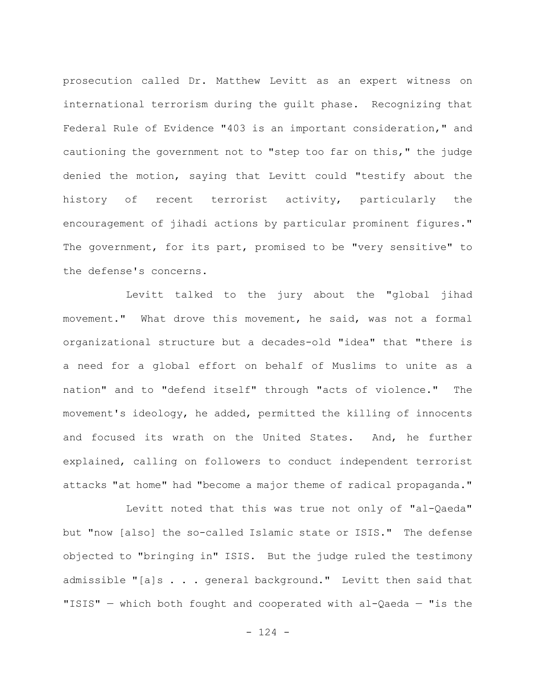prosecution called Dr. Matthew Levitt as an expert witness on international terrorism during the guilt phase. Recognizing that Federal Rule of Evidence "403 is an important consideration," and cautioning the government not to "step too far on this," the judge denied the motion, saying that Levitt could "testify about the history of recent terrorist activity, particularly the encouragement of jihadi actions by particular prominent figures." The government, for its part, promised to be "very sensitive" to the defense's concerns.

Levitt talked to the jury about the "global jihad movement." What drove this movement, he said, was not a formal organizational structure but a decades-old "idea" that "there is a need for a global effort on behalf of Muslims to unite as a nation" and to "defend itself" through "acts of violence." The movement's ideology, he added, permitted the killing of innocents and focused its wrath on the United States. And, he further explained, calling on followers to conduct independent terrorist attacks "at home" had "become a major theme of radical propaganda."

Levitt noted that this was true not only of "al-Qaeda" but "now [also] the so-called Islamic state or ISIS." The defense objected to "bringing in" ISIS. But the judge ruled the testimony admissible "[a]s . . . general background." Levitt then said that "ISIS" — which both fought and cooperated with al-Qaeda — "is the

 $- 124 -$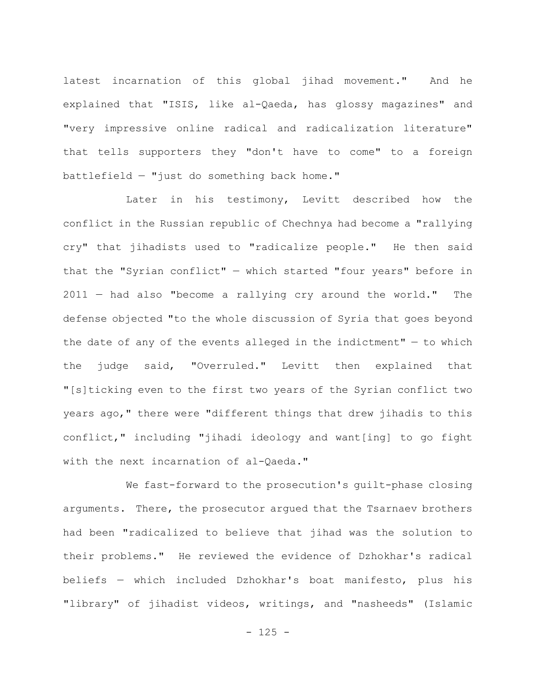latest incarnation of this global jihad movement." And he explained that "ISIS, like al-Qaeda, has glossy magazines" and "very impressive online radical and radicalization literature" that tells supporters they "don't have to come" to a foreign battlefield — "just do something back home."

Later in his testimony, Levitt described how the conflict in the Russian republic of Chechnya had become a "rallying cry" that jihadists used to "radicalize people." He then said that the "Syrian conflict" — which started "four years" before in 2011 — had also "become a rallying cry around the world." The defense objected "to the whole discussion of Syria that goes beyond the date of any of the events alleged in the indictment"  $-$  to which the judge said, "Overruled." Levitt then explained that "[s]ticking even to the first two years of the Syrian conflict two years ago," there were "different things that drew jihadis to this conflict," including "jihadi ideology and want[ing] to go fight with the next incarnation of al-Qaeda."

We fast-forward to the prosecution's guilt-phase closing arguments. There, the prosecutor argued that the Tsarnaev brothers had been "radicalized to believe that jihad was the solution to their problems." He reviewed the evidence of Dzhokhar's radical beliefs — which included Dzhokhar's boat manifesto, plus his "library" of jihadist videos, writings, and "nasheeds" (Islamic

 $- 125 -$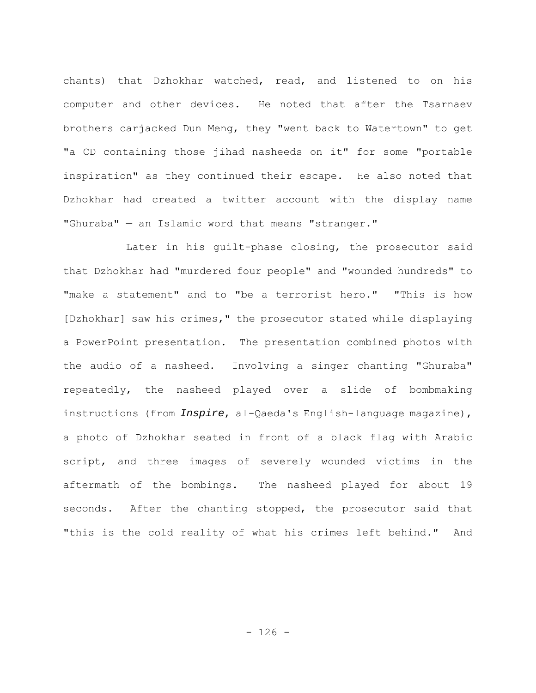chants) that Dzhokhar watched, read, and listened to on his computer and other devices. He noted that after the Tsarnaev brothers carjacked Dun Meng, they "went back to Watertown" to get "a CD containing those jihad nasheeds on it" for some "portable inspiration" as they continued their escape. He also noted that Dzhokhar had created a twitter account with the display name "Ghuraba" — an Islamic word that means "stranger."

Later in his guilt-phase closing, the prosecutor said that Dzhokhar had "murdered four people" and "wounded hundreds" to "make a statement" and to "be a terrorist hero." "This is how [Dzhokhar] saw his crimes," the prosecutor stated while displaying a PowerPoint presentation. The presentation combined photos with the audio of a nasheed. Involving a singer chanting "Ghuraba" repeatedly, the nasheed played over a slide of bombmaking instructions (from *Inspire*, al-Qaeda's English-language magazine), a photo of Dzhokhar seated in front of a black flag with Arabic script, and three images of severely wounded victims in the aftermath of the bombings. The nasheed played for about 19 seconds. After the chanting stopped, the prosecutor said that "this is the cold reality of what his crimes left behind." And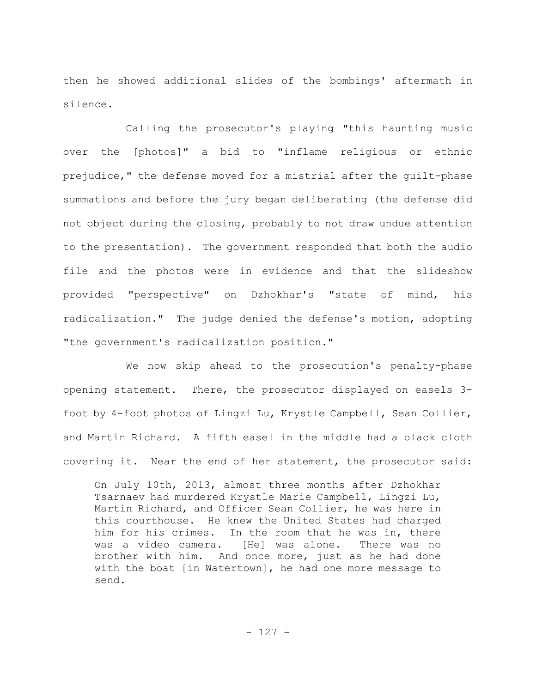then he showed additional slides of the bombings' aftermath in silence.

Calling the prosecutor's playing "this haunting music over the [photos]" a bid to "inflame religious or ethnic prejudice," the defense moved for a mistrial after the guilt-phase summations and before the jury began deliberating (the defense did not object during the closing, probably to not draw undue attention to the presentation). The government responded that both the audio file and the photos were in evidence and that the slideshow provided "perspective" on Dzhokhar's "state of mind, his radicalization." The judge denied the defense's motion, adopting "the government's radicalization position."

We now skip ahead to the prosecution's penalty-phase opening statement. There, the prosecutor displayed on easels 3 foot by 4-foot photos of Lingzi Lu, Krystle Campbell, Sean Collier, and Martin Richard. A fifth easel in the middle had a black cloth covering it. Near the end of her statement, the prosecutor said:

On July 10th, 2013, almost three months after Dzhokhar Tsarnaev had murdered Krystle Marie Campbell, Lingzi Lu, Martin Richard, and Officer Sean Collier, he was here in this courthouse. He knew the United States had charged him for his crimes. In the room that he was in, there was a video camera. [He] was alone. There was no brother with him. And once more, just as he had done with the boat [in Watertown], he had one more message to send.

- 127 -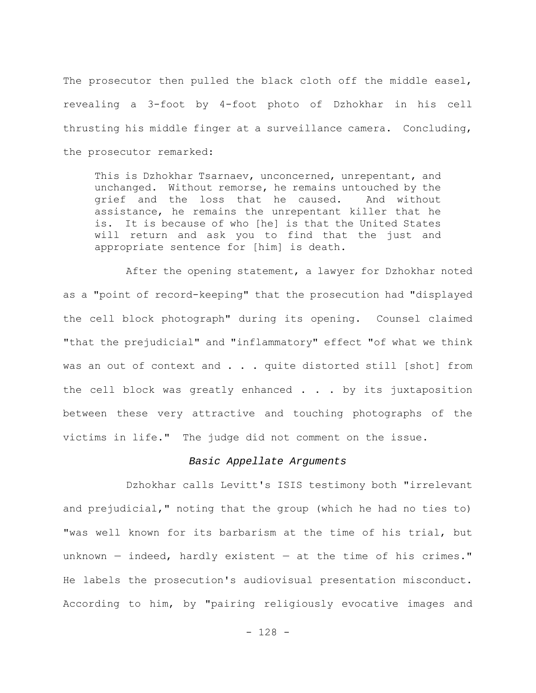The prosecutor then pulled the black cloth off the middle easel, revealing a 3-foot by 4-foot photo of Dzhokhar in his cell thrusting his middle finger at a surveillance camera. Concluding, the prosecutor remarked:

This is Dzhokhar Tsarnaev, unconcerned, unrepentant, and unchanged. Without remorse, he remains untouched by the grief and the loss that he caused. And without assistance, he remains the unrepentant killer that he is. It is because of who [he] is that the United States will return and ask you to find that the just and appropriate sentence for [him] is death.

After the opening statement, a lawyer for Dzhokhar noted as a "point of record-keeping" that the prosecution had "displayed the cell block photograph" during its opening. Counsel claimed "that the prejudicial" and "inflammatory" effect "of what we think was an out of context and . . . quite distorted still [shot] from the cell block was greatly enhanced . . . by its juxtaposition between these very attractive and touching photographs of the victims in life." The judge did not comment on the issue.

#### *Basic Appellate Arguments*

Dzhokhar calls Levitt's ISIS testimony both "irrelevant and prejudicial," noting that the group (which he had no ties to) "was well known for its barbarism at the time of his trial, but unknown — indeed, hardly existent — at the time of his crimes." He labels the prosecution's audiovisual presentation misconduct. According to him, by "pairing religiously evocative images and

- 128 -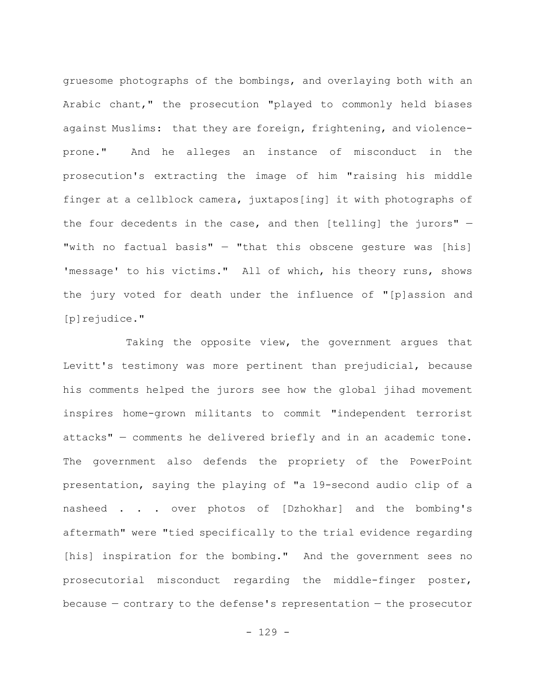gruesome photographs of the bombings, and overlaying both with an Arabic chant," the prosecution "played to commonly held biases against Muslims: that they are foreign, frightening, and violenceprone." And he alleges an instance of misconduct in the prosecution's extracting the image of him "raising his middle finger at a cellblock camera, juxtapos[ing] it with photographs of the four decedents in the case, and then [telling] the jurors" — "with no factual basis" — "that this obscene gesture was [his] 'message' to his victims." All of which, his theory runs, shows the jury voted for death under the influence of "[p]assion and [p]rejudice."

Taking the opposite view, the government argues that Levitt's testimony was more pertinent than prejudicial, because his comments helped the jurors see how the global jihad movement inspires home-grown militants to commit "independent terrorist attacks" — comments he delivered briefly and in an academic tone. The government also defends the propriety of the PowerPoint presentation, saying the playing of "a 19-second audio clip of a nasheed . . . over photos of [Dzhokhar] and the bombing's aftermath" were "tied specifically to the trial evidence regarding [his] inspiration for the bombing." And the government sees no prosecutorial misconduct regarding the middle-finger poster,  $b$ ecause  $-$  contrary to the defense's representation  $-$  the prosecutor

- 129 -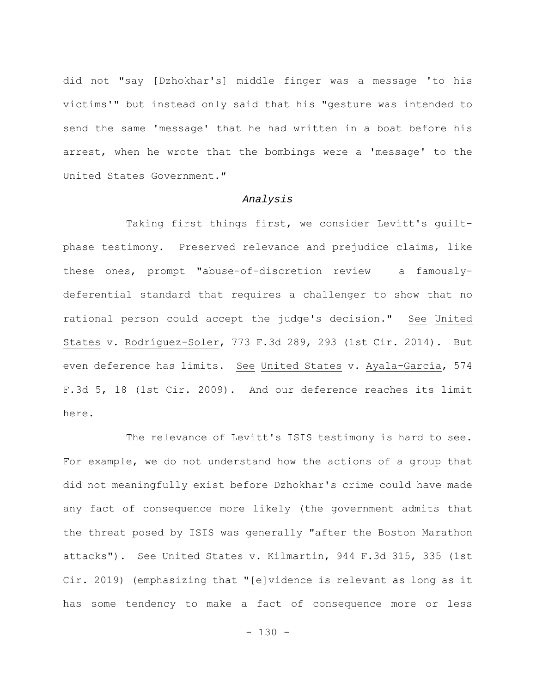did not "say [Dzhokhar's] middle finger was a message 'to his victims'" but instead only said that his "gesture was intended to send the same 'message' that he had written in a boat before his arrest, when he wrote that the bombings were a 'message' to the United States Government."

#### *Analysis*

Taking first things first, we consider Levitt's guiltphase testimony. Preserved relevance and prejudice claims, like these ones, prompt "abuse-of-discretion review — a famouslydeferential standard that requires a challenger to show that no rational person could accept the judge's decision." See United States v. Rodríguez-Soler, 773 F.3d 289, 293 (1st Cir. 2014). But even deference has limits. See United States v. Ayala-García, 574 F.3d 5, 18 (1st Cir. 2009). And our deference reaches its limit here.

The relevance of Levitt's ISIS testimony is hard to see. For example, we do not understand how the actions of a group that did not meaningfully exist before Dzhokhar's crime could have made any fact of consequence more likely (the government admits that the threat posed by ISIS was generally "after the Boston Marathon attacks"). See United States v. Kilmartin, 944 F.3d 315, 335 (1st Cir. 2019) (emphasizing that "[e]vidence is relevant as long as it has some tendency to make a fact of consequence more or less

 $- 130 -$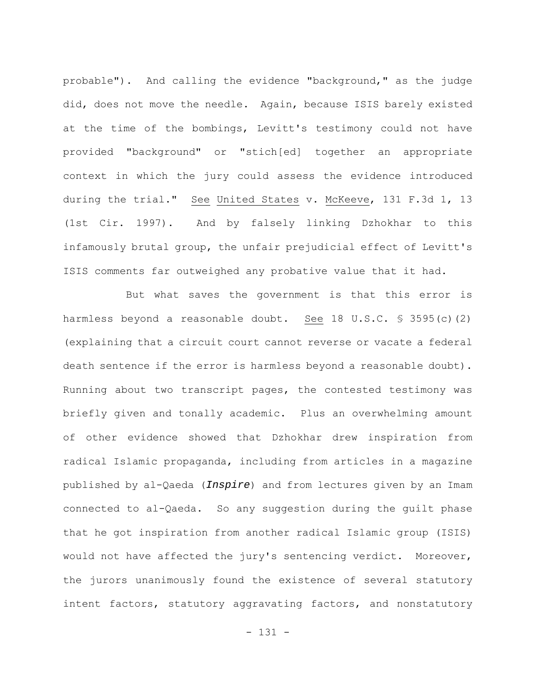probable"). And calling the evidence "background," as the judge did, does not move the needle. Again, because ISIS barely existed at the time of the bombings, Levitt's testimony could not have provided "background" or "stich[ed] together an appropriate context in which the jury could assess the evidence introduced during the trial." See United States v. McKeeve, 131 F.3d 1, 13 (1st Cir. 1997). And by falsely linking Dzhokhar to this infamously brutal group, the unfair prejudicial effect of Levitt's ISIS comments far outweighed any probative value that it had.

But what saves the government is that this error is harmless beyond a reasonable doubt. See 18 U.S.C. § 3595(c)(2) (explaining that a circuit court cannot reverse or vacate a federal death sentence if the error is harmless beyond a reasonable doubt). Running about two transcript pages, the contested testimony was briefly given and tonally academic. Plus an overwhelming amount of other evidence showed that Dzhokhar drew inspiration from radical Islamic propaganda, including from articles in a magazine published by al-Qaeda (*Inspire*) and from lectures given by an Imam connected to al-Qaeda. So any suggestion during the guilt phase that he got inspiration from another radical Islamic group (ISIS) would not have affected the jury's sentencing verdict. Moreover, the jurors unanimously found the existence of several statutory intent factors, statutory aggravating factors, and nonstatutory

- 131 -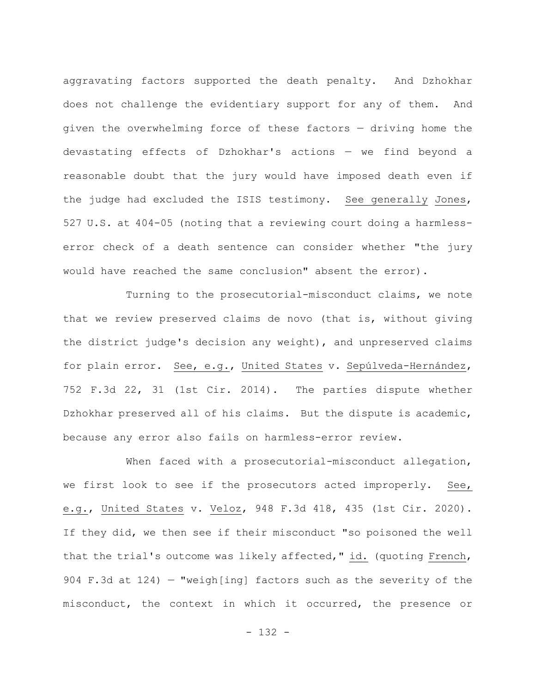aggravating factors supported the death penalty. And Dzhokhar does not challenge the evidentiary support for any of them. And given the overwhelming force of these factors — driving home the devastating effects of Dzhokhar's actions — we find beyond a reasonable doubt that the jury would have imposed death even if the judge had excluded the ISIS testimony. See generally Jones, 527 U.S. at 404-05 (noting that a reviewing court doing a harmlesserror check of a death sentence can consider whether "the jury would have reached the same conclusion" absent the error).

Turning to the prosecutorial-misconduct claims, we note that we review preserved claims de novo (that is, without giving the district judge's decision any weight), and unpreserved claims for plain error. See, e.g., United States v. Sepúlveda-Hernández, 752 F.3d 22, 31 (1st Cir. 2014). The parties dispute whether Dzhokhar preserved all of his claims. But the dispute is academic, because any error also fails on harmless-error review.

When faced with a prosecutorial-misconduct allegation, we first look to see if the prosecutors acted improperly. See, e.g., United States v. Veloz, 948 F.3d 418, 435 (1st Cir. 2020). If they did, we then see if their misconduct "so poisoned the well that the trial's outcome was likely affected," id. (quoting French, 904 F.3d at 124) — "weigh[ing] factors such as the severity of the misconduct, the context in which it occurred, the presence or

- 132 -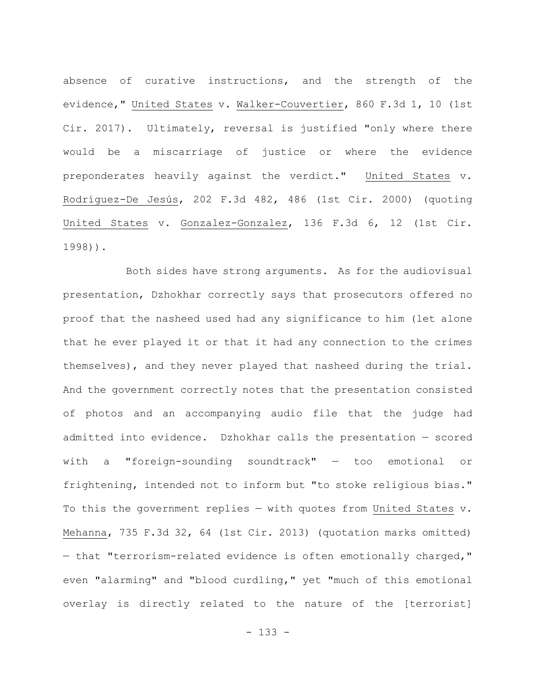absence of curative instructions, and the strength of the evidence," United States v. Walker-Couvertier, 860 F.3d 1, 10 (1st Cir. 2017). Ultimately, reversal is justified "only where there would be a miscarriage of justice or where the evidence preponderates heavily against the verdict." United States v. Rodríguez-De Jesús, 202 F.3d 482, 486 (1st Cir. 2000) (quoting United States v. Gonzalez-Gonzalez, 136 F.3d 6, 12 (1st Cir. 1998)).

Both sides have strong arguments. As for the audiovisual presentation, Dzhokhar correctly says that prosecutors offered no proof that the nasheed used had any significance to him (let alone that he ever played it or that it had any connection to the crimes themselves), and they never played that nasheed during the trial. And the government correctly notes that the presentation consisted of photos and an accompanying audio file that the judge had admitted into evidence. Dzhokhar calls the presentation — scored with a "foreign-sounding soundtrack" — too emotional or frightening, intended not to inform but "to stoke religious bias." To this the government replies — with quotes from United States v. Mehanna, 735 F.3d 32, 64 (1st Cir. 2013) (quotation marks omitted) — that "terrorism-related evidence is often emotionally charged," even "alarming" and "blood curdling," yet "much of this emotional overlay is directly related to the nature of the [terrorist]

- 133 -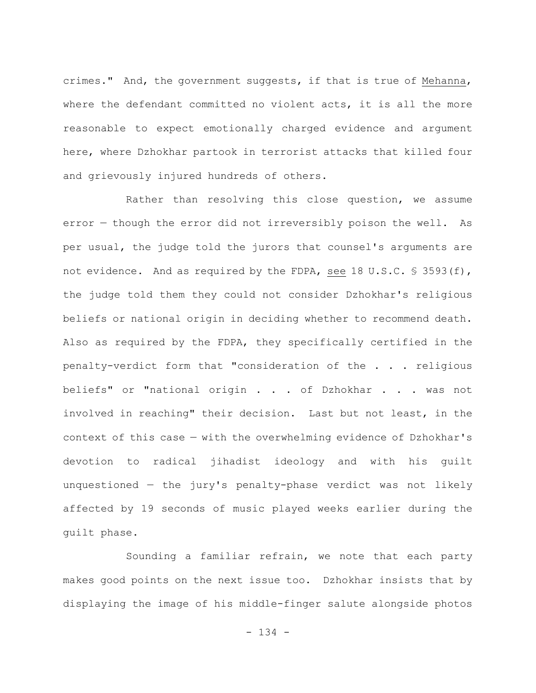crimes." And, the government suggests, if that is true of Mehanna, where the defendant committed no violent acts, it is all the more reasonable to expect emotionally charged evidence and argument here, where Dzhokhar partook in terrorist attacks that killed four and grievously injured hundreds of others.

Rather than resolving this close question, we assume error — though the error did not irreversibly poison the well. As per usual, the judge told the jurors that counsel's arguments are not evidence. And as required by the FDPA, see 18 U.S.C. § 3593(f), the judge told them they could not consider Dzhokhar's religious beliefs or national origin in deciding whether to recommend death. Also as required by the FDPA, they specifically certified in the penalty-verdict form that "consideration of the . . . religious beliefs" or "national origin . . . of Dzhokhar . . . was not involved in reaching" their decision. Last but not least, in the context of this case — with the overwhelming evidence of Dzhokhar's devotion to radical jihadist ideology and with his guilt unquestioned — the jury's penalty-phase verdict was not likely affected by 19 seconds of music played weeks earlier during the guilt phase.

Sounding a familiar refrain, we note that each party makes good points on the next issue too. Dzhokhar insists that by displaying the image of his middle-finger salute alongside photos

- 134 -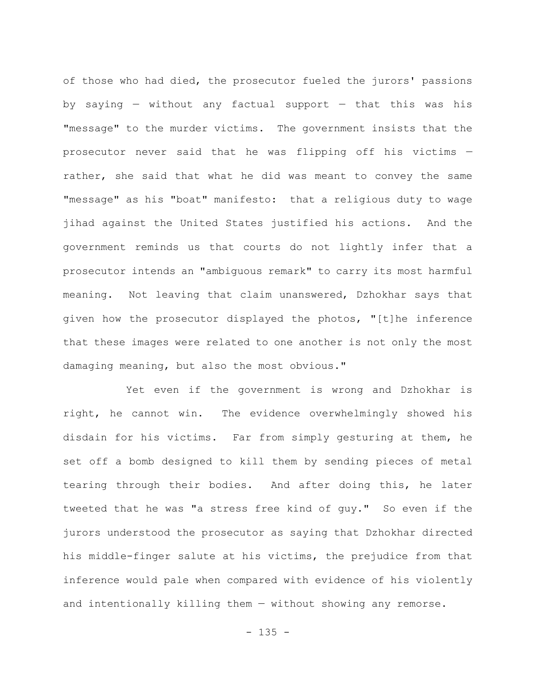of those who had died, the prosecutor fueled the jurors' passions by saying — without any factual support — that this was his "message" to the murder victims. The government insists that the prosecutor never said that he was flipping off his victims rather, she said that what he did was meant to convey the same "message" as his "boat" manifesto: that a religious duty to wage jihad against the United States justified his actions. And the government reminds us that courts do not lightly infer that a prosecutor intends an "ambiguous remark" to carry its most harmful meaning. Not leaving that claim unanswered, Dzhokhar says that given how the prosecutor displayed the photos, "[t]he inference that these images were related to one another is not only the most damaging meaning, but also the most obvious."

Yet even if the government is wrong and Dzhokhar is right, he cannot win. The evidence overwhelmingly showed his disdain for his victims. Far from simply gesturing at them, he set off a bomb designed to kill them by sending pieces of metal tearing through their bodies. And after doing this, he later tweeted that he was "a stress free kind of guy." So even if the jurors understood the prosecutor as saying that Dzhokhar directed his middle-finger salute at his victims, the prejudice from that inference would pale when compared with evidence of his violently and intentionally killing them — without showing any remorse.

 $- 135 -$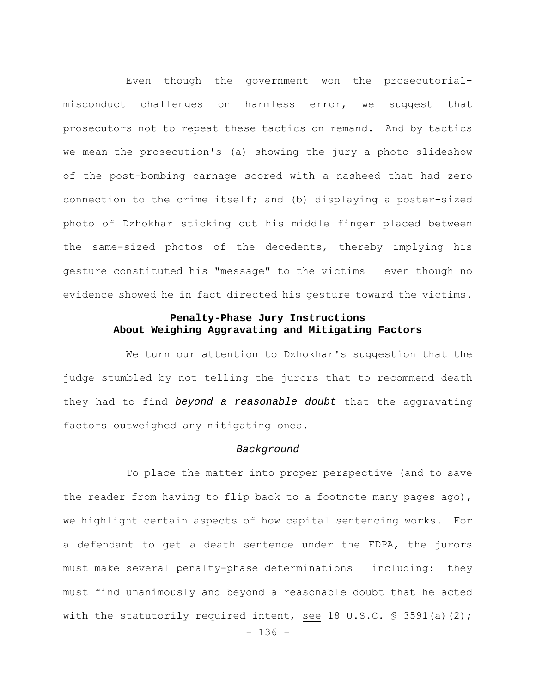Even though the government won the prosecutorialmisconduct challenges on harmless error, we suggest that prosecutors not to repeat these tactics on remand. And by tactics we mean the prosecution's (a) showing the jury a photo slideshow of the post-bombing carnage scored with a nasheed that had zero connection to the crime itself; and (b) displaying a poster-sized photo of Dzhokhar sticking out his middle finger placed between the same-sized photos of the decedents, thereby implying his gesture constituted his "message" to the victims — even though no evidence showed he in fact directed his gesture toward the victims.

# **Penalty-Phase Jury Instructions About Weighing Aggravating and Mitigating Factors**

We turn our attention to Dzhokhar's suggestion that the judge stumbled by not telling the jurors that to recommend death they had to find *beyond a reasonable doubt* that the aggravating factors outweighed any mitigating ones.

### *Background*

To place the matter into proper perspective (and to save the reader from having to flip back to a footnote many pages ago), we highlight certain aspects of how capital sentencing works. For a defendant to get a death sentence under the FDPA, the jurors must make several penalty-phase determinations — including: they must find unanimously and beyond a reasonable doubt that he acted with the statutorily required intent, see 18 U.S.C. § 3591(a)(2);

- 136 -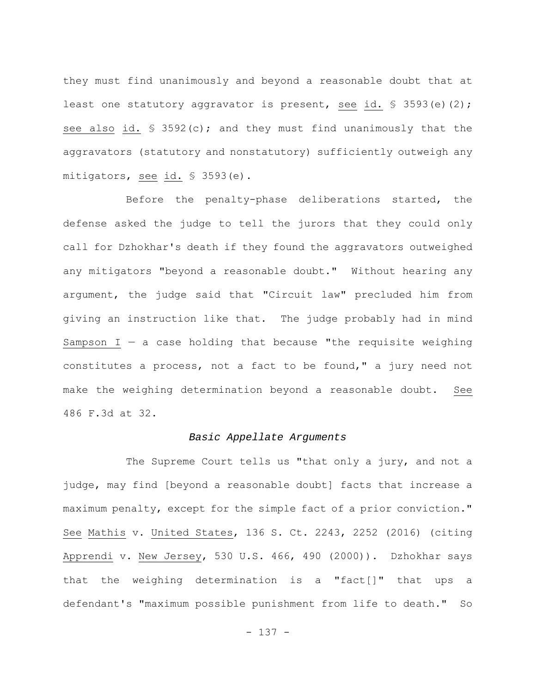they must find unanimously and beyond a reasonable doubt that at least one statutory aggravator is present, see id. § 3593(e)(2); see also id. § 3592(c); and they must find unanimously that the aggravators (statutory and nonstatutory) sufficiently outweigh any mitigators, see id. § 3593(e).

Before the penalty-phase deliberations started, the defense asked the judge to tell the jurors that they could only call for Dzhokhar's death if they found the aggravators outweighed any mitigators "beyond a reasonable doubt." Without hearing any argument, the judge said that "Circuit law" precluded him from giving an instruction like that. The judge probably had in mind Sampson  $I - a$  case holding that because "the requisite weighing constitutes a process, not a fact to be found," a jury need not make the weighing determination beyond a reasonable doubt. See 486 F.3d at 32.

## *Basic Appellate Arguments*

The Supreme Court tells us "that only a jury, and not a judge, may find [beyond a reasonable doubt] facts that increase a maximum penalty, except for the simple fact of a prior conviction." See Mathis v. United States, 136 S. Ct. 2243, 2252 (2016) (citing Apprendi v. New Jersey, 530 U.S. 466, 490 (2000)). Dzhokhar says that the weighing determination is a "fact[]" that ups a defendant's "maximum possible punishment from life to death." So

- 137 -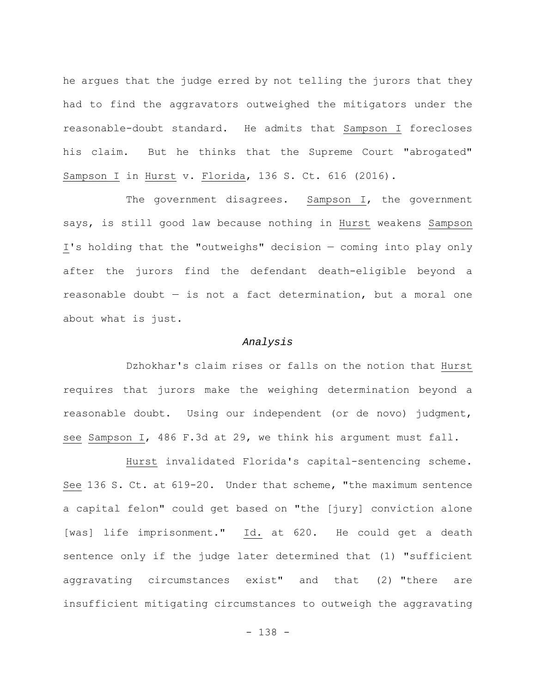he argues that the judge erred by not telling the jurors that they had to find the aggravators outweighed the mitigators under the reasonable-doubt standard. He admits that Sampson I forecloses his claim. But he thinks that the Supreme Court "abrogated" Sampson I in Hurst v. Florida, 136 S. Ct. 616 (2016).

The government disagrees. Sampson I, the government says, is still good law because nothing in Hurst weakens Sampson I's holding that the "outweighs" decision — coming into play only after the jurors find the defendant death-eligible beyond a reasonable doubt — is not a fact determination, but a moral one about what is just.

#### *Analysis*

Dzhokhar's claim rises or falls on the notion that Hurst requires that jurors make the weighing determination beyond a reasonable doubt. Using our independent (or de novo) judgment, see Sampson I, 486 F.3d at 29, we think his argument must fall.

Hurst invalidated Florida's capital-sentencing scheme. See 136 S. Ct. at 619-20. Under that scheme, "the maximum sentence a capital felon" could get based on "the [jury] conviction alone [was] life imprisonment." Id. at 620. He could get a death sentence only if the judge later determined that (1) "sufficient aggravating circumstances exist" and that (2) "there are insufficient mitigating circumstances to outweigh the aggravating

- 138 -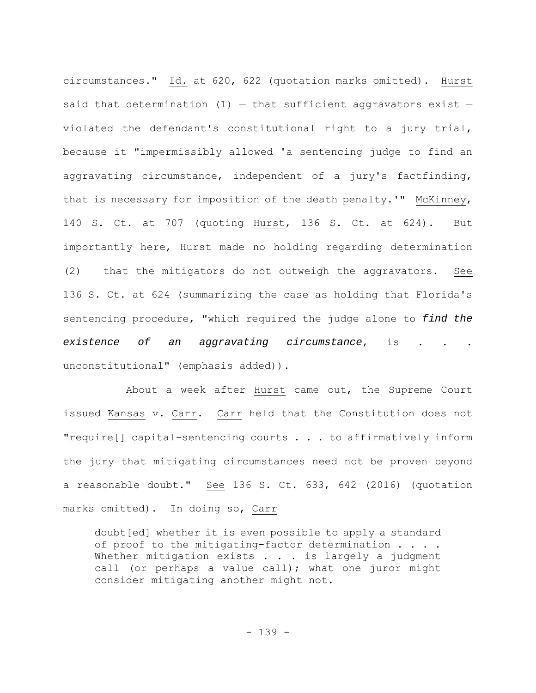circumstances." Id. at 620, 622 (quotation marks omitted). Hurst said that determination  $(1)$  – that sufficient aggravators exist – violated the defendant's constitutional right to a jury trial, because it "impermissibly allowed 'a sentencing judge to find an aggravating circumstance, independent of a jury's factfinding, that is necessary for imposition of the death penalty.'" McKinney, 140 S. Ct. at 707 (quoting Hurst, 136 S. Ct. at 624). But importantly here, Hurst made no holding regarding determination (2) — that the mitigators do not outweigh the aggravators. See 136 S. Ct. at 624 (summarizing the case as holding that Florida's sentencing procedure, "which required the judge alone to *find the existence of an aggravating circumstance*, is . . . unconstitutional" (emphasis added)).

About a week after Hurst came out, the Supreme Court issued Kansas v. Carr. Carr held that the Constitution does not "require[] capital-sentencing courts . . . to affirmatively inform the jury that mitigating circumstances need not be proven beyond a reasonable doubt." See 136 S. Ct. 633, 642 (2016) (quotation marks omitted). In doing so, Carr

doubt[ed] whether it is even possible to apply a standard of proof to the mitigating-factor determination . . . . Whether mitigation exists . . . is largely a judgment call (or perhaps a value call); what one juror might consider mitigating another might not.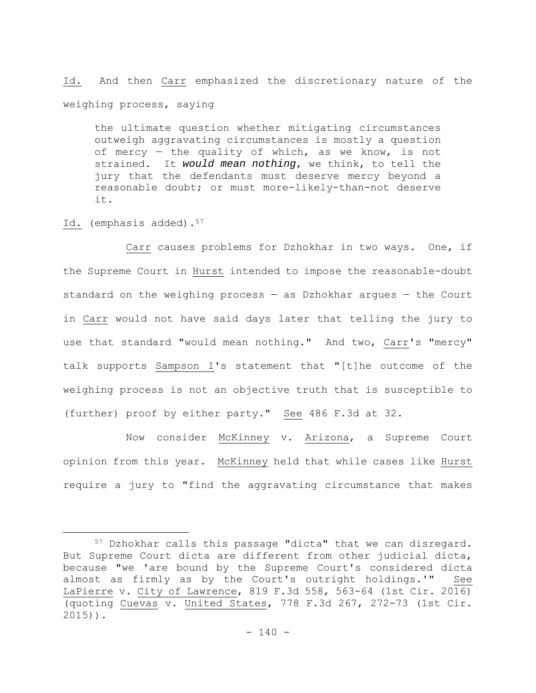Id. And then Carr emphasized the discretionary nature of the weighing process, saying

the ultimate question whether mitigating circumstances outweigh aggravating circumstances is mostly a question of mercy — the quality of which, as we know, is not strained. It *would mean nothing*, we think, to tell the jury that the defendants must deserve mercy beyond a reasonable doubt; or must more-likely-than-not deserve it.

Id. (emphasis added).<sup>57</sup>

Carr causes problems for Dzhokhar in two ways. One, if the Supreme Court in Hurst intended to impose the reasonable-doubt standard on the weighing process — as Dzhokhar argues — the Court in Carr would not have said days later that telling the jury to use that standard "would mean nothing." And two, Carr's "mercy" talk supports Sampson I's statement that "[t]he outcome of the weighing process is not an objective truth that is susceptible to (further) proof by either party." See 486 F.3d at 32.

Now consider McKinney v. Arizona, a Supreme Court opinion from this year. McKinney held that while cases like Hurst require a jury to "find the aggravating circumstance that makes

<sup>57</sup> Dzhokhar calls this passage "dicta" that we can disregard. But Supreme Court dicta are different from other judicial dicta, because "we 'are bound by the Supreme Court's considered dicta almost as firmly as by the Court's outright holdings.'" See LaPierre v. City of Lawrence, 819 F.3d 558, 563-64 (1st Cir. 2016) (quoting Cuevas v. United States, 778 F.3d 267, 272-73 (1st Cir. 2015)).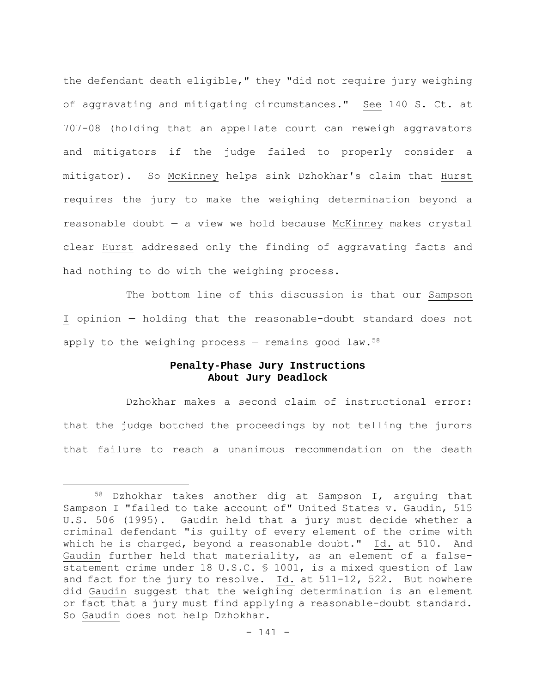the defendant death eligible," they "did not require jury weighing of aggravating and mitigating circumstances." See 140 S. Ct. at 707-08 (holding that an appellate court can reweigh aggravators and mitigators if the judge failed to properly consider a mitigator). So McKinney helps sink Dzhokhar's claim that Hurst requires the jury to make the weighing determination beyond a reasonable doubt — a view we hold because McKinney makes crystal clear Hurst addressed only the finding of aggravating facts and had nothing to do with the weighing process.

The bottom line of this discussion is that our Sampson I opinion — holding that the reasonable-doubt standard does not apply to the weighing process  $-$  remains good law.<sup>58</sup>

# **Penalty-Phase Jury Instructions About Jury Deadlock**

Dzhokhar makes a second claim of instructional error: that the judge botched the proceedings by not telling the jurors that failure to reach a unanimous recommendation on the death

<sup>58</sup> Dzhokhar takes another dig at Sampson I, arguing that Sampson I "failed to take account of" United States v. Gaudin, 515 U.S. 506 (1995). Gaudin held that a jury must decide whether a criminal defendant "is guilty of every element of the crime with which he is charged, beyond a reasonable doubt." Id. at 510. And Gaudin further held that materiality, as an element of a falsestatement crime under 18 U.S.C. § 1001, is a mixed question of law and fact for the jury to resolve. Id. at 511-12, 522. But nowhere did Gaudin suggest that the weighing determination is an element or fact that a jury must find applying a reasonable-doubt standard. So Gaudin does not help Dzhokhar.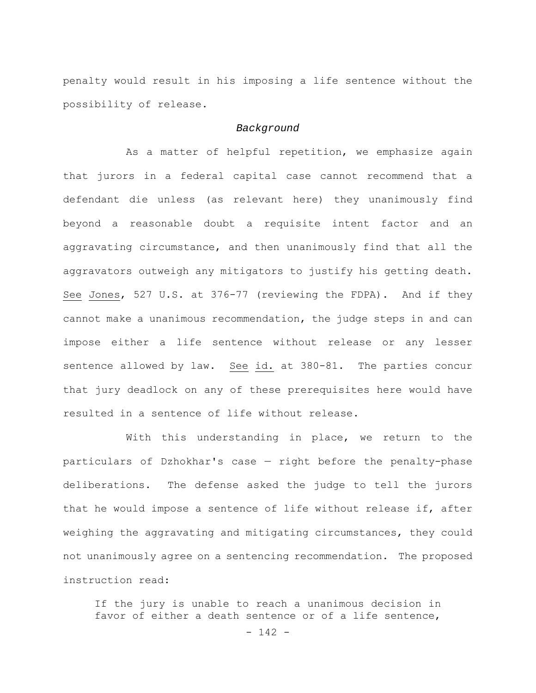penalty would result in his imposing a life sentence without the possibility of release.

#### *Background*

As a matter of helpful repetition, we emphasize again that jurors in a federal capital case cannot recommend that a defendant die unless (as relevant here) they unanimously find beyond a reasonable doubt a requisite intent factor and an aggravating circumstance, and then unanimously find that all the aggravators outweigh any mitigators to justify his getting death. See Jones, 527 U.S. at 376-77 (reviewing the FDPA). And if they cannot make a unanimous recommendation, the judge steps in and can impose either a life sentence without release or any lesser sentence allowed by law. See id. at 380-81. The parties concur that jury deadlock on any of these prerequisites here would have resulted in a sentence of life without release.

With this understanding in place, we return to the particulars of Dzhokhar's case — right before the penalty-phase deliberations. The defense asked the judge to tell the jurors that he would impose a sentence of life without release if, after weighing the aggravating and mitigating circumstances, they could not unanimously agree on a sentencing recommendation. The proposed instruction read:

If the jury is unable to reach a unanimous decision in favor of either a death sentence or of a life sentence,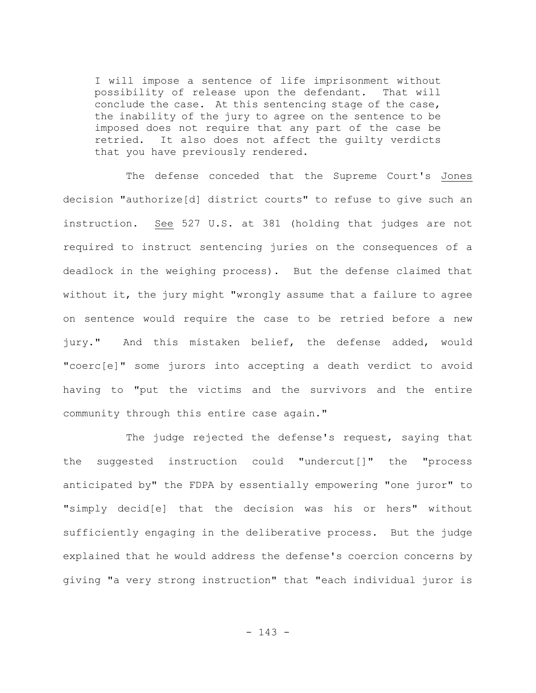I will impose a sentence of life imprisonment without possibility of release upon the defendant. That will conclude the case. At this sentencing stage of the case, the inability of the jury to agree on the sentence to be imposed does not require that any part of the case be retried. It also does not affect the guilty verdicts that you have previously rendered.

The defense conceded that the Supreme Court's Jones decision "authorize[d] district courts" to refuse to give such an instruction. See 527 U.S. at 381 (holding that judges are not required to instruct sentencing juries on the consequences of a deadlock in the weighing process). But the defense claimed that without it, the jury might "wrongly assume that a failure to agree on sentence would require the case to be retried before a new jury." And this mistaken belief, the defense added, would "coerc[e]" some jurors into accepting a death verdict to avoid having to "put the victims and the survivors and the entire community through this entire case again."

The judge rejected the defense's request, saying that the suggested instruction could "undercut[]" the "process anticipated by" the FDPA by essentially empowering "one juror" to "simply decid[e] that the decision was his or hers" without sufficiently engaging in the deliberative process. But the judge explained that he would address the defense's coercion concerns by giving "a very strong instruction" that "each individual juror is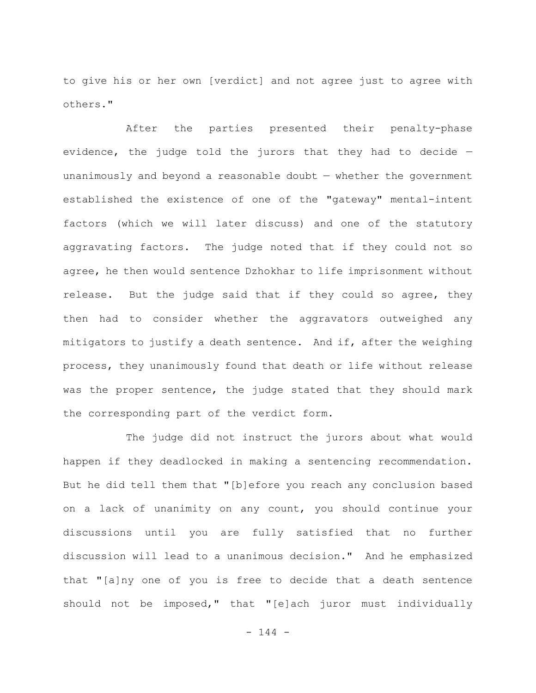to give his or her own [verdict] and not agree just to agree with others."

After the parties presented their penalty-phase evidence, the judge told the jurors that they had to decide unanimously and beyond a reasonable doubt — whether the government established the existence of one of the "gateway" mental-intent factors (which we will later discuss) and one of the statutory aggravating factors. The judge noted that if they could not so agree, he then would sentence Dzhokhar to life imprisonment without release. But the judge said that if they could so agree, they then had to consider whether the aggravators outweighed any mitigators to justify a death sentence. And if, after the weighing process, they unanimously found that death or life without release was the proper sentence, the judge stated that they should mark the corresponding part of the verdict form.

The judge did not instruct the jurors about what would happen if they deadlocked in making a sentencing recommendation. But he did tell them that "[b]efore you reach any conclusion based on a lack of unanimity on any count, you should continue your discussions until you are fully satisfied that no further discussion will lead to a unanimous decision." And he emphasized that "[a]ny one of you is free to decide that a death sentence should not be imposed," that "[e]ach juror must individually

 $- 144 -$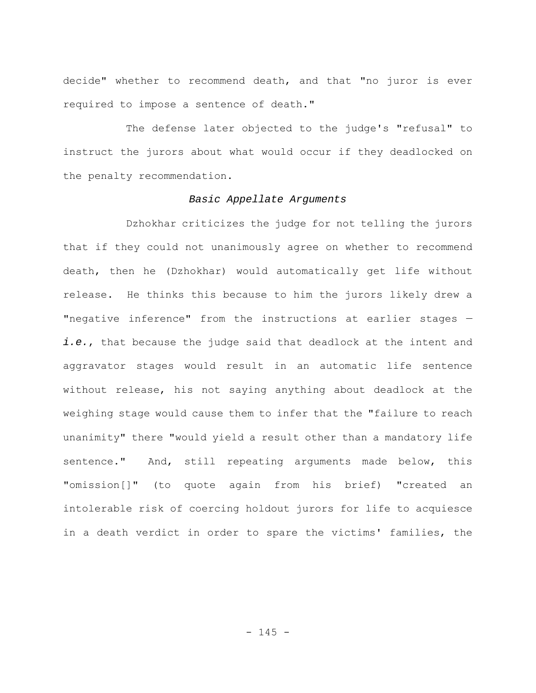decide" whether to recommend death, and that "no juror is ever required to impose a sentence of death."

The defense later objected to the judge's "refusal" to instruct the jurors about what would occur if they deadlocked on the penalty recommendation.

# *Basic Appellate Arguments*

Dzhokhar criticizes the judge for not telling the jurors that if they could not unanimously agree on whether to recommend death, then he (Dzhokhar) would automatically get life without release. He thinks this because to him the jurors likely drew a "negative inference" from the instructions at earlier stages *i.e.*, that because the judge said that deadlock at the intent and aggravator stages would result in an automatic life sentence without release, his not saying anything about deadlock at the weighing stage would cause them to infer that the "failure to reach unanimity" there "would yield a result other than a mandatory life sentence." And, still repeating arguments made below, this "omission[]" (to quote again from his brief) "created an intolerable risk of coercing holdout jurors for life to acquiesce in a death verdict in order to spare the victims' families, the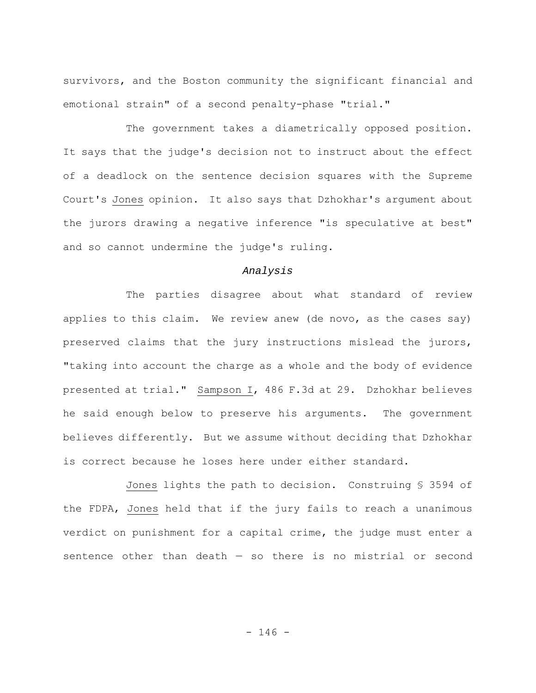survivors, and the Boston community the significant financial and emotional strain" of a second penalty-phase "trial."

The government takes a diametrically opposed position. It says that the judge's decision not to instruct about the effect of a deadlock on the sentence decision squares with the Supreme Court's Jones opinion. It also says that Dzhokhar's argument about the jurors drawing a negative inference "is speculative at best" and so cannot undermine the judge's ruling.

## *Analysis*

The parties disagree about what standard of review applies to this claim. We review anew (de novo, as the cases say) preserved claims that the jury instructions mislead the jurors, "taking into account the charge as a whole and the body of evidence presented at trial." Sampson I, 486 F.3d at 29. Dzhokhar believes he said enough below to preserve his arguments. The government believes differently. But we assume without deciding that Dzhokhar is correct because he loses here under either standard.

Jones lights the path to decision. Construing § 3594 of the FDPA, Jones held that if the jury fails to reach a unanimous verdict on punishment for a capital crime, the judge must enter a sentence other than death  $-$  so there is no mistrial or second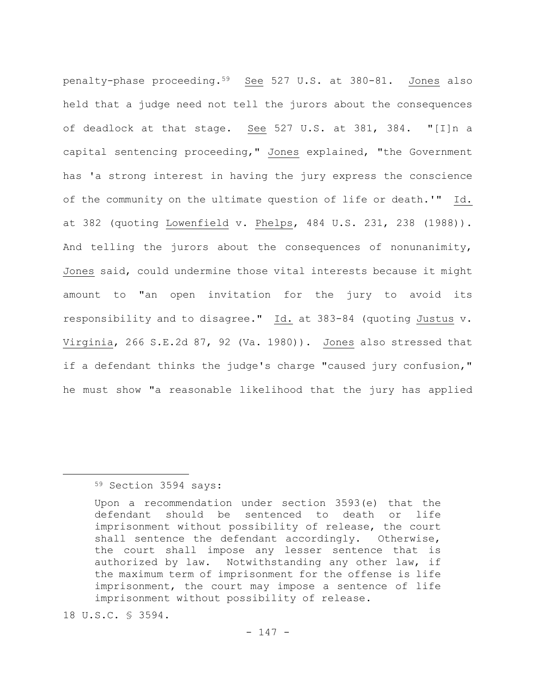penalty-phase proceeding.59 See 527 U.S. at 380-81. Jones also held that a judge need not tell the jurors about the consequences of deadlock at that stage. See 527 U.S. at 381, 384. "[I]n a capital sentencing proceeding," Jones explained, "the Government has 'a strong interest in having the jury express the conscience of the community on the ultimate question of life or death.'" Id. at 382 (quoting Lowenfield v. Phelps, 484 U.S. 231, 238 (1988)). And telling the jurors about the consequences of nonunanimity, Jones said, could undermine those vital interests because it might amount to "an open invitation for the jury to avoid its responsibility and to disagree." Id. at 383-84 (quoting Justus v. Virginia, 266 S.E.2d 87, 92 (Va. 1980)). Jones also stressed that if a defendant thinks the judge's charge "caused jury confusion," he must show "a reasonable likelihood that the jury has applied

## 59 Section 3594 says:

18 U.S.C. § 3594.

Upon a recommendation under section 3593(e) that the defendant should be sentenced to death or life imprisonment without possibility of release, the court shall sentence the defendant accordingly. Otherwise, the court shall impose any lesser sentence that is authorized by law. Notwithstanding any other law, if the maximum term of imprisonment for the offense is life imprisonment, the court may impose a sentence of life imprisonment without possibility of release.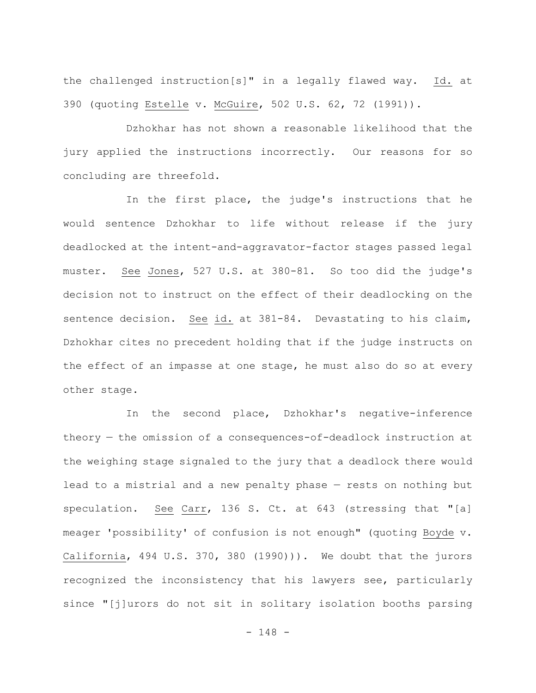the challenged instruction[s]" in a legally flawed way. Id. at 390 (quoting Estelle v. McGuire, 502 U.S. 62, 72 (1991)).

Dzhokhar has not shown a reasonable likelihood that the jury applied the instructions incorrectly. Our reasons for so concluding are threefold.

In the first place, the judge's instructions that he would sentence Dzhokhar to life without release if the jury deadlocked at the intent-and-aggravator-factor stages passed legal muster. See Jones, 527 U.S. at 380-81. So too did the judge's decision not to instruct on the effect of their deadlocking on the sentence decision. See id. at 381-84. Devastating to his claim, Dzhokhar cites no precedent holding that if the judge instructs on the effect of an impasse at one stage, he must also do so at every other stage.

In the second place, Dzhokhar's negative-inference theory — the omission of a consequences-of-deadlock instruction at the weighing stage signaled to the jury that a deadlock there would lead to a mistrial and a new penalty phase — rests on nothing but speculation. See Carr, 136 S. Ct. at 643 (stressing that "[a] meager 'possibility' of confusion is not enough" (quoting Boyde v. California, 494 U.S. 370, 380 (1990))). We doubt that the jurors recognized the inconsistency that his lawyers see, particularly since "[j]urors do not sit in solitary isolation booths parsing

- 148 -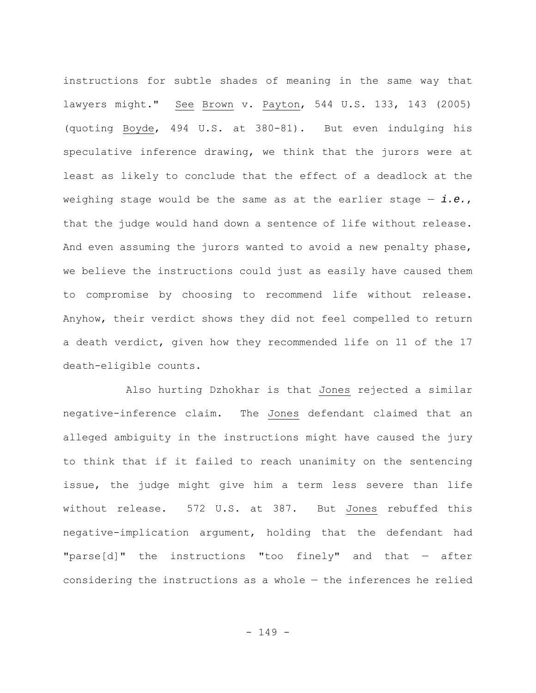instructions for subtle shades of meaning in the same way that lawyers might." See Brown v. Payton, 544 U.S. 133, 143 (2005) (quoting Boyde, 494 U.S. at 380-81). But even indulging his speculative inference drawing, we think that the jurors were at least as likely to conclude that the effect of a deadlock at the weighing stage would be the same as at the earlier stage — *i.e.*, that the judge would hand down a sentence of life without release. And even assuming the jurors wanted to avoid a new penalty phase, we believe the instructions could just as easily have caused them to compromise by choosing to recommend life without release. Anyhow, their verdict shows they did not feel compelled to return a death verdict, given how they recommended life on 11 of the 17 death-eligible counts.

Also hurting Dzhokhar is that Jones rejected a similar negative-inference claim. The Jones defendant claimed that an alleged ambiguity in the instructions might have caused the jury to think that if it failed to reach unanimity on the sentencing issue, the judge might give him a term less severe than life without release. 572 U.S. at 387. But Jones rebuffed this negative-implication argument, holding that the defendant had "parse[d]" the instructions "too finely" and that — after considering the instructions as a whole — the inferences he relied

- 149 -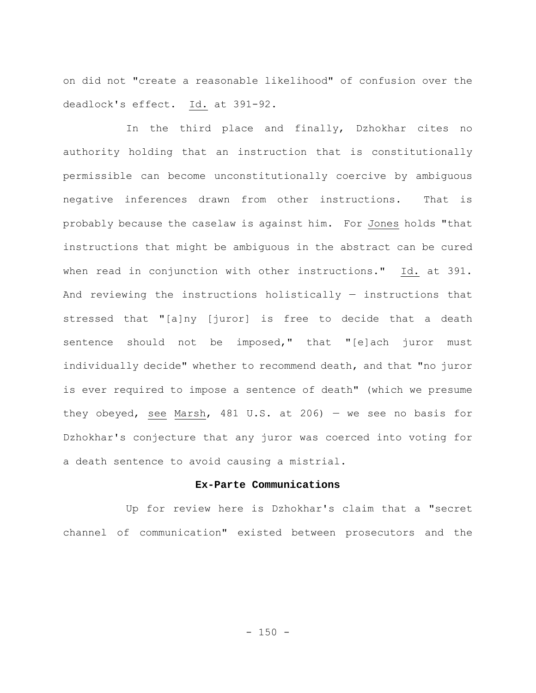on did not "create a reasonable likelihood" of confusion over the deadlock's effect. Id. at 391-92.

In the third place and finally, Dzhokhar cites no authority holding that an instruction that is constitutionally permissible can become unconstitutionally coercive by ambiguous negative inferences drawn from other instructions. That is probably because the caselaw is against him. For Jones holds "that instructions that might be ambiguous in the abstract can be cured when read in conjunction with other instructions." Id. at 391. And reviewing the instructions holistically — instructions that stressed that "[a]ny [juror] is free to decide that a death sentence should not be imposed," that "[e]ach juror must individually decide" whether to recommend death, and that "no juror is ever required to impose a sentence of death" (which we presume they obeyed, see Marsh, 481 U.S. at 206) — we see no basis for Dzhokhar's conjecture that any juror was coerced into voting for a death sentence to avoid causing a mistrial.

## **Ex-Parte Communications**

Up for review here is Dzhokhar's claim that a "secret channel of communication" existed between prosecutors and the

 $- 150 -$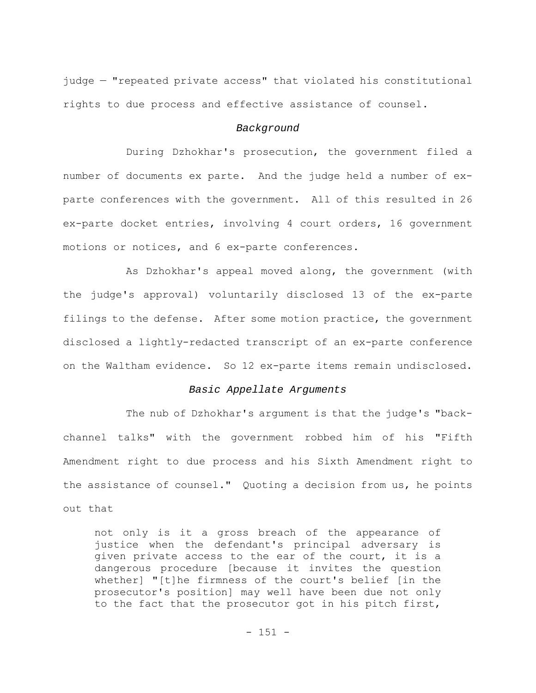judge — "repeated private access" that violated his constitutional rights to due process and effective assistance of counsel.

## *Background*

During Dzhokhar's prosecution, the government filed a number of documents ex parte. And the judge held a number of exparte conferences with the government. All of this resulted in 26 ex-parte docket entries, involving 4 court orders, 16 government motions or notices, and 6 ex-parte conferences.

As Dzhokhar's appeal moved along, the government (with the judge's approval) voluntarily disclosed 13 of the ex-parte filings to the defense. After some motion practice, the government disclosed a lightly-redacted transcript of an ex-parte conference on the Waltham evidence. So 12 ex-parte items remain undisclosed.

## *Basic Appellate Arguments*

The nub of Dzhokhar's argument is that the judge's "backchannel talks" with the government robbed him of his "Fifth Amendment right to due process and his Sixth Amendment right to the assistance of counsel." Quoting a decision from us, he points out that

not only is it a gross breach of the appearance of justice when the defendant's principal adversary is given private access to the ear of the court, it is a dangerous procedure [because it invites the question whether] "[t]he firmness of the court's belief [in the prosecutor's position] may well have been due not only to the fact that the prosecutor got in his pitch first,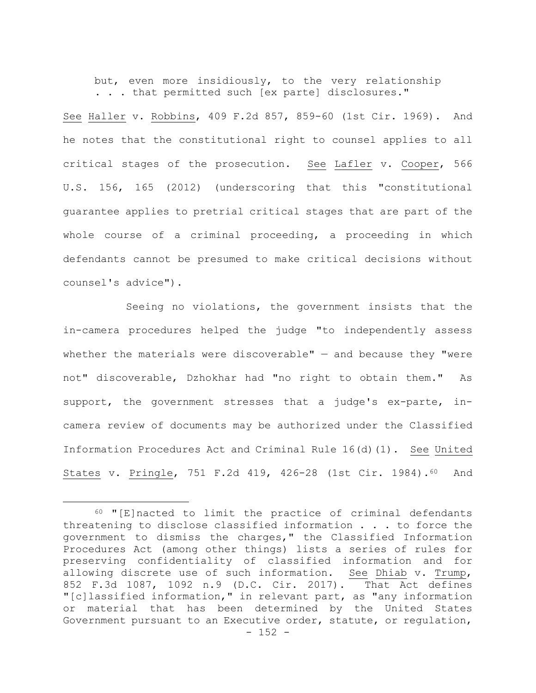but, even more insidiously, to the very relationship . . . that permitted such [ex parte] disclosures."

See Haller v. Robbins, 409 F.2d 857, 859-60 (1st Cir. 1969). And he notes that the constitutional right to counsel applies to all critical stages of the prosecution. See Lafler v. Cooper, 566 U.S. 156, 165 (2012) (underscoring that this "constitutional guarantee applies to pretrial critical stages that are part of the whole course of a criminal proceeding, a proceeding in which defendants cannot be presumed to make critical decisions without counsel's advice").

Seeing no violations, the government insists that the in-camera procedures helped the judge "to independently assess whether the materials were discoverable"  $-$  and because they "were not" discoverable, Dzhokhar had "no right to obtain them." As support, the government stresses that a judge's ex-parte, incamera review of documents may be authorized under the Classified Information Procedures Act and Criminal Rule 16(d)(1). See United States v. Pringle, 751 F.2d 419, 426-28 (1st Cir. 1984).60 And

 $- 152 -$ 60 "[E]nacted to limit the practice of criminal defendants threatening to disclose classified information . . . to force the government to dismiss the charges," the Classified Information Procedures Act (among other things) lists a series of rules for preserving confidentiality of classified information and for allowing discrete use of such information. See Dhiab v. Trump, 852 F.3d 1087, 1092 n.9 (D.C. Cir. 2017). That Act defines "[c]lassified information," in relevant part, as "any information or material that has been determined by the United States Government pursuant to an Executive order, statute, or regulation,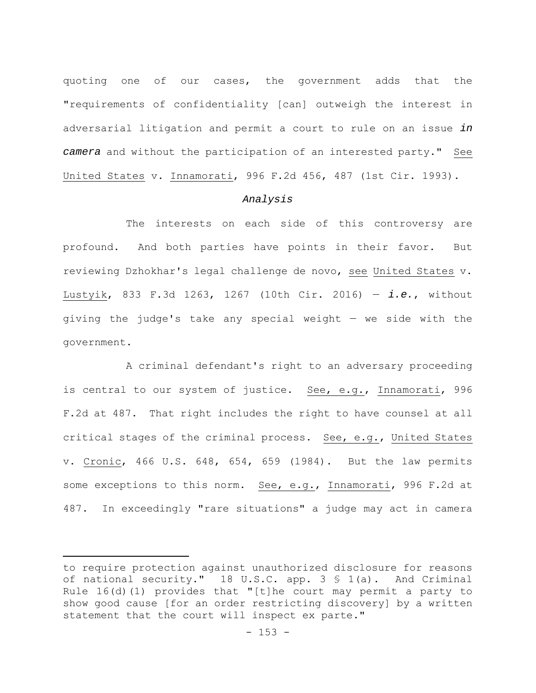quoting one of our cases, the government adds that the "requirements of confidentiality [can] outweigh the interest in adversarial litigation and permit a court to rule on an issue *in camera* and without the participation of an interested party." See United States v. Innamorati, 996 F.2d 456, 487 (1st Cir. 1993).

## *Analysis*

The interests on each side of this controversy are profound. And both parties have points in their favor. But reviewing Dzhokhar's legal challenge de novo, see United States v. Lustyik, 833 F.3d 1263, 1267 (10th Cir. 2016) — *i.e.*, without giving the judge's take any special weight — we side with the government.

A criminal defendant's right to an adversary proceeding is central to our system of justice. See, e.g., Innamorati, 996 F.2d at 487. That right includes the right to have counsel at all critical stages of the criminal process. See, e.g., United States v. Cronic, 466 U.S. 648, 654, 659 (1984). But the law permits some exceptions to this norm. See, e.g., Innamorati, 996 F.2d at 487. In exceedingly "rare situations" a judge may act in camera

to require protection against unauthorized disclosure for reasons of national security." 18 U.S.C. app. 3 § 1(a). And Criminal Rule 16(d)(1) provides that "[t]he court may permit a party to show good cause [for an order restricting discovery] by a written statement that the court will inspect ex parte."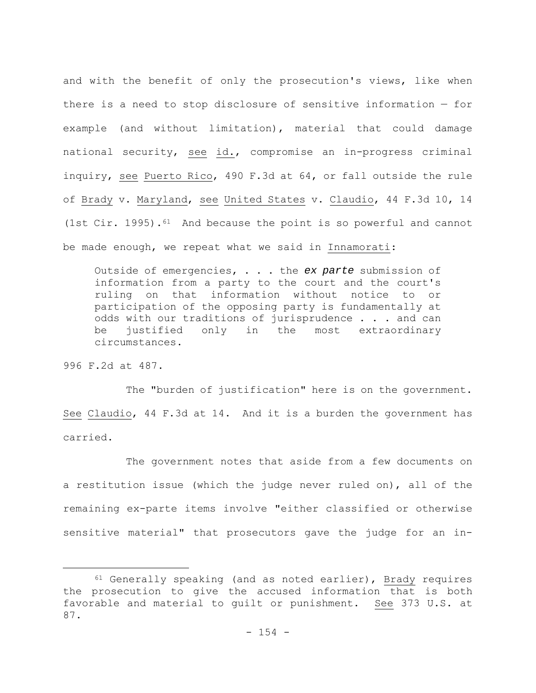and with the benefit of only the prosecution's views, like when there is a need to stop disclosure of sensitive information — for example (and without limitation), material that could damage national security, see id., compromise an in-progress criminal inquiry, see Puerto Rico, 490 F.3d at 64, or fall outside the rule of Brady v. Maryland, see United States v. Claudio, 44 F.3d 10, 14 (1st Cir. 1995).<sup>61</sup> And because the point is so powerful and cannot be made enough, we repeat what we said in Innamorati:

Outside of emergencies, . . . the *ex parte* submission of information from a party to the court and the court's ruling on that information without notice to or participation of the opposing party is fundamentally at odds with our traditions of jurisprudence . . . and can be justified only in the most extraordinary circumstances.

996 F.2d at 487.

The "burden of justification" here is on the government. See Claudio, 44 F.3d at 14. And it is a burden the government has carried.

The government notes that aside from a few documents on a restitution issue (which the judge never ruled on), all of the remaining ex-parte items involve "either classified or otherwise sensitive material" that prosecutors gave the judge for an in-

 $61$  Generally speaking (and as noted earlier), Brady requires the prosecution to give the accused information that is both favorable and material to guilt or punishment. See 373 U.S. at 87.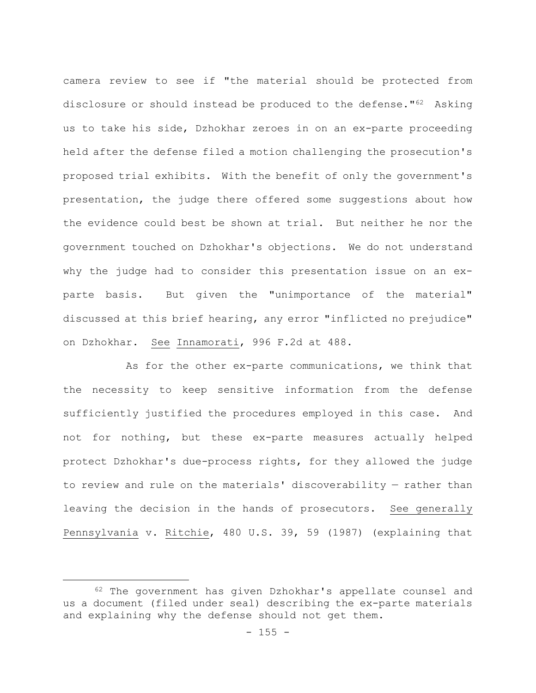camera review to see if "the material should be protected from disclosure or should instead be produced to the defense."62 Asking us to take his side, Dzhokhar zeroes in on an ex-parte proceeding held after the defense filed a motion challenging the prosecution's proposed trial exhibits. With the benefit of only the government's presentation, the judge there offered some suggestions about how the evidence could best be shown at trial. But neither he nor the government touched on Dzhokhar's objections. We do not understand why the judge had to consider this presentation issue on an exparte basis. But given the "unimportance of the material" discussed at this brief hearing, any error "inflicted no prejudice" on Dzhokhar. See Innamorati, 996 F.2d at 488.

As for the other ex-parte communications, we think that the necessity to keep sensitive information from the defense sufficiently justified the procedures employed in this case. And not for nothing, but these ex-parte measures actually helped protect Dzhokhar's due-process rights, for they allowed the judge to review and rule on the materials' discoverability — rather than leaving the decision in the hands of prosecutors. See generally Pennsylvania v. Ritchie, 480 U.S. 39, 59 (1987) (explaining that

<sup>62</sup> The government has given Dzhokhar's appellate counsel and us a document (filed under seal) describing the ex-parte materials and explaining why the defense should not get them.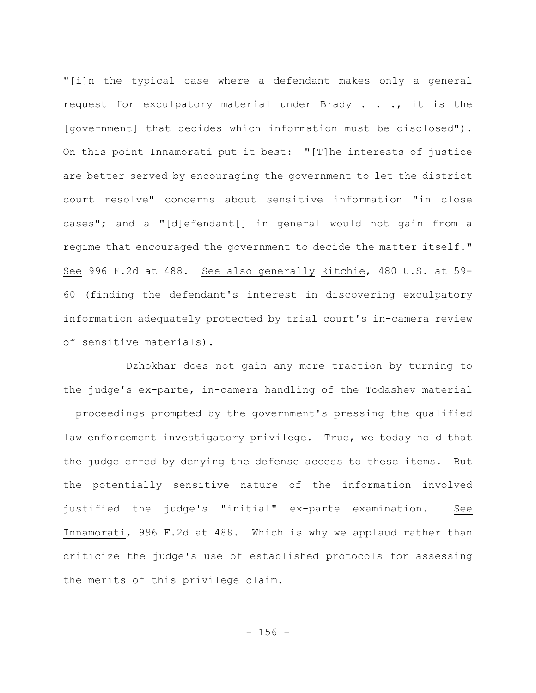"[i]n the typical case where a defendant makes only a general request for exculpatory material under Brady . . ., it is the [government] that decides which information must be disclosed"). On this point Innamorati put it best: "[T]he interests of justice are better served by encouraging the government to let the district court resolve" concerns about sensitive information "in close cases"; and a "[d]efendant[] in general would not gain from a regime that encouraged the government to decide the matter itself." See 996 F.2d at 488. See also generally Ritchie, 480 U.S. at 59- 60 (finding the defendant's interest in discovering exculpatory information adequately protected by trial court's in-camera review of sensitive materials).

Dzhokhar does not gain any more traction by turning to the judge's ex-parte, in-camera handling of the Todashev material — proceedings prompted by the government's pressing the qualified law enforcement investigatory privilege. True, we today hold that the judge erred by denying the defense access to these items. But the potentially sensitive nature of the information involved justified the judge's "initial" ex-parte examination. See Innamorati, 996 F.2d at 488. Which is why we applaud rather than criticize the judge's use of established protocols for assessing the merits of this privilege claim.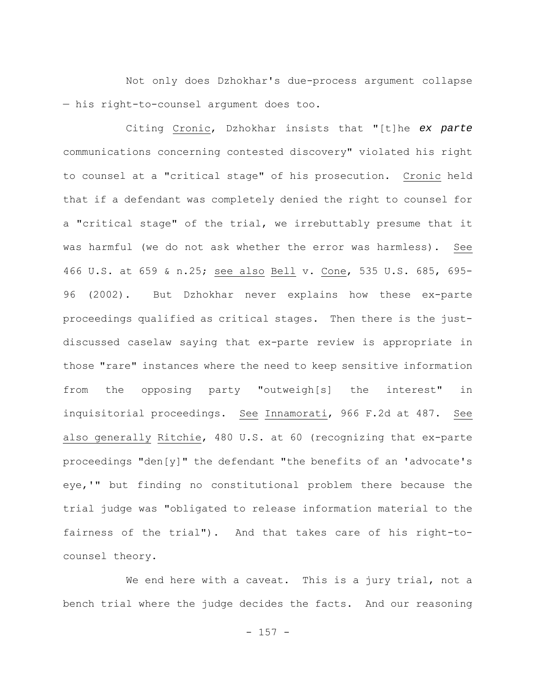Not only does Dzhokhar's due-process argument collapse — his right-to-counsel argument does too.

Citing Cronic, Dzhokhar insists that "[t]he *ex parte* communications concerning contested discovery" violated his right to counsel at a "critical stage" of his prosecution. Cronic held that if a defendant was completely denied the right to counsel for a "critical stage" of the trial, we irrebuttably presume that it was harmful (we do not ask whether the error was harmless). See 466 U.S. at 659 & n.25; see also Bell v. Cone, 535 U.S. 685, 695- 96 (2002). But Dzhokhar never explains how these ex-parte proceedings qualified as critical stages. Then there is the justdiscussed caselaw saying that ex-parte review is appropriate in those "rare" instances where the need to keep sensitive information from the opposing party "outweigh[s] the interest" in inquisitorial proceedings. See Innamorati, 966 F.2d at 487. See also generally Ritchie, 480 U.S. at 60 (recognizing that ex-parte proceedings "den[y]" the defendant "the benefits of an 'advocate's eye,'" but finding no constitutional problem there because the trial judge was "obligated to release information material to the fairness of the trial"). And that takes care of his right-tocounsel theory.

We end here with a caveat. This is a jury trial, not a bench trial where the judge decides the facts. And our reasoning

 $- 157 -$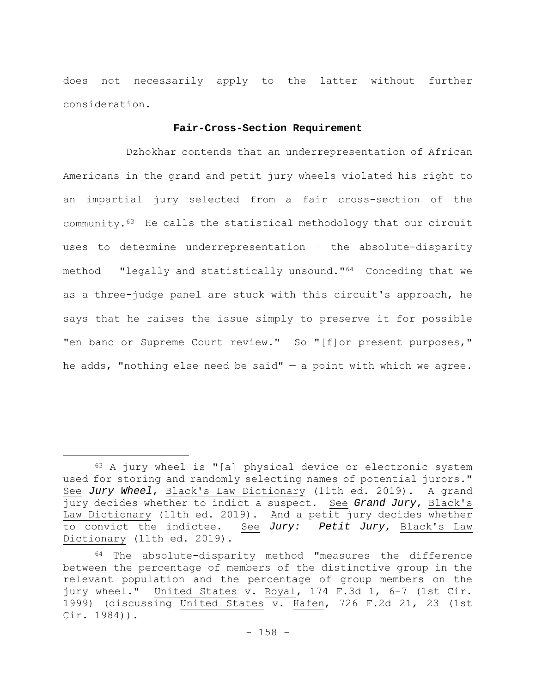does not necessarily apply to the latter without further consideration.

# **Fair-Cross-Section Requirement**

Dzhokhar contends that an underrepresentation of African Americans in the grand and petit jury wheels violated his right to an impartial jury selected from a fair cross-section of the community.63 He calls the statistical methodology that our circuit uses to determine underrepresentation — the absolute-disparity method — "legally and statistically unsound."64 Conceding that we as a three-judge panel are stuck with this circuit's approach, he says that he raises the issue simply to preserve it for possible "en banc or Supreme Court review." So "[f]or present purposes," he adds, "nothing else need be said"  $-$  a point with which we agree.

<sup>63</sup> A jury wheel is "[a] physical device or electronic system used for storing and randomly selecting names of potential jurors." See *Jury Wheel*, Black's Law Dictionary (11th ed. 2019). A grand jury decides whether to indict a suspect. See *Grand Jury*, Black's Law Dictionary (11th ed. 2019). And a petit jury decides whether to convict the indictee*.* See *Jury: Petit Jury*, Black's Law Dictionary (11th ed. 2019).

<sup>64</sup> The absolute-disparity method "measures the difference between the percentage of members of the distinctive group in the relevant population and the percentage of group members on the jury wheel." United States v. Royal, 174 F.3d 1, 6-7 (1st Cir. 1999) (discussing United States v. Hafen, 726 F.2d 21, 23 (1st Cir. 1984)).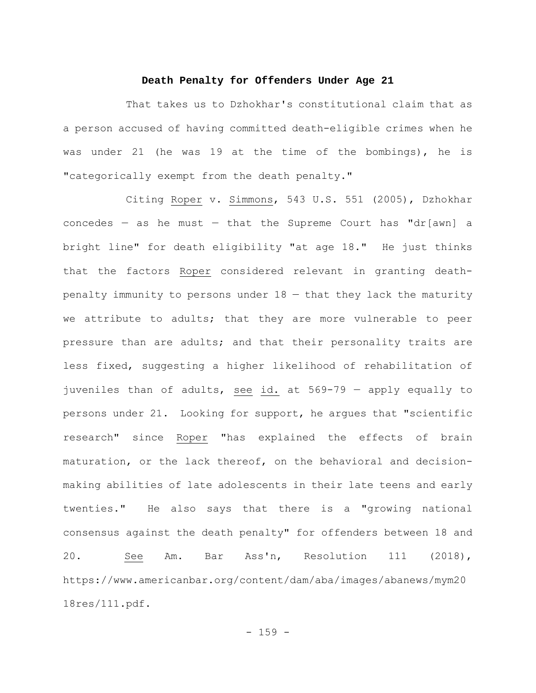#### **Death Penalty for Offenders Under Age 21**

That takes us to Dzhokhar's constitutional claim that as a person accused of having committed death-eligible crimes when he was under 21 (he was 19 at the time of the bombings), he is "categorically exempt from the death penalty."

Citing Roper v. Simmons, 543 U.S. 551 (2005), Dzhokhar concedes  $-$  as he must  $-$  that the Supreme Court has "dr[awn] a bright line" for death eligibility "at age 18." He just thinks that the factors Roper considered relevant in granting deathpenalty immunity to persons under 18 — that they lack the maturity we attribute to adults; that they are more vulnerable to peer pressure than are adults; and that their personality traits are less fixed, suggesting a higher likelihood of rehabilitation of juveniles than of adults, see id. at 569-79 — apply equally to persons under 21. Looking for support, he argues that "scientific research" since Roper "has explained the effects of brain maturation, or the lack thereof, on the behavioral and decisionmaking abilities of late adolescents in their late teens and early twenties." He also says that there is a "growing national consensus against the death penalty" for offenders between 18 and 20. See Am. Bar Ass'n, Resolution 111 (2018), https://www.americanbar.org/content/dam/aba/images/abanews/mym20 18res/111.pdf.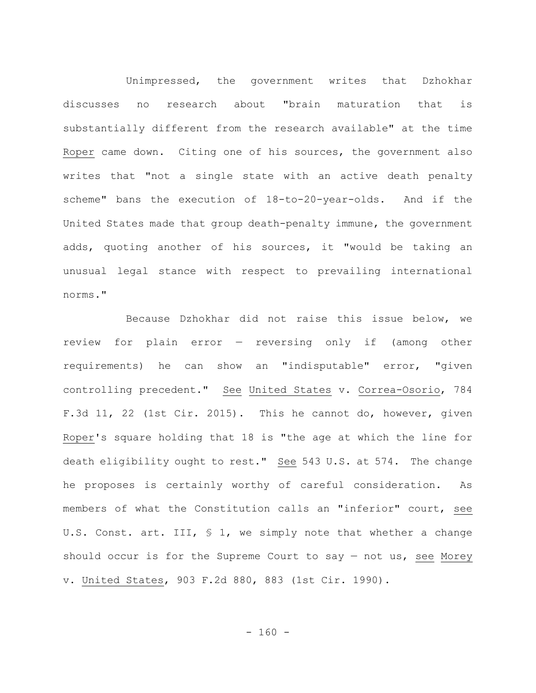Unimpressed, the government writes that Dzhokhar discusses no research about "brain maturation that is substantially different from the research available" at the time Roper came down. Citing one of his sources, the government also writes that "not a single state with an active death penalty scheme" bans the execution of 18-to-20-year-olds. And if the United States made that group death-penalty immune, the government adds, quoting another of his sources, it "would be taking an unusual legal stance with respect to prevailing international norms."

Because Dzhokhar did not raise this issue below, we review for plain error — reversing only if (among other requirements) he can show an "indisputable" error, "given controlling precedent." See United States v. Correa-Osorio, 784 F.3d 11, 22 (1st Cir. 2015). This he cannot do, however, given Roper's square holding that 18 is "the age at which the line for death eligibility ought to rest." See 543 U.S. at 574. The change he proposes is certainly worthy of careful consideration. As members of what the Constitution calls an "inferior" court, see U.S. Const. art. III, § 1, we simply note that whether a change should occur is for the Supreme Court to say  $-$  not us, see Morey v. United States, 903 F.2d 880, 883 (1st Cir. 1990).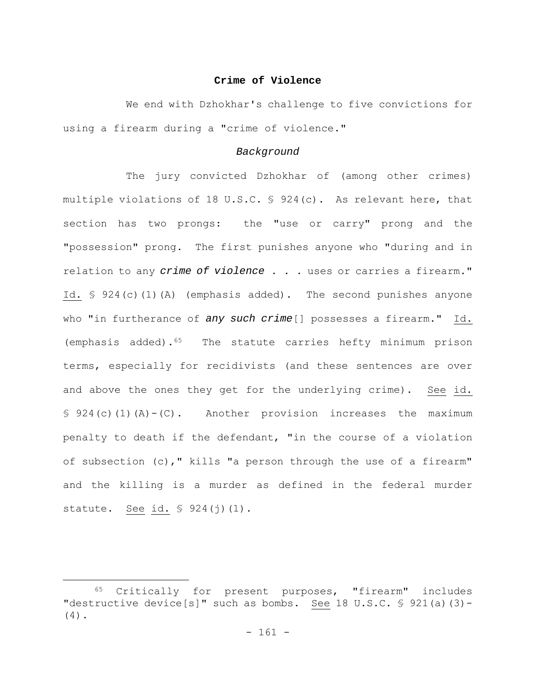## **Crime of Violence**

We end with Dzhokhar's challenge to five convictions for using a firearm during a "crime of violence."

#### *Background*

The jury convicted Dzhokhar of (among other crimes) multiple violations of 18 U.S.C. § 924(c). As relevant here, that section has two prongs: the "use or carry" prong and the "possession" prong. The first punishes anyone who "during and in relation to any *crime of violence* . . . uses or carries a firearm." Id. § 924(c)(1)(A) (emphasis added). The second punishes anyone who "in furtherance of *any such crime*[] possesses a firearm." Id. (emphasis added).65 The statute carries hefty minimum prison terms, especially for recidivists (and these sentences are over and above the ones they get for the underlying crime). See id.  $§ 924(c)(1)(A)-(C)$ . Another provision increases the maximum penalty to death if the defendant, "in the course of a violation of subsection (c)," kills "a person through the use of a firearm" and the killing is a murder as defined in the federal murder statute. See id. § 924(j)(1).

<sup>65</sup> Critically for present purposes, "firearm" includes "destructive device[s]" such as bombs. See 18 U.S.C.  $\frac{6}{5}$  921(a)(3)-(4).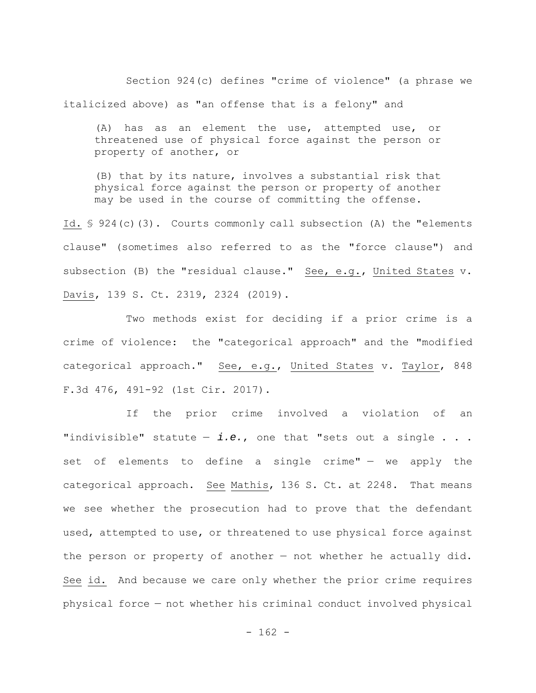Section 924(c) defines "crime of violence" (a phrase we italicized above) as "an offense that is a felony" and

(A) has as an element the use, attempted use, or threatened use of physical force against the person or property of another, or

(B) that by its nature, involves a substantial risk that physical force against the person or property of another may be used in the course of committing the offense.

Id. § 924(c)(3). Courts commonly call subsection (A) the "elements clause" (sometimes also referred to as the "force clause") and subsection (B) the "residual clause." See, e.g., United States v. Davis, 139 S. Ct. 2319, 2324 (2019).

Two methods exist for deciding if a prior crime is a crime of violence: the "categorical approach" and the "modified categorical approach." See, e.g., United States v. Taylor, 848 F.3d 476, 491-92 (1st Cir. 2017).

If the prior crime involved a violation of an "indivisible" statute — *i.e.*, one that "sets out a single . . . set of elements to define a single crime" - we apply the categorical approach. See Mathis, 136 S. Ct. at 2248. That means we see whether the prosecution had to prove that the defendant used, attempted to use, or threatened to use physical force against the person or property of another — not whether he actually did. See id. And because we care only whether the prior crime requires physical force — not whether his criminal conduct involved physical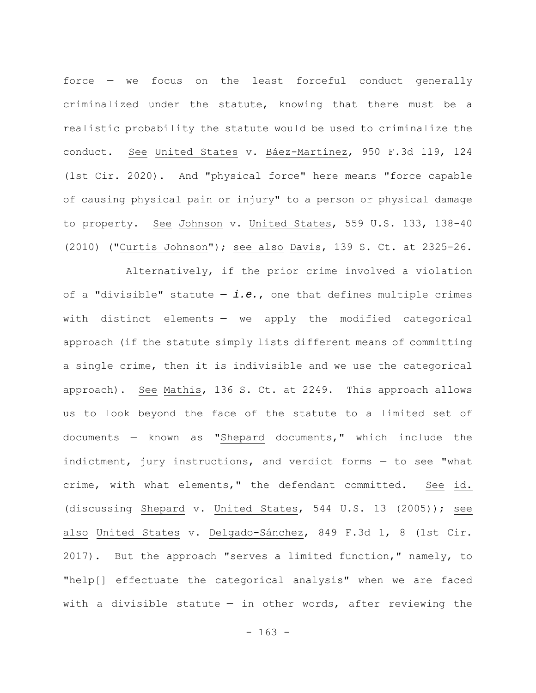force — we focus on the least forceful conduct generally criminalized under the statute, knowing that there must be a realistic probability the statute would be used to criminalize the conduct. See United States v. Báez-Martínez, 950 F.3d 119, 124 (1st Cir. 2020). And "physical force" here means "force capable of causing physical pain or injury" to a person or physical damage to property. See Johnson v. United States, 559 U.S. 133, 138-40 (2010) ("Curtis Johnson"); see also Davis, 139 S. Ct. at 2325-26.

Alternatively, if the prior crime involved a violation of a "divisible" statute  $-$  *i.e.*, one that defines multiple crimes with distinct elements — we apply the modified categorical approach (if the statute simply lists different means of committing a single crime, then it is indivisible and we use the categorical approach). See Mathis, 136 S. Ct. at 2249. This approach allows us to look beyond the face of the statute to a limited set of documents — known as "Shepard documents," which include the indictment, jury instructions, and verdict forms — to see "what crime, with what elements," the defendant committed. See id. (discussing Shepard v. United States, 544 U.S. 13 (2005)); see also United States v. Delgado-Sánchez, 849 F.3d 1, 8 (1st Cir. 2017). But the approach "serves a limited function," namely, to "help[] effectuate the categorical analysis" when we are faced with a divisible statute  $-$  in other words, after reviewing the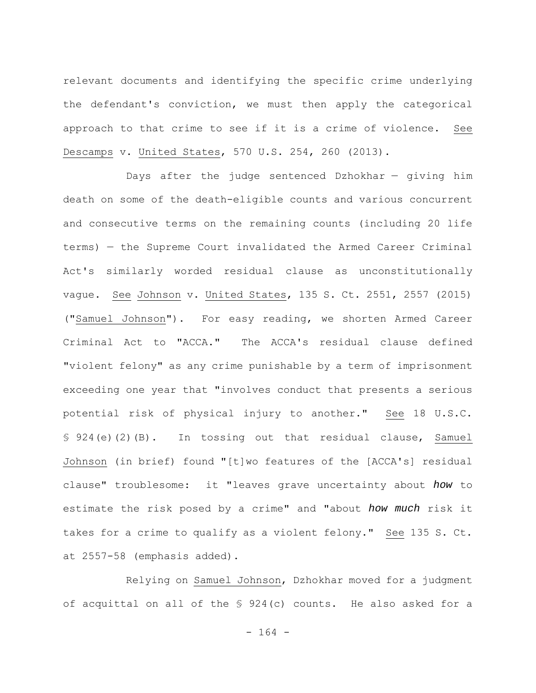relevant documents and identifying the specific crime underlying the defendant's conviction, we must then apply the categorical approach to that crime to see if it is a crime of violence. See Descamps v. United States, 570 U.S. 254, 260 (2013).

Days after the judge sentenced Dzhokhar — giving him death on some of the death-eligible counts and various concurrent and consecutive terms on the remaining counts (including 20 life terms) — the Supreme Court invalidated the Armed Career Criminal Act's similarly worded residual clause as unconstitutionally vague. See Johnson v. United States, 135 S. Ct. 2551, 2557 (2015) ("Samuel Johnson"). For easy reading, we shorten Armed Career Criminal Act to "ACCA." The ACCA's residual clause defined "violent felony" as any crime punishable by a term of imprisonment exceeding one year that "involves conduct that presents a serious potential risk of physical injury to another." See 18 U.S.C. § 924(e)(2)(B). In tossing out that residual clause, Samuel Johnson (in brief) found "[t]wo features of the [ACCA's] residual clause" troublesome: it "leaves grave uncertainty about *how* to estimate the risk posed by a crime" and "about *how much* risk it takes for a crime to qualify as a violent felony." See 135 S. Ct. at 2557-58 (emphasis added).

Relying on Samuel Johnson, Dzhokhar moved for a judgment of acquittal on all of the § 924(c) counts. He also asked for a

- 164 -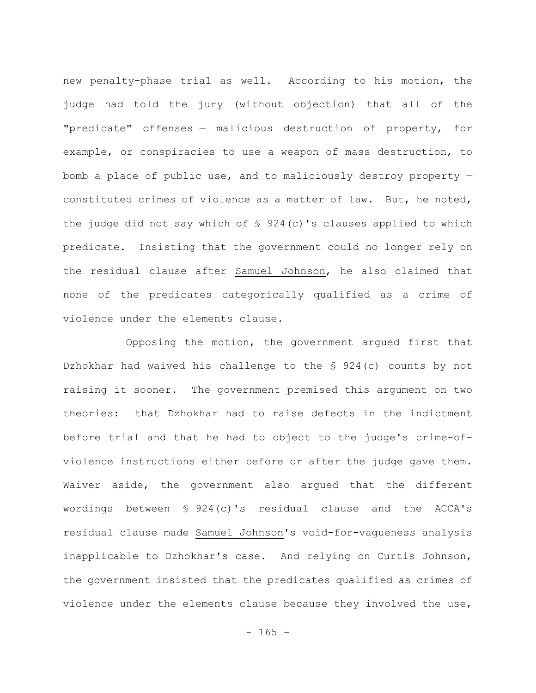new penalty-phase trial as well. According to his motion, the judge had told the jury (without objection) that all of the "predicate" offenses — malicious destruction of property, for example, or conspiracies to use a weapon of mass destruction, to bomb a place of public use, and to maliciously destroy property constituted crimes of violence as a matter of law. But, he noted, the judge did not say which of § 924(c)'s clauses applied to which predicate. Insisting that the government could no longer rely on the residual clause after Samuel Johnson, he also claimed that none of the predicates categorically qualified as a crime of violence under the elements clause.

Opposing the motion, the government argued first that Dzhokhar had waived his challenge to the § 924(c) counts by not raising it sooner. The government premised this argument on two theories: that Dzhokhar had to raise defects in the indictment before trial and that he had to object to the judge's crime-ofviolence instructions either before or after the judge gave them. Waiver aside, the government also argued that the different wordings between § 924(c)'s residual clause and the ACCA's residual clause made Samuel Johnson's void-for-vagueness analysis inapplicable to Dzhokhar's case. And relying on Curtis Johnson, the government insisted that the predicates qualified as crimes of violence under the elements clause because they involved the use,

 $- 165 -$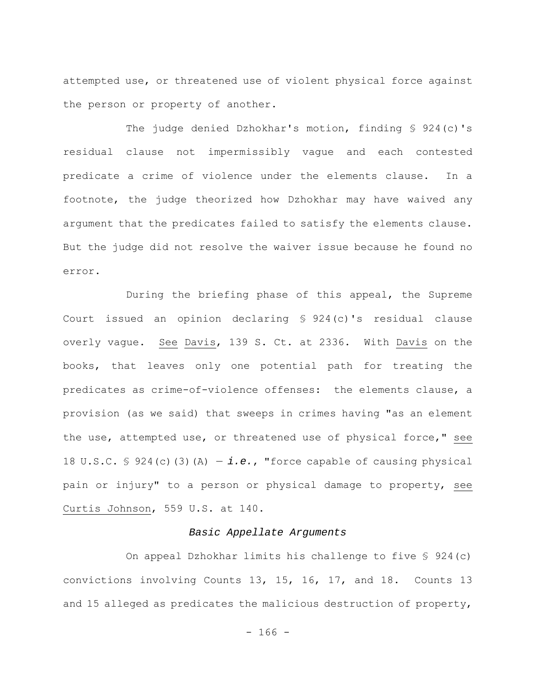attempted use, or threatened use of violent physical force against the person or property of another.

The judge denied Dzhokhar's motion, finding § 924(c)'s residual clause not impermissibly vague and each contested predicate a crime of violence under the elements clause. In a footnote, the judge theorized how Dzhokhar may have waived any argument that the predicates failed to satisfy the elements clause. But the judge did not resolve the waiver issue because he found no error.

During the briefing phase of this appeal, the Supreme Court issued an opinion declaring § 924(c)'s residual clause overly vague. See Davis, 139 S. Ct. at 2336. With Davis on the books, that leaves only one potential path for treating the predicates as crime-of-violence offenses: the elements clause, a provision (as we said) that sweeps in crimes having "as an element the use, attempted use, or threatened use of physical force," see 18 U.S.C.  $\frac{1}{2}$  924(c)(3)(A) - *i.e.*, "force capable of causing physical pain or injury" to a person or physical damage to property, see Curtis Johnson, 559 U.S. at 140.

# *Basic Appellate Arguments*

On appeal Dzhokhar limits his challenge to five § 924(c) convictions involving Counts 13, 15, 16, 17, and 18. Counts 13 and 15 alleged as predicates the malicious destruction of property,

 $- 166 -$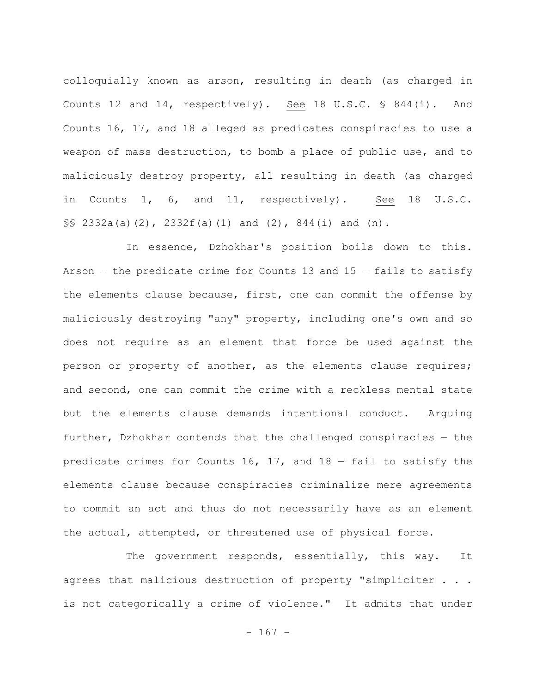colloquially known as arson, resulting in death (as charged in Counts 12 and 14, respectively). See 18 U.S.C. § 844(i). And Counts 16, 17, and 18 alleged as predicates conspiracies to use a weapon of mass destruction, to bomb a place of public use, and to maliciously destroy property, all resulting in death (as charged in Counts 1, 6, and 11, respectively). See 18 U.S.C.  $\S$ \$ 2332a(a)(2), 2332f(a)(1) and (2), 844(i) and (n).

In essence, Dzhokhar's position boils down to this. Arson  $-$  the predicate crime for Counts 13 and 15  $-$  fails to satisfy the elements clause because, first, one can commit the offense by maliciously destroying "any" property, including one's own and so does not require as an element that force be used against the person or property of another, as the elements clause requires; and second, one can commit the crime with a reckless mental state but the elements clause demands intentional conduct. Arguing further, Dzhokhar contends that the challenged conspiracies — the predicate crimes for Counts 16, 17, and  $18 -$  fail to satisfy the elements clause because conspiracies criminalize mere agreements to commit an act and thus do not necessarily have as an element the actual, attempted, or threatened use of physical force.

The government responds, essentially, this way. It agrees that malicious destruction of property "simpliciter . . . is not categorically a crime of violence." It admits that under

 $- 167 -$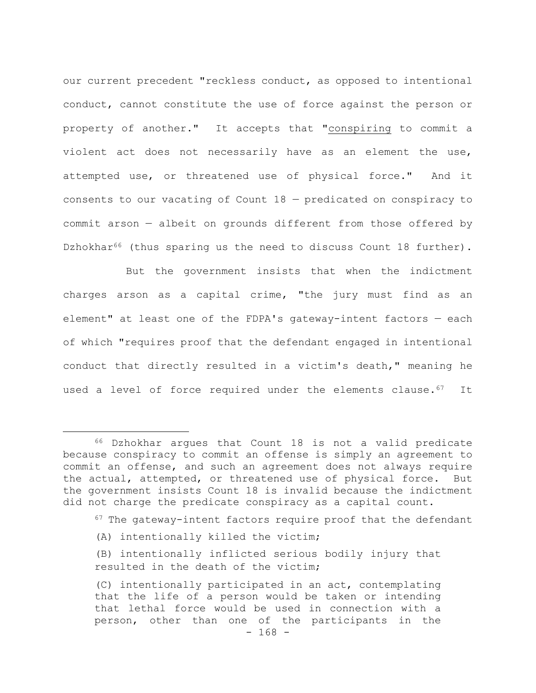our current precedent "reckless conduct, as opposed to intentional conduct, cannot constitute the use of force against the person or property of another." It accepts that "conspiring to commit a violent act does not necessarily have as an element the use, attempted use, or threatened use of physical force." And it consents to our vacating of Count 18 — predicated on conspiracy to commit arson — albeit on grounds different from those offered by Dzhokhar<sup>66</sup> (thus sparing us the need to discuss Count 18 further).

But the government insists that when the indictment charges arson as a capital crime, "the jury must find as an element" at least one of the FDPA's gateway-intent factors — each of which "requires proof that the defendant engaged in intentional conduct that directly resulted in a victim's death," meaning he used a level of force required under the elements clause.<sup>67</sup> It

- $67$  The gateway-intent factors require proof that the defendant
- (A) intentionally killed the victim;
- (B) intentionally inflicted serious bodily injury that resulted in the death of the victim;

<sup>66</sup> Dzhokhar argues that Count 18 is not a valid predicate because conspiracy to commit an offense is simply an agreement to commit an offense, and such an agreement does not always require the actual, attempted, or threatened use of physical force. But the government insists Count 18 is invalid because the indictment did not charge the predicate conspiracy as a capital count.

<sup>(</sup>C) intentionally participated in an act, contemplating that the life of a person would be taken or intending that lethal force would be used in connection with a person, other than one of the participants in the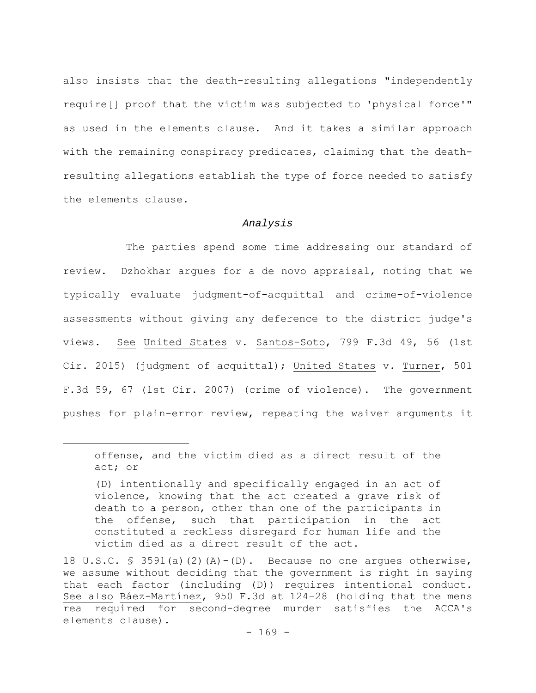also insists that the death-resulting allegations "independently require[] proof that the victim was subjected to 'physical force'" as used in the elements clause. And it takes a similar approach with the remaining conspiracy predicates, claiming that the deathresulting allegations establish the type of force needed to satisfy the elements clause.

## *Analysis*

The parties spend some time addressing our standard of review. Dzhokhar argues for a de novo appraisal, noting that we typically evaluate judgment-of-acquittal and crime-of-violence assessments without giving any deference to the district judge's views. See United States v. Santos-Soto, 799 F.3d 49, 56 (1st Cir. 2015) (judgment of acquittal); United States v. Turner, 501 F.3d 59, 67 (1st Cir. 2007) (crime of violence). The government pushes for plain-error review, repeating the waiver arguments it

offense, and the victim died as a direct result of the act; or

<sup>(</sup>D) intentionally and specifically engaged in an act of violence, knowing that the act created a grave risk of death to a person, other than one of the participants in the offense, such that participation in the act constituted a reckless disregard for human life and the victim died as a direct result of the act.

<sup>18</sup> U.S.C.  $\frac{1}{2}$  3591(a)(2)(A)-(D). Because no one arques otherwise, we assume without deciding that the government is right in saying that each factor (including (D)) requires intentional conduct. See also Báez-Martínez, 950 F.3d at 124–28 (holding that the mens rea required for second-degree murder satisfies the ACCA's elements clause).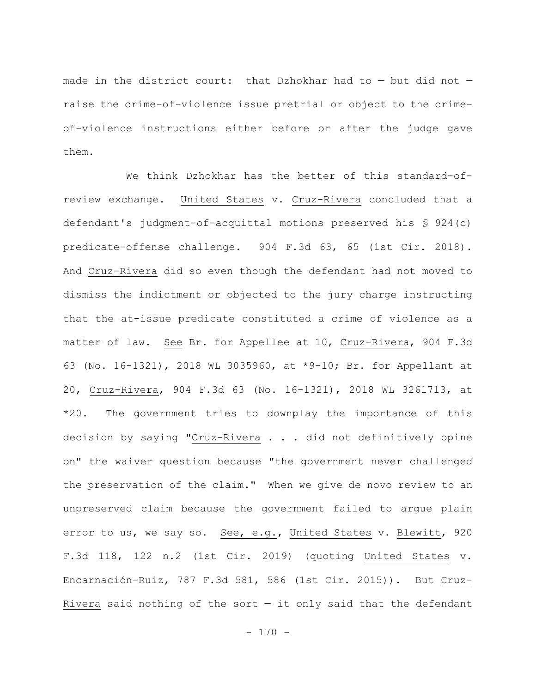made in the district court: that Dzhokhar had to — but did not raise the crime-of-violence issue pretrial or object to the crimeof-violence instructions either before or after the judge gave them.

We think Dzhokhar has the better of this standard-ofreview exchange. United States v. Cruz-Rivera concluded that a defendant's judgment-of-acquittal motions preserved his § 924(c) predicate-offense challenge. 904 F.3d 63, 65 (1st Cir. 2018). And Cruz-Rivera did so even though the defendant had not moved to dismiss the indictment or objected to the jury charge instructing that the at-issue predicate constituted a crime of violence as a matter of law. See Br. for Appellee at 10, Cruz-Rivera, 904 F.3d 63 (No. 16-1321), 2018 WL 3035960, at \*9-10; Br. for Appellant at 20, Cruz-Rivera, 904 F.3d 63 (No. 16-1321), 2018 WL 3261713, at \*20. The government tries to downplay the importance of this decision by saying "Cruz-Rivera . . . did not definitively opine on" the waiver question because "the government never challenged the preservation of the claim." When we give de novo review to an unpreserved claim because the government failed to argue plain error to us, we say so. See, e.g., United States v. Blewitt, 920 F.3d 118, 122 n.2 (1st Cir. 2019) (quoting United States v. Encarnación-Ruiz, 787 F.3d 581, 586 (1st Cir. 2015)). But Cruz-Rivera said nothing of the sort  $-$  it only said that the defendant

 $- 170 -$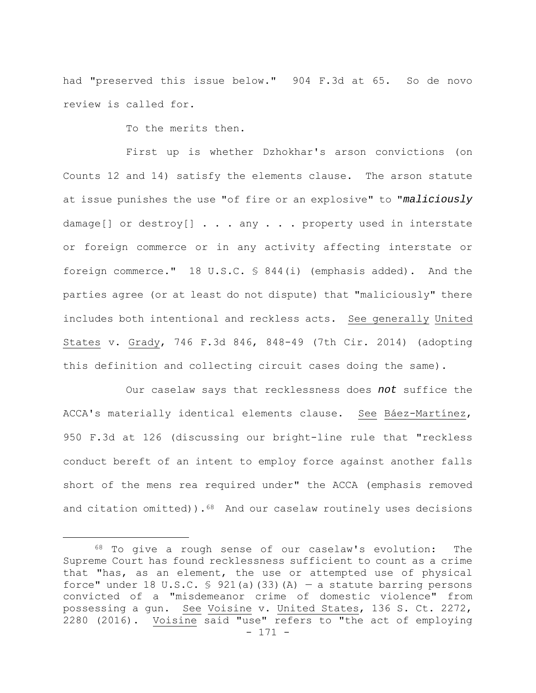had "preserved this issue below." 904 F.3d at 65. So de novo review is called for.

To the merits then.

First up is whether Dzhokhar's arson convictions (on Counts 12 and 14) satisfy the elements clause. The arson statute at issue punishes the use "of fire or an explosive" to "*maliciously* damage[] or destroy[] . . . any . . . property used in interstate or foreign commerce or in any activity affecting interstate or foreign commerce." 18 U.S.C. § 844(i) (emphasis added). And the parties agree (or at least do not dispute) that "maliciously" there includes both intentional and reckless acts. See generally United States v. Grady, 746 F.3d 846, 848-49 (7th Cir. 2014) (adopting this definition and collecting circuit cases doing the same).

Our caselaw says that recklessness does *not* suffice the ACCA's materially identical elements clause. See Báez-Martínez, 950 F.3d at 126 (discussing our bright-line rule that "reckless conduct bereft of an intent to employ force against another falls short of the mens rea required under" the ACCA (emphasis removed and citation omitted)). $68$  And our caselaw routinely uses decisions

<sup>- 171 -</sup> 68 To give a rough sense of our caselaw's evolution: The Supreme Court has found recklessness sufficient to count as a crime that "has, as an element, the use or attempted use of physical force" under 18 U.S.C. § 921(a)(33)(A) – a statute barring persons convicted of a "misdemeanor crime of domestic violence" from possessing a gun. See Voisine v. United States, 136 S. Ct. 2272, 2280 (2016). Voisine said "use" refers to "the act of employing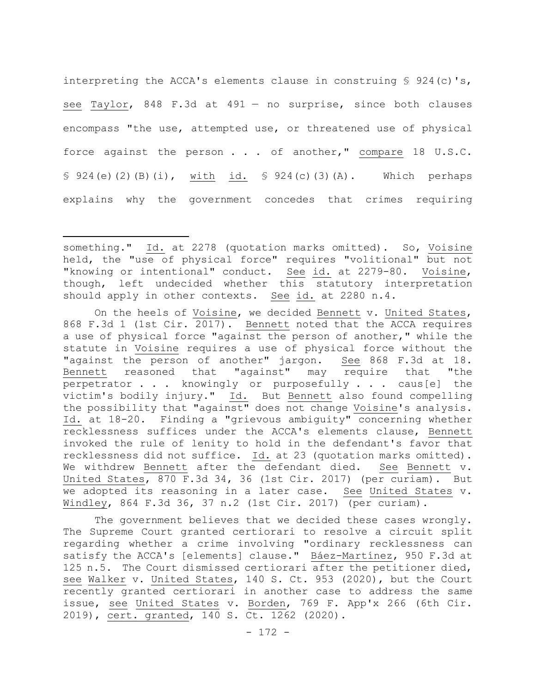interpreting the ACCA's elements clause in construing  $\frac{1}{5}$  924(c)'s, see Taylor, 848 F.3d at 491 — no surprise, since both clauses encompass "the use, attempted use, or threatened use of physical force against the person . . . of another," compare 18 U.S.C. § 924(e)(2)(B)(i), with id. § 924(c)(3)(A). Which perhaps explains why the government concedes that crimes requiring

On the heels of Voisine, we decided Bennett v. United States, 868 F.3d 1 (1st Cir. 2017). Bennett noted that the ACCA requires a use of physical force "against the person of another," while the statute in Voisine requires a use of physical force without the "against the person of another" jargon. See 868 F.3d at 18. Bennett reasoned that "against" may require that "the perpetrator . . . knowingly or purposefully . . . caus[e] the victim's bodily injury." Id. But Bennett also found compelling the possibility that "against" does not change Voisine's analysis. Id. at 18-20. Finding a "grievous ambiguity" concerning whether recklessness suffices under the ACCA's elements clause, Bennett invoked the rule of lenity to hold in the defendant's favor that recklessness did not suffice. Id. at 23 (quotation marks omitted). We withdrew Bennett after the defendant died. See Bennett v. United States, 870 F.3d 34, 36 (1st Cir. 2017) (per curiam). But we adopted its reasoning in a later case. See United States v. Windley, 864 F.3d 36, 37 n.2 (1st Cir. 2017) (per curiam).

The government believes that we decided these cases wrongly. The Supreme Court granted certiorari to resolve a circuit split regarding whether a crime involving "ordinary recklessness can satisfy the ACCA's [elements] clause." Báez-Martínez, 950 F.3d at 125 n.5. The Court dismissed certiorari after the petitioner died, see Walker v. United States, 140 S. Ct. 953 (2020), but the Court recently granted certiorari in another case to address the same issue, see United States v. Borden, 769 F. App'x 266 (6th Cir. 2019), cert. granted, 140 S. Ct. 1262 (2020).

something." Id. at 2278 (quotation marks omitted). So, Voisine held, the "use of physical force" requires "volitional" but not "knowing or intentional" conduct. See id. at 2279-80. Voisine, though, left undecided whether this statutory interpretation should apply in other contexts. See id. at 2280 n.4.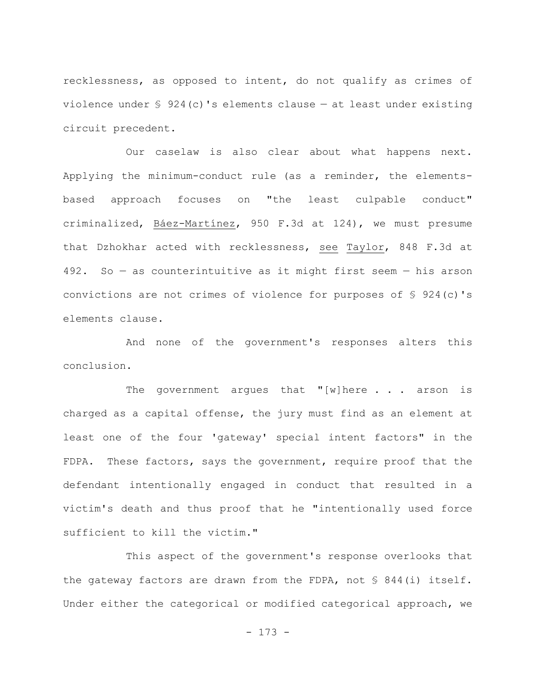recklessness, as opposed to intent, do not qualify as crimes of violence under § 924(c)'s elements clause — at least under existing circuit precedent.

Our caselaw is also clear about what happens next. Applying the minimum-conduct rule (as a reminder, the elementsbased approach focuses on "the least culpable conduct" criminalized, Báez-Martínez, 950 F.3d at 124), we must presume that Dzhokhar acted with recklessness, see Taylor, 848 F.3d at 492. So — as counterintuitive as it might first seem — his arson convictions are not crimes of violence for purposes of § 924(c)'s elements clause.

And none of the government's responses alters this conclusion.

The government argues that "[w]here  $\ldots$  arson is charged as a capital offense, the jury must find as an element at least one of the four 'gateway' special intent factors" in the FDPA. These factors, says the government, require proof that the defendant intentionally engaged in conduct that resulted in a victim's death and thus proof that he "intentionally used force sufficient to kill the victim."

This aspect of the government's response overlooks that the gateway factors are drawn from the FDPA, not § 844(i) itself. Under either the categorical or modified categorical approach, we

- 173 -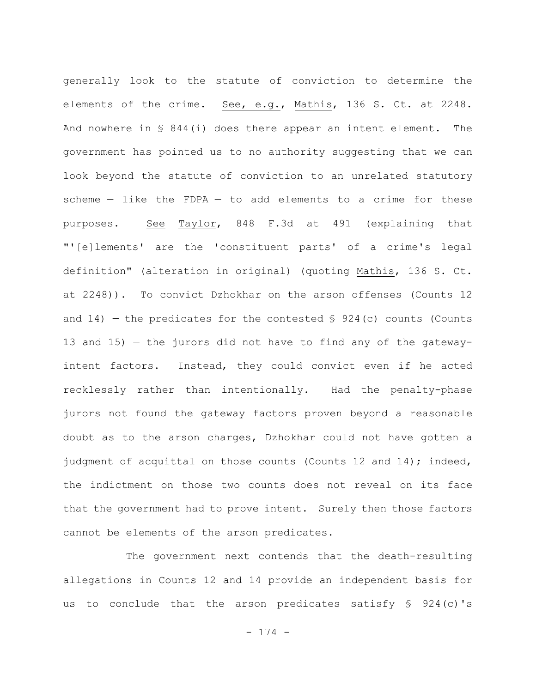generally look to the statute of conviction to determine the elements of the crime. See, e.g., Mathis, 136 S. Ct. at 2248. And nowhere in § 844(i) does there appear an intent element. The government has pointed us to no authority suggesting that we can look beyond the statute of conviction to an unrelated statutory scheme  $-$  like the FDPA  $-$  to add elements to a crime for these purposes. See Taylor, 848 F.3d at 491 (explaining that "'[e]lements' are the 'constituent parts' of a crime's legal definition" (alteration in original) (quoting Mathis, 136 S. Ct. at 2248)). To convict Dzhokhar on the arson offenses (Counts 12 and 14) – the predicates for the contested  $\S$  924(c) counts (Counts 13 and 15) — the jurors did not have to find any of the gatewayintent factors. Instead, they could convict even if he acted recklessly rather than intentionally. Had the penalty-phase jurors not found the gateway factors proven beyond a reasonable doubt as to the arson charges, Dzhokhar could not have gotten a judgment of acquittal on those counts (Counts 12 and 14); indeed, the indictment on those two counts does not reveal on its face that the government had to prove intent. Surely then those factors cannot be elements of the arson predicates.

The government next contends that the death-resulting allegations in Counts 12 and 14 provide an independent basis for us to conclude that the arson predicates satisfy § 924(c)'s

- 174 -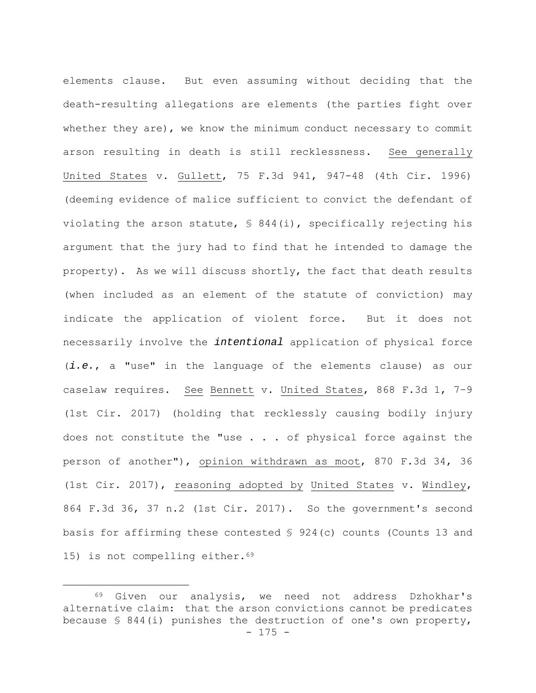elements clause. But even assuming without deciding that the death-resulting allegations are elements (the parties fight over whether they are), we know the minimum conduct necessary to commit arson resulting in death is still recklessness. See generally United States v. Gullett, 75 F.3d 941, 947-48 (4th Cir. 1996) (deeming evidence of malice sufficient to convict the defendant of violating the arson statute, § 844(i), specifically rejecting his argument that the jury had to find that he intended to damage the property). As we will discuss shortly, the fact that death results (when included as an element of the statute of conviction) may indicate the application of violent force. But it does not necessarily involve the *intentional* application of physical force (*i.e.*, a "use" in the language of the elements clause) as our caselaw requires. See Bennett v. United States, 868 F.3d 1, 7–9 (1st Cir. 2017) (holding that recklessly causing bodily injury does not constitute the "use  $\ldots$  of physical force against the person of another"), opinion withdrawn as moot, 870 F.3d 34, 36 (1st Cir. 2017), reasoning adopted by United States v. Windley, 864 F.3d 36, 37 n.2 (1st Cir. 2017). So the government's second basis for affirming these contested § 924(c) counts (Counts 13 and 15) is not compelling either.<sup>69</sup>

<sup>- 175 -</sup> 69 Given our analysis, we need not address Dzhokhar's alternative claim: that the arson convictions cannot be predicates because § 844(i) punishes the destruction of one's own property,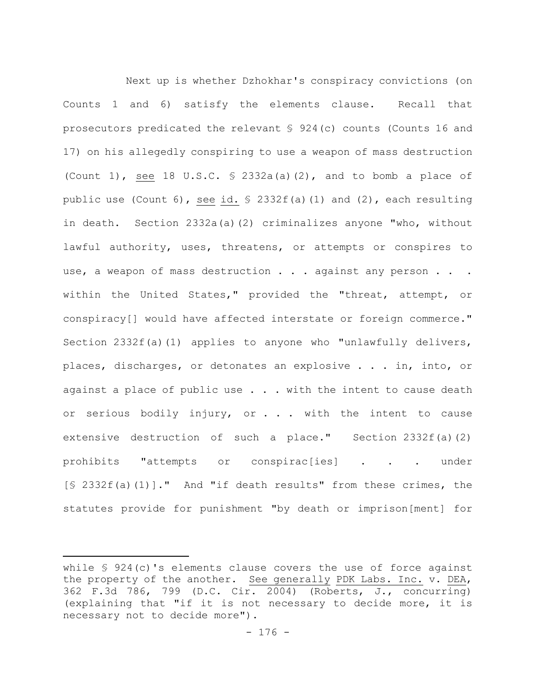Next up is whether Dzhokhar's conspiracy convictions (on Counts 1 and 6) satisfy the elements clause. Recall that prosecutors predicated the relevant § 924(c) counts (Counts 16 and 17) on his allegedly conspiring to use a weapon of mass destruction (Count 1), see 18 U.S.C.  $\frac{1}{2}$  2332a(a)(2), and to bomb a place of public use (Count 6), see id. § 2332f(a)(1) and (2), each resulting in death. Section 2332a(a)(2) criminalizes anyone "who, without lawful authority, uses, threatens, or attempts or conspires to use, a weapon of mass destruction . . . against any person . . . within the United States," provided the "threat, attempt, or conspiracy[] would have affected interstate or foreign commerce." Section  $2332f(a)(1)$  applies to anyone who "unlawfully delivers, places, discharges, or detonates an explosive . . . in, into, or against a place of public use  $\ldots$  . with the intent to cause death or serious bodily injury, or . . . with the intent to cause extensive destruction of such a place." Section 2332f(a)(2) prohibits "attempts or conspirac[ies] . . . under [§ 2332f(a)(1)]." And "if death results" from these crimes, the statutes provide for punishment "by death or imprison[ment] for

while § 924(c)'s elements clause covers the use of force against the property of the another. See generally PDK Labs. Inc. v. DEA, 362 F.3d 786, 799 (D.C. Cir. 2004) (Roberts, J., concurring) (explaining that "if it is not necessary to decide more, it is necessary not to decide more").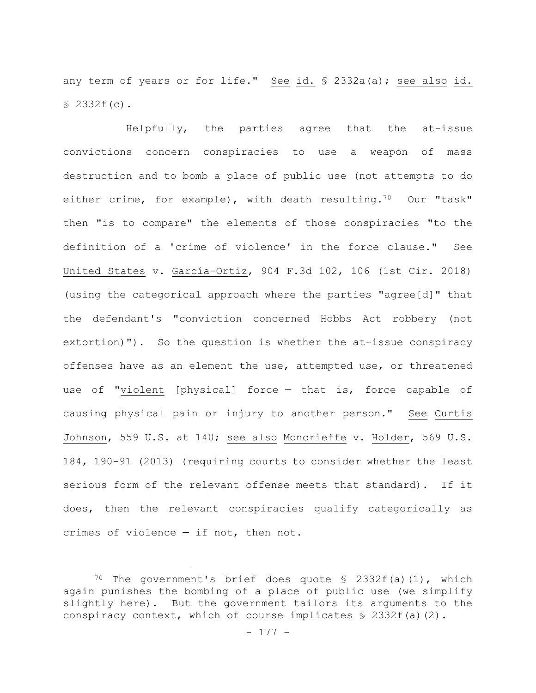any term of years or for life." See id. § 2332a(a); see also id. § 2332f(c).

Helpfully, the parties agree that the at-issue convictions concern conspiracies to use a weapon of mass destruction and to bomb a place of public use (not attempts to do either crime, for example), with death resulting.<sup>70</sup> Our "task" then "is to compare" the elements of those conspiracies "to the definition of a 'crime of violence' in the force clause." See United States v. García-Ortiz, 904 F.3d 102, 106 (1st Cir. 2018) (using the categorical approach where the parties "agree[d]" that the defendant's "conviction concerned Hobbs Act robbery (not extortion)"). So the question is whether the at-issue conspiracy offenses have as an element the use, attempted use, or threatened use of "violent [physical] force — that is, force capable of causing physical pain or injury to another person." See Curtis Johnson, 559 U.S. at 140; see also Moncrieffe v. Holder, 569 U.S. 184, 190-91 (2013) (requiring courts to consider whether the least serious form of the relevant offense meets that standard). If it does, then the relevant conspiracies qualify categorically as crimes of violence — if not, then not.

<sup>&</sup>lt;sup>70</sup> The government's brief does quote  $\frac{1}{2}$  2332f(a)(1), which again punishes the bombing of a place of public use (we simplify slightly here). But the government tailors its arguments to the conspiracy context, which of course implicates  $\frac{1}{2}$  2332f(a)(2).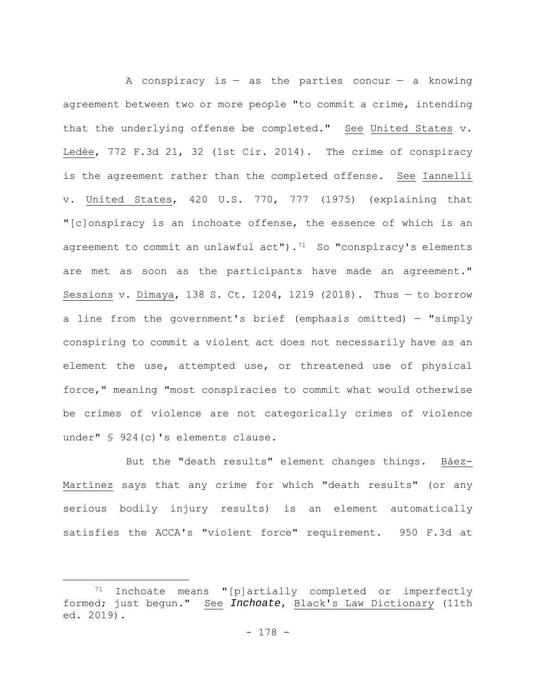A conspiracy is  $-$  as the parties concur  $-$  a knowing agreement between two or more people "to commit a crime, intending that the underlying offense be completed." See United States v. Ledée, 772 F.3d 21, 32 (1st Cir. 2014). The crime of conspiracy is the agreement rather than the completed offense. See Iannelli v. United States, 420 U.S. 770, 777 (1975) (explaining that "[c]onspiracy is an inchoate offense, the essence of which is an agreement to commit an unlawful  $act"$ ).<sup>71</sup> So "conspiracy's elements are met as soon as the participants have made an agreement." Sessions v. Dimaya, 138 S. Ct. 1204, 1219 (2018). Thus — to borrow a line from the government's brief (emphasis omitted) — "simply conspiring to commit a violent act does not necessarily have as an element the use, attempted use, or threatened use of physical force," meaning "most conspiracies to commit what would otherwise be crimes of violence are not categorically crimes of violence under" § 924(c)'s elements clause.

But the "death results" element changes things. Báez-Martínez says that any crime for which "death results" (or any serious bodily injury results) is an element automatically satisfies the ACCA's "violent force" requirement. 950 F.3d at

<sup>71</sup> Inchoate means "[p]artially completed or imperfectly formed; just begun." See *Inchoate*, Black's Law Dictionary (11th ed. 2019).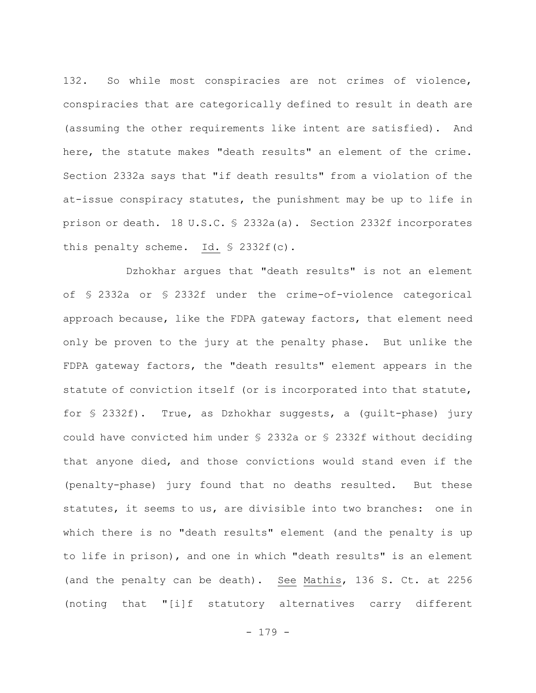132. So while most conspiracies are not crimes of violence, conspiracies that are categorically defined to result in death are (assuming the other requirements like intent are satisfied). And here, the statute makes "death results" an element of the crime. Section 2332a says that "if death results" from a violation of the at-issue conspiracy statutes, the punishment may be up to life in prison or death. 18 U.S.C. § 2332a(a). Section 2332f incorporates this penalty scheme. Id. § 2332f(c).

Dzhokhar argues that "death results" is not an element of § 2332a or § 2332f under the crime-of-violence categorical approach because, like the FDPA gateway factors, that element need only be proven to the jury at the penalty phase. But unlike the FDPA gateway factors, the "death results" element appears in the statute of conviction itself (or is incorporated into that statute, for § 2332f). True, as Dzhokhar suggests, a (guilt-phase) jury could have convicted him under § 2332a or § 2332f without deciding that anyone died, and those convictions would stand even if the (penalty-phase) jury found that no deaths resulted. But these statutes, it seems to us, are divisible into two branches: one in which there is no "death results" element (and the penalty is up to life in prison), and one in which "death results" is an element (and the penalty can be death). See Mathis, 136 S. Ct. at 2256 (noting that "[i]f statutory alternatives carry different

- 179 -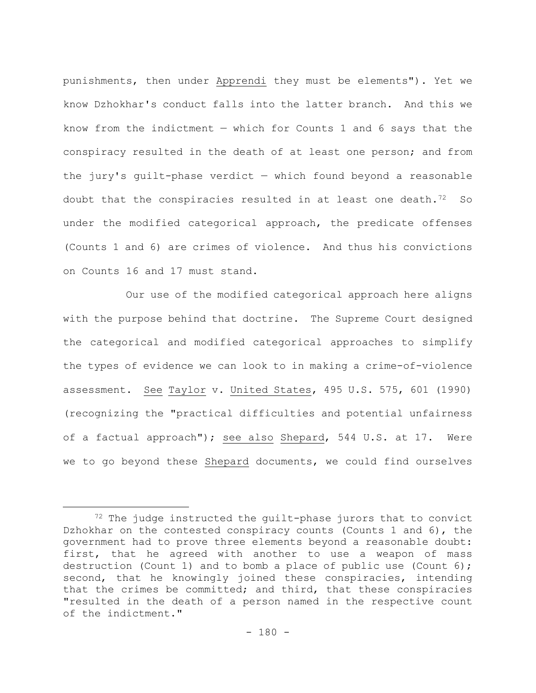punishments, then under Apprendi they must be elements"). Yet we know Dzhokhar's conduct falls into the latter branch. And this we know from the indictment — which for Counts 1 and 6 says that the conspiracy resulted in the death of at least one person; and from the jury's guilt-phase verdict — which found beyond a reasonable doubt that the conspiracies resulted in at least one death. $72$  So under the modified categorical approach, the predicate offenses (Counts 1 and 6) are crimes of violence. And thus his convictions on Counts 16 and 17 must stand.

Our use of the modified categorical approach here aligns with the purpose behind that doctrine. The Supreme Court designed the categorical and modified categorical approaches to simplify the types of evidence we can look to in making a crime-of-violence assessment. See Taylor v. United States, 495 U.S. 575, 601 (1990) (recognizing the "practical difficulties and potential unfairness of a factual approach"); see also Shepard, 544 U.S. at 17. Were we to go beyond these Shepard documents, we could find ourselves

<sup>72</sup> The judge instructed the guilt-phase jurors that to convict Dzhokhar on the contested conspiracy counts (Counts 1 and 6), the government had to prove three elements beyond a reasonable doubt: first, that he agreed with another to use a weapon of mass destruction (Count 1) and to bomb a place of public use (Count 6); second, that he knowingly joined these conspiracies, intending that the crimes be committed; and third, that these conspiracies "resulted in the death of a person named in the respective count of the indictment."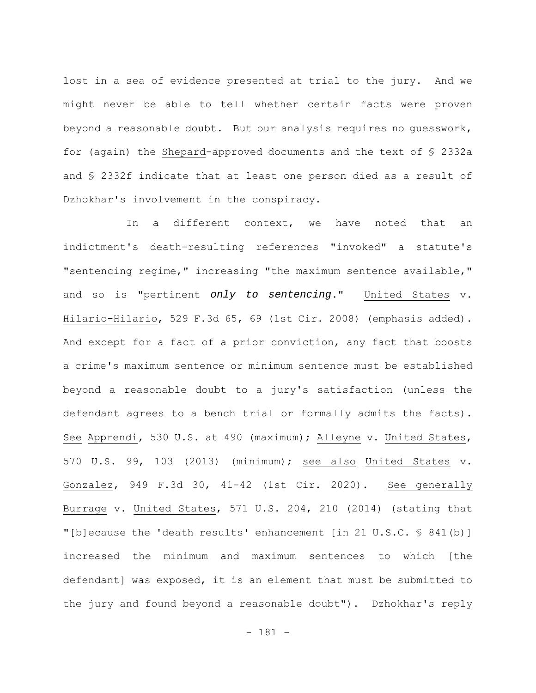lost in a sea of evidence presented at trial to the jury. And we might never be able to tell whether certain facts were proven beyond a reasonable doubt. But our analysis requires no guesswork, for (again) the Shepard-approved documents and the text of § 2332a and § 2332f indicate that at least one person died as a result of Dzhokhar's involvement in the conspiracy.

In a different context, we have noted that an indictment's death-resulting references "invoked" a statute's "sentencing regime," increasing "the maximum sentence available," and so is "pertinent *only to sentencing*." United States v. Hilario-Hilario, 529 F.3d 65, 69 (1st Cir. 2008) (emphasis added). And except for a fact of a prior conviction, any fact that boosts a crime's maximum sentence or minimum sentence must be established beyond a reasonable doubt to a jury's satisfaction (unless the defendant agrees to a bench trial or formally admits the facts). See Apprendi, 530 U.S. at 490 (maximum); Alleyne v. United States, 570 U.S. 99, 103 (2013) (minimum); see also United States v. Gonzalez, 949 F.3d 30, 41-42 (1st Cir. 2020). See generally Burrage v. United States, 571 U.S. 204, 210 (2014) (stating that "[b]ecause the 'death results' enhancement [in 21 U.S.C. § 841(b)] increased the minimum and maximum sentences to which [the defendant] was exposed, it is an element that must be submitted to the jury and found beyond a reasonable doubt"). Dzhokhar's reply

- 181 -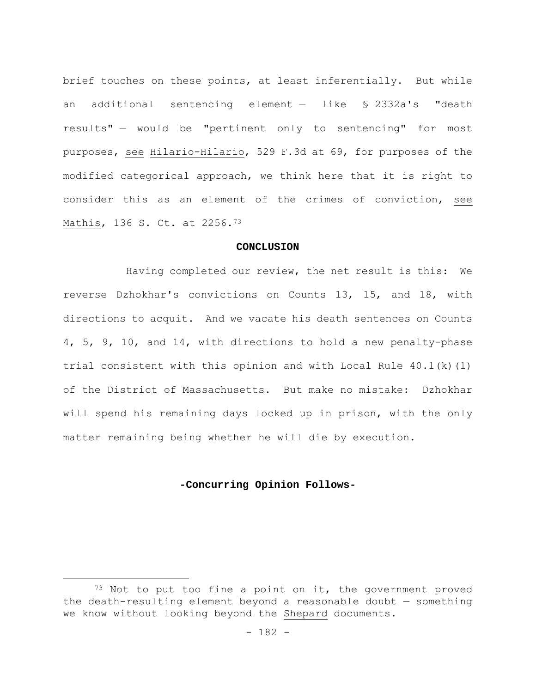brief touches on these points, at least inferentially. But while an additional sentencing element — like § 2332a's "death results" — would be "pertinent only to sentencing" for most purposes, see Hilario-Hilario, 529 F.3d at 69, for purposes of the modified categorical approach, we think here that it is right to consider this as an element of the crimes of conviction, see Mathis, 136 S. Ct. at 2256.73

#### **CONCLUSION**

Having completed our review, the net result is this: We reverse Dzhokhar's convictions on Counts 13, 15, and 18, with directions to acquit. And we vacate his death sentences on Counts 4, 5, 9, 10, and 14, with directions to hold a new penalty-phase trial consistent with this opinion and with Local Rule 40.1(k)(1) of the District of Massachusetts. But make no mistake: Dzhokhar will spend his remaining days locked up in prison, with the only matter remaining being whether he will die by execution.

### **-Concurring Opinion Follows-**

 $73$  Not to put too fine a point on it, the government proved the death-resulting element beyond a reasonable doubt — something we know without looking beyond the Shepard documents.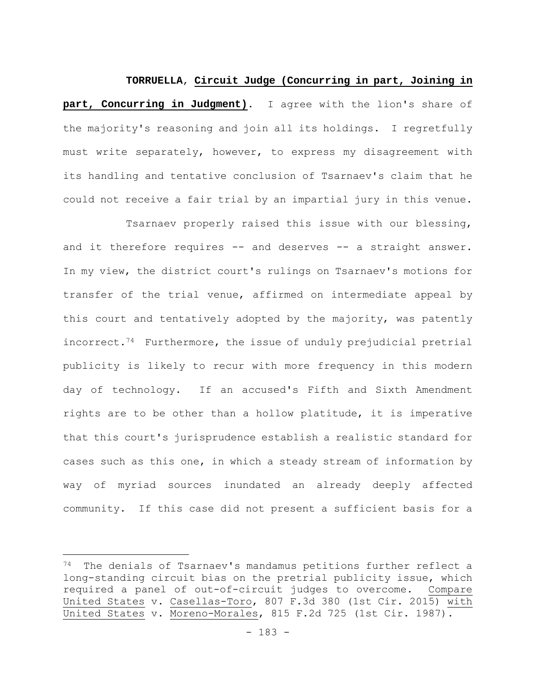#### **TORRUELLA**, **Circuit Judge (Concurring in part, Joining in**

**part, Concurring in Judgment)**. I agree with the lion's share of the majority's reasoning and join all its holdings. I regretfully must write separately, however, to express my disagreement with its handling and tentative conclusion of Tsarnaev's claim that he could not receive a fair trial by an impartial jury in this venue.

Tsarnaev properly raised this issue with our blessing, and it therefore requires -- and deserves -- a straight answer. In my view, the district court's rulings on Tsarnaev's motions for transfer of the trial venue, affirmed on intermediate appeal by this court and tentatively adopted by the majority, was patently incorrect.74 Furthermore, the issue of unduly prejudicial pretrial publicity is likely to recur with more frequency in this modern day of technology. If an accused's Fifth and Sixth Amendment rights are to be other than a hollow platitude, it is imperative that this court's jurisprudence establish a realistic standard for cases such as this one, in which a steady stream of information by way of myriad sources inundated an already deeply affected community. If this case did not present a sufficient basis for a

<sup>74</sup> The denials of Tsarnaev's mandamus petitions further reflect a long-standing circuit bias on the pretrial publicity issue, which required a panel of out-of-circuit judges to overcome. Compare United States v. Casellas-Toro, 807 F.3d 380 (1st Cir. 2015) with United States v. Moreno-Morales, 815 F.2d 725 (1st Cir. 1987).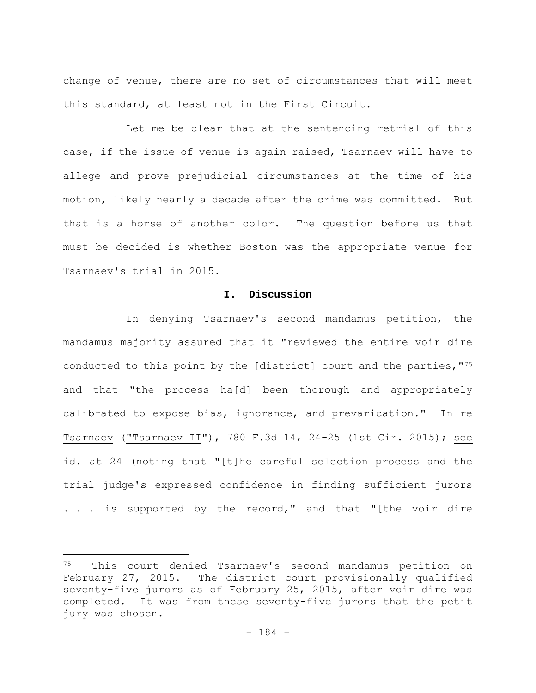change of venue, there are no set of circumstances that will meet this standard, at least not in the First Circuit.

Let me be clear that at the sentencing retrial of this case, if the issue of venue is again raised, Tsarnaev will have to allege and prove prejudicial circumstances at the time of his motion, likely nearly a decade after the crime was committed. But that is a horse of another color. The question before us that must be decided is whether Boston was the appropriate venue for Tsarnaev's trial in 2015.

### **I. Discussion**

In denying Tsarnaev's second mandamus petition, the mandamus majority assured that it "reviewed the entire voir dire conducted to this point by the [district] court and the parties,"75 and that "the process ha[d] been thorough and appropriately calibrated to expose bias, ignorance, and prevarication." In re Tsarnaev ("Tsarnaev II"), 780 F.3d 14, 24-25 (1st Cir. 2015); see id. at 24 (noting that "[t]he careful selection process and the trial judge's expressed confidence in finding sufficient jurors . . . is supported by the record," and that "[the voir dire

<sup>75</sup> This court denied Tsarnaev's second mandamus petition on February 27, 2015. The district court provisionally qualified seventy-five jurors as of February 25, 2015, after voir dire was completed. It was from these seventy-five jurors that the petit jury was chosen.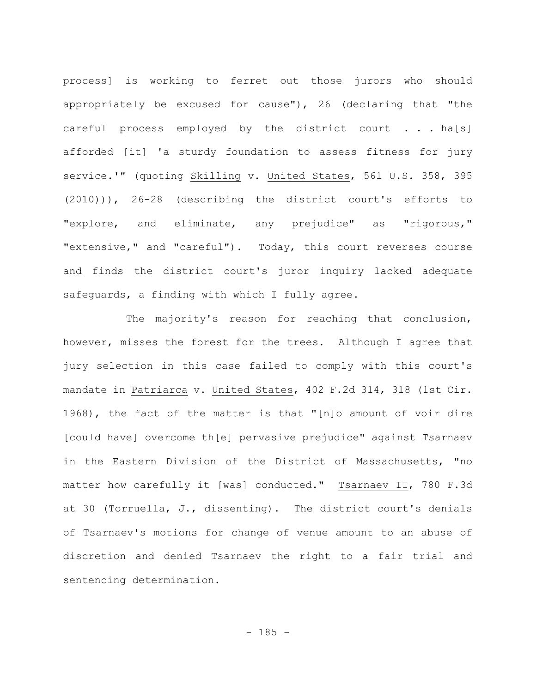process] is working to ferret out those jurors who should appropriately be excused for cause"), 26 (declaring that "the careful process employed by the district court . . . ha[s] afforded [it] 'a sturdy foundation to assess fitness for jury service.'" (quoting Skilling v. United States, 561 U.S. 358, 395 (2010))), 26-28 (describing the district court's efforts to "explore, and eliminate, any prejudice" as "rigorous," "extensive," and "careful"). Today, this court reverses course and finds the district court's juror inquiry lacked adequate safeguards, a finding with which I fully agree.

The majority's reason for reaching that conclusion, however, misses the forest for the trees. Although I agree that jury selection in this case failed to comply with this court's mandate in Patriarca v. United States, 402 F.2d 314, 318 (1st Cir. 1968), the fact of the matter is that "[n]o amount of voir dire [could have] overcome th[e] pervasive prejudice" against Tsarnaev in the Eastern Division of the District of Massachusetts, "no matter how carefully it [was] conducted." Tsarnaev II, 780 F.3d at 30 (Torruella, J., dissenting). The district court's denials of Tsarnaev's motions for change of venue amount to an abuse of discretion and denied Tsarnaev the right to a fair trial and sentencing determination.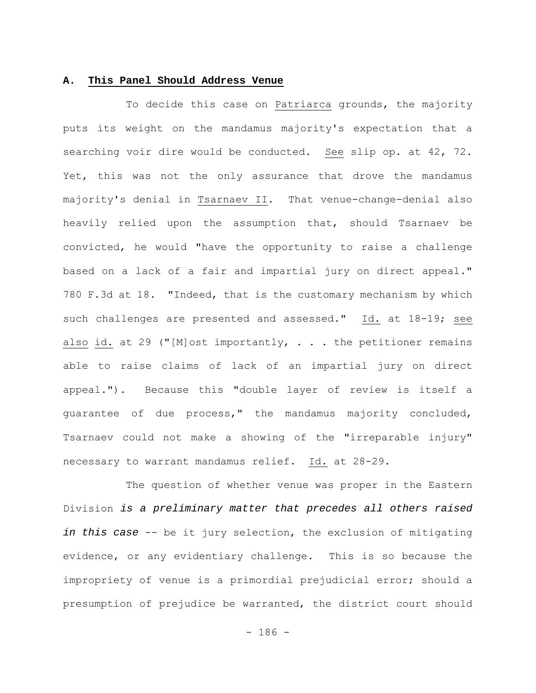### **A. This Panel Should Address Venue**

To decide this case on Patriarca grounds, the majority puts its weight on the mandamus majority's expectation that a searching voir dire would be conducted. See slip op. at 42, 72. Yet, this was not the only assurance that drove the mandamus majority's denial in Tsarnaev II. That venue-change-denial also heavily relied upon the assumption that, should Tsarnaev be convicted, he would "have the opportunity to raise a challenge based on a lack of a fair and impartial jury on direct appeal." 780 F.3d at 18. "Indeed, that is the customary mechanism by which such challenges are presented and assessed." Id. at 18-19; see also id. at 29 ("[M]ost importantly,  $\ldots$  the petitioner remains able to raise claims of lack of an impartial jury on direct appeal."). Because this "double layer of review is itself a guarantee of due process," the mandamus majority concluded, Tsarnaev could not make a showing of the "irreparable injury" necessary to warrant mandamus relief. Id. at 28-29.

The question of whether venue was proper in the Eastern Division *is a preliminary matter that precedes all others raised in this case* -- be it jury selection, the exclusion of mitigating evidence, or any evidentiary challenge. This is so because the impropriety of venue is a primordial prejudicial error; should a presumption of prejudice be warranted, the district court should

 $- 186 -$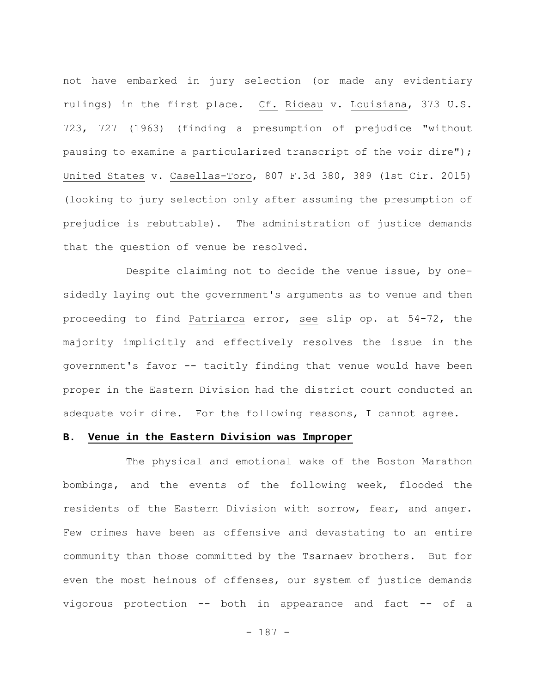not have embarked in jury selection (or made any evidentiary rulings) in the first place. Cf. Rideau v. Louisiana, 373 U.S. 723, 727 (1963) (finding a presumption of prejudice "without pausing to examine a particularized transcript of the voir dire"); United States v. Casellas-Toro, 807 F.3d 380, 389 (1st Cir. 2015) (looking to jury selection only after assuming the presumption of prejudice is rebuttable). The administration of justice demands that the question of venue be resolved.

Despite claiming not to decide the venue issue, by onesidedly laying out the government's arguments as to venue and then proceeding to find Patriarca error, see slip op. at 54-72, the majority implicitly and effectively resolves the issue in the government's favor -- tacitly finding that venue would have been proper in the Eastern Division had the district court conducted an adequate voir dire. For the following reasons, I cannot agree.

#### **B. Venue in the Eastern Division was Improper**

The physical and emotional wake of the Boston Marathon bombings, and the events of the following week, flooded the residents of the Eastern Division with sorrow, fear, and anger. Few crimes have been as offensive and devastating to an entire community than those committed by the Tsarnaev brothers. But for even the most heinous of offenses, our system of justice demands vigorous protection -- both in appearance and fact -- of a

- 187 -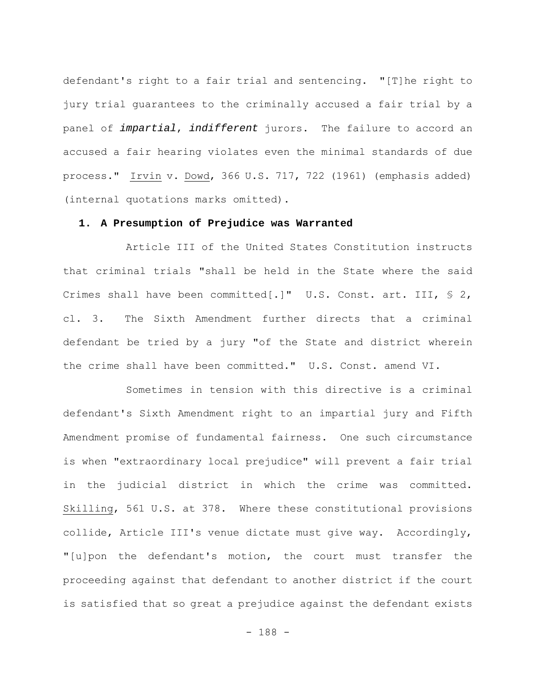defendant's right to a fair trial and sentencing. "[T]he right to jury trial guarantees to the criminally accused a fair trial by a panel of *impartial*, *indifferent* jurors. The failure to accord an accused a fair hearing violates even the minimal standards of due process." Irvin v. Dowd, 366 U.S. 717, 722 (1961) (emphasis added) (internal quotations marks omitted).

### **1. A Presumption of Prejudice was Warranted**

Article III of the United States Constitution instructs that criminal trials "shall be held in the State where the said Crimes shall have been committed[.]" U.S. Const. art. III, § 2, cl. 3. The Sixth Amendment further directs that a criminal defendant be tried by a jury "of the State and district wherein the crime shall have been committed." U.S. Const. amend VI.

Sometimes in tension with this directive is a criminal defendant's Sixth Amendment right to an impartial jury and Fifth Amendment promise of fundamental fairness. One such circumstance is when "extraordinary local prejudice" will prevent a fair trial in the judicial district in which the crime was committed. Skilling, 561 U.S. at 378. Where these constitutional provisions collide, Article III's venue dictate must give way. Accordingly, "[u]pon the defendant's motion, the court must transfer the proceeding against that defendant to another district if the court is satisfied that so great a prejudice against the defendant exists

- 188 -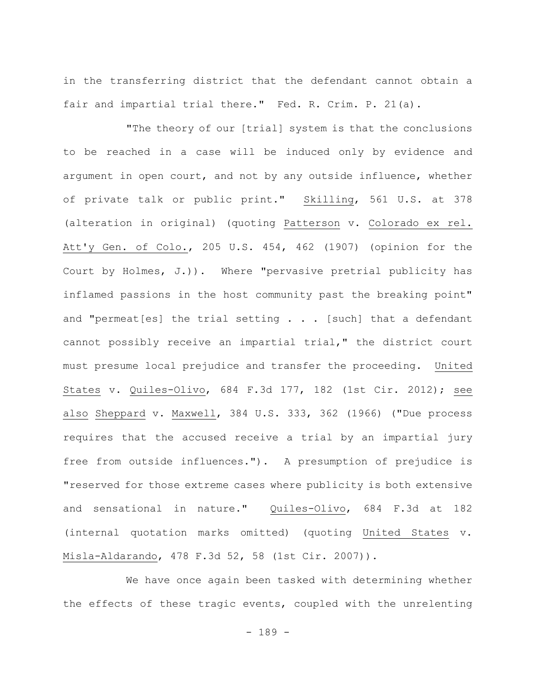in the transferring district that the defendant cannot obtain a fair and impartial trial there." Fed. R. Crim. P. 21(a).

"The theory of our [trial] system is that the conclusions to be reached in a case will be induced only by evidence and argument in open court, and not by any outside influence, whether of private talk or public print." Skilling, 561 U.S. at 378 (alteration in original) (quoting Patterson v. Colorado ex rel. Att'y Gen. of Colo., 205 U.S. 454, 462 (1907) (opinion for the Court by Holmes, J.)). Where "pervasive pretrial publicity has inflamed passions in the host community past the breaking point" and "permeat  $[es]$  the trial setting  $\ldots$  [such] that a defendant cannot possibly receive an impartial trial," the district court must presume local prejudice and transfer the proceeding. United States v. Quiles-Olivo, 684 F.3d 177, 182 (1st Cir. 2012); see also Sheppard v. Maxwell, 384 U.S. 333, 362 (1966) ("Due process requires that the accused receive a trial by an impartial jury free from outside influences."). A presumption of prejudice is "reserved for those extreme cases where publicity is both extensive and sensational in nature." Quiles-Olivo, 684 F.3d at 182 (internal quotation marks omitted) (quoting United States v. Misla-Aldarando, 478 F.3d 52, 58 (1st Cir. 2007)).

We have once again been tasked with determining whether the effects of these tragic events, coupled with the unrelenting

- 189 -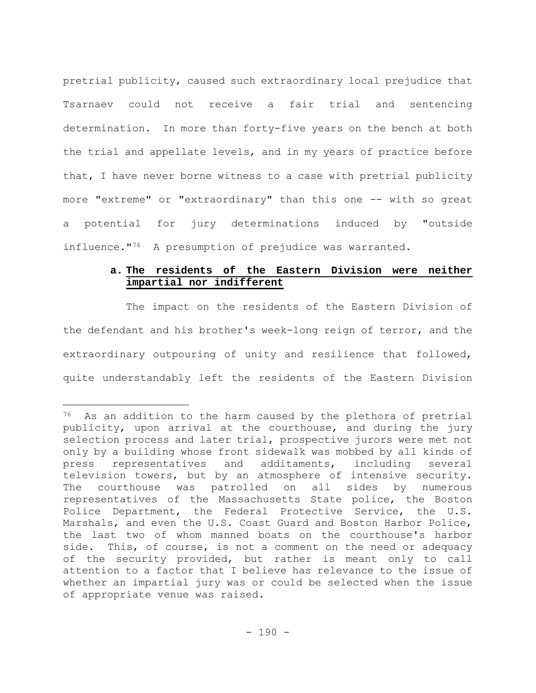pretrial publicity, caused such extraordinary local prejudice that Tsarnaev could not receive a fair trial and sentencing determination. In more than forty-five years on the bench at both the trial and appellate levels, and in my years of practice before that, I have never borne witness to a case with pretrial publicity more "extreme" or "extraordinary" than this one -- with so great a potential for jury determinations induced by "outside influence."<sup>76</sup> A presumption of prejudice was warranted.

# **a. The residents of the Eastern Division were neither impartial nor indifferent**

The impact on the residents of the Eastern Division of the defendant and his brother's week-long reign of terror, and the extraordinary outpouring of unity and resilience that followed, quite understandably left the residents of the Eastern Division

<sup>&</sup>lt;sup>76</sup> As an addition to the harm caused by the plethora of pretrial publicity, upon arrival at the courthouse, and during the jury selection process and later trial, prospective jurors were met not only by a building whose front sidewalk was mobbed by all kinds of press representatives and additaments, including several television towers, but by an atmosphere of intensive security. The courthouse was patrolled on all sides by numerous representatives of the Massachusetts State police, the Boston Police Department, the Federal Protective Service, the U.S. Marshals, and even the U.S. Coast Guard and Boston Harbor Police, the last two of whom manned boats on the courthouse's harbor side. This, of course, is not a comment on the need or adequacy of the security provided, but rather is meant only to call attention to a factor that I believe has relevance to the issue of whether an impartial jury was or could be selected when the issue of appropriate venue was raised.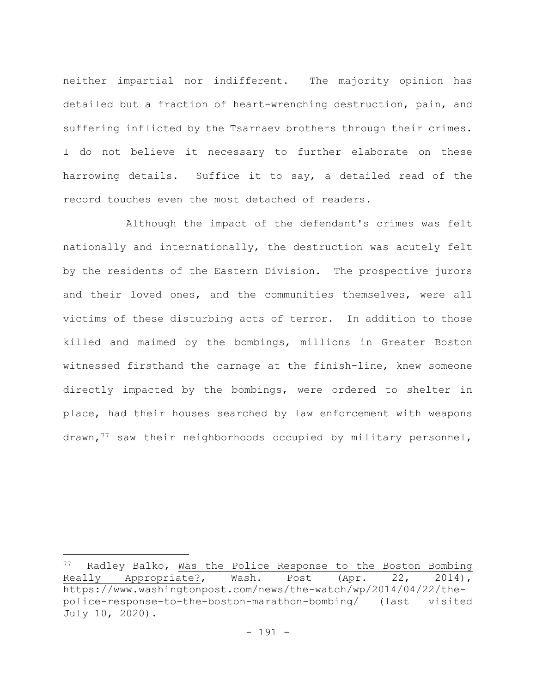neither impartial nor indifferent. The majority opinion has detailed but a fraction of heart-wrenching destruction, pain, and suffering inflicted by the Tsarnaev brothers through their crimes. I do not believe it necessary to further elaborate on these harrowing details. Suffice it to say, a detailed read of the record touches even the most detached of readers.

Although the impact of the defendant's crimes was felt nationally and internationally, the destruction was acutely felt by the residents of the Eastern Division. The prospective jurors and their loved ones, and the communities themselves, were all victims of these disturbing acts of terror. In addition to those killed and maimed by the bombings, millions in Greater Boston witnessed firsthand the carnage at the finish-line, knew someone directly impacted by the bombings, were ordered to shelter in place, had their houses searched by law enforcement with weapons drawn,<sup>77</sup> saw their neighborhoods occupied by military personnel,

<sup>77</sup> Radley Balko, Was the Police Response to the Boston Bombing Really Appropriate?, Wash. Post (Apr. 22, 2014), https://www.washingtonpost.com/news/the-watch/wp/2014/04/22/thepolice-response-to-the-boston-marathon-bombing/ (last visited July 10, 2020).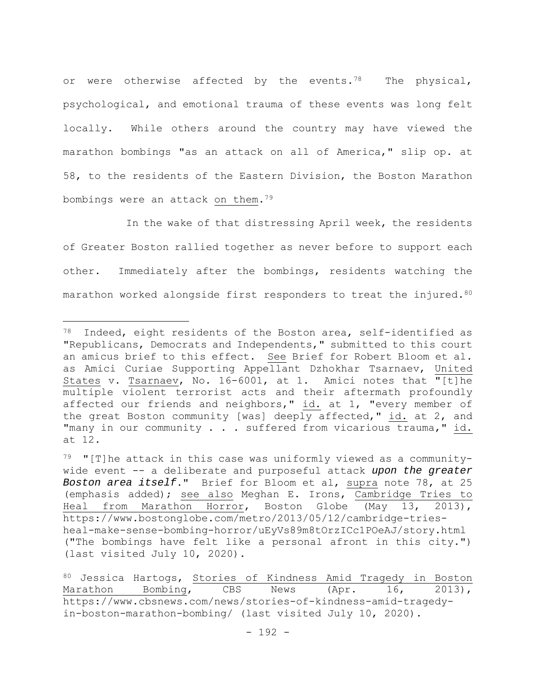or were otherwise affected by the events.<sup>78</sup> The physical, psychological, and emotional trauma of these events was long felt locally. While others around the country may have viewed the marathon bombings "as an attack on all of America," slip op. at 58, to the residents of the Eastern Division, the Boston Marathon bombings were an attack on them.79

In the wake of that distressing April week, the residents of Greater Boston rallied together as never before to support each other. Immediately after the bombings, residents watching the marathon worked alongside first responders to treat the injured.<sup>80</sup>

<sup>78</sup> Indeed, eight residents of the Boston area, self-identified as "Republicans, Democrats and Independents," submitted to this court an amicus brief to this effect. See Brief for Robert Bloom et al. as Amici Curiae Supporting Appellant Dzhokhar Tsarnaev, United States v. Tsarnaev, No. 16-6001, at 1. Amici notes that "[t]he multiple violent terrorist acts and their aftermath profoundly affected our friends and neighbors," id. at 1, "every member of the great Boston community [was] deeply affected," id. at 2, and "many in our community . . . suffered from vicarious trauma," id. at 12.

 $79$  "[T]he attack in this case was uniformly viewed as a communitywide event -- a deliberate and purposeful attack *upon the greater Boston area itself*." Brief for Bloom et al, supra note 78, at 25 (emphasis added); see also Meghan E. Irons, Cambridge Tries to Heal from Marathon Horror, Boston Globe (May 13, 2013), https://www.bostonglobe.com/metro/2013/05/12/cambridge-triesheal-make-sense-bombing-horror/uEyVs89m8tOrzICc1POeAJ/story.html ("The bombings have felt like a personal afront in this city.") (last visited July 10, 2020).

<sup>80</sup> Jessica Hartogs, Stories of Kindness Amid Tragedy in Boston Marathon Bombing, CBS News (Apr. 16, 2013), https://www.cbsnews.com/news/stories-of-kindness-amid-tragedyin-boston-marathon-bombing/ (last visited July 10, 2020).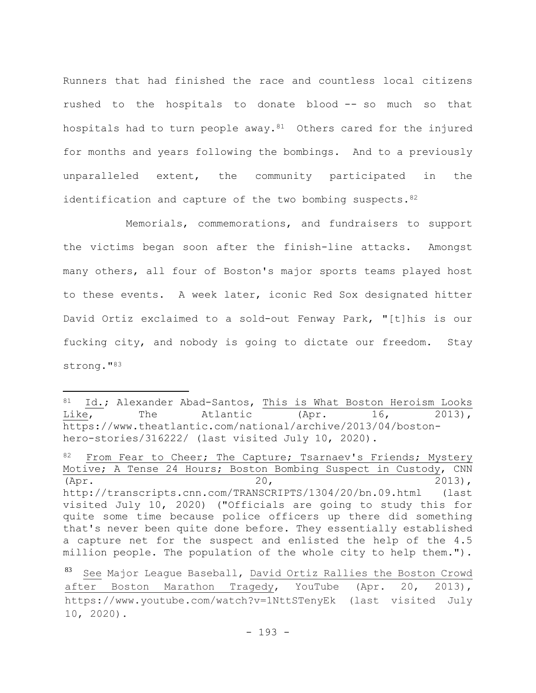Runners that had finished the race and countless local citizens rushed to the hospitals to donate blood -- so much so that hospitals had to turn people away.<sup>81</sup> Others cared for the injured for months and years following the bombings. And to a previously unparalleled extent, the community participated in the identification and capture of the two bombing suspects.  $82$ 

Memorials, commemorations, and fundraisers to support the victims began soon after the finish-line attacks. Amongst many others, all four of Boston's major sports teams played host to these events. A week later, iconic Red Sox designated hitter David Ortiz exclaimed to a sold-out Fenway Park, "[t]his is our fucking city, and nobody is going to dictate our freedom. Stay strong."83

<sup>81</sup> Id.; Alexander Abad-Santos, This is What Boston Heroism Looks Like, The Atlantic (Apr. 16, 2013), https://www.theatlantic.com/national/archive/2013/04/bostonhero-stories/316222/ (last visited July 10, 2020).

From Fear to Cheer; The Capture; Tsarnaev's Friends; Mystery Motive; A Tense 24 Hours; Boston Bombing Suspect in Custody, CNN (Apr. 2013), http://transcripts.cnn.com/TRANSCRIPTS/1304/20/bn.09.html (last visited July 10, 2020) ("Officials are going to study this for quite some time because police officers up there did something that's never been quite done before. They essentially established a capture net for the suspect and enlisted the help of the 4.5 million people. The population of the whole city to help them.").

<sup>83</sup> See Major League Baseball, David Ortiz Rallies the Boston Crowd after Boston Marathon Tragedy, YouTube (Apr. 20, 2013), https://www.youtube.com/watch?v=1NttSTenyEk (last visited July 10, 2020).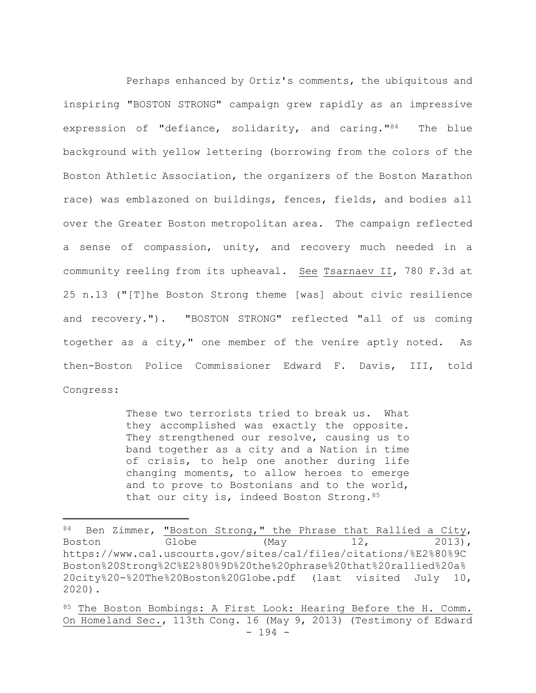Perhaps enhanced by Ortiz's comments, the ubiquitous and inspiring "BOSTON STRONG" campaign grew rapidly as an impressive expression of "defiance, solidarity, and caring."84 The blue background with yellow lettering (borrowing from the colors of the Boston Athletic Association, the organizers of the Boston Marathon race) was emblazoned on buildings, fences, fields, and bodies all over the Greater Boston metropolitan area. The campaign reflected a sense of compassion, unity, and recovery much needed in a community reeling from its upheaval. See Tsarnaev II, 780 F.3d at 25 n.13 ("[T]he Boston Strong theme [was] about civic resilience and recovery."). "BOSTON STRONG" reflected "all of us coming together as a city," one member of the venire aptly noted. As then-Boston Police Commissioner Edward F. Davis, III, told Congress:

> These two terrorists tried to break us. What they accomplished was exactly the opposite. They strengthened our resolve, causing us to band together as a city and a Nation in time of crisis, to help one another during life changing moments, to allow heroes to emerge and to prove to Bostonians and to the world, that our city is, indeed Boston Strong.  $85$

<sup>84</sup> Ben Zimmer, "Boston Strong," the Phrase that Rallied a City, Boston Globe (May 12, 2013), https://www.ca1.uscourts.gov/sites/ca1/files/citations/%E2%80%9C Boston%20Strong%2C%E2%80%9D%20the%20phrase%20that%20rallied%20a% 20city%20-%20The%20Boston%20Globe.pdf (last visited July 10, 2020).

<sup>- 194 -</sup> 85 The Boston Bombings: A First Look: Hearing Before the H. Comm. On Homeland Sec., 113th Cong. 16 (May 9, 2013) (Testimony of Edward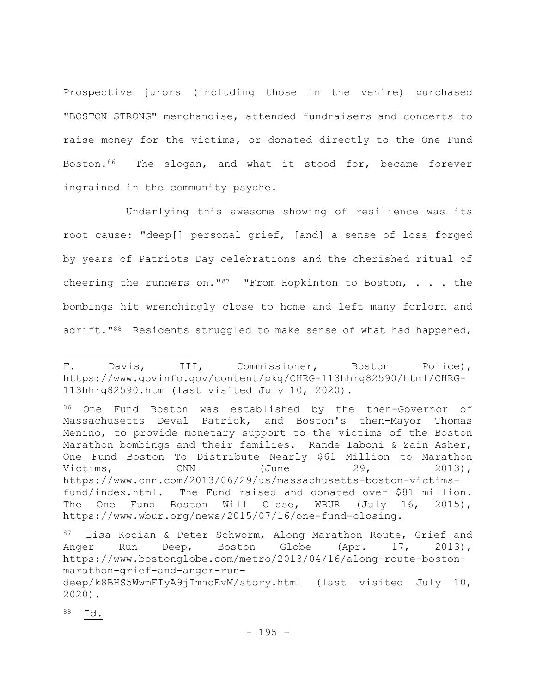Prospective jurors (including those in the venire) purchased "BOSTON STRONG" merchandise, attended fundraisers and concerts to raise money for the victims, or donated directly to the One Fund Boston.<sup>86</sup> The slogan, and what it stood for, became forever ingrained in the community psyche.

Underlying this awesome showing of resilience was its root cause: "deep[] personal grief, [and] a sense of loss forged by years of Patriots Day celebrations and the cherished ritual of cheering the runners on."<sup>87</sup> "From Hopkinton to Boston,  $\ldots$  the bombings hit wrenchingly close to home and left many forlorn and adrift."<sup>88</sup> Residents struggled to make sense of what had happened,

86 One Fund Boston was established by the then-Governor of Massachusetts Deval Patrick, and Boston's then-Mayor Thomas Menino, to provide monetary support to the victims of the Boston Marathon bombings and their families. Rande Iaboni & Zain Asher, One Fund Boston To Distribute Nearly \$61 Million to Marathon Victims, CNN (June 29, 2013), https://www.cnn.com/2013/06/29/us/massachusetts-boston-victimsfund/index.html. The Fund raised and donated over \$81 million. The One Fund Boston Will Close, WBUR (July 16, 2015), https://www.wbur.org/news/2015/07/16/one-fund-closing.

88 Id.

F. Davis, III, Commissioner, Boston Police), https://www.govinfo.gov/content/pkg/CHRG-113hhrg82590/html/CHRG-113hhrg82590.htm (last visited July 10, 2020).

<sup>87</sup> Lisa Kocian & Peter Schworm, Along Marathon Route, Grief and Anger Run Deep, Boston Globe (Apr. 17, 2013), https://www.bostonglobe.com/metro/2013/04/16/along-route-bostonmarathon-grief-and-anger-run-

deep/k8BHS5WwmFIyA9jImhoEvM/story.html (last visited July 10, 2020).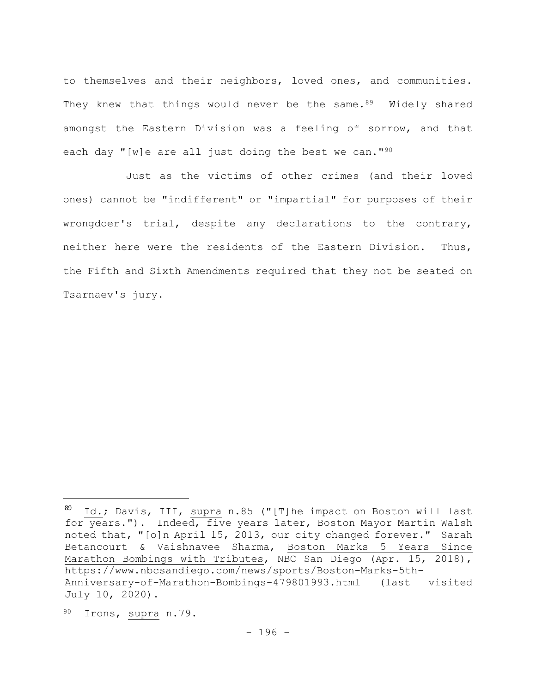to themselves and their neighbors, loved ones, and communities. They knew that things would never be the same.<sup>89</sup> Widely shared amongst the Eastern Division was a feeling of sorrow, and that each day "[w]e are all just doing the best we can."<sup>90</sup>

Just as the victims of other crimes (and their loved ones) cannot be "indifferent" or "impartial" for purposes of their wrongdoer's trial, despite any declarations to the contrary, neither here were the residents of the Eastern Division. Thus, the Fifth and Sixth Amendments required that they not be seated on Tsarnaev's jury.

 $89$  Id.; Davis, III, supra n.85 ("[T]he impact on Boston will last for years."). Indeed, five years later, Boston Mayor Martin Walsh noted that, "[o]n April 15, 2013, our city changed forever." Sarah Betancourt & Vaishnavee Sharma, Boston Marks 5 Years Since Marathon Bombings with Tributes, NBC San Diego (Apr. 15, 2018), https://www.nbcsandiego.com/news/sports/Boston-Marks-5th-Anniversary-of-Marathon-Bombings-479801993.html (last visited July 10, 2020).

<sup>90</sup> Irons, supra n.79.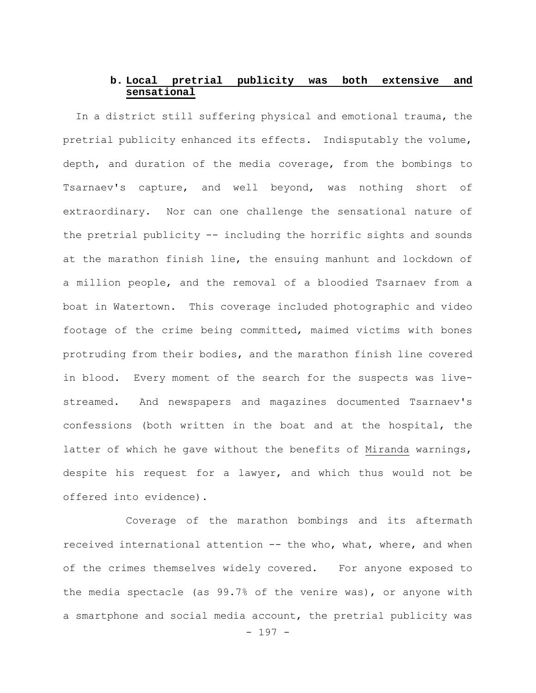# **b. Local pretrial publicity was both extensive and sensational**

In a district still suffering physical and emotional trauma, the pretrial publicity enhanced its effects. Indisputably the volume, depth, and duration of the media coverage, from the bombings to Tsarnaev's capture, and well beyond, was nothing short of extraordinary. Nor can one challenge the sensational nature of the pretrial publicity -- including the horrific sights and sounds at the marathon finish line, the ensuing manhunt and lockdown of a million people, and the removal of a bloodied Tsarnaev from a boat in Watertown. This coverage included photographic and video footage of the crime being committed, maimed victims with bones protruding from their bodies, and the marathon finish line covered in blood. Every moment of the search for the suspects was livestreamed. And newspapers and magazines documented Tsarnaev's confessions (both written in the boat and at the hospital, the latter of which he gave without the benefits of Miranda warnings, despite his request for a lawyer, and which thus would not be offered into evidence).

- 197 - Coverage of the marathon bombings and its aftermath received international attention -- the who, what, where, and when of the crimes themselves widely covered. For anyone exposed to the media spectacle (as 99.7% of the venire was), or anyone with a smartphone and social media account, the pretrial publicity was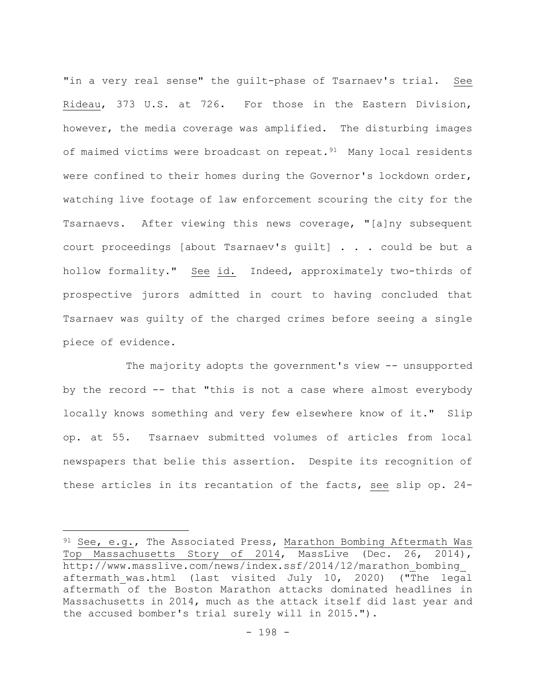"in a very real sense" the guilt-phase of Tsarnaev's trial. See Rideau, 373 U.S. at 726**.** For those in the Eastern Division, however, the media coverage was amplified. The disturbing images of maimed victims were broadcast on repeat.<sup>91</sup> Many local residents were confined to their homes during the Governor's lockdown order, watching live footage of law enforcement scouring the city for the Tsarnaevs. After viewing this news coverage, "[a]ny subsequent court proceedings [about Tsarnaev's guilt] . . . could be but a hollow formality." See id. Indeed, approximately two-thirds of prospective jurors admitted in court to having concluded that Tsarnaev was guilty of the charged crimes before seeing a single piece of evidence.

The majority adopts the government's view -- unsupported by the record -- that "this is not a case where almost everybody locally knows something and very few elsewhere know of it." Slip op. at 55. Tsarnaev submitted volumes of articles from local newspapers that belie this assertion. Despite its recognition of these articles in its recantation of the facts, see slip op. 24-

 $91$  See, e.g., The Associated Press, Marathon Bombing Aftermath Was Top Massachusetts Story of 2014, MassLive (Dec. 26, 2014), http://www.masslive.com/news/index.ssf/2014/12/marathon\_bombing\_ aftermath was.html (last visited July 10, 2020) ("The legal aftermath of the Boston Marathon attacks dominated headlines in Massachusetts in 2014, much as the attack itself did last year and the accused bomber's trial surely will in 2015.").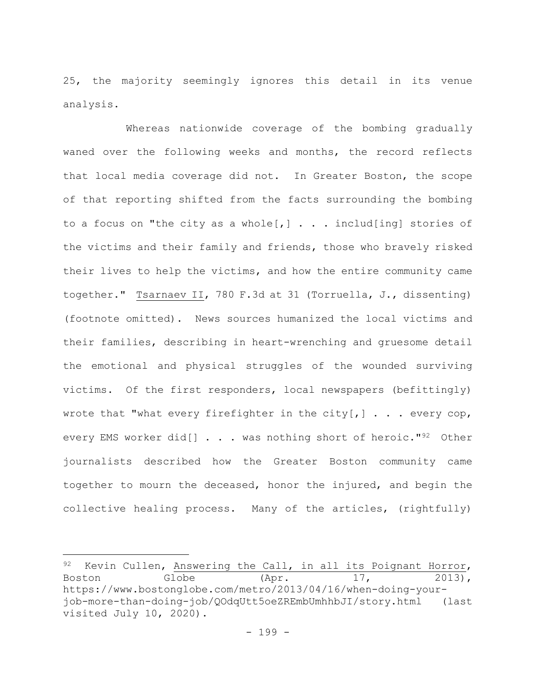25, the majority seemingly ignores this detail in its venue analysis.

Whereas nationwide coverage of the bombing gradually waned over the following weeks and months, the record reflects that local media coverage did not. In Greater Boston, the scope of that reporting shifted from the facts surrounding the bombing to a focus on "the city as a whole[ $,$ ]  $\ldots$  includ[ing] stories of the victims and their family and friends, those who bravely risked their lives to help the victims, and how the entire community came together." Tsarnaev II, 780 F.3d at 31 (Torruella, J., dissenting) (footnote omitted). News sources humanized the local victims and their families, describing in heart-wrenching and gruesome detail the emotional and physical struggles of the wounded surviving victims. Of the first responders, local newspapers (befittingly) wrote that "what every firefighter in the city[,]  $\ldots$  every cop, every EMS worker did[] . . . was nothing short of heroic."<sup>92</sup> Other journalists described how the Greater Boston community came together to mourn the deceased, honor the injured, and begin the collective healing process. Many of the articles, (rightfully)

<sup>92</sup> Kevin Cullen, Answering the Call, in all its Poignant Horror, Boston Globe (Apr. 17, 2013), https://www.bostonglobe.com/metro/2013/04/16/when-doing-yourjob-more-than-doing-job/QOdqUtt5oeZREmbUmhhbJI/story.html (last visited July 10, 2020).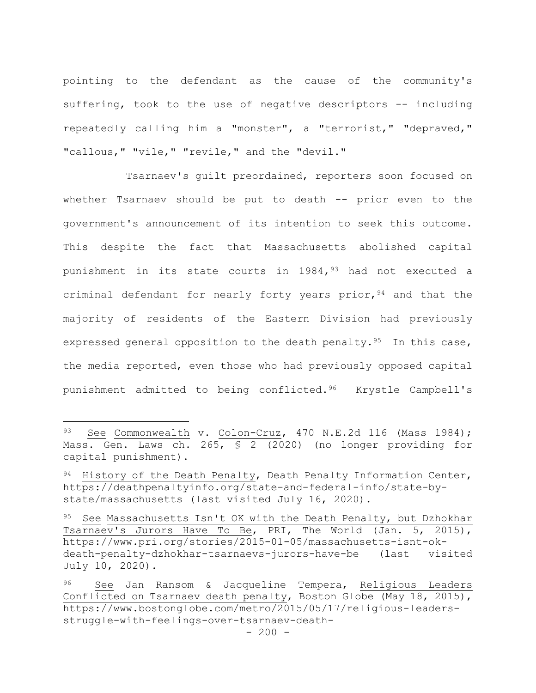pointing to the defendant as the cause of the community's suffering, took to the use of negative descriptors -- including repeatedly calling him a "monster", a "terrorist," "depraved," "callous, " "vile, " "revile, " and the "devil."

Tsarnaev's guilt preordained, reporters soon focused on whether Tsarnaev should be put to death -- prior even to the government's announcement of its intention to seek this outcome. This despite the fact that Massachusetts abolished capital punishment in its state courts in  $1984, <sup>93</sup>$  had not executed a criminal defendant for nearly forty years prior, <sup>94</sup> and that the majority of residents of the Eastern Division had previously expressed general opposition to the death penalty.<sup>95</sup> In this case, the media reported, even those who had previously opposed capital punishment admitted to being conflicted.96 Krystle Campbell's

<sup>93</sup> See Commonwealth v. Colon-Cruz, 470 N.E.2d 116 (Mass 1984); Mass. Gen. Laws ch. 265, § 2 (2020) (no longer providing for capital punishment).

<sup>94</sup> History of the Death Penalty, Death Penalty Information Center, https://deathpenaltyinfo.org/state-and-federal-info/state-bystate/massachusetts (last visited July 16, 2020).

<sup>95</sup> See Massachusetts Isn't OK with the Death Penalty, but Dzhokhar Tsarnaev's Jurors Have To Be, PRI, The World (Jan. 5, 2015), https://www.pri.org/stories/2015-01-05/massachusetts-isnt-okdeath-penalty-dzhokhar-tsarnaevs-jurors-have-be (last visited July 10, 2020).

<sup>96</sup> See Jan Ransom & Jacqueline Tempera, Religious Leaders Conflicted on Tsarnaev death penalty, Boston Globe (May 18, 2015), https://www.bostonglobe.com/metro/2015/05/17/religious-leadersstruggle-with-feelings-over-tsarnaev-death-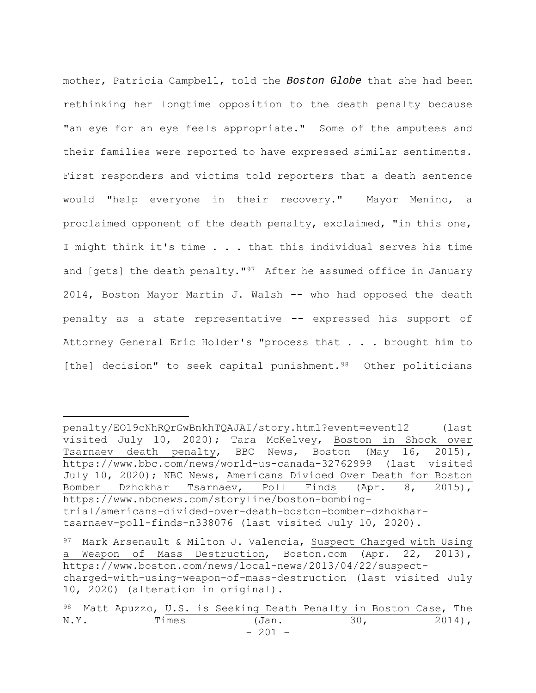mother, Patricia Campbell, told the *Boston Globe* that she had been rethinking her longtime opposition to the death penalty because "an eye for an eye feels appropriate." Some of the amputees and their families were reported to have expressed similar sentiments. First responders and victims told reporters that a death sentence would "help everyone in their recovery." Mayor Menino, a proclaimed opponent of the death penalty, exclaimed, "in this one, I might think it's time . . . that this individual serves his time and [gets] the death penalty."<sup>97</sup> After he assumed office in January 2014, Boston Mayor Martin J. Walsh -- who had opposed the death penalty as a state representative -- expressed his support of Attorney General Eric Holder's "process that . . . brought him to [the] decision" to seek capital punishment.<sup>98</sup> Other politicians

penalty/EOl9cNhRQrGwBnkhTQAJAI/story.html?event=event12 (last visited July 10, 2020); Tara McKelvey, Boston in Shock over Tsarnaev death penalty, BBC News, Boston (May 16, 2015), https://www.bbc.com/news/world-us-canada-32762999 (last visited July 10, 2020); NBC News, Americans Divided Over Death for Boston Bomber Dzhokhar Tsarnaev, Poll Finds (Apr. 8, 2015), https://www.nbcnews.com/storyline/boston-bombingtrial/americans-divided-over-death-boston-bomber-dzhokhartsarnaev-poll-finds-n338076 (last visited July 10, 2020).

 $97$  Mark Arsenault & Milton J. Valencia, Suspect Charged with Using a Weapon of Mass Destruction, Boston.com (Apr. 22, 2013), https://www.boston.com/news/local-news/2013/04/22/suspectcharged-with-using-weapon-of-mass-destruction (last visited July 10, 2020) (alteration in original).

<sup>- 201 -</sup> 98 Matt Apuzzo, U.S. is Seeking Death Penalty in Boston Case, The N.Y. Times (Jan. 30, 2014),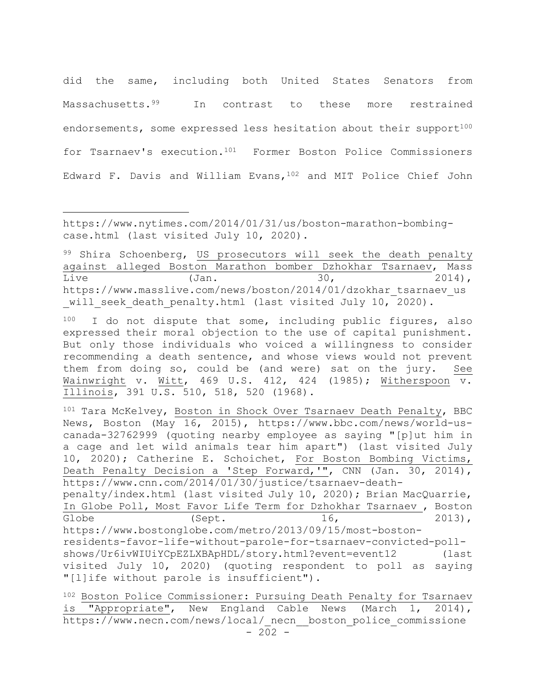did the same, including both United States Senators from Massachusetts.<sup>99</sup> In contrast to these more restrained endorsements, some expressed less hesitation about their support<sup>100</sup> for Tsarnaev's execution.101 Former Boston Police Commissioners Edward F. Davis and William Evans,102 and MIT Police Chief John

https://www.nytimes.com/2014/01/31/us/boston-marathon-bombingcase.html (last visited July 10, 2020).

99 Shira Schoenberg, US prosecutors will seek the death penalty against alleged Boston Marathon bomber Dzhokhar Tsarnaev, Mass Live (Jan. 30, 2014), https://www.masslive.com/news/boston/2014/01/dzokhar\_tsarnaev\_us will seek death penalty.html (last visited July 10, 2020).

100 I do not dispute that some, including public figures, also expressed their moral objection to the use of capital punishment. But only those individuals who voiced a willingness to consider recommending a death sentence, and whose views would not prevent them from doing so, could be (and were) sat on the jury. See Wainwright v. Witt, 469 U.S. 412, 424 (1985); Witherspoon v. Illinois, 391 U.S. 510, 518, 520 (1968).

101 Tara McKelvey, Boston in Shock Over Tsarnaev Death Penalty, BBC News, Boston (May 16, 2015), https://www.bbc.com/news/world-uscanada-32762999 (quoting nearby employee as saying "[p]ut him in a cage and let wild animals tear him apart") (last visited July 10, 2020); Catherine E. Schoichet, For Boston Bombing Victims, Death Penalty Decision a 'Step Forward,'", CNN (Jan. 30, 2014), https://www.cnn.com/2014/01/30/justice/tsarnaev-death-

penalty/index.html (last visited July 10, 2020); Brian MacQuarrie, In Globe Poll, Most Favor Life Term for Dzhokhar Tsarnaev , Boston Globe  $(Sept.$   $16,$   $2013),$ https://www.bostonglobe.com/metro/2013/09/15/most-boston-

residents-favor-life-without-parole-for-tsarnaev-convicted-pollshows/Ur6ivWIUiYCpEZLXBApHDL/story.html?event=event12 (last visited July 10, 2020) (quoting respondent to poll as saying "[l]ife without parole is insufficient").

102 Boston Police Commissioner: Pursuing Death Penalty for Tsarnaev is "Appropriate", New England Cable News (March 1, 2014), https://www.necn.com/news/local/ necn boston police commissione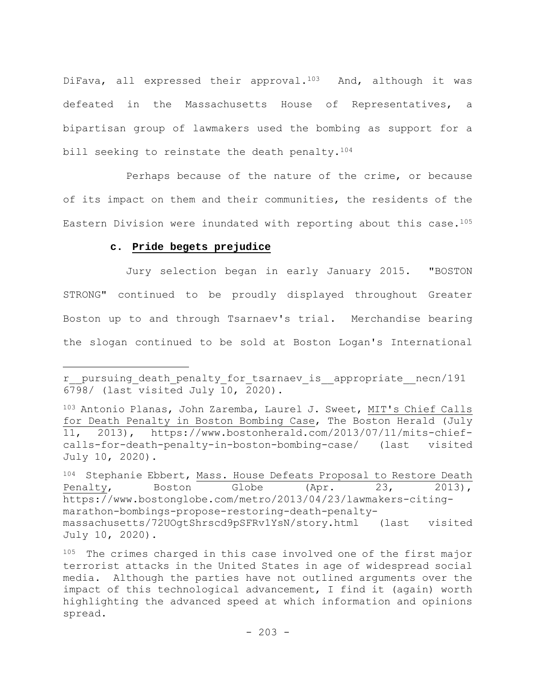DiFava, all expressed their approval.<sup>103</sup> And, although it was defeated in the Massachusetts House of Representatives, a bipartisan group of lawmakers used the bombing as support for a bill seeking to reinstate the death penalty.<sup>104</sup>

Perhaps because of the nature of the crime, or because of its impact on them and their communities, the residents of the Eastern Division were inundated with reporting about this case.<sup>105</sup>

## **c. Pride begets prejudice**

Jury selection began in early January 2015. "BOSTON STRONG" continued to be proudly displayed throughout Greater Boston up to and through Tsarnaev's trial. Merchandise bearing the slogan continued to be sold at Boston Logan's International

r\_\_pursuing\_death\_penalty\_for\_tsarnaev\_is\_\_appropriate\_\_necn/191  $6798/$  (last visited July 10, 2020).

<sup>103</sup> Antonio Planas, John Zaremba, Laurel J. Sweet, MIT's Chief Calls for Death Penalty in Boston Bombing Case, The Boston Herald (July 11, 2013), https://www.bostonherald.com/2013/07/11/mits-chiefcalls-for-death-penalty-in-boston-bombing-case/ (last visited July 10, 2020).

<sup>104</sup> Stephanie Ebbert, Mass. House Defeats Proposal to Restore Death Penalty, Boston Globe (Apr. 23, 2013), https://www.bostonglobe.com/metro/2013/04/23/lawmakers-citingmarathon-bombings-propose-restoring-death-penaltymassachusetts/72UOgtShrscd9pSFRv1YsN/story.html (last visited July 10, 2020).

<sup>105</sup> The crimes charged in this case involved one of the first major terrorist attacks in the United States in age of widespread social media. Although the parties have not outlined arguments over the impact of this technological advancement, I find it (again) worth highlighting the advanced speed at which information and opinions spread.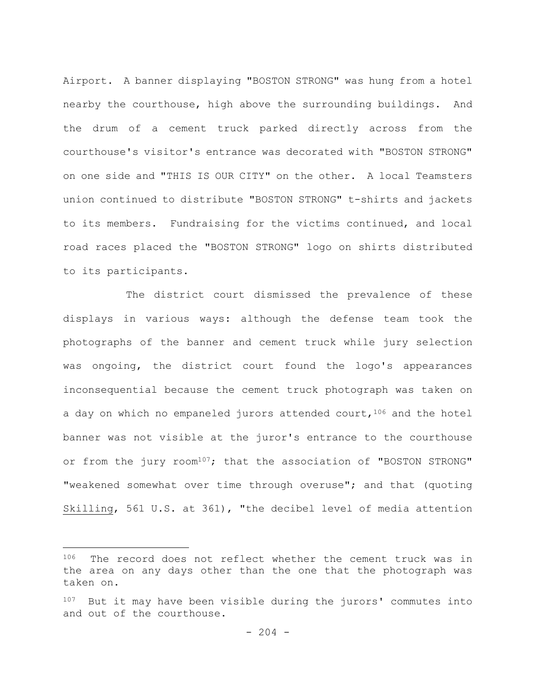Airport. A banner displaying "BOSTON STRONG" was hung from a hotel nearby the courthouse, high above the surrounding buildings. And the drum of a cement truck parked directly across from the courthouse's visitor's entrance was decorated with "BOSTON STRONG" on one side and "THIS IS OUR CITY" on the other. A local Teamsters union continued to distribute "BOSTON STRONG" t-shirts and jackets to its members. Fundraising for the victims continued, and local road races placed the "BOSTON STRONG" logo on shirts distributed to its participants.

The district court dismissed the prevalence of these displays in various ways: although the defense team took the photographs of the banner and cement truck while jury selection was ongoing, the district court found the logo's appearances inconsequential because the cement truck photograph was taken on a day on which no empaneled jurors attended court,  $106$  and the hotel banner was not visible at the juror's entrance to the courthouse or from the jury room<sup>107</sup>; that the association of "BOSTON STRONG" "weakened somewhat over time through overuse"; and that (quoting Skilling, 561 U.S. at 361), "the decibel level of media attention

<sup>106</sup> The record does not reflect whether the cement truck was in the area on any days other than the one that the photograph was taken on.

<sup>107</sup> But it may have been visible during the jurors' commutes into and out of the courthouse.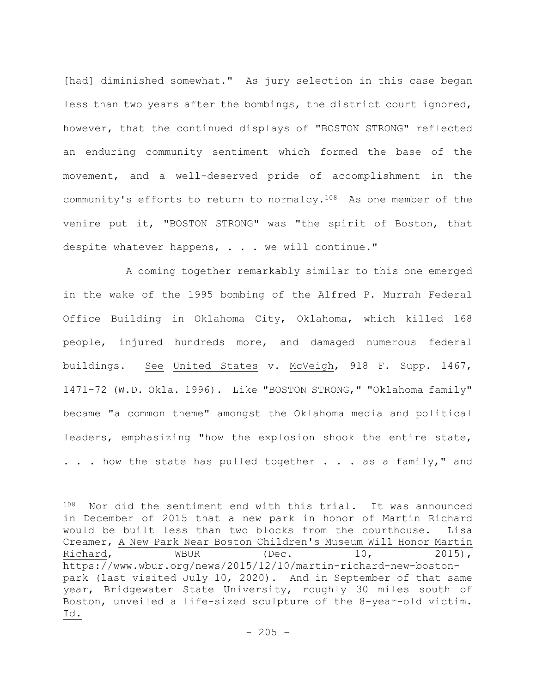[had] diminished somewhat." As jury selection in this case began less than two years after the bombings, the district court ignored, however, that the continued displays of "BOSTON STRONG" reflected an enduring community sentiment which formed the base of the movement, and a well-deserved pride of accomplishment in the community's efforts to return to normalcy.108 As one member of the venire put it, "BOSTON STRONG" was "the spirit of Boston, that despite whatever happens, . . . we will continue."

A coming together remarkably similar to this one emerged in the wake of the 1995 bombing of the Alfred P. Murrah Federal Office Building in Oklahoma City, Oklahoma, which killed 168 people, injured hundreds more, and damaged numerous federal buildings. See United States v. McVeigh, 918 F. Supp. 1467, 1471-72 (W.D. Okla. 1996). Like "BOSTON STRONG," "Oklahoma family" became "a common theme" amongst the Oklahoma media and political leaders, emphasizing "how the explosion shook the entire state, ... how the state has pulled together ... as a family," and

<sup>108</sup> Nor did the sentiment end with this trial. It was announced in December of 2015 that a new park in honor of Martin Richard would be built less than two blocks from the courthouse. Lisa Creamer, A New Park Near Boston Children's Museum Will Honor Martin Richard, WBUR (Dec. 10, 2015), https://www.wbur.org/news/2015/12/10/martin-richard-new-bostonpark (last visited July 10, 2020). And in September of that same year, Bridgewater State University, roughly 30 miles south of Boston, unveiled a life-sized sculpture of the 8-year-old victim. Id.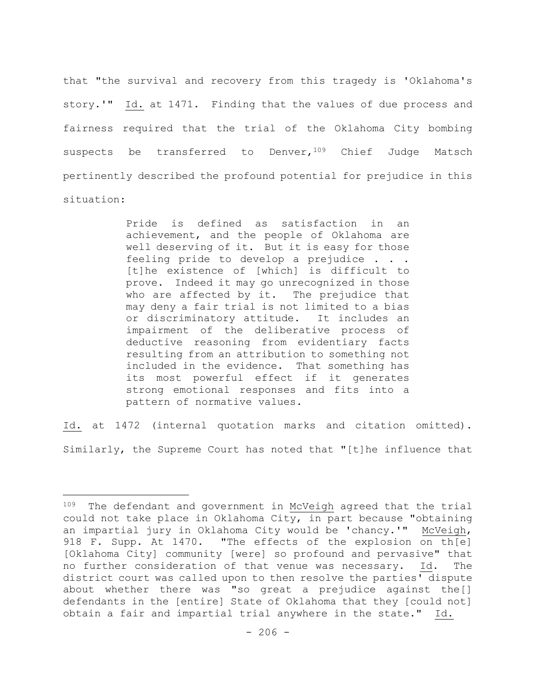that "the survival and recovery from this tragedy is 'Oklahoma's story.'" Id. at 1471. Finding that the values of due process and fairness required that the trial of the Oklahoma City bombing suspects be transferred to Denver, 109 Chief Judge Matsch pertinently described the profound potential for prejudice in this situation:

> Pride is defined as satisfaction in an achievement, and the people of Oklahoma are well deserving of it. But it is easy for those feeling pride to develop a prejudice . . . [t]he existence of [which] is difficult to prove. Indeed it may go unrecognized in those who are affected by it. The prejudice that may deny a fair trial is not limited to a bias or discriminatory attitude. It includes an impairment of the deliberative process of deductive reasoning from evidentiary facts resulting from an attribution to something not included in the evidence. That something has its most powerful effect if it generates strong emotional responses and fits into a pattern of normative values.

Id. at 1472 (internal quotation marks and citation omitted). Similarly, the Supreme Court has noted that "[t]he influence that

<sup>&</sup>lt;sup>109</sup> The defendant and government in McVeigh agreed that the trial could not take place in Oklahoma City, in part because "obtaining an impartial jury in Oklahoma City would be 'chancy.'" McVeigh, 918 F. Supp. At 1470. "The effects of the explosion on th[e] [Oklahoma City] community [were] so profound and pervasive" that no further consideration of that venue was necessary. Id. The district court was called upon to then resolve the parties' dispute about whether there was "so great a prejudice against the[] defendants in the [entire] State of Oklahoma that they [could not] obtain a fair and impartial trial anywhere in the state." Id.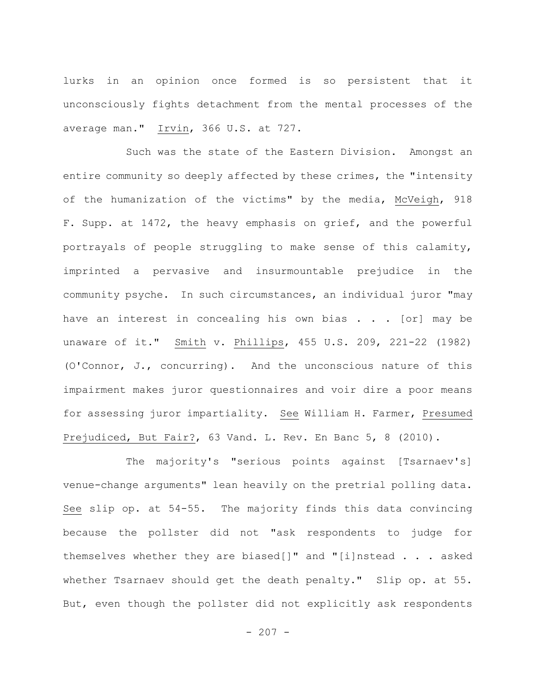lurks in an opinion once formed is so persistent that it unconsciously fights detachment from the mental processes of the average man." Irvin, 366 U.S. at 727.

Such was the state of the Eastern Division. Amongst an entire community so deeply affected by these crimes, the "intensity of the humanization of the victims" by the media, McVeigh, 918 F. Supp. at 1472, the heavy emphasis on grief, and the powerful portrayals of people struggling to make sense of this calamity, imprinted a pervasive and insurmountable prejudice in the community psyche. In such circumstances, an individual juror "may have an interest in concealing his own bias . . . [or] may be unaware of it." Smith v. Phillips, 455 U.S. 209, 221-22 (1982) (O'Connor, J., concurring). And the unconscious nature of this impairment makes juror questionnaires and voir dire a poor means for assessing juror impartiality. See William H. Farmer, Presumed Prejudiced, But Fair?, 63 Vand. L. Rev. En Banc 5, 8 (2010).

The majority's "serious points against [Tsarnaev's] venue-change arguments" lean heavily on the pretrial polling data. See slip op. at 54-55. The majority finds this data convincing because the pollster did not "ask respondents to judge for themselves whether they are biased[]" and "[i]nstead . . . asked whether Tsarnaev should get the death penalty." Slip op. at 55. But, even though the pollster did not explicitly ask respondents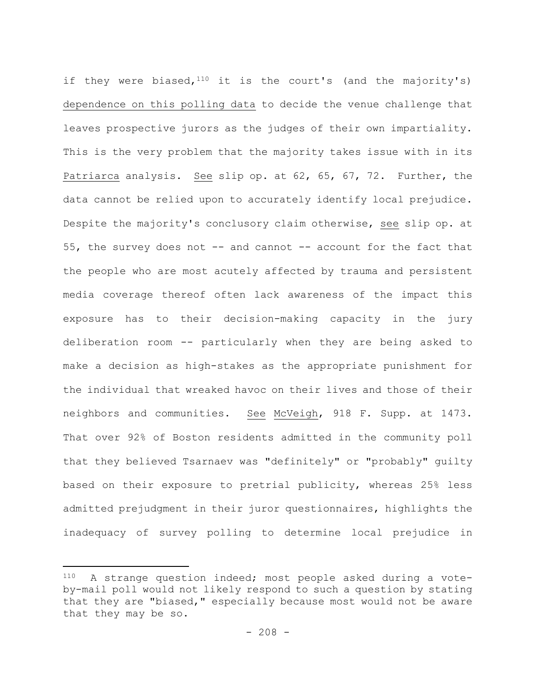if they were biased,  $110$  it is the court's (and the majority's) dependence on this polling data to decide the venue challenge that leaves prospective jurors as the judges of their own impartiality. This is the very problem that the majority takes issue with in its Patriarca analysis. See slip op. at 62, 65, 67, 72. Further, the data cannot be relied upon to accurately identify local prejudice. Despite the majority's conclusory claim otherwise, see slip op. at 55, the survey does not -- and cannot -- account for the fact that the people who are most acutely affected by trauma and persistent media coverage thereof often lack awareness of the impact this exposure has to their decision-making capacity in the jury deliberation room -- particularly when they are being asked to make a decision as high-stakes as the appropriate punishment for the individual that wreaked havoc on their lives and those of their neighbors and communities. See McVeigh, 918 F. Supp. at 1473. That over 92% of Boston residents admitted in the community poll that they believed Tsarnaev was "definitely" or "probably" guilty based on their exposure to pretrial publicity, whereas 25% less admitted prejudgment in their juror questionnaires, highlights the inadequacy of survey polling to determine local prejudice in

<sup>110</sup> A strange question indeed; most people asked during a voteby-mail poll would not likely respond to such a question by stating that they are "biased," especially because most would not be aware that they may be so.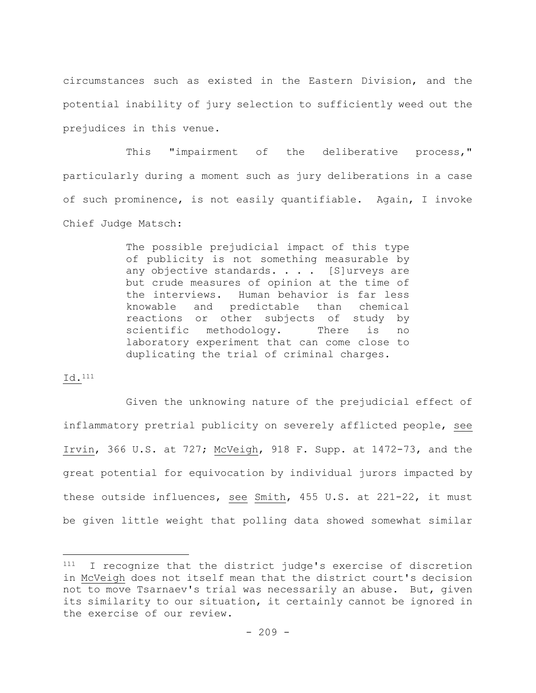circumstances such as existed in the Eastern Division, and the potential inability of jury selection to sufficiently weed out the prejudices in this venue.

This "impairment of the deliberative process," particularly during a moment such as jury deliberations in a case of such prominence, is not easily quantifiable. Again, I invoke Chief Judge Matsch:

> The possible prejudicial impact of this type of publicity is not something measurable by any objective standards. . . . [S]urveys are but crude measures of opinion at the time of the interviews. Human behavior is far less knowable and predictable than chemical reactions or other subjects of study by scientific methodology. There is no laboratory experiment that can come close to duplicating the trial of criminal charges.

## Id.111

Given the unknowing nature of the prejudicial effect of inflammatory pretrial publicity on severely afflicted people, see Irvin, 366 U.S. at 727; McVeigh, 918 F. Supp. at 1472-73, and the great potential for equivocation by individual jurors impacted by these outside influences, see Smith, 455 U.S. at 221-22, it must be given little weight that polling data showed somewhat similar

<sup>111</sup> I recognize that the district judge's exercise of discretion in McVeigh does not itself mean that the district court's decision not to move Tsarnaev's trial was necessarily an abuse. But, given its similarity to our situation, it certainly cannot be ignored in the exercise of our review.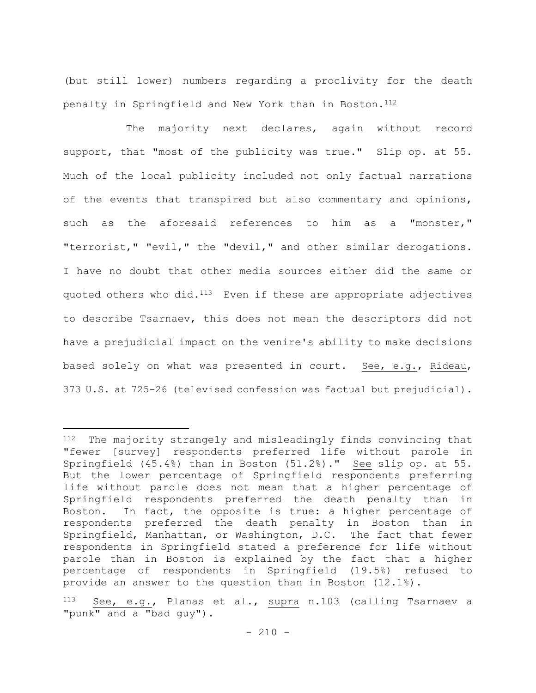(but still lower) numbers regarding a proclivity for the death penalty in Springfield and New York than in Boston.112

The majority next declares, again without record support, that "most of the publicity was true." Slip op. at 55. Much of the local publicity included not only factual narrations of the events that transpired but also commentary and opinions, such as the aforesaid references to him as a "monster," "terrorist," "evil," the "devil," and other similar derogations. I have no doubt that other media sources either did the same or quoted others who did.<sup>113</sup> Even if these are appropriate adjectives to describe Tsarnaev, this does not mean the descriptors did not have a prejudicial impact on the venire's ability to make decisions based solely on what was presented in court. See, e.g., Rideau, 373 U.S. at 725-26 (televised confession was factual but prejudicial).

<sup>112</sup> The majority strangely and misleadingly finds convincing that "fewer [survey] respondents preferred life without parole in Springfield (45.4%) than in Boston (51.2%)." See slip op. at 55. But the lower percentage of Springfield respondents preferring life without parole does not mean that a higher percentage of Springfield respondents preferred the death penalty than in Boston. In fact, the opposite is true: a higher percentage of respondents preferred the death penalty in Boston than in Springfield, Manhattan, or Washington, D.C. The fact that fewer respondents in Springfield stated a preference for life without parole than in Boston is explained by the fact that a higher percentage of respondents in Springfield (19.5%) refused to provide an answer to the question than in Boston (12.1%).

See, e.g., Planas et al., supra n.103 (calling Tsarnaev a "punk" and a "bad guy").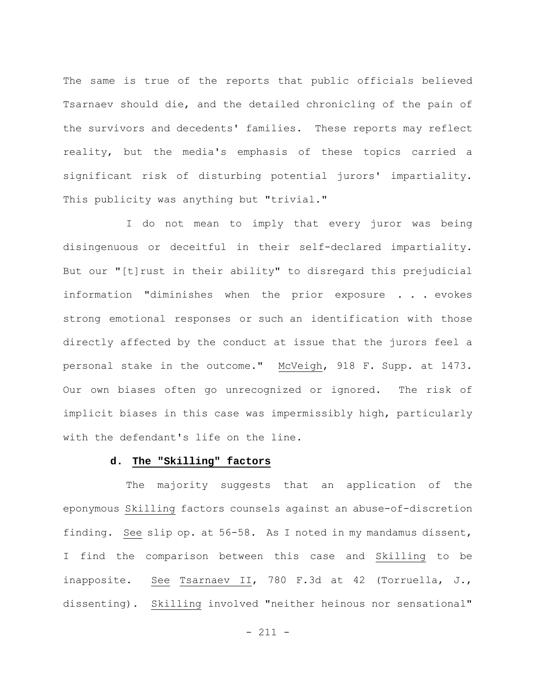The same is true of the reports that public officials believed Tsarnaev should die, and the detailed chronicling of the pain of the survivors and decedents' families. These reports may reflect reality, but the media's emphasis of these topics carried a significant risk of disturbing potential jurors' impartiality. This publicity was anything but "trivial."

I do not mean to imply that every juror was being disingenuous or deceitful in their self-declared impartiality. But our "[t]rust in their ability" to disregard this prejudicial information "diminishes when the prior exposure . . . evokes strong emotional responses or such an identification with those directly affected by the conduct at issue that the jurors feel a personal stake in the outcome." McVeigh, 918 F. Supp. at 1473. Our own biases often go unrecognized or ignored. The risk of implicit biases in this case was impermissibly high, particularly with the defendant's life on the line.

## **d. The "Skilling" factors**

The majority suggests that an application of the eponymous Skilling factors counsels against an abuse-of-discretion finding. See slip op. at 56-58. As I noted in my mandamus dissent, I find the comparison between this case and Skilling to be inapposite. See Tsarnaev II, 780 F.3d at 42 (Torruella, J., dissenting). Skilling involved "neither heinous nor sensational"

- 211 -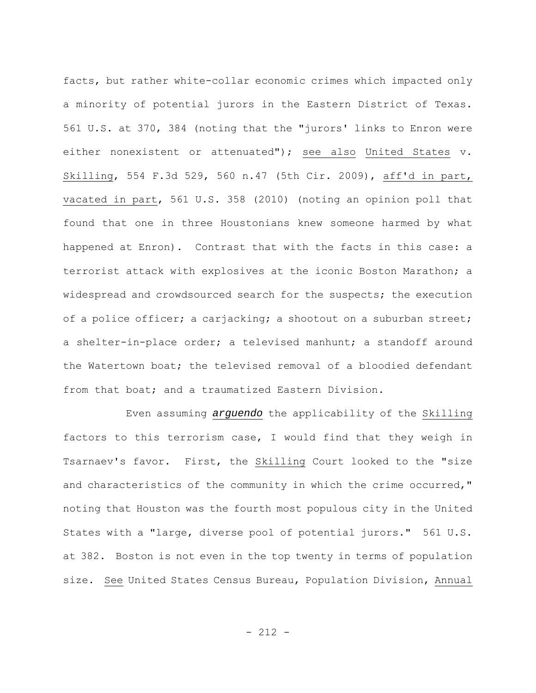facts, but rather white-collar economic crimes which impacted only a minority of potential jurors in the Eastern District of Texas. 561 U.S. at 370, 384 (noting that the "jurors' links to Enron were either nonexistent or attenuated"); see also United States v. Skilling, 554 F.3d 529, 560 n.47 (5th Cir. 2009), aff'd in part, vacated in part, 561 U.S. 358 (2010) (noting an opinion poll that found that one in three Houstonians knew someone harmed by what happened at Enron). Contrast that with the facts in this case: a terrorist attack with explosives at the iconic Boston Marathon; a widespread and crowdsourced search for the suspects; the execution of a police officer; a carjacking; a shootout on a suburban street; a shelter-in-place order; a televised manhunt; a standoff around the Watertown boat; the televised removal of a bloodied defendant from that boat; and a traumatized Eastern Division.

Even assuming *arguendo* the applicability of the Skilling factors to this terrorism case, I would find that they weigh in Tsarnaev's favor. First, the Skilling Court looked to the "size and characteristics of the community in which the crime occurred," noting that Houston was the fourth most populous city in the United States with a "large, diverse pool of potential jurors." 561 U.S. at 382. Boston is not even in the top twenty in terms of population size. See United States Census Bureau, Population Division, Annual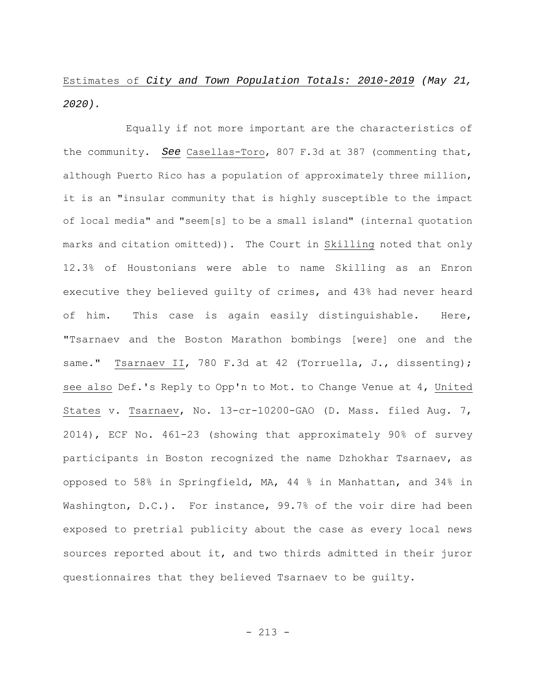Estimates of *City and Town Population Totals: 2010-2019 (May 21, 2020).*

Equally if not more important are the characteristics of the community. *See* Casellas-Toro, 807 F.3d at 387 (commenting that, although Puerto Rico has a population of approximately three million, it is an "insular community that is highly susceptible to the impact of local media" and "seem[s] to be a small island" (internal quotation marks and citation omitted)). The Court in Skilling noted that only 12.3% of Houstonians were able to name Skilling as an Enron executive they believed guilty of crimes, and 43% had never heard of him. This case is again easily distinguishable. Here, "Tsarnaev and the Boston Marathon bombings [were] one and the same." Tsarnaev II, 780 F.3d at 42 (Torruella, J., dissenting); see also Def.'s Reply to Opp'n to Mot. to Change Venue at 4, United States v. Tsarnaev, No. 13-cr-10200-GAO (D. Mass. filed Aug. 7, 2014), ECF No. 461-23 (showing that approximately 90% of survey participants in Boston recognized the name Dzhokhar Tsarnaev, as opposed to 58% in Springfield, MA, 44 % in Manhattan, and 34% in Washington, D.C.). For instance, 99.7% of the voir dire had been exposed to pretrial publicity about the case as every local news sources reported about it, and two thirds admitted in their juror questionnaires that they believed Tsarnaev to be guilty.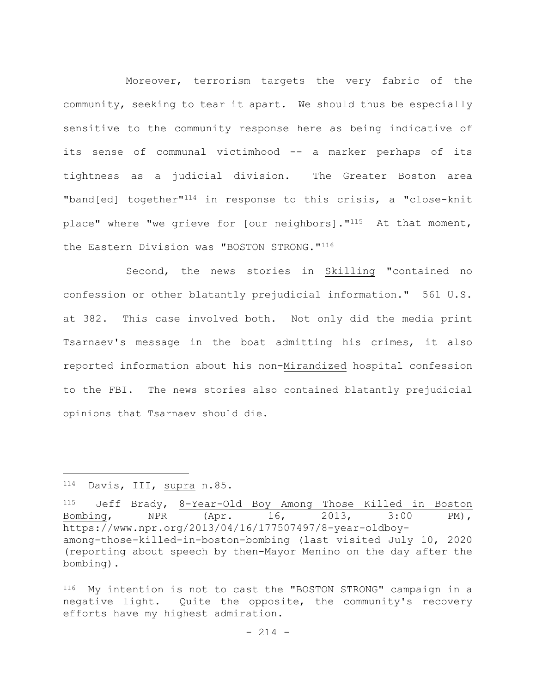Moreover, terrorism targets the very fabric of the community, seeking to tear it apart. We should thus be especially sensitive to the community response here as being indicative of its sense of communal victimhood -- a marker perhaps of its tightness as a judicial division. The Greater Boston area "band[ed] together"114 in response to this crisis, a "close-knit place" where "we grieve for [our neighbors]."115 At that moment, the Eastern Division was "BOSTON STRONG."116

Second, the news stories in Skilling "contained no confession or other blatantly prejudicial information." 561 U.S. at 382. This case involved both. Not only did the media print Tsarnaev's message in the boat admitting his crimes, it also reported information about his non-Mirandized hospital confession to the FBI. The news stories also contained blatantly prejudicial opinions that Tsarnaev should die.

<sup>114</sup> Davis, III, supra n.85.

<sup>115</sup> Jeff Brady, 8-Year-Old Boy Among Those Killed in Boston Bombing, NPR (Apr. 16, 2013, 3:00 PM), https://www.npr.org/2013/04/16/177507497/8-year-oldboyamong-those-killed-in-boston-bombing (last visited July 10, 2020 (reporting about speech by then-Mayor Menino on the day after the bombing).

<sup>116</sup> My intention is not to cast the "BOSTON STRONG" campaign in a negative light. Quite the opposite, the community's recovery efforts have my highest admiration.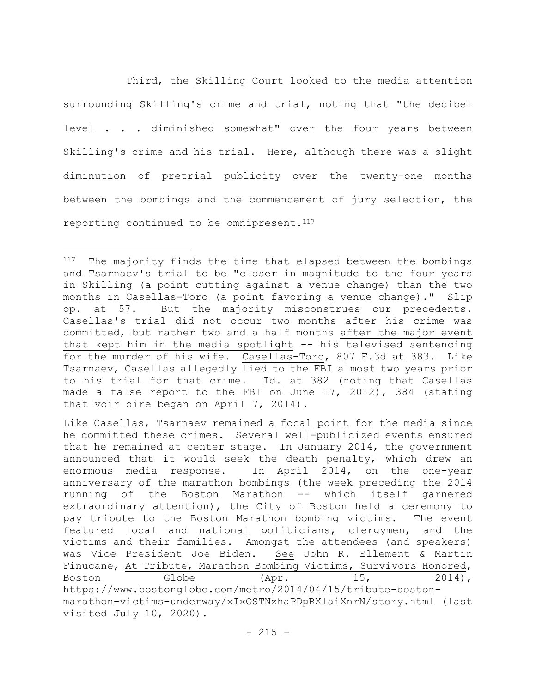Third, the Skilling Court looked to the media attention surrounding Skilling's crime and trial, noting that "the decibel level . . . diminished somewhat" over the four years between Skilling's crime and his trial. Here, although there was a slight diminution of pretrial publicity over the twenty-one months between the bombings and the commencement of jury selection, the reporting continued to be omnipresent. $117$ 

<sup>117</sup> The majority finds the time that elapsed between the bombings and Tsarnaev's trial to be "closer in magnitude to the four years in Skilling (a point cutting against a venue change) than the two months in Casellas-Toro (a point favoring a venue change)." Slip op. at 57. But the majority misconstrues our precedents. Casellas's trial did not occur two months after his crime was committed, but rather two and a half months after the major event that kept him in the media spotlight -- his televised sentencing for the murder of his wife. Casellas-Toro, 807 F.3d at 383. Like Tsarnaev, Casellas allegedly lied to the FBI almost two years prior to his trial for that crime. Id. at 382 (noting that Casellas made a false report to the FBI on June 17, 2012), 384 (stating that voir dire began on April 7, 2014).

Like Casellas, Tsarnaev remained a focal point for the media since he committed these crimes. Several well-publicized events ensured that he remained at center stage. In January 2014, the government announced that it would seek the death penalty, which drew an enormous media response. In April 2014, on the one-year anniversary of the marathon bombings (the week preceding the 2014 running of the Boston Marathon -- which itself garnered extraordinary attention), the City of Boston held a ceremony to pay tribute to the Boston Marathon bombing victims. The event featured local and national politicians, clergymen, and the victims and their families. Amongst the attendees (and speakers) was Vice President Joe Biden. See John R. Ellement & Martin Finucane, At Tribute, Marathon Bombing Victims, Survivors Honored, Boston Globe (Apr. 15, 2014), https://www.bostonglobe.com/metro/2014/04/15/tribute-bostonmarathon-victims-underway/xIxOSTNzhaPDpRXlaiXnrN/story.html (last visited July 10, 2020).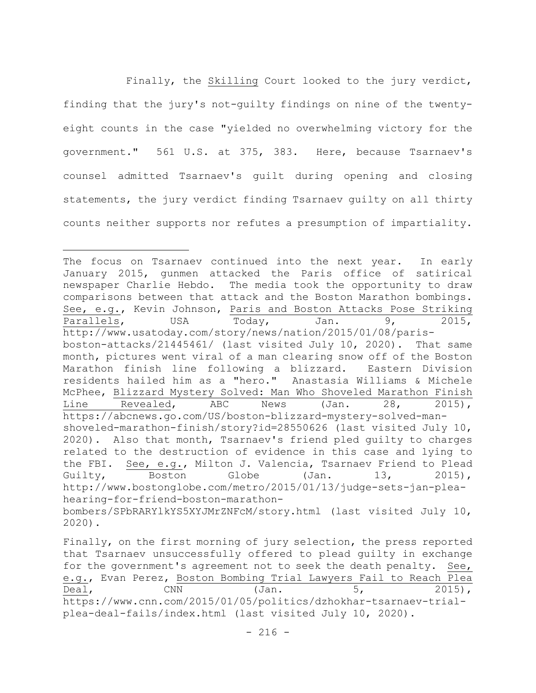Finally, the Skilling Court looked to the jury verdict, finding that the jury's not-guilty findings on nine of the twentyeight counts in the case "yielded no overwhelming victory for the government." 561 U.S. at 375, 383. Here, because Tsarnaev's counsel admitted Tsarnaev's guilt during opening and closing statements, the jury verdict finding Tsarnaev guilty on all thirty counts neither supports nor refutes a presumption of impartiality.

Finally, on the first morning of jury selection, the press reported that Tsarnaev unsuccessfully offered to plead guilty in exchange for the government's agreement not to seek the death penalty. See, e.g., Evan Perez, Boston Bombing Trial Lawyers Fail to Reach Plea  $\text{Deal}$ , CNN  $(\text{Jan.} 5, 2015)$ , https://www.cnn.com/2015/01/05/politics/dzhokhar-tsarnaev-trialplea-deal-fails/index.html (last visited July 10, 2020).

The focus on Tsarnaev continued into the next year. In early January 2015, gunmen attacked the Paris office of satirical newspaper Charlie Hebdo. The media took the opportunity to draw comparisons between that attack and the Boston Marathon bombings. See, e.g., Kevin Johnson, Paris and Boston Attacks Pose Striking Parallels, USA Today, Jan. 9, 2015, http://www.usatoday.com/story/news/nation/2015/01/08/parisboston-attacks/21445461/ (last visited July 10, 2020). That same month, pictures went viral of a man clearing snow off of the Boston Marathon finish line following a blizzard. Eastern Division residents hailed him as a "hero." Anastasia Williams & Michele McPhee, Blizzard Mystery Solved: Man Who Shoveled Marathon Finish Line Revealed, ABC News (Jan. 28, 2015), https://abcnews.go.com/US/boston-blizzard-mystery-solved-manshoveled-marathon-finish/story?id=28550626 (last visited July 10, 2020). Also that month, Tsarnaev's friend pled guilty to charges related to the destruction of evidence in this case and lying to the FBI. See, e.g., Milton J. Valencia, Tsarnaev Friend to Plead Guilty, Boston Globe (Jan. 13, 2015), http://www.bostonglobe.com/metro/2015/01/13/judge-sets-jan-pleahearing-for-friend-boston-marathonbombers/SPbRARYlkYS5XYJMrZNFcM/story.html (last visited July 10, 2020).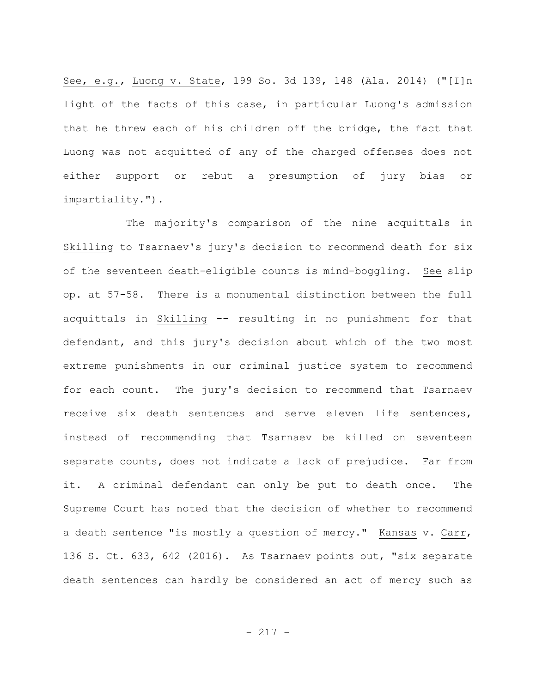See, e.g., Luong v. State, 199 So. 3d 139, 148 (Ala. 2014) ("[I]n light of the facts of this case, in particular Luong's admission that he threw each of his children off the bridge, the fact that Luong was not acquitted of any of the charged offenses does not either support or rebut a presumption of jury bias or impartiality.").

The majority's comparison of the nine acquittals in Skilling to Tsarnaev's jury's decision to recommend death for six of the seventeen death-eligible counts is mind-boggling. See slip op. at 57-58. There is a monumental distinction between the full acquittals in Skilling -- resulting in no punishment for that defendant, and this jury's decision about which of the two most extreme punishments in our criminal justice system to recommend for each count. The jury's decision to recommend that Tsarnaev receive six death sentences and serve eleven life sentences, instead of recommending that Tsarnaev be killed on seventeen separate counts, does not indicate a lack of prejudice. Far from it. A criminal defendant can only be put to death once. The Supreme Court has noted that the decision of whether to recommend a death sentence "is mostly a question of mercy." Kansas v. Carr, 136 S. Ct. 633, 642 (2016). As Tsarnaev points out, "six separate death sentences can hardly be considered an act of mercy such as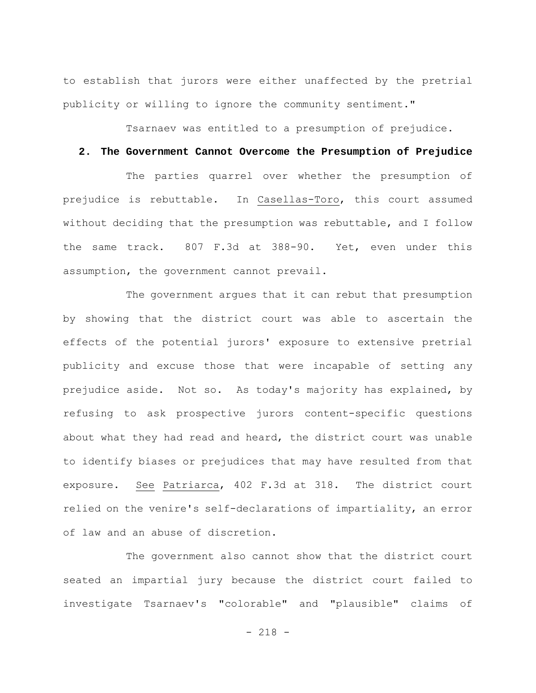to establish that jurors were either unaffected by the pretrial publicity or willing to ignore the community sentiment."

Tsarnaev was entitled to a presumption of prejudice.

## **2. The Government Cannot Overcome the Presumption of Prejudice**

The parties quarrel over whether the presumption of prejudice is rebuttable. In Casellas-Toro, this court assumed without deciding that the presumption was rebuttable, and I follow the same track. 807 F.3d at 388-90. Yet, even under this assumption, the government cannot prevail.

The government argues that it can rebut that presumption by showing that the district court was able to ascertain the effects of the potential jurors' exposure to extensive pretrial publicity and excuse those that were incapable of setting any prejudice aside. Not so. As today's majority has explained, by refusing to ask prospective jurors content-specific questions about what they had read and heard, the district court was unable to identify biases or prejudices that may have resulted from that exposure. See Patriarca, 402 F.3d at 318. The district court relied on the venire's self-declarations of impartiality, an error of law and an abuse of discretion.

The government also cannot show that the district court seated an impartial jury because the district court failed to investigate Tsarnaev's "colorable" and "plausible" claims of

- 218 -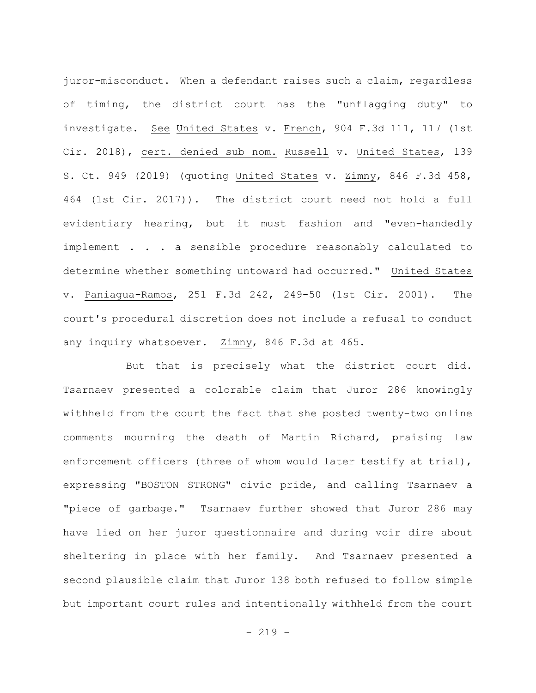juror-misconduct. When a defendant raises such a claim, regardless of timing, the district court has the "unflagging duty" to investigate. See United States v. French, 904 F.3d 111, 117 (1st Cir. 2018), cert. denied sub nom. Russell v. United States, 139 S. Ct. 949 (2019) (quoting United States v. Zimny, 846 F.3d 458, 464 (1st Cir. 2017)). The district court need not hold a full evidentiary hearing, but it must fashion and "even-handedly implement . . . a sensible procedure reasonably calculated to determine whether something untoward had occurred." United States v. Paniagua-Ramos, 251 F.3d 242, 249-50 (1st Cir. 2001). The court's procedural discretion does not include a refusal to conduct any inquiry whatsoever. Zimny, 846 F.3d at 465.

But that is precisely what the district court did. Tsarnaev presented a colorable claim that Juror 286 knowingly withheld from the court the fact that she posted twenty-two online comments mourning the death of Martin Richard, praising law enforcement officers (three of whom would later testify at trial), expressing "BOSTON STRONG" civic pride, and calling Tsarnaev a "piece of garbage." Tsarnaev further showed that Juror 286 may have lied on her juror questionnaire and during voir dire about sheltering in place with her family. And Tsarnaev presented a second plausible claim that Juror 138 both refused to follow simple but important court rules and intentionally withheld from the court

 $-219 -$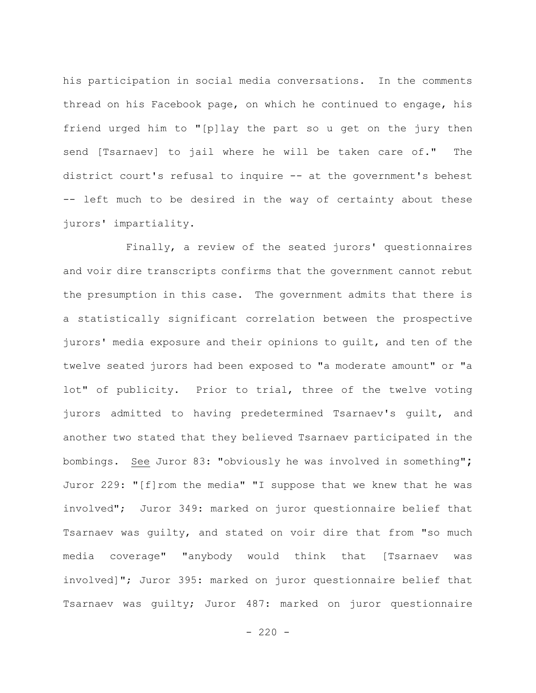his participation in social media conversations. In the comments thread on his Facebook page, on which he continued to engage, his friend urged him to "[p]lay the part so u get on the jury then send [Tsarnaev] to jail where he will be taken care of." The district court's refusal to inquire -- at the government's behest -- left much to be desired in the way of certainty about these jurors' impartiality.

Finally, a review of the seated jurors' questionnaires and voir dire transcripts confirms that the government cannot rebut the presumption in this case. The government admits that there is a statistically significant correlation between the prospective jurors' media exposure and their opinions to guilt, and ten of the twelve seated jurors had been exposed to "a moderate amount" or "a lot" of publicity. Prior to trial, three of the twelve voting jurors admitted to having predetermined Tsarnaev's guilt, and another two stated that they believed Tsarnaev participated in the bombings. See Juror 83: "obviously he was involved in something"**;**  Juror 229: "[f]rom the media" "I suppose that we knew that he was involved"; Juror 349: marked on juror questionnaire belief that Tsarnaev was guilty, and stated on voir dire that from "so much media coverage" "anybody would think that [Tsarnaev was involved]"; Juror 395: marked on juror questionnaire belief that Tsarnaev was guilty; Juror 487: marked on juror questionnaire

 $- 220 -$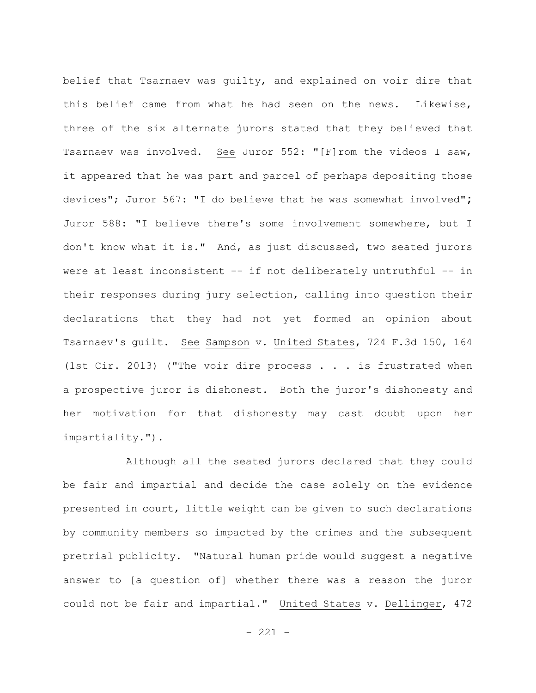belief that Tsarnaev was guilty, and explained on voir dire that this belief came from what he had seen on the news. Likewise, three of the six alternate jurors stated that they believed that Tsarnaev was involved. See Juror 552: "[F]rom the videos I saw, it appeared that he was part and parcel of perhaps depositing those devices"; Juror 567: "I do believe that he was somewhat involved"**;**  Juror 588: "I believe there's some involvement somewhere, but I don't know what it is."And, as just discussed, two seated jurors were at least inconsistent -- if not deliberately untruthful -- in their responses during jury selection, calling into question their declarations that they had not yet formed an opinion about Tsarnaev's guilt. See Sampson v. United States, 724 F.3d 150, 164 (1st Cir. 2013) ("The voir dire process . . . is frustrated when a prospective juror is dishonest. Both the juror's dishonesty and her motivation for that dishonesty may cast doubt upon her impartiality.").

Although all the seated jurors declared that they could be fair and impartial and decide the case solely on the evidence presented in court, little weight can be given to such declarations by community members so impacted by the crimes and the subsequent pretrial publicity. "Natural human pride would suggest a negative answer to [a question of] whether there was a reason the juror could not be fair and impartial." United States v. Dellinger, 472

- 221 -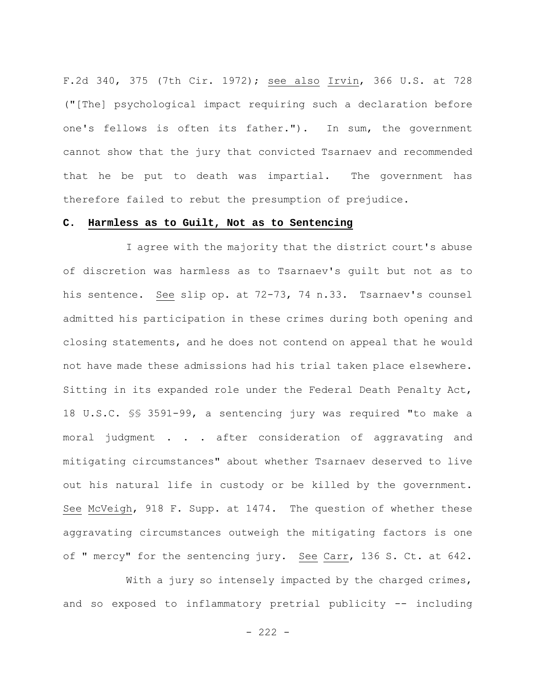F.2d 340, 375 (7th Cir. 1972); see also Irvin, 366 U.S. at 728 ("[The] psychological impact requiring such a declaration before one's fellows is often its father."). In sum, the government cannot show that the jury that convicted Tsarnaev and recommended that he be put to death was impartial. The government has therefore failed to rebut the presumption of prejudice.

## **C. Harmless as to Guilt, Not as to Sentencing**

I agree with the majority that the district court's abuse of discretion was harmless as to Tsarnaev's guilt but not as to his sentence. See slip op. at 72-73, 74 n.33. Tsarnaev's counsel admitted his participation in these crimes during both opening and closing statements, and he does not contend on appeal that he would not have made these admissions had his trial taken place elsewhere. Sitting in its expanded role under the Federal Death Penalty Act, 18 U.S.C. §§ 3591-99, a sentencing jury was required "to make a moral judgment . . . after consideration of aggravating and mitigating circumstances" about whether Tsarnaev deserved to live out his natural life in custody or be killed by the government. See McVeigh, 918 F. Supp. at 1474. The question of whether these aggravating circumstances outweigh the mitigating factors is one of " mercy" for the sentencing jury. See Carr, 136 S. Ct. at 642.

With a jury so intensely impacted by the charged crimes, and so exposed to inflammatory pretrial publicity -- including

- 222 -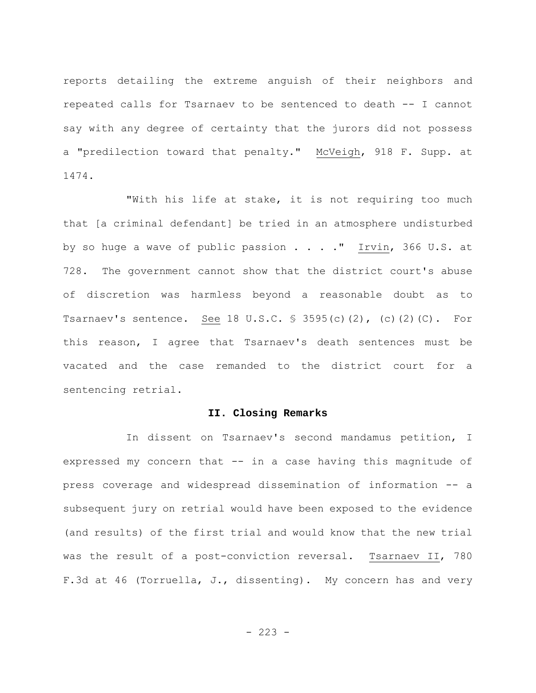reports detailing the extreme anguish of their neighbors and repeated calls for Tsarnaev to be sentenced to death -- I cannot say with any degree of certainty that the jurors did not possess a "predilection toward that penalty." McVeigh, 918 F. Supp. at 1474.

"With his life at stake, it is not requiring too much that [a criminal defendant] be tried in an atmosphere undisturbed by so huge a wave of public passion . . . . " Irvin, 366 U.S. at 728. The government cannot show that the district court's abuse of discretion was harmless beyond a reasonable doubt as to Tsarnaev's sentence. See 18 U.S.C. § 3595(c)(2), (c)(2)(C). For this reason, I agree that Tsarnaev's death sentences must be vacated and the case remanded to the district court for a sentencing retrial.

## **II. Closing Remarks**

In dissent on Tsarnaev's second mandamus petition, I expressed my concern that -- in a case having this magnitude of press coverage and widespread dissemination of information -- a subsequent jury on retrial would have been exposed to the evidence (and results) of the first trial and would know that the new trial was the result of a post-conviction reversal. Tsarnaev II, 780 F.3d at 46 (Torruella, J., dissenting). My concern has and very

 $-223 -$